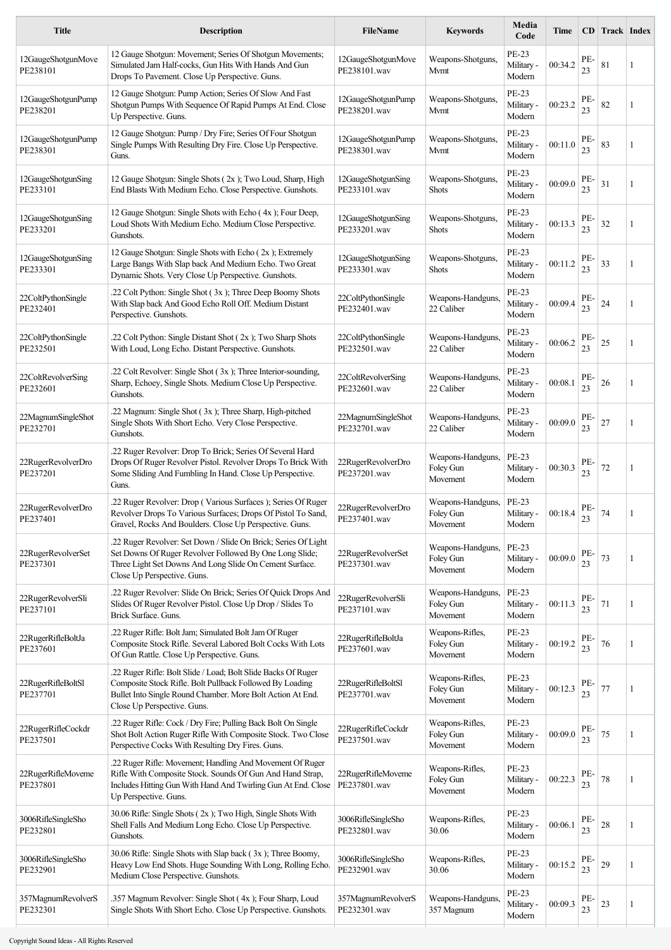| <b>Title</b>                   | <b>Description</b>                                                                                                                                                                                                     | FileName                           | <b>Keywords</b>                            | Media<br>Code                        | Time    |           | <b>CD</b> Track Index |   |
|--------------------------------|------------------------------------------------------------------------------------------------------------------------------------------------------------------------------------------------------------------------|------------------------------------|--------------------------------------------|--------------------------------------|---------|-----------|-----------------------|---|
| 12GaugeShotgunMove<br>PE238101 | 12 Gauge Shotgun: Movement; Series Of Shotgun Movements;<br>Simulated Jam Half-cocks, Gun Hits With Hands And Gun<br>Drops To Pavement. Close Up Perspective. Guns.                                                    | 12GaugeShotgunMove<br>PE238101.wav | Weapons-Shotguns,<br>Mvmt                  | PE-23<br>Military -<br>Modern        | 00:34.2 | PE-<br>23 | 81                    | 1 |
| 12GaugeShotgunPump<br>PE238201 | 12 Gauge Shotgun: Pump Action; Series Of Slow And Fast<br>Shotgun Pumps With Sequence Of Rapid Pumps At End. Close<br>Up Perspective. Guns.                                                                            | 12GaugeShotgunPump<br>PE238201.wav | Weapons-Shotguns,<br>Mvmt                  | PE-23<br>Military -<br>Modern        | 00:23.2 | PE-<br>23 | 82                    | 1 |
| 12GaugeShotgunPump<br>PE238301 | 12 Gauge Shotgun: Pump / Dry Fire; Series Of Four Shotgun<br>Single Pumps With Resulting Dry Fire. Close Up Perspective.<br>Guns.                                                                                      | 12GaugeShotgunPump<br>PE238301.wav | Weapons-Shotguns.<br>Mvmt                  | PE-23<br>Military -<br>Modern        | 00:11.0 | PE-<br>23 | 83                    | 1 |
| 12GaugeShotgunSing<br>PE233101 | 12 Gauge Shotgun: Single Shots (2x); Two Loud, Sharp, High<br>End Blasts With Medium Echo. Close Perspective. Gunshots.                                                                                                | 12GaugeShotgunSing<br>PE233101.wav | Weapons-Shotguns.<br>Shots                 | PE-23<br>Military -<br>Modern        | 00:09.0 | PE-<br>23 | 31                    | 1 |
| 12GaugeShotgunSing<br>PE233201 | 12 Gauge Shotgun: Single Shots with Echo (4x); Four Deep,<br>Loud Shots With Medium Echo. Medium Close Perspective.<br>Gunshots.                                                                                       | 12GaugeShotgunSing<br>PE233201.wav | Weapons-Shotguns,<br>Shots                 | PE-23<br>Military -<br>Modern        | 00:13.3 | PE.<br>23 | 32                    | 1 |
| 12GaugeShotgunSing<br>PE233301 | 12 Gauge Shotgun: Single Shots with Echo (2x); Extremely<br>Large Bangs With Slap back And Medium Echo. Two Great<br>Dynamic Shots. Very Close Up Perspective. Gunshots.                                               | 12GaugeShotgunSing<br>PE233301.wav | Weapons-Shotguns,<br>Shots                 | PE-23<br>Military -<br>Modern        | 00:11.2 | PE-<br>23 | 33                    | 1 |
| 22ColtPythonSingle<br>PE232401 | .22 Colt Python: Single Shot (3x); Three Deep Boomy Shots<br>With Slap back And Good Echo Roll Off. Medium Distant<br>Perspective. Gunshots.                                                                           | 22ColtPythonSingle<br>PE232401.wav | Weapons-Handguns,<br>22 Caliber            | PE-23<br>Military -<br>Modern        | 00:09.4 | PE-<br>23 | 24                    | 1 |
| 22ColtPythonSingle<br>PE232501 | .22 Colt Python: Single Distant Shot (2x); Two Sharp Shots<br>With Loud, Long Echo. Distant Perspective. Gunshots.                                                                                                     | 22ColtPythonSingle<br>PE232501.wav | Weapons-Handguns,<br>22 Caliber            | PE-23<br>Military -<br>Modern        | 00:06.2 | PE-<br>23 | 25                    | 1 |
| 22ColtRevolverSing<br>PE232601 | .22 Colt Revolver: Single Shot (3x); Three Interior-sounding,<br>Sharp, Echoey, Single Shots. Medium Close Up Perspective.<br>Gunshots.                                                                                | 22ColtRevolverSing<br>PE232601.wav | Weapons-Handguns,<br>22 Caliber            | PE-23<br>Military -<br>Modern        | 00:08.1 | PE-<br>23 | 26                    | 1 |
| 22MagnumSingleShot<br>PE232701 | .22 Magnum: Single Shot (3x); Three Sharp, High-pitched<br>Single Shots With Short Echo. Very Close Perspective.<br>Gunshots.                                                                                          | 22MagnumSingleShot<br>PE232701.wav | Weapons-Handguns,<br>22 Caliber            | PE-23<br>Military -<br>Modern        | 00:09.0 | PE-<br>23 | 27                    | 1 |
| 22RugerRevolverDro<br>PE237201 | .22 Ruger Revolver: Drop To Brick; Series Of Several Hard<br>Drops Of Ruger Revolver Pistol. Revolver Drops To Brick With<br>Some Sliding And Fumbling In Hand. Close Up Perspective.<br>Guns.                         | 22RugerRevolverDro<br>PE237201.wav | Weapons-Handguns,<br>Foley Gun<br>Movement | PE-23<br>Military -<br>Modern        | 00:30.3 | PE.<br>23 | 72                    | 1 |
| 22RugerRevolverDro<br>PE237401 | .22 Ruger Revolver: Drop (Various Surfaces); Series Of Ruger<br>Revolver Drops To Various Surfaces; Drops Of Pistol To Sand,<br>Gravel, Rocks And Boulders. Close Up Perspective. Guns.                                | 22RugerRevolverDro<br>PE237401.wav | Weapons-Handguns,<br>Foley Gun<br>Movement | PE-23<br>Military -<br>Modern        | 00:18.4 | PE-<br>23 | 74                    | 1 |
| 22RugerRevolverSet<br>PE237301 | .22 Ruger Revolver: Set Down / Slide On Brick; Series Of Light<br>Set Downs Of Ruger Revolver Followed By One Long Slide;<br>Three Light Set Downs And Long Slide On Cement Surface.<br>Close Up Perspective. Guns.    | 22RugerRevolverSet<br>PE237301.wav | Weapons-Handguns,<br>Foley Gun<br>Movement | PE-23<br>Military -<br>Modern        | 00:09.0 | PE-<br>23 | 73                    | 1 |
| 22RugerRevolverSli<br>PE237101 | .22 Ruger Revolver: Slide On Brick; Series Of Quick Drops And<br>Slides Of Ruger Revolver Pistol. Close Up Drop / Slides To<br>Brick Surface. Guns.                                                                    | 22RugerRevolverSli<br>PE237101.wav | Weapons-Handguns,<br>Foley Gun<br>Movement | <b>PE-23</b><br>Military -<br>Modern | 00:11.3 | PE-<br>23 | 71                    | 1 |
| 22RugerRifleBoltJa<br>PE237601 | .22 Ruger Rifle: Bolt Jam; Simulated Bolt Jam Of Ruger<br>Composite Stock Rifle. Several Labored Bolt Cocks With Lots<br>Of Gun Rattle. Close Up Perspective. Guns.                                                    | 22RugerRifleBoltJa<br>PE237601.wav | Weapons-Rifles,<br>Foley Gun<br>Movement   | PE-23<br>Military -<br>Modern        | 00:19.2 | PE-<br>23 | 76                    | 1 |
| 22RugerRifleBoltSl<br>PE237701 | .22 Ruger Rifle: Bolt Slide / Load; Bolt Slide Backs Of Ruger<br>Composite Stock Rifle. Bolt Pullback Followed By Loading<br>Bullet Into Single Round Chamber. More Bolt Action At End.<br>Close Up Perspective. Guns. | 22RugerRifleBoltSl<br>PE237701.wav | Weapons-Rifles,<br>Foley Gun<br>Movement   | PE-23<br>Military -<br>Modern        | 00:12.3 | PE-<br>23 | 77                    | 1 |
| 22RugerRifleCockdr<br>PE237501 | .22 Ruger Rifle: Cock / Dry Fire; Pulling Back Bolt On Single<br>Shot Bolt Action Ruger Rifle With Composite Stock. Two Close<br>Perspective Cocks With Resulting Dry Fires. Guns.                                     | 22RugerRifleCockdr<br>PE237501.wav | Weapons-Rifles,<br>Foley Gun<br>Movement   | PE-23<br>Military -<br>Modern        | 00:09.0 | PE-<br>23 | 75                    | 1 |
| 22RugerRifleMoveme<br>PE237801 | .22 Ruger Rifle: Movement; Handling And Movement Of Ruger<br>Rifle With Composite Stock. Sounds Of Gun And Hand Strap,<br>Includes Hitting Gun With Hand And Twirling Gun At End. Close<br>Up Perspective. Guns.       | 22RugerRifleMoveme<br>PE237801.wav | Weapons-Rifles,<br>Foley Gun<br>Movement   | PE-23<br>Military -<br>Modern        | 00:22.3 | PE-<br>23 | 78                    | 1 |
| 3006RifleSingleSho<br>PE232801 | 30.06 Rifle: Single Shots (2x); Two High, Single Shots With<br>Shell Falls And Medium Long Echo. Close Up Perspective.<br>Gunshots.                                                                                    | 3006RifleSingleSho<br>PE232801.wav | Weapons-Rifles,<br>30.06                   | PE-23<br>Military -<br>Modern        | 00:06.1 | PE-<br>23 | 28                    | 1 |
| 3006RifleSingleSho<br>PE232901 | 30.06 Rifle: Single Shots with Slap back (3x); Three Boomy,<br>Heavy Low End Shots. Huge Sounding With Long, Rolling Echo.<br>Medium Close Perspective. Gunshots.                                                      | 3006RifleSingleSho<br>PE232901.wav | Weapons-Rifles,<br>30.06                   | PE-23<br>Military -<br>Modern        | 00:15.2 | PE-<br>23 | 29                    | 1 |
| 357MagnumRevolverS<br>PE232301 | .357 Magnum Revolver: Single Shot (4x); Four Sharp, Loud<br>Single Shots With Short Echo. Close Up Perspective. Gunshots.                                                                                              | 357MagnumRevolverS<br>PE232301.wav | Weapons-Handguns,<br>357 Magnum            | PE-23<br>Military -<br>Modern        | 00:09.3 | PE-<br>23 | 23                    | 1 |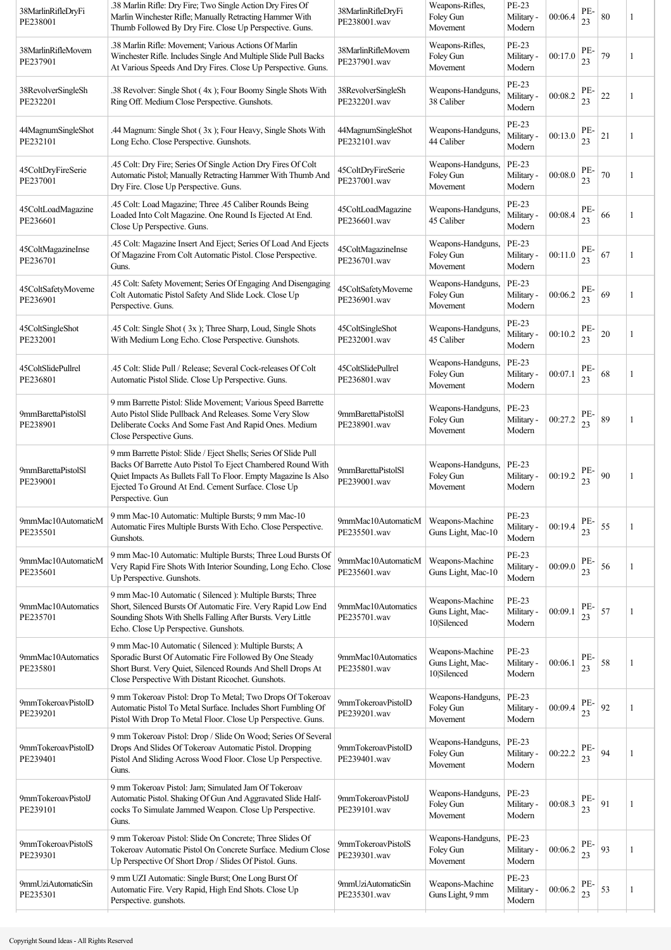| 38MarlinRifleDryFi<br>PE238001 | .38 Marlin Rifle: Dry Fire; Two Single Action Dry Fires Of<br>Marlin Winchester Rifle; Manually Retracting Hammer With<br>Thumb Followed By Dry Fire. Close Up Perspective. Guns.                                                                                           | 38MarlinRifleDryFi<br>PE238001.wav | Weapons-Rifles,<br>Foley Gun<br>Movement           | PE-23<br>Military -<br>Modern        | 00:06.4 | PE-<br>23 | 80     | 1 |
|--------------------------------|-----------------------------------------------------------------------------------------------------------------------------------------------------------------------------------------------------------------------------------------------------------------------------|------------------------------------|----------------------------------------------------|--------------------------------------|---------|-----------|--------|---|
| 38MarlinRifleMovem<br>PE237901 | .38 Marlin Rifle: Movement: Various Actions Of Marlin<br>Winchester Rifle. Includes Single And Multiple Slide Pull Backs<br>At Various Speeds And Dry Fires. Close Up Perspective. Guns.                                                                                    | 38MarlinRifleMovem<br>PE237901.wav | Weapons-Rifles,<br>Foley Gun<br>Movement           | PE-23<br>Military -<br>Modern        | 00:17.0 | PE-<br>23 | 79     | 1 |
| 38RevolverSingleSh<br>PE232201 | .38 Revolver: Single Shot (4x); Four Boomy Single Shots With<br>Ring Off. Medium Close Perspective. Gunshots.                                                                                                                                                               | 38RevolverSingleSh<br>PE232201.wav | Weapons-Handguns,<br>38 Caliber                    | PE-23<br>Military -<br>Modern        | 00:08.2 | PE-<br>23 | $22\,$ | 1 |
| 44MagnumSingleShot<br>PE232101 | .44 Magnum: Single Shot (3x); Four Heavy, Single Shots With<br>Long Echo. Close Perspective. Gunshots.                                                                                                                                                                      | 44MagnumSingleShot<br>PE232101.wav | Weapons-Handguns.<br>44 Caliber                    | PE-23<br>Military -<br>Modern        | 00:13.0 | PE-<br>23 | 21     | 1 |
| 45ColtDryFireSerie<br>PE237001 | .45 Colt: Dry Fire; Series Of Single Action Dry Fires Of Colt<br>Automatic Pistol; Manually Retracting Hammer With Thumb And<br>Dry Fire. Close Up Perspective. Guns.                                                                                                       | 45ColtDryFireSerie<br>PE237001.wav | Weapons-Handguns,<br>Foley Gun<br>Movement         | PE-23<br>Military -<br>Modern        | 00:08.0 | PE-<br>23 | 70     | 1 |
| 45ColtLoadMagazine<br>PE236601 | .45 Colt: Load Magazine; Three .45 Caliber Rounds Being<br>Loaded Into Colt Magazine. One Round Is Ejected At End.<br>Close Up Perspective. Guns.                                                                                                                           | 45ColtLoadMagazine<br>PE236601.wav | Weapons-Handguns,<br>45 Caliber                    | PE-23<br>Military -<br>Modern        | 00:08.4 | PE-<br>23 | 66     | 1 |
| 45ColtMagazineInse<br>PE236701 | .45 Colt: Magazine Insert And Eject; Series Of Load And Ejects<br>Of Magazine From Colt Automatic Pistol. Close Perspective.<br>Guns.                                                                                                                                       | 45ColtMagazineInse<br>PE236701.wav | Weapons-Handguns,<br>Foley Gun<br>Movement         | PE-23<br>Military -<br>Modern        | 00:11.0 | PE-<br>23 | 67     | 1 |
| 45ColtSafetyMoveme<br>PE236901 | .45 Colt: Safety Movement; Series Of Engaging And Disengaging<br>Colt Automatic Pistol Safety And Slide Lock. Close Up<br>Perspective. Guns.                                                                                                                                | 45ColtSafetyMoveme<br>PE236901.wav | Weapons-Handguns,<br>Foley Gun<br>Movement         | PE-23<br>Military -<br>Modern        | 00:06.2 | PE-<br>23 | 69     | 1 |
| 45ColtSingleShot<br>PE232001   | .45 Colt: Single Shot (3x); Three Sharp, Loud, Single Shots<br>With Medium Long Echo. Close Perspective. Gunshots.                                                                                                                                                          | 45ColtSingleShot<br>PE232001.wav   | Weapons-Handguns,<br>45 Caliber                    | PE-23<br>Military -<br>Modern        | 00:10.2 | PE-<br>23 | 20     | 1 |
| 45ColtSlidePullrel<br>PE236801 | .45 Colt: Slide Pull / Release; Several Cock-releases Of Colt<br>Automatic Pistol Slide. Close Up Perspective. Guns.                                                                                                                                                        | 45ColtSlidePullrel<br>PE236801.wav | Weapons-Handguns,<br>Foley Gun<br>Movement         | PE-23<br>Military -<br>Modern        | 00:07.1 | PE-<br>23 | 68     | 1 |
| 9mmBarettaPistolSl<br>PE238901 | 9 mm Barrette Pistol: Slide Movement; Various Speed Barrette<br>Auto Pistol Slide Pullback And Releases. Some Very Slow<br>Deliberate Cocks And Some Fast And Rapid Ones. Medium<br>Close Perspective Guns.                                                                 | 9mmBarettaPistolSl<br>PE238901.wav | Weapons-Handguns,<br>Foley Gun<br>Movement         | PE-23<br>Military -<br>Modern        | 00:27.2 | PE-<br>23 | 89     | 1 |
| 9mmBarettaPistolSl<br>PE239001 | 9 mm Barrette Pistol: Slide / Eject Shells; Series Of Slide Pull<br>Backs Of Barrette Auto Pistol To Eject Chambered Round With<br>Quiet Impacts As Bullets Fall To Floor. Empty Magazine Is Also<br>Ejected To Ground At End. Cement Surface. Close Up<br>Perspective. Gun | 9mmBarettaPistolSl<br>PE239001.wav | Weapons-Handguns,<br>Foley Gun<br>Movement         | PE-23<br>Military -<br>Modern        | 00:19.2 | PE-<br>23 | 90     | 1 |
| 9mmMac10AutomaticM<br>PE235501 | 9 mm Mac-10 Automatic: Multiple Bursts; 9 mm Mac-10<br>Automatic Fires Multiple Bursts With Echo. Close Perspective.<br>Gunshots.                                                                                                                                           | 9mmMac10AutomaticM<br>PE235501.wav | Weapons-Machine<br>Guns Light, Mac-10              | <b>PE-23</b><br>Military -<br>Modern | 00:19.4 | PE-<br>23 | 55     | 1 |
| 9mmMac10AutomaticM<br>PE235601 | 9 mm Mac-10 Automatic: Multiple Bursts; Three Loud Bursts Of<br>Very Rapid Fire Shots With Interior Sounding, Long Echo. Close<br>Up Perspective. Gunshots.                                                                                                                 | 9mmMac10AutomaticM<br>PE235601.wav | Weapons-Machine<br>Guns Light, Mac-10              | PE-23<br>Military -<br>Modern        | 00:09.0 | PE-<br>23 | 56     | 1 |
| 9mmMac10Automatics<br>PE235701 | 9 mm Mac-10 Automatic (Silenced): Multiple Bursts; Three<br>Short, Silenced Bursts Of Automatic Fire. Very Rapid Low End<br>Sounding Shots With Shells Falling After Bursts. Very Little<br>Echo. Close Up Perspective. Gunshots.                                           | 9mmMac10Automatics<br>PE235701.wav | Weapons-Machine<br>Guns Light, Mac-<br>10 Silenced | PE-23<br>Military -<br>Modern        | 00:09.1 | PE-<br>23 | 57     | 1 |
| 9mmMac10Automatics<br>PE235801 | 9 mm Mac-10 Automatic (Silenced): Multiple Bursts; A<br>Sporadic Burst Of Automatic Fire Followed By One Steady<br>Short Burst. Very Quiet, Silenced Rounds And Shell Drops At<br>Close Perspective With Distant Ricochet. Gunshots.                                        | 9mmMac10Automatics<br>PE235801.wav | Weapons-Machine<br>Guns Light, Mac-<br>10 Silenced | PE-23<br>Military -<br>Modern        | 00:06.1 | PE-<br>23 | 58     | 1 |
| 9mmTokeroavPistolD<br>PE239201 | 9 mm Tokeroav Pistol: Drop To Metal; Two Drops Of Tokeroav<br>Automatic Pistol To Metal Surface. Includes Short Fumbling Of<br>Pistol With Drop To Metal Floor. Close Up Perspective. Guns.                                                                                 | 9mmTokeroavPistolD<br>PE239201.wav | Weapons-Handguns,<br>Foley Gun<br>Movement         | PE-23<br>Military -<br>Modern        | 00:09.4 | PE-<br>23 | 92     | 1 |
| 9mmTokeroavPistolD<br>PE239401 | 9 mm Tokeroav Pistol: Drop / Slide On Wood; Series Of Several<br>Drops And Slides Of Tokeroav Automatic Pistol. Dropping<br>Pistol And Sliding Across Wood Floor. Close Up Perspective.<br>Guns.                                                                            | 9mmTokeroavPistolD<br>PE239401.wav | Weapons-Handguns,<br>Foley Gun<br>Movement         | PE-23<br>Military -<br>Modern        | 00:22.2 | PE-<br>23 | 94     | 1 |
| 9mmTokeroavPistolJ<br>PE239101 | 9 mm Tokeroav Pistol: Jam; Simulated Jam Of Tokeroav<br>Automatic Pistol. Shaking Of Gun And Aggravated Slide Half-<br>cocks To Simulate Jammed Weapon. Close Up Perspective.<br>Guns.                                                                                      | 9mmTokeroavPistolJ<br>PE239101.wav | Weapons-Handguns,<br>Foley Gun<br>Movement         | PE-23<br>Military -<br>Modern        | 00:08.3 | PE-<br>23 | 91     | 1 |
| 9mmTokeroavPistolS<br>PE239301 | 9 mm Tokeroav Pistol: Slide On Concrete; Three Slides Of<br>Tokeroav Automatic Pistol On Concrete Surface. Medium Close<br>Up Perspective Of Short Drop / Slides Of Pistol. Guns.                                                                                           | 9mmTokeroavPistolS<br>PE239301.wav | Weapons-Handguns,<br>Foley Gun<br>Movement         | PE-23<br>Military -<br>Modern        | 00:06.2 | PE-<br>23 | 93     | 1 |
| 9mmUziAutomaticSin<br>PE235301 | 9 mm UZI Automatic: Single Burst; One Long Burst Of<br>Automatic Fire. Very Rapid, High End Shots. Close Up<br>Perspective. gunshots.                                                                                                                                       | 9mmUziAutomaticSin<br>PE235301.wav | Weapons-Machine<br>Guns Light, 9 mm                | PE-23<br>Military -<br>Modern        | 00:06.2 | PE-<br>23 | 53     | 1 |
|                                |                                                                                                                                                                                                                                                                             |                                    |                                                    |                                      |         |           |        |   |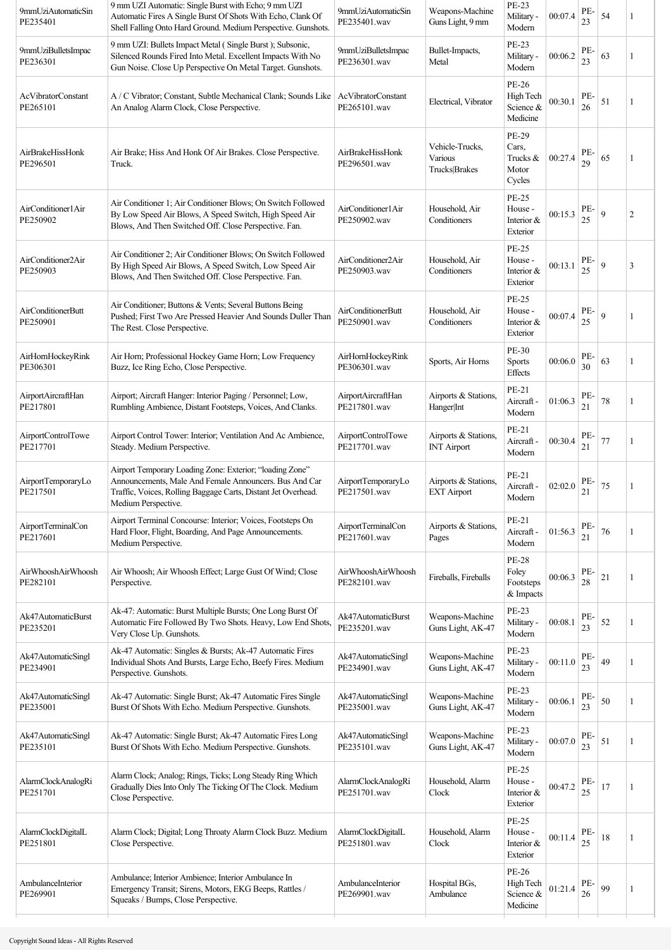| 9mmUziAutomaticSin<br>PE235401        | 9 mm UZI Automatic: Single Burst with Echo; 9 mm UZI<br>Automatic Fires A Single Burst Of Shots With Echo, Clank Of<br>Shell Falling Onto Hard Ground. Medium Perspective. Gunshots.                       | 9mmUziAutomaticSin<br>PE235401.wav        | Weapons-Machine<br>Guns Light, 9 mm         | <b>PE-23</b><br>Military -<br>Modern              | 00:07.4 | PE-<br>23 | 54             |   |
|---------------------------------------|------------------------------------------------------------------------------------------------------------------------------------------------------------------------------------------------------------|-------------------------------------------|---------------------------------------------|---------------------------------------------------|---------|-----------|----------------|---|
| 9mmUziBulletsImpac<br>PE236301        | 9 mm UZI: Bullets Impact Metal (Single Burst); Subsonic,<br>Silenced Rounds Fired Into Metal. Excellent Impacts With No<br>Gun Noise. Close Up Perspective On Metal Target. Gunshots.                      | 9mmUziBulletsImpac<br>PE236301.wav        | Bullet-Impacts,<br>Metal                    | PE-23<br>Military -<br>Modern                     | 00:06.2 | PE-<br>23 | 63             | 1 |
| <b>AcVibratorConstant</b><br>PE265101 | A / C Vibrator; Constant, Subtle Mechanical Clank; Sounds Like<br>An Analog Alarm Clock, Close Perspective.                                                                                                | AcVibratorConstant<br>PE265101.wav        | Electrical, Vibrator                        | PE-26<br>High Tech<br>Science &<br>Medicine       | 00:30.1 | PE-<br>26 | 51             |   |
| AirBrakeHissHonk<br>PE296501          | Air Brake; Hiss And Honk Of Air Brakes. Close Perspective.<br>Truck.                                                                                                                                       | AirBrakeHissHonk<br>PE296501.wav          | Vehicle-Trucks,<br>Various<br>Trucks Brakes | PE-29<br>Cars,<br>Trucks &<br>Motor<br>Cycles     | 00:27.4 | PE-<br>29 | 65             |   |
| AirConditioner1Air<br>PE250902        | Air Conditioner 1; Air Conditioner Blows; On Switch Followed<br>By Low Speed Air Blows, A Speed Switch, High Speed Air<br>Blows, And Then Switched Off. Close Perspective. Fan.                            | AirConditioner1Air<br>PE250902.wav        | Household, Air<br>Conditioners              | PE-25<br>House -<br>Interior &<br>Exterior        | 00:15.3 | PE-<br>25 | 9              | 2 |
| AirConditioner2Air<br>PE250903        | Air Conditioner 2; Air Conditioner Blows; On Switch Followed<br>By High Speed Air Blows, A Speed Switch, Low Speed Air<br>Blows, And Then Switched Off. Close Perspective. Fan.                            | AirConditioner2Air<br>PE250903.wav        | Household, Air<br>Conditioners              | PE-25<br>House -<br>Interior &<br>Exterior        | 00:13.1 | PE-<br>25 | $\overline{9}$ | 3 |
| AirConditionerButt<br>PE250901        | Air Conditioner; Buttons & Vents; Several Buttons Being<br>Pushed; First Two Are Pressed Heavier And Sounds Duller Than<br>The Rest. Close Perspective.                                                    | <b>AirConditionerButt</b><br>PE250901.wav | Household, Air<br>Conditioners              | <b>PE-25</b><br>House -<br>Interior &<br>Exterior | 00:07.4 | PE-<br>25 | 9              |   |
| AirHornHockeyRink<br>PE306301         | Air Horn; Professional Hockey Game Horn; Low Frequency<br>Buzz, Ice Ring Echo, Close Perspective.                                                                                                          | AirHornHockeyRink<br>PE306301.wav         | Sports, Air Horns                           | PE-30<br><b>Sports</b><br>Effects                 | 00:06.0 | PE-<br>30 | 63             |   |
| AirportAircraftHan<br>PE217801        | Airport; Aircraft Hanger: Interior Paging / Personnel; Low,<br>Rumbling Ambience, Distant Footsteps, Voices, And Clanks.                                                                                   | AirportAircraftHan<br>PE217801.wav        | Airports & Stations,<br>Hanger Int          | PE-21<br>Aircraft -<br>Modern                     | 01:06.3 | PE-<br>21 | $78\,$         | 1 |
| AirportControlTowe<br>PE217701        | Airport Control Tower: Interior; Ventilation And Ac Ambience,<br>Steady. Medium Perspective.                                                                                                               | AirportControlTowe<br>PE217701.wav        | Airports & Stations,<br><b>INT Airport</b>  | PE-21<br>Aircraft -<br>Modern                     | 00:30.4 | PE-<br>21 | $77 \,$        |   |
| AirportTemporaryLo<br>PE217501        | Airport Temporary Loading Zone: Exterior; "loading Zone"<br>Announcements, Male And Female Announcers. Bus And Car<br>Traffic, Voices, Rolling Baggage Carts, Distant Jet Overhead.<br>Medium Perspective. | AirportTemporaryLo<br>PE217501.wav        | Airports & Stations,<br><b>EXT Airport</b>  | PE-21<br>Aircraft -<br>Modern                     | 02:02.0 | PE-<br>21 | 75             |   |
| AirportTerminalCon<br>PE217601        | Airport Terminal Concourse: Interior; Voices, Footsteps On<br>Hard Floor, Flight, Boarding, And Page Announcements.<br>Medium Perspective.                                                                 | AirportTerminalCon<br>PE217601.wav        | Airports & Stations,<br>Pages               | PE-21<br>Aircraft -<br>Modern                     | 01:56.3 | PE-<br>21 | 76             |   |
| AirWhooshAirWhoosh<br>PE282101        | Air Whoosh; Air Whoosh Effect; Large Gust Of Wind; Close<br>Perspective.                                                                                                                                   | AirWhooshAirWhoosh<br>PE282101.wav        | Fireballs, Fireballs                        | <b>PE-28</b><br>Foley<br>Footsteps<br>& Impacts   | 00:06.3 | PE-<br>28 | 21             |   |
| Ak47AutomaticBurst<br>PE235201        | Ak-47: Automatic: Burst Multiple Bursts; One Long Burst Of<br>Automatic Fire Followed By Two Shots. Heavy, Low End Shots,<br>Very Close Up. Gunshots.                                                      | Ak47AutomaticBurst<br>PE235201.wav        | Weapons-Machine<br>Guns Light, AK-47        | PE-23<br>Military -<br>Modern                     | 00:08.1 | PE-<br>23 | 52             |   |
| Ak47AutomaticSingl<br>PE234901        | Ak-47 Automatic: Singles & Bursts; Ak-47 Automatic Fires<br>Individual Shots And Bursts, Large Echo, Beefy Fires. Medium<br>Perspective. Gunshots.                                                         | Ak47AutomaticSingl<br>PE234901.wav        | Weapons-Machine<br>Guns Light, AK-47        | PE-23<br>Military -<br>Modern                     | 00:11.0 | PE-<br>23 | 49             |   |
| Ak47AutomaticSingl<br>PE235001        | Ak-47 Automatic: Single Burst; Ak-47 Automatic Fires Single<br>Burst Of Shots With Echo. Medium Perspective. Gunshots.                                                                                     | Ak47AutomaticSingl<br>PE235001.wav        | Weapons-Machine<br>Guns Light, AK-47        | PE-23<br>Military -<br>Modern                     | 00:06.1 | PE-<br>23 | 50             |   |
| Ak47AutomaticSingl<br>PE235101        | Ak-47 Automatic: Single Burst; Ak-47 Automatic Fires Long<br>Burst Of Shots With Echo. Medium Perspective. Gunshots.                                                                                       | Ak47AutomaticSingl<br>PE235101.wav        | Weapons-Machine<br>Guns Light, AK-47        | <b>PE-23</b><br>Military -<br>Modern              | 00:07.0 | PE-<br>23 | 51             | 1 |
| AlarmClockAnalogRi<br>PE251701        | Alarm Clock; Analog; Rings, Ticks; Long Steady Ring Which<br>Gradually Dies Into Only The Ticking Of The Clock. Medium<br>Close Perspective.                                                               | AlarmClockAnalogRi<br>PE251701.wav        | Household, Alarm<br>Clock                   | <b>PE-25</b><br>House -<br>Interior &<br>Exterior | 00:47.2 | PE-<br>25 | 17             |   |
| AlarmClockDigitalL<br>PE251801        | Alarm Clock; Digital; Long Throaty Alarm Clock Buzz. Medium<br>Close Perspective.                                                                                                                          | AlarmClockDigitalL<br>PE251801.wav        | Household, Alarm<br>Clock                   | PE-25<br>House -<br>Interior &<br>Exterior        | 00:11.4 | PE-<br>25 | 18             |   |
| AmbulanceInterior<br>PE269901         | Ambulance; Interior Ambience; Interior Ambulance In<br>Emergency Transit; Sirens, Motors, EKG Beeps, Rattles /<br>Squeaks / Bumps, Close Perspective.                                                      | AmbulanceInterior<br>PE269901.wav         | Hospital BGs,<br>Ambulance                  | PE-26<br>High Tech<br>Science &<br>Medicine       | 01:21.4 | PE-<br>26 | 99             |   |
|                                       |                                                                                                                                                                                                            |                                           |                                             |                                                   |         |           |                |   |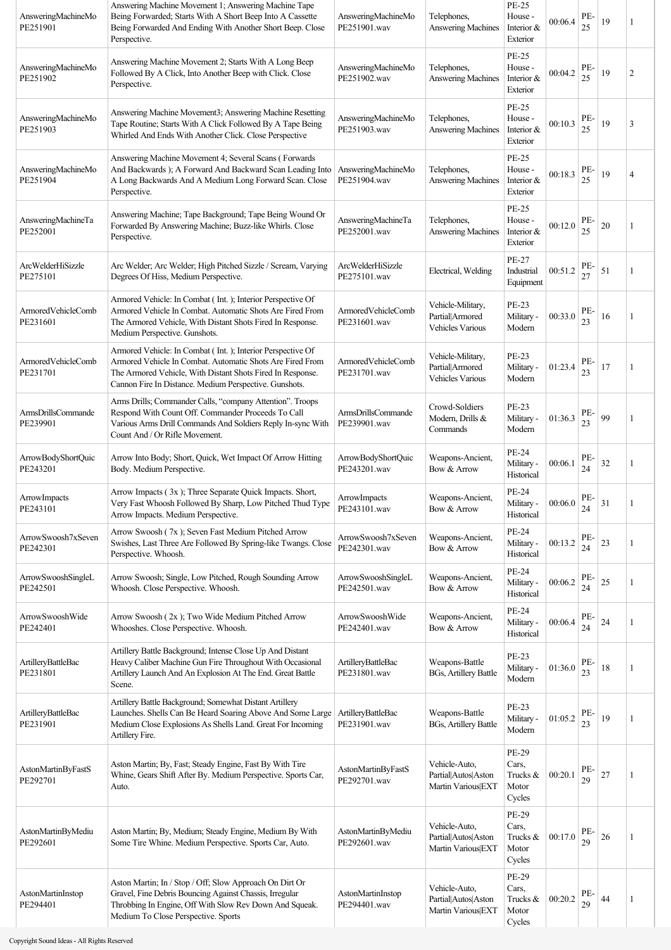| AnsweringMachineMo<br>PE251901        | Answering Machine Movement 1; Answering Machine Tape<br>Being Forwarded; Starts With A Short Beep Into A Cassette<br>Being Forwarded And Ending With Another Short Beep. Close<br>Perspective.                                                  | AnsweringMachineMo<br>PE251901.wav       | Telephones,<br>Answering Machines                               | PE-25<br>House -<br>Interior &<br>Exterior        | 00:06.4 | PE-<br>25 | 19     | 1              |
|---------------------------------------|-------------------------------------------------------------------------------------------------------------------------------------------------------------------------------------------------------------------------------------------------|------------------------------------------|-----------------------------------------------------------------|---------------------------------------------------|---------|-----------|--------|----------------|
| AnsweringMachineMo<br>PE251902        | Answering Machine Movement 2; Starts With A Long Beep<br>Followed By A Click, Into Another Beep with Click. Close<br>Perspective.                                                                                                               | AnsweringMachineMo<br>PE251902.wav       | Telephones,<br><b>Answering Machines</b>                        | PE-25<br>House -<br>Interior &<br>Exterior        | 00:04.2 | PE-<br>25 | 19     | $\overline{c}$ |
| AnsweringMachineMo<br>PE251903        | Answering Machine Movement3; Answering Machine Resetting<br>Tape Routine; Starts With A Click Followed By A Tape Being<br>Whirled And Ends With Another Click. Close Perspective                                                                | AnsweringMachineMo<br>PE251903.wav       | Telephones,<br><b>Answering Machines</b>                        | PE-25<br>House -<br>Interior &<br>Exterior        | 00:10.3 | PE-<br>25 | 19     | 3              |
| AnsweringMachineMo<br>PE251904        | Answering Machine Movement 4; Several Scans (Forwards<br>And Backwards ); A Forward And Backward Scan Leading Into<br>A Long Backwards And A Medium Long Forward Scan. Close<br>Perspective.                                                    | AnsweringMachineMo<br>PE251904.wav       | Telephones,<br>Answering Machines                               | PE-25<br>House -<br>Interior $&$<br>Exterior      | 00:18.3 | PE-<br>25 | 19     | $\overline{4}$ |
| AnsweringMachineTa<br>PE252001        | Answering Machine; Tape Background; Tape Being Wound Or<br>Forwarded By Answering Machine; Buzz-like Whirls. Close<br>Perspective.                                                                                                              | AnsweringMachineTa<br>PE252001.wav       | Telephones,<br>Answering Machines                               | <b>PE-25</b><br>House -<br>Interior &<br>Exterior | 00:12.0 | PE-<br>25 | 20     |                |
| <b>ArcWelderHiSizzle</b><br>PE275101  | Arc Welder; Arc Welder; High Pitched Sizzle / Scream, Varying<br>Degrees Of Hiss, Medium Perspective.                                                                                                                                           | <b>ArcWelderHiSizzle</b><br>PE275101.wav | Electrical, Welding                                             | <b>PE-27</b><br>Industrial<br>Equipment           | 00:51.2 | PE-<br>27 | 51     | 1              |
| ArmoredVehicleComb<br>PE231601        | Armored Vehicle: In Combat (Int.); Interior Perspective Of<br>Armored Vehicle In Combat. Automatic Shots Are Fired From<br>The Armored Vehicle, With Distant Shots Fired In Response.<br>Medium Perspective. Gunshots.                          | ArmoredVehicleComb<br>PE231601.wav       | Vehicle-Military,<br>Partial Armored<br><b>Vehicles Various</b> | PE-23<br>Military -<br>Modern                     | 00:33.0 | PE-<br>23 | 16     | 1              |
| ArmoredVehicleComb<br>PE231701        | Armored Vehicle: In Combat (Int.); Interior Perspective Of<br>Armored Vehicle In Combat. Automatic Shots Are Fired From<br>The Armored Vehicle, With Distant Shots Fired In Response.<br>Cannon Fire In Distance. Medium Perspective. Gunshots. | ArmoredVehicleComb<br>PE231701.wav       | Vehicle-Military,<br>Partial Armored<br><b>Vehicles Various</b> | PE-23<br>Military -<br>Modern                     | 01:23.4 | PE-<br>23 | 17     |                |
| <b>ArmsDrillsCommande</b><br>PE239901 | Arms Drills; Commander Calls, "company Attention". Troops<br>Respond With Count Off. Commander Proceeds To Call<br>Various Arms Drill Commands And Soldiers Reply In-sync With<br>Count And / Or Rifle Movement.                                | ArmsDrillsCommande<br>PE239901.wav       | Crowd-Soldiers<br>Modern, Drills &<br>Commands                  | PE-23<br>Military -<br>Modern                     | 01:36.3 | PE-<br>23 | 99     |                |
| ArrowBodyShortQuic<br>PE243201        | Arrow Into Body; Short, Quick, Wet Impact Of Arrow Hitting<br>Body. Medium Perspective.                                                                                                                                                         | ArrowBodyShortOuic<br>PE243201.wav       | Weapons-Ancient,<br>Bow & Arrow                                 | PE-24<br>Military -<br>Historical                 | 00:06.1 | PE-<br>24 | 32     | 1              |
| ArrowImpacts<br>PE243101              | Arrow Impacts (3x); Three Separate Quick Impacts. Short,<br>Very Fast Whoosh Followed By Sharp, Low Pitched Thud Type<br>Arrow Impacts. Medium Perspective.                                                                                     | ArrowImpacts<br>PE243101.wav             | Weapons-Ancient,<br>Bow & Arrow                                 | PE-24<br>Military -<br>Historical                 | 00:06.0 | PE-<br>24 | 31     |                |
| ArrowSwoosh7xSeven<br>PE242301        | Arrow Swoosh (7x); Seven Fast Medium Pitched Arrow<br>Swishes, Last Three Are Followed By Spring-like Twangs. Close<br>Perspective. Whoosh.                                                                                                     | ArrowSwoosh7xSeven<br>PE242301.wav       | Weapons-Ancient,<br>Bow & Arrow                                 | <b>PE-24</b><br>Military -<br>Historical          | 00:13.2 | PE-<br>24 | 23     | 1              |
| ArrowSwooshSingleL<br>PE242501        | Arrow Swoosh; Single, Low Pitched, Rough Sounding Arrow<br>Whoosh. Close Perspective. Whoosh.                                                                                                                                                   | ArrowSwooshSingleL<br>PE242501.wav       | Weapons-Ancient,<br>Bow & Arrow                                 | PE-24<br>Military -<br>Historical                 | 00:06.2 | PE-<br>24 | 25     | 1              |
| ArrowSwooshWide<br>PE242401           | Arrow Swoosh (2x); Two Wide Medium Pitched Arrow<br>Whooshes. Close Perspective. Whoosh.                                                                                                                                                        | ArrowSwooshWide<br>PE242401.wav          | Weapons-Ancient,<br>Bow & Arrow                                 | <b>PE-24</b><br>Military -<br>Historical          | 00:06.4 | PE-<br>24 | 24     | 1              |
| ArtilleryBattleBac<br>PE231801        | Artillery Battle Background; Intense Close Up And Distant<br>Heavy Caliber Machine Gun Fire Throughout With Occasional<br>Artillery Launch And An Explosion At The End. Great Battle<br>Scene.                                                  | ArtilleryBattleBac<br>PE231801.wav       | Weapons-Battle<br><b>BGs, Artillery Battle</b>                  | <b>PE-23</b><br>Military -<br>Modern              | 01:36.0 | PE-<br>23 | $18\,$ | 1              |
| ArtilleryBattleBac<br>PE231901        | Artillery Battle Background; Somewhat Distant Artillery<br>Launches. Shells Can Be Heard Soaring Above And Some Large<br>Medium Close Explosions As Shells Land. Great For Incoming<br>Artillery Fire.                                          | ArtilleryBattleBac<br>PE231901.wav       | Weapons-Battle<br><b>BGs, Artillery Battle</b>                  | <b>PE-23</b><br>Military -<br>Modern              | 01:05.2 | PE-<br>23 | 19     |                |
| AstonMartinByFastS<br>PE292701        | Aston Martin; By, Fast; Steady Engine, Fast By With Tire<br>Whine, Gears Shift After By. Medium Perspective. Sports Car,<br>Auto.                                                                                                               | AstonMartinByFastS<br>PE292701.wav       | Vehicle-Auto,<br>Partial Autos Aston<br>Martin Various EXT      | PE-29<br>Cars,<br>Trucks &<br>Motor<br>Cycles     | 00:20.1 | PE-<br>29 | 27     |                |
| AstonMartinByMediu<br>PE292601        | Aston Martin; By, Medium; Steady Engine, Medium By With<br>Some Tire Whine. Medium Perspective. Sports Car, Auto.                                                                                                                               | AstonMartinByMediu<br>PE292601.wav       | Vehicle-Auto,<br>Partial Autos Aston<br>Martin Various EXT      | PE-29<br>Cars,<br>Trucks $\&$<br>Motor<br>Cycles  | 00:17.0 | PE-<br>29 | 26     | 1              |
| AstonMartinInstop<br>PE294401         | Aston Martin; In / Stop / Off; Slow Approach On Dirt Or<br>Gravel, Fine Debris Bouncing Against Chassis, Irregular<br>Throbbing In Engine, Off With Slow Rev Down And Squeak.<br>Medium To Close Perspective. Sports                            | AstonMartinInstop<br>PE294401.wav        | Vehicle-Auto,<br>Partial Autos Aston<br>Martin Various EXT      | PE-29<br>Cars,<br>Trucks &<br>Motor<br>Cycles     | 00:20.2 | PE-<br>29 | 44     | 1              |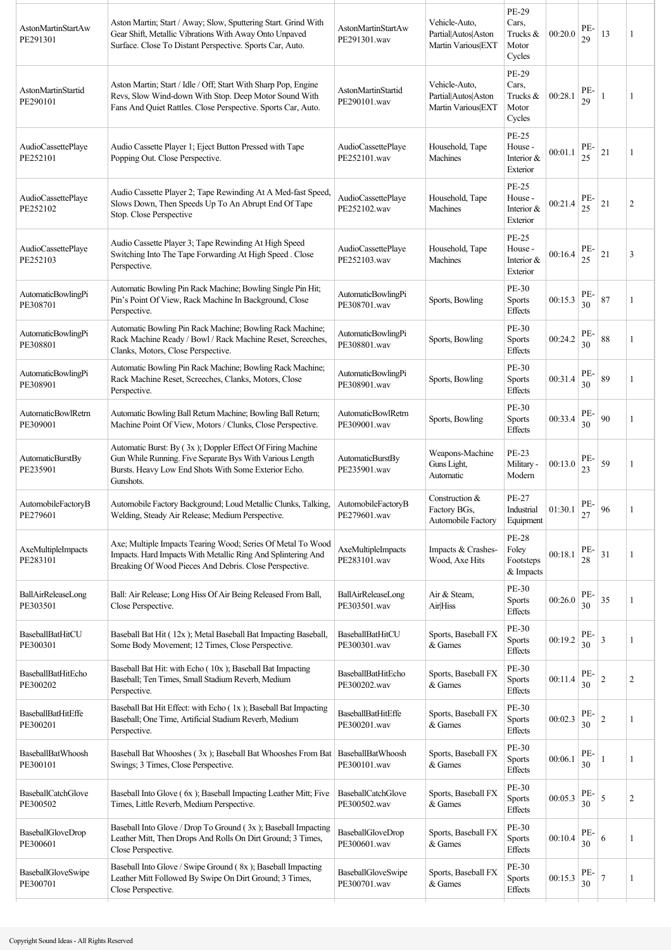| AstonMartinStartAw<br>PE291301        | Aston Martin; Start / Away; Slow, Sputtering Start. Grind With<br>Gear Shift, Metallic Vibrations With Away Onto Unpaved<br>Surface. Close To Distant Perspective. Sports Car, Auto.        | AstonMartinStartAw<br>PE291301.wav        | Vehicle-Auto,<br>Partial Autos Aston<br>Martin Various EXT | PE-29<br>Cars,<br>Trucks &<br>Motor<br>Cycles       | 00:20.0 | PE-<br>29 | 13 | 1              |
|---------------------------------------|---------------------------------------------------------------------------------------------------------------------------------------------------------------------------------------------|-------------------------------------------|------------------------------------------------------------|-----------------------------------------------------|---------|-----------|----|----------------|
| AstonMartinStartid<br>PE290101        | Aston Martin; Start / Idle / Off; Start With Sharp Pop, Engine<br>Revs, Slow Wind-down With Stop. Deep Motor Sound With<br>Fans And Quiet Rattles. Close Perspective. Sports Car, Auto.     | AstonMartinStartid<br>PE290101.wav        | Vehicle-Auto,<br>Partial Autos Aston<br>Martin Various EXT | PE-29<br>Cars,<br>Trucks &<br>Motor<br>Cycles       | 00:28.1 | PE-<br>29 |    |                |
| AudioCassettePlaye<br>PE252101        | Audio Cassette Player 1; Eject Button Pressed with Tape<br>Popping Out. Close Perspective.                                                                                                  | AudioCassettePlaye<br>PE252101.wav        | Household, Tape<br>Machines                                | <b>PE-25</b><br>House -<br>Interior &<br>Exterior   | 00:01.1 | PE-<br>25 | 21 | 1              |
| AudioCassettePlaye<br>PE252102        | Audio Cassette Player 2; Tape Rewinding At A Med-fast Speed,<br>Slows Down, Then Speeds Up To An Abrupt End Of Tape<br>Stop. Close Perspective                                              | AudioCassettePlaye<br>PE252102.wav        | Household, Tape<br>Machines                                | PE-25<br>House -<br>Interior &<br>Exterior          | 00:21.4 | PE-<br>25 | 21 | $\overline{2}$ |
| AudioCassettePlaye<br>PE252103        | Audio Cassette Player 3; Tape Rewinding At High Speed<br>Switching Into The Tape Forwarding At High Speed . Close<br>Perspective.                                                           | AudioCassettePlaye<br>PE252103.wav        | Household, Tape<br>Machines                                | <b>PE-25</b><br>House -<br>Interior $&$<br>Exterior | 00:16.4 | PE-<br>25 | 21 | 3              |
| AutomaticBowlingPi<br>PE308701        | Automatic Bowling Pin Rack Machine; Bowling Single Pin Hit;<br>Pin's Point Of View, Rack Machine In Background, Close<br>Perspective.                                                       | AutomaticBowlingPi<br>PE308701.wav        | Sports, Bowling                                            | PE-30<br><b>Sports</b><br>Effects                   | 00:15.3 | PE-<br>30 | 87 |                |
| AutomaticBowlingPi<br>PE308801        | Automatic Bowling Pin Rack Machine; Bowling Rack Machine;<br>Rack Machine Ready / Bowl / Rack Machine Reset, Screeches,<br>Clanks, Motors, Close Perspective.                               | AutomaticBowlingPi<br>PE308801.wav        | Sports, Bowling                                            | PE-30<br><b>Sports</b><br>Effects                   | 00:24.2 | PE-<br>30 | 88 | 1              |
| AutomaticBowlingPi<br>PE308901        | Automatic Bowling Pin Rack Machine; Bowling Rack Machine;<br>Rack Machine Reset, Screeches, Clanks, Motors, Close<br>Perspective.                                                           | AutomaticBowlingPi<br>PE308901.wav        | Sports, Bowling                                            | PE-30<br><b>Sports</b><br>Effects                   | 00:31.4 | PE-<br>30 | 89 | 1              |
| <b>AutomaticBowlRetrn</b><br>PE309001 | Automatic Bowling Ball Return Machine; Bowling Ball Return;<br>Machine Point Of View, Motors / Clunks, Close Perspective.                                                                   | AutomaticBowlRetrn<br>PE309001.wav        | Sports, Bowling                                            | PE-30<br><b>Sports</b><br>Effects                   | 00:33.4 | PE-<br>30 | 90 | 1              |
| AutomaticBurstBy<br>PE235901          | Automatic Burst: By (3x); Doppler Effect Of Firing Machine<br>Gun While Running. Five Separate Bys With Various Length<br>Bursts. Heavy Low End Shots With Some Exterior Echo.<br>Gunshots. | AutomaticBurstBy<br>PE235901.wav          | Weapons-Machine<br>Guns Light,<br>Automatic                | PE-23<br>Military -<br>Modern                       | 00:13.0 | PE-<br>23 | 59 | 1              |
| AutomobileFactoryB<br>PE279601        | Automobile Factory Background; Loud Metallic Clunks, Talking, AutomobileFactoryB<br>Welding, Steady Air Release; Medium Perspective.                                                        | PE279601.wav                              | Construction $&$<br>Factory BGs,<br>Automobile Factory     | PE-27<br>Industrial<br>Equipment                    | 01:30.1 | PE-<br>27 | 96 |                |
| AxeMultipleImpacts<br>PE283101        | Axe; Multiple Impacts Tearing Wood; Series Of Metal To Wood<br>Impacts. Hard Impacts With Metallic Ring And Splintering And<br>Breaking Of Wood Pieces And Debris. Close Perspective.       | AxeMultipleImpacts<br>PE283101.wav        | Impacts & Crashes-<br>Wood, Axe Hits                       | <b>PE-28</b><br>Foley<br>Footsteps<br>& Impacts     | 00:18.1 | PE-<br>28 | 31 | 1              |
| BallAirReleaseLong<br>PE303501        | Ball: Air Release; Long Hiss Of Air Being Released From Ball,<br>Close Perspective.                                                                                                         | BallAirReleaseLong<br>PE303501.wav        | Air & Steam,<br>Air Hiss                                   | PE-30<br><b>Sports</b><br>Effects                   | 00:26.0 | PE-<br>30 | 35 | 1              |
| <b>BaseballBatHitCU</b><br>PE300301   | Baseball Bat Hit (12x); Metal Baseball Bat Impacting Baseball,<br>Some Body Movement; 12 Times, Close Perspective.                                                                          | <b>BaseballBatHitCU</b><br>PE300301.wav   | Sports, Baseball FX<br>& Games                             | PE-30<br><b>Sports</b><br>Effects                   | 00:19.2 | PE-<br>30 | 3  | 1              |
| BaseballBatHitEcho<br>PE300202        | Baseball Bat Hit: with Echo (10x); Baseball Bat Impacting<br>Baseball; Ten Times, Small Stadium Reverb, Medium<br>Perspective.                                                              | BaseballBatHitEcho<br>PE300202.wav        | Sports, Baseball FX<br>& Games                             | PE-30<br>Sports<br>Effects                          | 00:11.4 | PE-<br>30 | 2  | $\overline{c}$ |
| <b>BaseballBatHitEffe</b><br>PE300201 | Baseball Bat Hit Effect: with Echo (1x); Baseball Bat Impacting<br>Baseball; One Time, Artificial Stadium Reverb, Medium<br>Perspective.                                                    | <b>BaseballBatHitEffe</b><br>PE300201.wav | Sports, Baseball FX<br>& Games                             | PE-30<br><b>Sports</b><br>Effects                   | 00:02.3 | PE-<br>30 | 2  |                |
| <b>BaseballBatWhoosh</b><br>PE300101  | Baseball Bat Whooshes (3x); Baseball Bat Whooshes From Bat<br>Swings; 3 Times, Close Perspective.                                                                                           | BaseballBatWhoosh<br>PE300101.wav         | Sports, Baseball FX<br>& Games                             | PE-30<br><b>Sports</b><br>Effects                   | 00:06.1 | PE-<br>30 |    | 1              |
| <b>BaseballCatchGlove</b><br>PE300502 | Baseball Into Glove (6x); Baseball Impacting Leather Mitt; Five<br>Times, Little Reverb, Medium Perspective.                                                                                | BaseballCatchGlove<br>PE300502.wav        | Sports, Baseball FX<br>& Games                             | PE-30<br><b>Sports</b><br>Effects                   | 00:05.3 | PE-<br>30 | 5  | $\overline{2}$ |
| BaseballGloveDrop<br>PE300601         | Baseball Into Glove / Drop To Ground (3x); Baseball Impacting<br>Leather Mitt, Then Drops And Rolls On Dirt Ground; 3 Times,<br>Close Perspective.                                          | BaseballGloveDrop<br>PE300601.wav         | Sports, Baseball FX<br>& Games                             | PE-30<br>Sports<br>Effects                          | 00:10.4 | PE-<br>30 | 6  | 1              |
| BaseballGloveSwipe<br>PE300701        | Baseball Into Glove / Swipe Ground (8x); Baseball Impacting<br>Leather Mitt Followed By Swipe On Dirt Ground; 3 Times,<br>Close Perspective.                                                | <b>BaseballGloveSwipe</b><br>PE300701.wav | Sports, Baseball FX<br>& Games                             | PE-30<br>Sports<br>Effects                          | 00:15.3 | PE-<br>30 | 7  | 1              |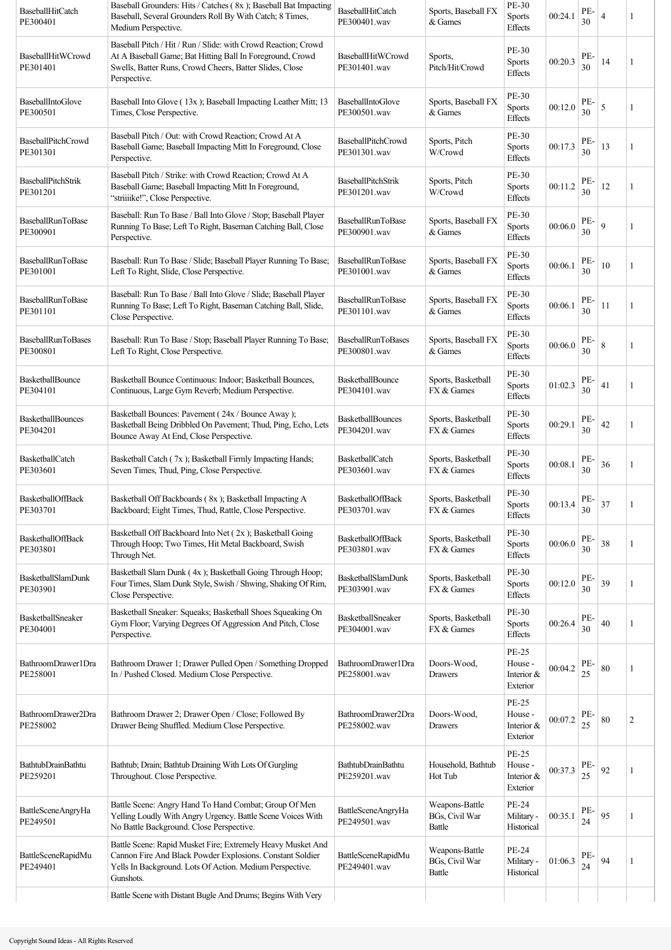| <b>BaseballHitCatch</b><br>PE300401   | Baseball Grounders: Hits / Catches (8x); Baseball Bat Impacting<br>Baseball, Several Grounders Roll By With Catch; 8 Times,<br>Medium Perspective.                                                     | <b>BaseballHitCatch</b><br>PE300401.wav   | Sports, Baseball FX<br>& Games             | PE-30<br>Sports<br>Effects                        | 00:24.1 | PE-<br>30 | $\overline{4}$ |   |
|---------------------------------------|--------------------------------------------------------------------------------------------------------------------------------------------------------------------------------------------------------|-------------------------------------------|--------------------------------------------|---------------------------------------------------|---------|-----------|----------------|---|
| BaseballHitWCrowd<br>PE301401         | Baseball Pitch / Hit / Run / Slide: with Crowd Reaction; Crowd<br>At A Baseball Game; Bat Hitting Ball In Foreground, Crowd<br>Swells, Batter Runs, Crowd Cheers, Batter Slides, Close<br>Perspective. | BaseballHitWCrowd<br>PE301401.wav         | Sports,<br>Pitch/Hit/Crowd                 | PE-30<br><b>Sports</b><br>Effects                 | 00:20.3 | PE-<br>30 | 14             |   |
| BaseballIntoGlove<br>PE300501         | Baseball Into Glove (13x); Baseball Impacting Leather Mitt; 13<br>Times, Close Perspective.                                                                                                            | BaseballIntoGlove<br>PE300501.wav         | Sports, Baseball FX<br>& Games             | PE-30<br>Sports<br><b>Effects</b>                 | 00:12.0 | PE-<br>30 | $\sqrt{5}$     |   |
| <b>BaseballPitchCrowd</b><br>PE301301 | Baseball Pitch / Out: with Crowd Reaction; Crowd At A<br>Baseball Game; Baseball Impacting Mitt In Foreground, Close<br>Perspective.                                                                   | <b>BaseballPitchCrowd</b><br>PE301301.wav | Sports, Pitch<br>W/Crowd                   | PE-30<br><b>Sports</b><br>Effects                 | 00:17.3 | PE-<br>30 | 13             | 1 |
| <b>BaseballPitchStrik</b><br>PE301201 | Baseball Pitch / Strike: with Crowd Reaction; Crowd At A<br>Baseball Game; Baseball Impacting Mitt In Foreground,<br>"striiike!", Close Perspective.                                                   | BaseballPitchStrik<br>PE301201.wav        | Sports, Pitch<br>W/Crowd                   | PE-30<br>Sports<br>Effects                        | 00:11.2 | PE-<br>30 | 12             |   |
| BaseballRunToBase<br>PE300901         | Baseball: Run To Base / Ball Into Glove / Stop; Baseball Player<br>Running To Base; Left To Right, Baseman Catching Ball, Close<br>Perspective.                                                        | BaseballRunToBase<br>PE300901.wav         | Sports, Baseball FX<br>& Games             | PE-30<br>Sports<br>Effects                        | 00:06.0 | PE-<br>30 | 9              |   |
| BaseballRunToBase<br>PE301001         | Baseball: Run To Base / Slide; Baseball Player Running To Base;<br>Left To Right, Slide, Close Perspective.                                                                                            | BaseballRunToBase<br>PE301001.wav         | Sports, Baseball FX<br>& Games             | PE-30<br><b>Sports</b><br><b>Effects</b>          | 00:06.1 | PE-<br>30 | 10             |   |
| <b>BaseballRunToBase</b><br>PE301101  | Baseball: Run To Base / Ball Into Glove / Slide; Baseball Player<br>Running To Base; Left To Right, Baseman Catching Ball, Slide,<br>Close Perspective.                                                | BaseballRunToBase<br>PE301101.wav         | Sports, Baseball FX<br>& Games             | PE-30<br>Sports<br>Effects                        | 00:06.1 | PE-<br>30 | 11             |   |
| <b>BaseballRunToBases</b><br>PE300801 | Baseball: Run To Base / Stop; Baseball Player Running To Base;<br>Left To Right, Close Perspective.                                                                                                    | <b>BaseballRunToBases</b><br>PE300801.wav | Sports, Baseball FX<br>& Games             | PE-30<br>Sports<br><b>Effects</b>                 | 00:06.0 | PE-<br>30 | 8              |   |
| BasketballBounce<br>PE304101          | Basketball Bounce Continuous: Indoor; Basketball Bounces,<br>Continuous, Large Gym Reverb; Medium Perspective.                                                                                         | BasketballBounce<br>PE304101.wav          | Sports, Basketball<br>FX & Games           | PE-30<br>Sports<br>Effects                        | 01:02.3 | PE-<br>30 | 41             |   |
| <b>BasketballBounces</b><br>PE304201  | Basketball Bounces: Pavement (24x / Bounce Away);<br>Basketball Being Dribbled On Pavement; Thud, Ping, Echo, Lets<br>Bounce Away At End, Close Perspective.                                           | <b>BasketballBounces</b><br>PE304201.wav  | Sports, Basketball<br>FX & Games           | <b>PE-30</b><br>Sports<br><b>Effects</b>          | 00:29.1 | PE-<br>30 | 42             |   |
| BasketballCatch<br>PE303601           | Basketball Catch (7x); Basketball Firmly Impacting Hands;<br>Seven Times, Thud, Ping, Close Perspective.                                                                                               | BasketballCatch<br>PE303601.wav           | Sports, Basketball<br>FX & Games           | PE-30<br>Sports<br><b>Effects</b>                 | 00:08.1 | PE-<br>30 | 36             |   |
| <b>BasketballOffBack</b><br>PE303701  | Basketball Off Backboards (8x); Basketball Impacting A<br>Backboard; Eight Times, Thud, Rattle, Close Perspective.                                                                                     | <b>BasketballOffBack</b><br>PE303701.wav  | Sports, Basketball<br>FX & Games           | PE-30<br>Sports<br><b>Effects</b>                 | 00:13.4 | PE-<br>30 | 37             |   |
| <b>BasketballOffBack</b><br>PE303801  | Basketball Off Backboard Into Net (2x); Basketball Going<br>Through Hoop; Two Times, Hit Metal Backboard, Swish<br>Through Net.                                                                        | BasketballOffBack<br>PE303801.wav         | Sports, Basketball<br>FX & Games           | PE-30<br><b>Sports</b><br>Effects                 | 00:06.0 | PE-<br>30 | 38             | 1 |
| BasketballSlamDunk<br>PE303901        | Basketball Slam Dunk (4x); Basketball Going Through Hoop;<br>Four Times, Slam Dunk Style, Swish / Shwing, Shaking Of Rim,<br>Close Perspective.                                                        | BasketballSlamDunk<br>PE303901.wav        | Sports, Basketball<br>FX & Games           | PE-30<br>Sports<br><b>Effects</b>                 | 00:12.0 | PE-<br>30 | 39             |   |
| BasketballSneaker<br>PE304001         | Basketball Sneaker: Squeaks; Basketball Shoes Squeaking On<br>Gym Floor; Varying Degrees Of Aggression And Pitch, Close<br>Perspective.                                                                | BasketballSneaker<br>PE304001.wav         | Sports, Basketball<br>FX & Games           | PE-30<br><b>Sports</b><br><b>Effects</b>          | 00:26.4 | PE-<br>30 | 40             |   |
| BathroomDrawer1Dra<br>PE258001        | Bathroom Drawer 1; Drawer Pulled Open / Something Dropped<br>In / Pushed Closed. Medium Close Perspective.                                                                                             | BathroomDrawer1Dra<br>PE258001.wav        | Doors-Wood,<br>Drawers                     | <b>PE-25</b><br>House -<br>Interior &<br>Exterior | 00:04.2 | PE-<br>25 | 80             |   |
| BathroomDrawer2Dra<br>PE258002        | Bathroom Drawer 2; Drawer Open / Close; Followed By<br>Drawer Being Shuffled. Medium Close Perspective.                                                                                                | BathroomDrawer2Dra<br>PE258002.wav        | Doors-Wood,<br>Drawers                     | <b>PE-25</b><br>House -<br>Interior &<br>Exterior | 00:07.2 | PE-<br>25 | 80             | 2 |
| <b>BathtubDrainBathtu</b><br>PE259201 | Bathtub; Drain; Bathtub Draining With Lots Of Gurgling<br>Throughout. Close Perspective.                                                                                                               | <b>BathtubDrainBathtu</b><br>PE259201.wav | Household, Bathtub<br>Hot Tub              | <b>PE-25</b><br>House -<br>Interior &<br>Exterior | 00:37.3 | PE-<br>25 | 92             |   |
| BattleSceneAngryHa<br>PE249501        | Battle Scene: Angry Hand To Hand Combat; Group Of Men<br>Yelling Loudly With Angry Urgency. Battle Scene Voices With<br>No Battle Background. Close Perspective.                                       | BattleSceneAngryHa<br>PE249501.wav        | Weapons-Battle<br>BGs, Civil War<br>Battle | PE-24<br>Military -<br>Historical                 | 00:35.1 | PE-<br>24 | 95             |   |
| BattleSceneRapidMu<br>PE249401        | Battle Scene: Rapid Musket Fire; Extremely Heavy Musket And<br>Cannon Fire And Black Powder Explosions. Constant Soldier<br>Yells In Background. Lots Of Action. Medium Perspective.<br>Gunshots.      | BattleSceneRapidMu<br>PE249401.wav        | Weapons-Battle<br>BGs, Civil War<br>Battle | PE-24<br>Military -<br>Historical                 | 01:06.3 | PE-<br>24 | 94             |   |
|                                       | Battle Scene with Distant Bugle And Drums; Begins With Very                                                                                                                                            |                                           |                                            |                                                   |         |           |                |   |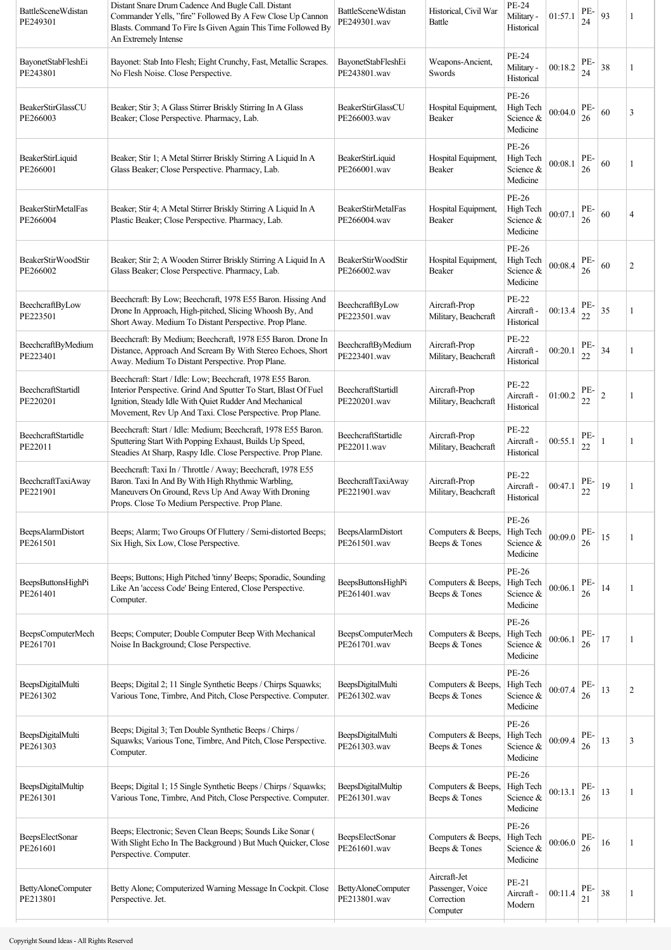| <b>BattleSceneWdistan</b><br>PE249301 | Distant Snare Drum Cadence And Bugle Call. Distant<br>Commander Yells, "fire" Followed By A Few Close Up Cannon<br>Blasts. Command To Fire Is Given Again This Time Followed By<br>An Extremely Intense                                              | <b>BattleSceneWdistan</b><br>PE249301.wav | Historical, Civil War<br>Battle                            | PE-24<br>Military -<br>Historical           | 01:57.1 | PE-<br>24 | 93             |                |
|---------------------------------------|------------------------------------------------------------------------------------------------------------------------------------------------------------------------------------------------------------------------------------------------------|-------------------------------------------|------------------------------------------------------------|---------------------------------------------|---------|-----------|----------------|----------------|
| BayonetStabFleshEi<br>PE243801        | Bayonet: Stab Into Flesh; Eight Crunchy, Fast, Metallic Scrapes.<br>No Flesh Noise. Close Perspective.                                                                                                                                               | BayonetStabFleshEi<br>PE243801.wav        | Weapons-Ancient,<br>Swords                                 | PE-24<br>Military -<br>Historical           | 00:18.2 | PE-<br>24 | 38             |                |
| BeakerStirGlassCU<br>PE266003         | Beaker, Stir 3; A Glass Stirrer Briskly Stirring In A Glass<br>Beaker; Close Perspective. Pharmacy, Lab.                                                                                                                                             | BeakerStirGlassCU<br>PE266003.wav         | Hospital Equipment,<br>Beaker                              | PE-26<br>High Tech<br>Science &<br>Medicine | 00:04.0 | PE-<br>26 | 60             | 3              |
| BeakerStirLiquid<br>PE266001          | Beaker; Stir 1; A Metal Stirrer Briskly Stirring A Liquid In A<br>Glass Beaker; Close Perspective. Pharmacy, Lab.                                                                                                                                    | BeakerStirLiquid<br>PE266001.wav          | Hospital Equipment,<br>Beaker                              | PE-26<br>High Tech<br>Science &<br>Medicine | 00:08.1 | PE-<br>26 | 60             |                |
| <b>BeakerStirMetalFas</b><br>PE266004 | Beaker; Stir 4; A Metal Stirrer Briskly Stirring A Liquid In A<br>Plastic Beaker; Close Perspective. Pharmacy, Lab.                                                                                                                                  | <b>BeakerStirMetalFas</b><br>PE266004.wav | Hospital Equipment,<br>Beaker                              | PE-26<br>High Tech<br>Science &<br>Medicine | 00:07.1 | PE-<br>26 | 60             | 4              |
| BeakerStirWoodStir<br>PE266002        | Beaker; Stir 2; A Wooden Stirrer Briskly Stirring A Liquid In A<br>Glass Beaker; Close Perspective. Pharmacy, Lab.                                                                                                                                   | BeakerStirWoodStir<br>PE266002.wav        | Hospital Equipment,<br>Beaker                              | PE-26<br>High Tech<br>Science &<br>Medicine | 00:08.4 | PE-<br>26 | 60             | $\mathfrak{2}$ |
| BeechcraftByLow<br>PE223501           | Beechcraft: By Low; Beechcraft, 1978 E55 Baron. Hissing And<br>Drone In Approach, High-pitched, Slicing Whoosh By, And<br>Short Away. Medium To Distant Perspective. Prop Plane.                                                                     | BeechcraftByLow<br>PE223501.wav           | Aircraft-Prop<br>Military, Beachcraft                      | PE-22<br>Aircraft -<br>Historical           | 00:13.4 | PE-<br>22 | 35             |                |
| BeechcraftByMedium<br>PE223401        | Beechcraft: By Medium; Beechcraft, 1978 E55 Baron. Drone In<br>Distance, Approach And Scream By With Stereo Echoes, Short<br>Away. Medium To Distant Perspective. Prop Plane.                                                                        | BeechcraftByMedium<br>PE223401.wav        | Aircraft-Prop<br>Military, Beachcraft                      | PE-22<br>Aircraft -<br>Historical           | 00:20.1 | PE-<br>22 | 34             | 1              |
| BeechcraftStartidl<br>PE220201        | Beechcraft: Start / Idle: Low; Beechcraft, 1978 E55 Baron.<br>Interior Perspective. Grind And Sputter To Start, Blast Of Fuel<br>Ignition, Steady Idle With Quiet Rudder And Mechanical<br>Movement, Rev Up And Taxi. Close Perspective. Prop Plane. | BeechcraftStartidl<br>PE220201.wav        | Aircraft-Prop<br>Military, Beachcraft                      | PE-22<br>Aircraft -<br>Historical           | 01:00.2 | PE-<br>22 | $\overline{2}$ | 1              |
| BeechcraftStartidle<br>PE22011        | Beechcraft: Start / Idle: Medium; Beechcraft, 1978 E55 Baron.<br>Sputtering Start With Popping Exhaust, Builds Up Speed,<br>Steadies At Sharp, Raspy Idle. Close Perspective. Prop Plane.                                                            | BeechcraftStartidle<br>PE22011.wav        | Aircraft-Prop<br>Military, Beachcraft                      | PE-22<br>Aircraft -<br>Historical           | 00:55.1 | PE-<br>22 |                |                |
| <b>BeechcraftTaxiAway</b><br>PE221901 | Beechcraft: Taxi In / Throttle / Away; Beechcraft, 1978 E55<br>Baron. Taxi In And By With High Rhythmic Warbling,<br>Maneuvers On Ground, Revs Up And Away With Droning<br>Props. Close To Medium Perspective. Prop Plane.                           | BeechcraftTaxiAway<br>PE221901.wav        | Aircraft-Prop<br>Military, Beachcraft                      | PE-22<br>Aircraft -<br>Historical           | 00:47.1 | PE-<br>22 | 19             |                |
| <b>BeepsAlarmDistort</b><br>PE261501  | Beeps; Alarm; Two Groups Of Fluttery / Semi-distorted Beeps;<br>Six High, Six Low, Close Perspective.                                                                                                                                                | <b>BeepsAlarmDistort</b><br>PE261501.wav  | Computers & Beeps,<br>Beeps & Tones                        | PE-26<br>High Tech<br>Science &<br>Medicine | 00:09.0 | PE-<br>26 | 15             |                |
| BeepsButtonsHighPi<br>PE261401        | Beeps; Buttons; High Pitched 'tinny' Beeps; Sporadic, Sounding<br>Like An 'access Code' Being Entered, Close Perspective.<br>Computer.                                                                                                               | BeepsButtonsHighPi<br>PE261401.wav        | Computers & Beeps,<br>Beeps & Tones                        | PE-26<br>High Tech<br>Science &<br>Medicine | 00:06.1 | PE-<br>26 | 14             |                |
| BeepsComputerMech<br>PE261701         | Beeps; Computer; Double Computer Beep With Mechanical<br>Noise In Background; Close Perspective.                                                                                                                                                     | BeepsComputerMech<br>PE261701.wav         | Computers & Beeps.<br>Beeps & Tones                        | PE-26<br>High Tech<br>Science &<br>Medicine | 00:06.1 | PE-<br>26 | 17             |                |
| BeepsDigitalMulti<br>PE261302         | Beeps; Digital 2; 11 Single Synthetic Beeps / Chirps Squawks;<br>Various Tone, Timbre, And Pitch, Close Perspective. Computer.                                                                                                                       | BeepsDigitalMulti<br>PE261302.wav         | Computers & Beeps,<br>Beeps & Tones                        | PE-26<br>High Tech<br>Science &<br>Medicine | 00:07.4 | PE-<br>26 | 13             | $\overline{c}$ |
| BeepsDigitalMulti<br>PE261303         | Beeps; Digital 3; Ten Double Synthetic Beeps / Chirps /<br>Squawks; Various Tone, Timbre, And Pitch, Close Perspective.<br>Computer.                                                                                                                 | BeepsDigitalMulti<br>PE261303.wav         | Computers & Beeps,<br>Beeps & Tones                        | PE-26<br>High Tech<br>Science &<br>Medicine | 00:09.4 | PE-<br>26 | 13             | 3              |
| BeepsDigitalMultip<br>PE261301        | Beeps; Digital 1; 15 Single Synthetic Beeps / Chirps / Squawks;<br>Various Tone, Timbre, And Pitch, Close Perspective. Computer.                                                                                                                     | BeepsDigitalMultip<br>PE261301.wav        | Computers & Beeps,<br>Beeps & Tones                        | PE-26<br>High Tech<br>Science &<br>Medicine | 00:13.1 | PE-<br>26 | 13             |                |
| <b>BeepsElectSonar</b><br>PE261601    | Beeps; Electronic; Seven Clean Beeps; Sounds Like Sonar (<br>With Slight Echo In The Background ) But Much Quicker, Close<br>Perspective. Computer.                                                                                                  | <b>BeepsElectSonar</b><br>PE261601.wav    | Computers & Beeps,<br>Beeps & Tones                        | PE-26<br>High Tech<br>Science &<br>Medicine | 00:06.0 | PE-<br>26 | 16             |                |
| BettyAloneComputer<br>PE213801        | Betty Alone; Computerized Warning Message In Cockpit. Close<br>Perspective. Jet.                                                                                                                                                                     | <b>BettyAloneComputer</b><br>PE213801.wav | Aircraft-Jet<br>Passenger, Voice<br>Correction<br>Computer | PE-21<br>Aircraft -<br>Modern               | 00:11.4 | PE-<br>21 | 38             |                |
|                                       |                                                                                                                                                                                                                                                      |                                           |                                                            |                                             |         |           |                |                |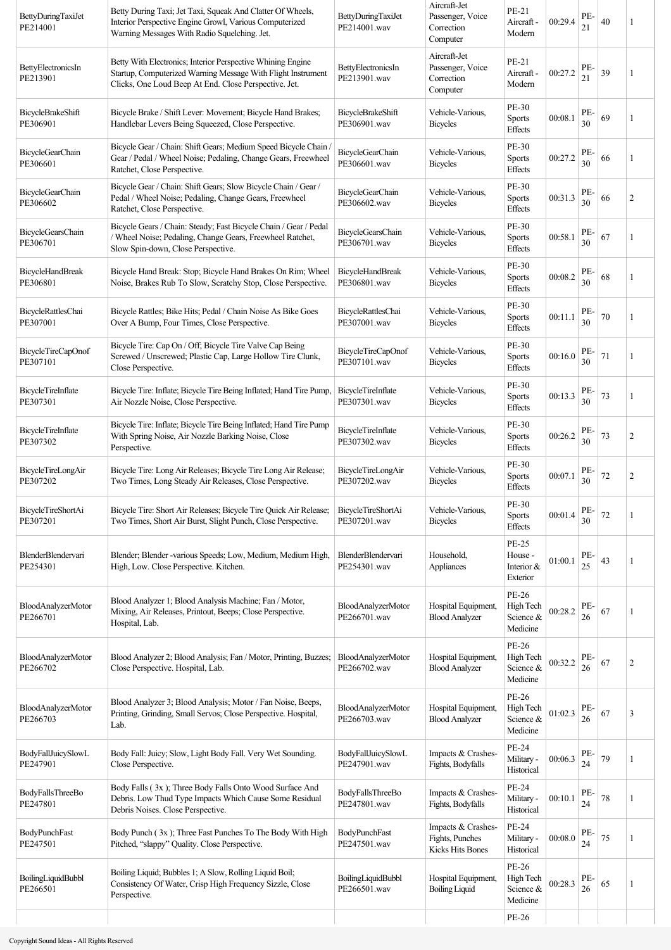| BettyDuringTaxiJet<br>PE214001        | Betty During Taxi; Jet Taxi, Squeak And Clatter Of Wheels,<br>Interior Perspective Engine Growl, Various Computerized<br>Warning Messages With Radio Squelching. Jet.                | BettyDuringTaxiJet<br>PE214001.wav        | Aircraft-Jet<br>Passenger, Voice<br>Correction<br>Computer       | PE-21<br>Aircraft -<br>Modern                      | 00:29.4 | PE-<br>21 | 40 |                |
|---------------------------------------|--------------------------------------------------------------------------------------------------------------------------------------------------------------------------------------|-------------------------------------------|------------------------------------------------------------------|----------------------------------------------------|---------|-----------|----|----------------|
| BettyElectronicsIn<br>PE213901        | Betty With Electronics; Interior Perspective Whining Engine<br>Startup, Computerized Warning Message With Flight Instrument<br>Clicks, One Loud Beep At End. Close Perspective. Jet. | BettyElectronicsIn<br>PE213901.wav        | Aircraft-Jet<br>Passenger, Voice<br>Correction<br>Computer       | PE-21<br>Aircraft -<br>Modern                      | 00:27.2 | PE-<br>21 | 39 |                |
| BicycleBrakeShift<br>PE306901         | Bicycle Brake / Shift Lever: Movement; Bicycle Hand Brakes;<br>Handlebar Levers Being Squeezed, Close Perspective.                                                                   | BicycleBrakeShift<br>PE306901.wav         | Vehicle-Various,<br><b>Bicycles</b>                              | PE-30<br><b>Sports</b><br><b>Effects</b>           | 00:08.1 | PE-<br>30 | 69 | 1              |
| <b>BicycleGearChain</b><br>PE306601   | Bicycle Gear / Chain: Shift Gears; Medium Speed Bicycle Chain /<br>Gear / Pedal / Wheel Noise; Pedaling, Change Gears, Freewheel<br>Ratchet, Close Perspective.                      | <b>BicycleGearChain</b><br>PE306601.wav   | Vehicle-Various,<br><b>Bicycles</b>                              | PE-30<br><b>Sports</b><br>Effects                  | 00:27.2 | PE-<br>30 | 66 |                |
| <b>BicycleGearChain</b><br>PE306602   | Bicycle Gear / Chain: Shift Gears; Slow Bicycle Chain / Gear /<br>Pedal / Wheel Noise; Pedaling, Change Gears, Freewheel<br>Ratchet, Close Perspective.                              | <b>BicycleGearChain</b><br>PE306602.wav   | Vehicle-Various,<br><b>Bicycles</b>                              | PE-30<br><b>Sports</b><br>Effects                  | 00:31.3 | PE-<br>30 | 66 | $\overline{2}$ |
| <b>BicycleGearsChain</b><br>PE306701  | Bicycle Gears / Chain: Steady; Fast Bicycle Chain / Gear / Pedal<br>/ Wheel Noise; Pedaling, Change Gears, Freewheel Ratchet,<br>Slow Spin-down, Close Perspective.                  | <b>BicycleGearsChain</b><br>PE306701.wav  | Vehicle-Various,<br><b>Bicycles</b>                              | PE-30<br><b>Sports</b><br>Effects                  | 00:58.1 | PE-<br>30 | 67 |                |
| <b>BicycleHandBreak</b><br>PE306801   | Bicycle Hand Break: Stop; Bicycle Hand Brakes On Rim; Wheel<br>Noise, Brakes Rub To Slow, Scratchy Stop, Close Perspective.                                                          | <b>BicycleHandBreak</b><br>PE306801.wav   | Vehicle-Various,<br><b>Bicycles</b>                              | PE-30<br><b>Sports</b><br>Effects                  | 00:08.2 | PE-<br>30 | 68 | 1              |
| BicycleRattlesChai<br>PE307001        | Bicycle Rattles; Bike Hits; Pedal / Chain Noise As Bike Goes<br>Over A Bump, Four Times, Close Perspective.                                                                          | BicycleRattlesChai<br>PE307001.wav        | Vehicle-Various,<br><b>Bicycles</b>                              | PE-30<br><b>Sports</b><br><b>Effects</b>           | 00:11.1 | PE-<br>30 | 70 |                |
| BicycleTireCapOnof<br>PE307101        | Bicycle Tire: Cap On / Off; Bicycle Tire Valve Cap Being<br>Screwed / Unscrewed; Plastic Cap, Large Hollow Tire Clunk,<br>Close Perspective.                                         | BicycleTireCapOnof<br>PE307101.wav        | Vehicle-Various,<br><b>Bicycles</b>                              | PE-30<br><b>Sports</b><br>Effects                  | 00:16.0 | PE-<br>30 | 71 | 1              |
| <b>BicycleTireInflate</b><br>PE307301 | Bicycle Tire: Inflate; Bicycle Tire Being Inflated; Hand Tire Pump,<br>Air Nozzle Noise, Close Perspective.                                                                          | BicycleTireInflate<br>PE307301.wav        | Vehicle-Various,<br><b>Bicycles</b>                              | PE-30<br><b>Sports</b><br>Effects                  | 00:13.3 | PE-<br>30 | 73 | 1              |
| <b>BicycleTireInflate</b><br>PE307302 | Bicycle Tire: Inflate; Bicycle Tire Being Inflated; Hand Tire Pump<br>With Spring Noise, Air Nozzle Barking Noise, Close<br>Perspective.                                             | <b>BicycleTireInflate</b><br>PE307302.wav | Vehicle-Various,<br><b>Bicycles</b>                              | PE-30<br><b>Sports</b><br><b>Effects</b>           | 00:26.2 | PE-<br>30 | 73 | 2              |
| <b>BicycleTireLongAir</b><br>PE307202 | Bicycle Tire: Long Air Releases; Bicycle Tire Long Air Release;<br>Two Times, Long Steady Air Releases, Close Perspective.                                                           | BicycleTireLongAir<br>PE307202.wav        | Vehicle-Various,<br><b>Bicycles</b>                              | PE-30<br><b>Sports</b><br><b>Effects</b>           | 00:07.1 | PE-<br>30 | 72 | $\overline{c}$ |
| BicycleTireShortAi<br>PE307201        | Bicycle Tire: Short Air Releases; Bicycle Tire Quick Air Release;<br>Two Times, Short Air Burst, Slight Punch, Close Perspective.                                                    | BicycleTireShortAi<br>PE307201.wav        | Vehicle-Various,<br><b>Bicycles</b>                              | PE-30<br><b>Sports</b><br>Effects                  | 00:01.4 | PE-<br>30 | 72 |                |
| <b>BlenderBlendervari</b><br>PE254301 | Blender; Blender -various Speeds; Low, Medium, Medium High,<br>High, Low. Close Perspective. Kitchen.                                                                                | BlenderBlendervari<br>PE254301.wav        | Household,<br>Appliances                                         | <b>PE-25</b><br>House -<br>Interior &<br>Exterior  | 01:00.1 | PE-<br>25 | 43 | 1              |
| BloodAnalyzerMotor<br>PE266701        | Blood Analyzer 1; Blood Analysis Machine; Fan / Motor,<br>Mixing, Air Releases, Printout, Beeps; Close Perspective.<br>Hospital, Lab.                                                | <b>BloodAnalyzerMotor</b><br>PE266701.wav | Hospital Equipment,<br><b>Blood Analyzer</b>                     | PE-26<br>High Tech<br>Science &<br>Medicine        | 00:28.2 | PE-<br>26 | 67 | 1              |
| BloodAnalyzerMotor<br>PE266702        | Blood Analyzer 2; Blood Analysis; Fan / Motor, Printing, Buzzes;<br>Close Perspective. Hospital, Lab.                                                                                | BloodAnalyzerMotor<br>PE266702.wav        | Hospital Equipment,<br><b>Blood Analyzer</b>                     | PE-26<br>High Tech<br>Science &<br>Medicine        | 00:32.2 | PE-<br>26 | 67 | $\overline{c}$ |
| BloodAnalyzerMotor<br>PE266703        | Blood Analyzer 3; Blood Analysis; Motor / Fan Noise, Beeps,<br>Printing, Grinding, Small Servos; Close Perspective. Hospital,<br>Lab.                                                | BloodAnalyzerMotor<br>PE266703.wav        | Hospital Equipment,<br><b>Blood Analyzer</b>                     | <b>PE-26</b><br>High Tech<br>Science &<br>Medicine | 01:02.3 | PE-<br>26 | 67 | 3              |
| BodyFallJuicySlowL<br>PE247901        | Body Fall: Juicy; Slow, Light Body Fall. Very Wet Sounding.<br>Close Perspective.                                                                                                    | BodyFallJuicySlowL<br>PE247901.wav        | Impacts & Crashes-<br>Fights, Bodyfalls                          | <b>PE-24</b><br>Military -<br>Historical           | 00:06.3 | PE-<br>24 | 79 | 1              |
| BodyFallsThreeBo<br>PE247801          | Body Falls (3x); Three Body Falls Onto Wood Surface And<br>Debris. Low Thud Type Impacts Which Cause Some Residual<br>Debris Noises. Close Perspective.                              | BodyFallsThreeBo<br>PE247801.wav          | Impacts & Crashes-<br>Fights, Bodyfalls                          | PE-24<br>Military -<br>Historical                  | 00:10.1 | PE-<br>24 | 78 | 1              |
| <b>BodyPunchFast</b><br>PE247501      | Body Punch (3x); Three Fast Punches To The Body With High<br>Pitched, "slappy" Quality. Close Perspective.                                                                           | BodyPunchFast<br>PE247501.wav             | Impacts & Crashes-<br>Fights, Punches<br><b>Kicks Hits Bones</b> | PE-24<br>Military -<br>Historical                  | 00:08.0 | PE-<br>24 | 75 | 1              |
| BoilingLiquidBubbl<br>PE266501        | Boiling Liquid; Bubbles 1; A Slow, Rolling Liquid Boil;<br>Consistency Of Water, Crisp High Frequency Sizzle, Close<br>Perspective.                                                  | BoilingLiquidBubbl<br>PE266501.wav        | Hospital Equipment,<br><b>Boiling Liquid</b>                     | PE-26<br>High Tech<br>Science &<br>Medicine        | 00:28.3 | PE-<br>26 | 65 | 1              |
|                                       |                                                                                                                                                                                      |                                           |                                                                  | PE-26                                              |         |           |    |                |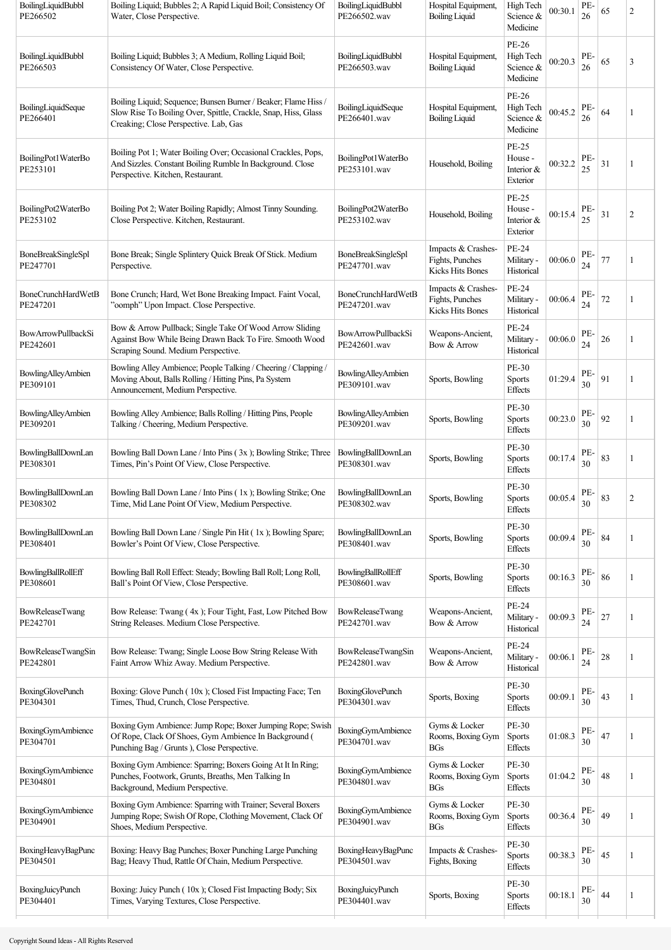| PE-26<br>PE-<br>Boiling Liquid; Bubbles 3; A Medium, Rolling Liquid Boil;<br>BoilingLiquidBubbl<br>Hospital Equipment,<br>High Tech<br>00:20.3<br>65<br>3<br>Science &<br>Consistency Of Water, Close Perspective.<br>PE266503.wav<br><b>Boiling Liquid</b><br>26<br>Medicine<br>PE-26<br>Boiling Liquid; Sequence; Bunsen Burner / Beaker; Flame Hiss /<br>PE-<br>BoilingLiquidSeque<br>Hospital Equipment,<br>High Tech<br>00:45.2<br>64<br>Slow Rise To Boiling Over, Spittle, Crackle, Snap, Hiss, Glass<br>1<br>PE266401.wav<br><b>Boiling Liquid</b><br>Science &<br>26<br>Creaking; Close Perspective. Lab, Gas<br>Medicine<br>PE-25<br>Boiling Pot 1; Water Boiling Over; Occasional Crackles, Pops,<br>BoilingPot1WaterBo<br>House -<br>PE<br>00:32.2<br>And Sizzles. Constant Boiling Rumble In Background. Close<br>31<br>Household, Boiling<br>1<br>PE253101.wav<br>Interior &<br>25<br>Perspective. Kitchen, Restaurant.<br>Exterior<br><b>PE-25</b><br>PE-<br>Boiling Pot 2; Water Boiling Rapidly; Almost Tinny Sounding.<br>BoilingPot2WaterBo<br>House -<br>00:15.4<br>$\mathfrak{2}$<br>31<br>Household, Boiling<br>25<br>Close Perspective. Kitchen, Restaurant.<br>PE253102.wav<br>Interior $&$<br>Exterior<br>PE-24<br>Impacts & Crashes-<br>PE-<br>Bone Break; Single Splintery Quick Break Of Stick. Medium<br>BoneBreakSingleSpl<br>Fights, Punches<br>Military -<br>00:06.0<br>77<br>1<br>PE247701.wav<br>Perspective.<br>24<br>Kicks Hits Bones<br>Historical<br>PE-24<br>Impacts & Crashes-<br>Bone Crunch; Hard, Wet Bone Breaking Impact. Faint Vocal,<br><b>BoneCrunchHardWetB</b><br>PE<br>72<br>Fights, Punches<br>Military -<br>00:06.4<br>1<br>"oomph" Upon Impact. Close Perspective.<br>PE247201.wav<br>24<br><b>Kicks Hits Bones</b><br>Historical<br>Bow & Arrow Pullback; Single Take Of Wood Arrow Sliding<br>PE-24<br>PE-<br>BowArrowPullbackSi<br>Weapons-Ancient,<br>00:06.0<br>Against Bow While Being Drawn Back To Fire. Smooth Wood<br>Military -<br>26<br>1<br>PE242601.wav<br>Bow & Arrow<br>24<br>Scraping Sound. Medium Perspective.<br>Historical<br>PE-30<br>Bowling Alley Ambience; People Talking / Cheering / Clapping /<br><b>BowlingAlleyAmbien</b><br>PE-<br>91<br>01:29.4<br>Moving About, Balls Rolling / Hitting Pins, Pa System<br>Sports, Bowling<br><b>Sports</b><br>1<br>PE309101.wav<br>30<br>Announcement, Medium Perspective.<br>Effects<br>PE-30<br>PE-<br>Bowling Alley Ambience; Balls Rolling / Hitting Pins, People<br><b>BowlingAlleyAmbien</b><br>92<br>00:23.0<br>Sports, Bowling<br>Sports<br>1<br>30<br>Talking / Cheering, Medium Perspective.<br>PE309201.wav<br>Effects<br>PE-30<br>Bowling Ball Down Lane / Into Pins (3x); Bowling Strike; Three<br>BowlingBallDownLan<br>PE-<br>00:17.4<br>83<br>Sports, Bowling<br>Sports<br>1<br>30<br>Times, Pin's Point Of View, Close Perspective.<br>PE308301.wav<br>Effects<br><b>PE-30</b><br>Bowling Ball Down Lane / Into Pins (1x); Bowling Strike; One<br>PE-<br>BowlingBallDownLan<br>83<br>$\overline{c}$<br>Sports, Bowling<br>00:05.4<br><b>Sports</b><br>30<br>Time, Mid Lane Point Of View, Medium Perspective.<br>PE308302.wav<br><b>Effects</b><br>PE-30<br>Bowling Ball Down Lane / Single Pin Hit (1x); Bowling Spare;<br>BowlingBallDownLan<br>PE-<br>00:09.4<br>84<br>Sports, Bowling<br><b>Sports</b><br>1<br>Bowler's Point Of View, Close Perspective.<br>PE308401.wav<br>30<br>Effects<br>PE-30<br>Bowling Ball Roll Effect: Steady; Bowling Ball Roll; Long Roll,<br>BowlingBallRollEff<br>PE-<br>86<br>Sports, Bowling<br>00:16.3<br><b>Sports</b><br>1<br>Ball's Point Of View, Close Perspective.<br>PE308601.wav<br>30<br>Effects<br>PE-24<br>Bow Release: Twang (4x); Four Tight, Fast, Low Pitched Bow<br><b>BowReleaseTwang</b><br>Weapons-Ancient,<br>PE<br>00:09.3<br>27<br>Military -<br>1<br>PE242701.wav<br>String Releases. Medium Close Perspective.<br>Bow & Arrow<br>24<br>Historical<br>PE-24<br>PE-<br>Bow Release: Twang; Single Loose Bow String Release With<br>BowReleaseTwangSin<br>Weapons-Ancient,<br>00:06.1<br>$28\,$<br>Military -<br>1<br>24<br>Faint Arrow Whiz Away. Medium Perspective.<br>PE242801.wav<br>Bow & Arrow<br>Historical<br>PE-30<br>PE-<br>Boxing: Glove Punch (10x); Closed Fist Impacting Face; Ten<br><b>BoxingGlovePunch</b><br>00:09.1<br>43<br>Sports, Boxing<br><b>Sports</b><br>1<br>30<br>Times, Thud, Crunch, Close Perspective.<br>PE304301.wav<br>Effects<br>Boxing Gym Ambience: Jump Rope; Boxer Jumping Rope; Swish<br>Gyms & Locker<br>PE-30<br><b>BoxingGymAmbience</b><br>PE-<br>47<br>Of Rope, Clack Of Shoes, Gym Ambience In Background (<br>01:08.3<br>Rooms, Boxing Gym<br><b>Sports</b><br>1<br>30<br>PE304701.wav<br>Punching Bag / Grunts ), Close Perspective.<br>Effects<br>BGs<br>Boxing Gym Ambience: Sparring; Boxers Going At It In Ring;<br>Gyms & Locker<br>PE-30<br><b>BoxingGymAmbience</b><br>PE-<br>48<br>01:04.2<br>Punches, Footwork, Grunts, Breaths, Men Talking In<br>Rooms, Boxing Gym<br><b>Sports</b><br>1<br>PE304801.wav<br>30<br>Background, Medium Perspective.<br>BGs<br><b>Effects</b><br>Boxing Gym Ambience: Sparring with Trainer; Several Boxers<br>Gyms & Locker<br>PE-30<br><b>BoxingGymAmbience</b><br>PE-<br>00:36.4<br>49<br>Jumping Rope; Swish Of Rope, Clothing Movement, Clack Of<br>Rooms, Boxing Gym<br><b>Sports</b><br>1<br>PE304901.wav<br>30<br>Shoes, Medium Perspective.<br><b>Effects</b><br>BGs<br>PE-30<br>Boxing: Heavy Bag Punches; Boxer Punching Large Punching<br>Impacts & Crashes-<br>PE-<br>BoxingHeavyBagPunc<br>45<br>00:38.3<br>Sports<br>1<br>Bag; Heavy Thud, Rattle Of Chain, Medium Perspective.<br>PE304501.wav<br>Fights, Boxing<br>30<br>Effects<br>PE-30<br>Boxing: Juicy Punch (10x); Closed Fist Impacting Body; Six<br>BoxingJuicyPunch<br>PE-<br>00:18.1<br>44<br>Sports, Boxing<br><b>Sports</b><br>1<br>Times, Varying Textures, Close Perspective.<br>30<br>PE304401.wav<br>Effects | BoilingLiquidBubbl<br>PE266502        | Boiling Liquid; Bubbles 2; A Rapid Liquid Boil; Consistency Of<br>Water, Close Perspective. | BoilingLiquidBubbl<br>PE266502.wav | Hospital Equipment,<br><b>Boiling Liquid</b> | High Tech<br>Science &<br>Medicine | 00:30.1 | PE-<br>26 | 65 | $\overline{c}$ |
|------------------------------------------------------------------------------------------------------------------------------------------------------------------------------------------------------------------------------------------------------------------------------------------------------------------------------------------------------------------------------------------------------------------------------------------------------------------------------------------------------------------------------------------------------------------------------------------------------------------------------------------------------------------------------------------------------------------------------------------------------------------------------------------------------------------------------------------------------------------------------------------------------------------------------------------------------------------------------------------------------------------------------------------------------------------------------------------------------------------------------------------------------------------------------------------------------------------------------------------------------------------------------------------------------------------------------------------------------------------------------------------------------------------------------------------------------------------------------------------------------------------------------------------------------------------------------------------------------------------------------------------------------------------------------------------------------------------------------------------------------------------------------------------------------------------------------------------------------------------------------------------------------------------------------------------------------------------------------------------------------------------------------------------------------------------------------------------------------------------------------------------------------------------------------------------------------------------------------------------------------------------------------------------------------------------------------------------------------------------------------------------------------------------------------------------------------------------------------------------------------------------------------------------------------------------------------------------------------------------------------------------------------------------------------------------------------------------------------------------------------------------------------------------------------------------------------------------------------------------------------------------------------------------------------------------------------------------------------------------------------------------------------------------------------------------------------------------------------------------------------------------------------------------------------------------------------------------------------------------------------------------------------------------------------------------------------------------------------------------------------------------------------------------------------------------------------------------------------------------------------------------------------------------------------------------------------------------------------------------------------------------------------------------------------------------------------------------------------------------------------------------------------------------------------------------------------------------------------------------------------------------------------------------------------------------------------------------------------------------------------------------------------------------------------------------------------------------------------------------------------------------------------------------------------------------------------------------------------------------------------------------------------------------------------------------------------------------------------------------------------------------------------------------------------------------------------------------------------------------------------------------------------------------------------------------------------------------------------------------------------------------------------------------------------------------------------------------------------------------------------------------------------------------------------------------------------------------------------------------------------------------------------------------------------------------------------------------------------------------------------------------------------------------------------------------------------------------------------------------------------------------------------------------------------------------------------------------------------------------------------------------------------------------------------------------------------------------------------------------------------------------------------------------------------------------------------------------------------------------------------------------------------------------------------------------------------------------------------------------------------------------------------------------------------------------------------------------------------------------------------------------------------------------------------------------------------------------------------------------------------------------------------------------------------------------------------------------------------------------|---------------------------------------|---------------------------------------------------------------------------------------------|------------------------------------|----------------------------------------------|------------------------------------|---------|-----------|----|----------------|
|                                                                                                                                                                                                                                                                                                                                                                                                                                                                                                                                                                                                                                                                                                                                                                                                                                                                                                                                                                                                                                                                                                                                                                                                                                                                                                                                                                                                                                                                                                                                                                                                                                                                                                                                                                                                                                                                                                                                                                                                                                                                                                                                                                                                                                                                                                                                                                                                                                                                                                                                                                                                                                                                                                                                                                                                                                                                                                                                                                                                                                                                                                                                                                                                                                                                                                                                                                                                                                                                                                                                                                                                                                                                                                                                                                                                                                                                                                                                                                                                                                                                                                                                                                                                                                                                                                                                                                                                                                                                                                                                                                                                                                                                                                                                                                                                                                                                                                                                                                                                                                                                                                                                                                                                                                                                                                                                                                                                                                                                                                                                                                                                                                                                                                                                                                                                                                                                                                                                                                                          | BoilingLiquidBubbl<br>PE266503        |                                                                                             |                                    |                                              |                                    |         |           |    |                |
|                                                                                                                                                                                                                                                                                                                                                                                                                                                                                                                                                                                                                                                                                                                                                                                                                                                                                                                                                                                                                                                                                                                                                                                                                                                                                                                                                                                                                                                                                                                                                                                                                                                                                                                                                                                                                                                                                                                                                                                                                                                                                                                                                                                                                                                                                                                                                                                                                                                                                                                                                                                                                                                                                                                                                                                                                                                                                                                                                                                                                                                                                                                                                                                                                                                                                                                                                                                                                                                                                                                                                                                                                                                                                                                                                                                                                                                                                                                                                                                                                                                                                                                                                                                                                                                                                                                                                                                                                                                                                                                                                                                                                                                                                                                                                                                                                                                                                                                                                                                                                                                                                                                                                                                                                                                                                                                                                                                                                                                                                                                                                                                                                                                                                                                                                                                                                                                                                                                                                                                          | BoilingLiquidSeque<br>PE266401        |                                                                                             |                                    |                                              |                                    |         |           |    |                |
|                                                                                                                                                                                                                                                                                                                                                                                                                                                                                                                                                                                                                                                                                                                                                                                                                                                                                                                                                                                                                                                                                                                                                                                                                                                                                                                                                                                                                                                                                                                                                                                                                                                                                                                                                                                                                                                                                                                                                                                                                                                                                                                                                                                                                                                                                                                                                                                                                                                                                                                                                                                                                                                                                                                                                                                                                                                                                                                                                                                                                                                                                                                                                                                                                                                                                                                                                                                                                                                                                                                                                                                                                                                                                                                                                                                                                                                                                                                                                                                                                                                                                                                                                                                                                                                                                                                                                                                                                                                                                                                                                                                                                                                                                                                                                                                                                                                                                                                                                                                                                                                                                                                                                                                                                                                                                                                                                                                                                                                                                                                                                                                                                                                                                                                                                                                                                                                                                                                                                                                          | BoilingPot1WaterBo<br>PE253101        |                                                                                             |                                    |                                              |                                    |         |           |    |                |
|                                                                                                                                                                                                                                                                                                                                                                                                                                                                                                                                                                                                                                                                                                                                                                                                                                                                                                                                                                                                                                                                                                                                                                                                                                                                                                                                                                                                                                                                                                                                                                                                                                                                                                                                                                                                                                                                                                                                                                                                                                                                                                                                                                                                                                                                                                                                                                                                                                                                                                                                                                                                                                                                                                                                                                                                                                                                                                                                                                                                                                                                                                                                                                                                                                                                                                                                                                                                                                                                                                                                                                                                                                                                                                                                                                                                                                                                                                                                                                                                                                                                                                                                                                                                                                                                                                                                                                                                                                                                                                                                                                                                                                                                                                                                                                                                                                                                                                                                                                                                                                                                                                                                                                                                                                                                                                                                                                                                                                                                                                                                                                                                                                                                                                                                                                                                                                                                                                                                                                                          | BoilingPot2WaterBo<br>PE253102        |                                                                                             |                                    |                                              |                                    |         |           |    |                |
|                                                                                                                                                                                                                                                                                                                                                                                                                                                                                                                                                                                                                                                                                                                                                                                                                                                                                                                                                                                                                                                                                                                                                                                                                                                                                                                                                                                                                                                                                                                                                                                                                                                                                                                                                                                                                                                                                                                                                                                                                                                                                                                                                                                                                                                                                                                                                                                                                                                                                                                                                                                                                                                                                                                                                                                                                                                                                                                                                                                                                                                                                                                                                                                                                                                                                                                                                                                                                                                                                                                                                                                                                                                                                                                                                                                                                                                                                                                                                                                                                                                                                                                                                                                                                                                                                                                                                                                                                                                                                                                                                                                                                                                                                                                                                                                                                                                                                                                                                                                                                                                                                                                                                                                                                                                                                                                                                                                                                                                                                                                                                                                                                                                                                                                                                                                                                                                                                                                                                                                          | <b>BoneBreakSingleSpl</b><br>PE247701 |                                                                                             |                                    |                                              |                                    |         |           |    |                |
|                                                                                                                                                                                                                                                                                                                                                                                                                                                                                                                                                                                                                                                                                                                                                                                                                                                                                                                                                                                                                                                                                                                                                                                                                                                                                                                                                                                                                                                                                                                                                                                                                                                                                                                                                                                                                                                                                                                                                                                                                                                                                                                                                                                                                                                                                                                                                                                                                                                                                                                                                                                                                                                                                                                                                                                                                                                                                                                                                                                                                                                                                                                                                                                                                                                                                                                                                                                                                                                                                                                                                                                                                                                                                                                                                                                                                                                                                                                                                                                                                                                                                                                                                                                                                                                                                                                                                                                                                                                                                                                                                                                                                                                                                                                                                                                                                                                                                                                                                                                                                                                                                                                                                                                                                                                                                                                                                                                                                                                                                                                                                                                                                                                                                                                                                                                                                                                                                                                                                                                          | <b>BoneCrunchHardWetB</b><br>PE247201 |                                                                                             |                                    |                                              |                                    |         |           |    |                |
|                                                                                                                                                                                                                                                                                                                                                                                                                                                                                                                                                                                                                                                                                                                                                                                                                                                                                                                                                                                                                                                                                                                                                                                                                                                                                                                                                                                                                                                                                                                                                                                                                                                                                                                                                                                                                                                                                                                                                                                                                                                                                                                                                                                                                                                                                                                                                                                                                                                                                                                                                                                                                                                                                                                                                                                                                                                                                                                                                                                                                                                                                                                                                                                                                                                                                                                                                                                                                                                                                                                                                                                                                                                                                                                                                                                                                                                                                                                                                                                                                                                                                                                                                                                                                                                                                                                                                                                                                                                                                                                                                                                                                                                                                                                                                                                                                                                                                                                                                                                                                                                                                                                                                                                                                                                                                                                                                                                                                                                                                                                                                                                                                                                                                                                                                                                                                                                                                                                                                                                          | <b>BowArrowPullbackSi</b><br>PE242601 |                                                                                             |                                    |                                              |                                    |         |           |    |                |
|                                                                                                                                                                                                                                                                                                                                                                                                                                                                                                                                                                                                                                                                                                                                                                                                                                                                                                                                                                                                                                                                                                                                                                                                                                                                                                                                                                                                                                                                                                                                                                                                                                                                                                                                                                                                                                                                                                                                                                                                                                                                                                                                                                                                                                                                                                                                                                                                                                                                                                                                                                                                                                                                                                                                                                                                                                                                                                                                                                                                                                                                                                                                                                                                                                                                                                                                                                                                                                                                                                                                                                                                                                                                                                                                                                                                                                                                                                                                                                                                                                                                                                                                                                                                                                                                                                                                                                                                                                                                                                                                                                                                                                                                                                                                                                                                                                                                                                                                                                                                                                                                                                                                                                                                                                                                                                                                                                                                                                                                                                                                                                                                                                                                                                                                                                                                                                                                                                                                                                                          | <b>BowlingAlleyAmbien</b><br>PE309101 |                                                                                             |                                    |                                              |                                    |         |           |    |                |
|                                                                                                                                                                                                                                                                                                                                                                                                                                                                                                                                                                                                                                                                                                                                                                                                                                                                                                                                                                                                                                                                                                                                                                                                                                                                                                                                                                                                                                                                                                                                                                                                                                                                                                                                                                                                                                                                                                                                                                                                                                                                                                                                                                                                                                                                                                                                                                                                                                                                                                                                                                                                                                                                                                                                                                                                                                                                                                                                                                                                                                                                                                                                                                                                                                                                                                                                                                                                                                                                                                                                                                                                                                                                                                                                                                                                                                                                                                                                                                                                                                                                                                                                                                                                                                                                                                                                                                                                                                                                                                                                                                                                                                                                                                                                                                                                                                                                                                                                                                                                                                                                                                                                                                                                                                                                                                                                                                                                                                                                                                                                                                                                                                                                                                                                                                                                                                                                                                                                                                                          | <b>BowlingAlleyAmbien</b><br>PE309201 |                                                                                             |                                    |                                              |                                    |         |           |    |                |
|                                                                                                                                                                                                                                                                                                                                                                                                                                                                                                                                                                                                                                                                                                                                                                                                                                                                                                                                                                                                                                                                                                                                                                                                                                                                                                                                                                                                                                                                                                                                                                                                                                                                                                                                                                                                                                                                                                                                                                                                                                                                                                                                                                                                                                                                                                                                                                                                                                                                                                                                                                                                                                                                                                                                                                                                                                                                                                                                                                                                                                                                                                                                                                                                                                                                                                                                                                                                                                                                                                                                                                                                                                                                                                                                                                                                                                                                                                                                                                                                                                                                                                                                                                                                                                                                                                                                                                                                                                                                                                                                                                                                                                                                                                                                                                                                                                                                                                                                                                                                                                                                                                                                                                                                                                                                                                                                                                                                                                                                                                                                                                                                                                                                                                                                                                                                                                                                                                                                                                                          | BowlingBallDownLan<br>PE308301        |                                                                                             |                                    |                                              |                                    |         |           |    |                |
|                                                                                                                                                                                                                                                                                                                                                                                                                                                                                                                                                                                                                                                                                                                                                                                                                                                                                                                                                                                                                                                                                                                                                                                                                                                                                                                                                                                                                                                                                                                                                                                                                                                                                                                                                                                                                                                                                                                                                                                                                                                                                                                                                                                                                                                                                                                                                                                                                                                                                                                                                                                                                                                                                                                                                                                                                                                                                                                                                                                                                                                                                                                                                                                                                                                                                                                                                                                                                                                                                                                                                                                                                                                                                                                                                                                                                                                                                                                                                                                                                                                                                                                                                                                                                                                                                                                                                                                                                                                                                                                                                                                                                                                                                                                                                                                                                                                                                                                                                                                                                                                                                                                                                                                                                                                                                                                                                                                                                                                                                                                                                                                                                                                                                                                                                                                                                                                                                                                                                                                          | BowlingBallDownLan<br>PE308302        |                                                                                             |                                    |                                              |                                    |         |           |    |                |
|                                                                                                                                                                                                                                                                                                                                                                                                                                                                                                                                                                                                                                                                                                                                                                                                                                                                                                                                                                                                                                                                                                                                                                                                                                                                                                                                                                                                                                                                                                                                                                                                                                                                                                                                                                                                                                                                                                                                                                                                                                                                                                                                                                                                                                                                                                                                                                                                                                                                                                                                                                                                                                                                                                                                                                                                                                                                                                                                                                                                                                                                                                                                                                                                                                                                                                                                                                                                                                                                                                                                                                                                                                                                                                                                                                                                                                                                                                                                                                                                                                                                                                                                                                                                                                                                                                                                                                                                                                                                                                                                                                                                                                                                                                                                                                                                                                                                                                                                                                                                                                                                                                                                                                                                                                                                                                                                                                                                                                                                                                                                                                                                                                                                                                                                                                                                                                                                                                                                                                                          | BowlingBallDownLan<br>PE308401        |                                                                                             |                                    |                                              |                                    |         |           |    |                |
|                                                                                                                                                                                                                                                                                                                                                                                                                                                                                                                                                                                                                                                                                                                                                                                                                                                                                                                                                                                                                                                                                                                                                                                                                                                                                                                                                                                                                                                                                                                                                                                                                                                                                                                                                                                                                                                                                                                                                                                                                                                                                                                                                                                                                                                                                                                                                                                                                                                                                                                                                                                                                                                                                                                                                                                                                                                                                                                                                                                                                                                                                                                                                                                                                                                                                                                                                                                                                                                                                                                                                                                                                                                                                                                                                                                                                                                                                                                                                                                                                                                                                                                                                                                                                                                                                                                                                                                                                                                                                                                                                                                                                                                                                                                                                                                                                                                                                                                                                                                                                                                                                                                                                                                                                                                                                                                                                                                                                                                                                                                                                                                                                                                                                                                                                                                                                                                                                                                                                                                          | BowlingBallRollEff<br>PE308601        |                                                                                             |                                    |                                              |                                    |         |           |    |                |
|                                                                                                                                                                                                                                                                                                                                                                                                                                                                                                                                                                                                                                                                                                                                                                                                                                                                                                                                                                                                                                                                                                                                                                                                                                                                                                                                                                                                                                                                                                                                                                                                                                                                                                                                                                                                                                                                                                                                                                                                                                                                                                                                                                                                                                                                                                                                                                                                                                                                                                                                                                                                                                                                                                                                                                                                                                                                                                                                                                                                                                                                                                                                                                                                                                                                                                                                                                                                                                                                                                                                                                                                                                                                                                                                                                                                                                                                                                                                                                                                                                                                                                                                                                                                                                                                                                                                                                                                                                                                                                                                                                                                                                                                                                                                                                                                                                                                                                                                                                                                                                                                                                                                                                                                                                                                                                                                                                                                                                                                                                                                                                                                                                                                                                                                                                                                                                                                                                                                                                                          | <b>BowReleaseTwang</b><br>PE242701    |                                                                                             |                                    |                                              |                                    |         |           |    |                |
|                                                                                                                                                                                                                                                                                                                                                                                                                                                                                                                                                                                                                                                                                                                                                                                                                                                                                                                                                                                                                                                                                                                                                                                                                                                                                                                                                                                                                                                                                                                                                                                                                                                                                                                                                                                                                                                                                                                                                                                                                                                                                                                                                                                                                                                                                                                                                                                                                                                                                                                                                                                                                                                                                                                                                                                                                                                                                                                                                                                                                                                                                                                                                                                                                                                                                                                                                                                                                                                                                                                                                                                                                                                                                                                                                                                                                                                                                                                                                                                                                                                                                                                                                                                                                                                                                                                                                                                                                                                                                                                                                                                                                                                                                                                                                                                                                                                                                                                                                                                                                                                                                                                                                                                                                                                                                                                                                                                                                                                                                                                                                                                                                                                                                                                                                                                                                                                                                                                                                                                          | BowReleaseTwangSin<br>PE242801        |                                                                                             |                                    |                                              |                                    |         |           |    |                |
|                                                                                                                                                                                                                                                                                                                                                                                                                                                                                                                                                                                                                                                                                                                                                                                                                                                                                                                                                                                                                                                                                                                                                                                                                                                                                                                                                                                                                                                                                                                                                                                                                                                                                                                                                                                                                                                                                                                                                                                                                                                                                                                                                                                                                                                                                                                                                                                                                                                                                                                                                                                                                                                                                                                                                                                                                                                                                                                                                                                                                                                                                                                                                                                                                                                                                                                                                                                                                                                                                                                                                                                                                                                                                                                                                                                                                                                                                                                                                                                                                                                                                                                                                                                                                                                                                                                                                                                                                                                                                                                                                                                                                                                                                                                                                                                                                                                                                                                                                                                                                                                                                                                                                                                                                                                                                                                                                                                                                                                                                                                                                                                                                                                                                                                                                                                                                                                                                                                                                                                          | <b>BoxingGlovePunch</b><br>PE304301   |                                                                                             |                                    |                                              |                                    |         |           |    |                |
|                                                                                                                                                                                                                                                                                                                                                                                                                                                                                                                                                                                                                                                                                                                                                                                                                                                                                                                                                                                                                                                                                                                                                                                                                                                                                                                                                                                                                                                                                                                                                                                                                                                                                                                                                                                                                                                                                                                                                                                                                                                                                                                                                                                                                                                                                                                                                                                                                                                                                                                                                                                                                                                                                                                                                                                                                                                                                                                                                                                                                                                                                                                                                                                                                                                                                                                                                                                                                                                                                                                                                                                                                                                                                                                                                                                                                                                                                                                                                                                                                                                                                                                                                                                                                                                                                                                                                                                                                                                                                                                                                                                                                                                                                                                                                                                                                                                                                                                                                                                                                                                                                                                                                                                                                                                                                                                                                                                                                                                                                                                                                                                                                                                                                                                                                                                                                                                                                                                                                                                          | BoxingGymAmbience<br>PE304701         |                                                                                             |                                    |                                              |                                    |         |           |    |                |
|                                                                                                                                                                                                                                                                                                                                                                                                                                                                                                                                                                                                                                                                                                                                                                                                                                                                                                                                                                                                                                                                                                                                                                                                                                                                                                                                                                                                                                                                                                                                                                                                                                                                                                                                                                                                                                                                                                                                                                                                                                                                                                                                                                                                                                                                                                                                                                                                                                                                                                                                                                                                                                                                                                                                                                                                                                                                                                                                                                                                                                                                                                                                                                                                                                                                                                                                                                                                                                                                                                                                                                                                                                                                                                                                                                                                                                                                                                                                                                                                                                                                                                                                                                                                                                                                                                                                                                                                                                                                                                                                                                                                                                                                                                                                                                                                                                                                                                                                                                                                                                                                                                                                                                                                                                                                                                                                                                                                                                                                                                                                                                                                                                                                                                                                                                                                                                                                                                                                                                                          | BoxingGymAmbience<br>PE304801         |                                                                                             |                                    |                                              |                                    |         |           |    |                |
|                                                                                                                                                                                                                                                                                                                                                                                                                                                                                                                                                                                                                                                                                                                                                                                                                                                                                                                                                                                                                                                                                                                                                                                                                                                                                                                                                                                                                                                                                                                                                                                                                                                                                                                                                                                                                                                                                                                                                                                                                                                                                                                                                                                                                                                                                                                                                                                                                                                                                                                                                                                                                                                                                                                                                                                                                                                                                                                                                                                                                                                                                                                                                                                                                                                                                                                                                                                                                                                                                                                                                                                                                                                                                                                                                                                                                                                                                                                                                                                                                                                                                                                                                                                                                                                                                                                                                                                                                                                                                                                                                                                                                                                                                                                                                                                                                                                                                                                                                                                                                                                                                                                                                                                                                                                                                                                                                                                                                                                                                                                                                                                                                                                                                                                                                                                                                                                                                                                                                                                          | BoxingGymAmbience<br>PE304901         |                                                                                             |                                    |                                              |                                    |         |           |    |                |
|                                                                                                                                                                                                                                                                                                                                                                                                                                                                                                                                                                                                                                                                                                                                                                                                                                                                                                                                                                                                                                                                                                                                                                                                                                                                                                                                                                                                                                                                                                                                                                                                                                                                                                                                                                                                                                                                                                                                                                                                                                                                                                                                                                                                                                                                                                                                                                                                                                                                                                                                                                                                                                                                                                                                                                                                                                                                                                                                                                                                                                                                                                                                                                                                                                                                                                                                                                                                                                                                                                                                                                                                                                                                                                                                                                                                                                                                                                                                                                                                                                                                                                                                                                                                                                                                                                                                                                                                                                                                                                                                                                                                                                                                                                                                                                                                                                                                                                                                                                                                                                                                                                                                                                                                                                                                                                                                                                                                                                                                                                                                                                                                                                                                                                                                                                                                                                                                                                                                                                                          | BoxingHeavyBagPunc<br>PE304501        |                                                                                             |                                    |                                              |                                    |         |           |    |                |
|                                                                                                                                                                                                                                                                                                                                                                                                                                                                                                                                                                                                                                                                                                                                                                                                                                                                                                                                                                                                                                                                                                                                                                                                                                                                                                                                                                                                                                                                                                                                                                                                                                                                                                                                                                                                                                                                                                                                                                                                                                                                                                                                                                                                                                                                                                                                                                                                                                                                                                                                                                                                                                                                                                                                                                                                                                                                                                                                                                                                                                                                                                                                                                                                                                                                                                                                                                                                                                                                                                                                                                                                                                                                                                                                                                                                                                                                                                                                                                                                                                                                                                                                                                                                                                                                                                                                                                                                                                                                                                                                                                                                                                                                                                                                                                                                                                                                                                                                                                                                                                                                                                                                                                                                                                                                                                                                                                                                                                                                                                                                                                                                                                                                                                                                                                                                                                                                                                                                                                                          | <b>BoxingJuicyPunch</b><br>PE304401   |                                                                                             |                                    |                                              |                                    |         |           |    |                |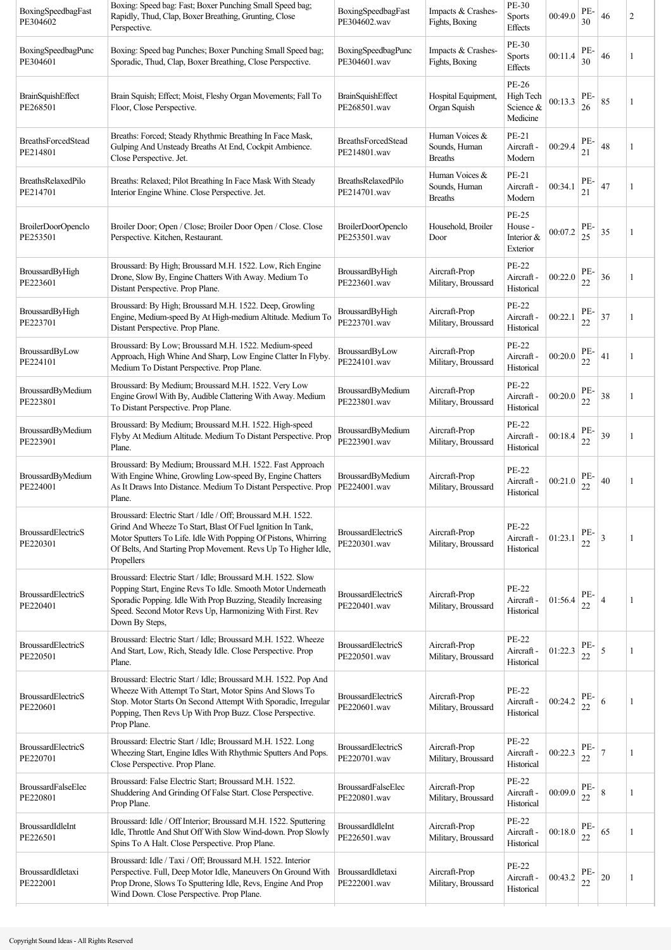| BoxingSpeedbagFast<br>PE304602        | Boxing: Speed bag: Fast; Boxer Punching Small Speed bag;<br>Rapidly, Thud, Clap, Boxer Breathing, Grunting, Close<br>Perspective.                                                                                                                                           | BoxingSpeedbagFast<br>PE304602.wav        | Impacts & Crashes-<br>Fights, Boxing              | PE-30<br>Sports<br>Effects                        | 00:49.0 | PE-<br>30 | 46             | 2 |
|---------------------------------------|-----------------------------------------------------------------------------------------------------------------------------------------------------------------------------------------------------------------------------------------------------------------------------|-------------------------------------------|---------------------------------------------------|---------------------------------------------------|---------|-----------|----------------|---|
| BoxingSpeedbagPunc<br>PE304601        | Boxing: Speed bag Punches; Boxer Punching Small Speed bag;<br>Sporadic, Thud, Clap, Boxer Breathing, Close Perspective.                                                                                                                                                     | BoxingSpeedbagPunc<br>PE304601.wav        | Impacts & Crashes-<br>Fights, Boxing              | PE-30<br>Sports<br>Effects                        | 00:11.4 | PE-<br>30 | 46             | 1 |
| <b>BrainSquishEffect</b><br>PE268501  | Brain Squish; Effect; Moist, Fleshy Organ Movements; Fall To<br>Floor, Close Perspective.                                                                                                                                                                                   | <b>BrainSquishEffect</b><br>PE268501.wav  | Hospital Equipment,<br>Organ Squish               | PE-26<br>High Tech<br>Science &<br>Medicine       | 00:13.3 | PE-<br>26 | 85             | 1 |
| <b>BreathsForcedStead</b><br>PE214801 | Breaths: Forced; Steady Rhythmic Breathing In Face Mask,<br>Gulping And Unsteady Breaths At End, Cockpit Ambience.<br>Close Perspective. Jet.                                                                                                                               | <b>BreathsForcedStead</b><br>PE214801.wav | Human Voices &<br>Sounds, Human<br><b>Breaths</b> | PE-21<br>Aircraft -<br>Modern                     | 00:29.4 | PE-<br>21 | 48             | 1 |
| BreathsRelaxedPilo<br>PE214701        | Breaths: Relaxed; Pilot Breathing In Face Mask With Steady<br>Interior Engine Whine. Close Perspective. Jet.                                                                                                                                                                | BreathsRelaxedPilo<br>PE214701.wav        | Human Voices &<br>Sounds, Human<br><b>Breaths</b> | PE-21<br>Aircraft -<br>Modern                     | 00:34.1 | PE-<br>21 | 47             | 1 |
| <b>BroilerDoorOpenclo</b><br>PE253501 | Broiler Door; Open / Close; Broiler Door Open / Close. Close<br>Perspective. Kitchen, Restaurant.                                                                                                                                                                           | <b>BroilerDoorOpenclo</b><br>PE253501.wav | Household, Broiler<br>Door                        | <b>PE-25</b><br>House -<br>Interior &<br>Exterior | 00:07.2 | PE-<br>25 | 35             | 1 |
| BroussardByHigh<br>PE223601           | Broussard: By High; Broussard M.H. 1522. Low, Rich Engine<br>Drone, Slow By, Engine Chatters With Away. Medium To<br>Distant Perspective. Prop Plane.                                                                                                                       | <b>BroussardByHigh</b><br>PE223601.wav    | Aircraft-Prop<br>Military, Broussard              | <b>PE-22</b><br>Aircraft -<br>Historical          | 00:22.0 | PE-<br>22 | 36             | 1 |
| BroussardByHigh<br>PE223701           | Broussard: By High; Broussard M.H. 1522. Deep, Growling<br>Engine, Medium-speed By At High-medium Altitude. Medium To<br>Distant Perspective. Prop Plane.                                                                                                                   | BroussardByHigh<br>PE223701.wav           | Aircraft-Prop<br>Military, Broussard              | <b>PE-22</b><br>Aircraft -<br>Historical          | 00:22.1 | PE-<br>22 | 37             | 1 |
| BroussardByLow<br>PE224101            | Broussard: By Low; Broussard M.H. 1522. Medium-speed<br>Approach, High Whine And Sharp, Low Engine Clatter In Flyby.<br>Medium To Distant Perspective. Prop Plane.                                                                                                          | BroussardByLow<br>PE224101.wav            | Aircraft-Prop<br>Military, Broussard              | <b>PE-22</b><br>Aircraft -<br>Historical          | 00:20.0 | PE-<br>22 | 41             | 1 |
| BroussardByMedium<br>PE223801         | Broussard: By Medium; Broussard M.H. 1522. Very Low<br>Engine Growl With By, Audible Clattering With Away. Medium<br>To Distant Perspective. Prop Plane.                                                                                                                    | BroussardByMedium<br>PE223801.wav         | Aircraft-Prop<br>Military, Broussard              | <b>PE-22</b><br>Aircraft -<br>Historical          | 00:20.0 | PE-<br>22 | 38             | 1 |
| BroussardByMedium<br>PE223901         | Broussard: By Medium; Broussard M.H. 1522. High-speed<br>Flyby At Medium Altitude. Medium To Distant Perspective. Prop<br>Plane.                                                                                                                                            | BroussardByMedium<br>PE223901.wav         | Aircraft-Prop<br>Military, Broussard              | <b>PE-22</b><br>Aircraft -<br>Historical          | 00:18.4 | PE-<br>22 | 39             | 1 |
| BroussardByMedium<br>PE224001         | Broussard: By Medium; Broussard M.H. 1522. Fast Approach<br>With Engine Whine, Growling Low-speed By, Engine Chatters<br>As It Draws Into Distance. Medium To Distant Perspective. Prop<br>Plane.                                                                           | BroussardByMedium<br>PE224001.wav         | Aircraft-Prop<br>Military, Broussard              | <b>PE-22</b><br>Aircraft -<br>Historical          | 00:21.0 | PE-<br>22 | 40             | 1 |
| <b>BroussardElectricS</b><br>PE220301 | Broussard: Electric Start / Idle / Off; Broussard M.H. 1522.<br>Grind And Wheeze To Start, Blast Of Fuel Ignition In Tank,<br>Motor Sputters To Life. Idle With Popping Of Pistons, Whirring<br>Of Belts, And Starting Prop Movement. Revs Up To Higher Idle,<br>Propellers | <b>BroussardElectricS</b><br>PE220301.wav | Aircraft-Prop<br>Military, Broussard              | <b>PE-22</b><br>Aircraft -<br>Historical          | 01:23.1 | PE-<br>22 | 3              | 1 |
| <b>BroussardElectricS</b><br>PE220401 | Broussard: Electric Start / Idle; Broussard M.H. 1522. Slow<br>Popping Start, Engine Revs To Idle. Smooth Motor Underneath<br>Sporadic Popping. Idle With Prop Buzzing, Steadily Increasing<br>Speed. Second Motor Revs Up, Harmonizing With First. Rev<br>Down By Steps,   | <b>BroussardElectricS</b><br>PE220401.wav | Aircraft-Prop<br>Military, Broussard              | <b>PE-22</b><br>Aircraft -<br>Historical          | 01:56.4 | PE-<br>22 | $\overline{4}$ | 1 |
| <b>BroussardElectricS</b><br>PE220501 | Broussard: Electric Start / Idle; Broussard M.H. 1522. Wheeze<br>And Start, Low, Rich, Steady Idle. Close Perspective. Prop<br>Plane.                                                                                                                                       | <b>BroussardElectricS</b><br>PE220501.wav | Aircraft-Prop<br>Military, Broussard              | <b>PE-22</b><br>Aircraft -<br>Historical          | 01:22.3 | PE-<br>22 | 5              | 1 |
| <b>BroussardElectricS</b><br>PE220601 | Broussard: Electric Start / Idle; Broussard M.H. 1522. Pop And<br>Wheeze With Attempt To Start, Motor Spins And Slows To<br>Stop. Motor Starts On Second Attempt With Sporadic, Irregular<br>Popping, Then Revs Up With Prop Buzz. Close Perspective.<br>Prop Plane.        | <b>BroussardElectricS</b><br>PE220601.wav | Aircraft-Prop<br>Military, Broussard              | <b>PE-22</b><br>Aircraft -<br>Historical          | 00:24.2 | PE-<br>22 | 6              | 1 |
| <b>BroussardElectricS</b><br>PE220701 | Broussard: Electric Start / Idle; Broussard M.H. 1522. Long<br>Wheezing Start, Engine Idles With Rhythmic Sputters And Pops.<br>Close Perspective. Prop Plane.                                                                                                              | <b>BroussardElectricS</b><br>PE220701.wav | Aircraft-Prop<br>Military, Broussard              | PE-22<br>Aircraft -<br>Historical                 | 00:22.3 | PE-<br>22 | $\overline{7}$ | 1 |
| <b>BroussardFalseElec</b><br>PE220801 | Broussard: False Electric Start; Broussard M.H. 1522.<br>Shuddering And Grinding Of False Start. Close Perspective.<br>Prop Plane.                                                                                                                                          | <b>BroussardFalseElec</b><br>PE220801.wav | Aircraft-Prop<br>Military, Broussard              | <b>PE-22</b><br>Aircraft -<br>Historical          | 00:09.0 | PE-<br>22 | 8              | 1 |
| BroussardIdleInt<br>PE226501          | Broussard: Idle / Off Interior; Broussard M.H. 1522. Sputtering<br>Idle, Throttle And Shut Off With Slow Wind-down. Prop Slowly<br>Spins To A Halt. Close Perspective. Prop Plane.                                                                                          | BroussardIdleInt<br>PE226501.wav          | Aircraft-Prop<br>Military, Broussard              | <b>PE-22</b><br>Aircraft -<br>Historical          | 00:18.0 | PE-<br>22 | 65             | 1 |
| BroussardIdletaxi<br>PE222001         | Broussard: Idle / Taxi / Off; Broussard M.H. 1522. Interior<br>Perspective. Full, Deep Motor Idle, Maneuvers On Ground With<br>Prop Drone, Slows To Sputtering Idle, Revs, Engine And Prop<br>Wind Down. Close Perspective. Prop Plane.                                     | BroussardIdletaxi<br>PE222001.wav         | Aircraft-Prop<br>Military, Broussard              | <b>PE-22</b><br>Aircraft -<br>Historical          | 00:43.2 | PE-<br>22 | 20             | 1 |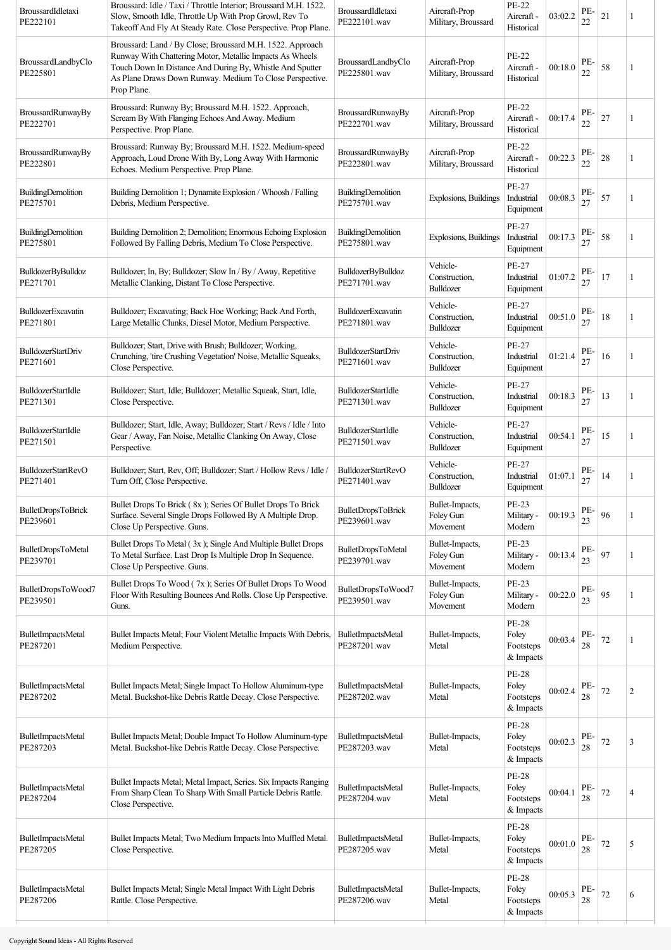| BroussardIdletaxi<br>PE222101         | Broussard: Idle / Taxi / Throttle Interior; Broussard M.H. 1522.<br>Slow, Smooth Idle, Throttle Up With Prop Growl, Rev To<br>Takeoff And Fly At Steady Rate. Close Perspective. Prop Plane.                                                                  | BroussardIdletaxi<br>PE222101.wav         | Aircraft-Prop<br>Military, Broussard     | <b>PE-22</b><br>Aircraft -<br>Historical        | 03:02.2 | PE-<br>22     | 21 |                |
|---------------------------------------|---------------------------------------------------------------------------------------------------------------------------------------------------------------------------------------------------------------------------------------------------------------|-------------------------------------------|------------------------------------------|-------------------------------------------------|---------|---------------|----|----------------|
| BroussardLandbyClo<br>PE225801        | Broussard: Land / By Close; Broussard M.H. 1522. Approach<br>Runway With Chattering Motor, Metallic Impacts As Wheels<br>Touch Down In Distance And During By, Whistle And Sputter<br>As Plane Draws Down Runway. Medium To Close Perspective.<br>Prop Plane. | BroussardLandbyClo<br>PE225801.wav        | Aircraft-Prop<br>Military, Broussard     | PE-22<br>Aircraft -<br>Historical               | 00:18.0 | PE-<br>22     | 58 |                |
| BroussardRunwayBy<br>PE222701         | Broussard: Runway By; Broussard M.H. 1522. Approach,<br>Scream By With Flanging Echoes And Away. Medium<br>Perspective. Prop Plane.                                                                                                                           | BroussardRunwayBy<br>PE222701.wav         | Aircraft-Prop<br>Military, Broussard     | PE-22<br>Aircraft -<br>Historical               | 00:17.4 | PE-<br>22     | 27 | 1              |
| BroussardRunwayBy<br>PE222801         | Broussard: Runway By; Broussard M.H. 1522. Medium-speed<br>Approach, Loud Drone With By, Long Away With Harmonic<br>Echoes. Medium Perspective. Prop Plane.                                                                                                   | BroussardRunwayBy<br>PE222801.wav         | Aircraft-Prop<br>Military, Broussard     | <b>PE-22</b><br>Aircraft -<br>Historical        | 00:22.3 | PE-<br>22     | 28 | 1              |
| <b>BuildingDemolition</b><br>PE275701 | Building Demolition 1; Dynamite Explosion / Whoosh / Falling<br>Debris, Medium Perspective.                                                                                                                                                                   | BuildingDemolition<br>PE275701.wav        | Explosions, Buildings                    | PE-27<br>Industrial<br>Equipment                | 00:08.3 | PE-<br>27     | 57 | 1              |
| BuildingDemolition<br>PE275801        | Building Demolition 2; Demolition; Enormous Echoing Explosion<br>Followed By Falling Debris, Medium To Close Perspective.                                                                                                                                     | BuildingDemolition<br>PE275801.wav        | Explosions, Buildings                    | PE-27<br>Industrial<br>Equipment                | 00:17.3 | PE-<br>27     | 58 |                |
| <b>BulldozerByBulldoz</b><br>PE271701 | Bulldozer; In, By; Bulldozer; Slow In / By / Away, Repetitive<br>Metallic Clanking, Distant To Close Perspective.                                                                                                                                             | <b>BulldozerByBulldoz</b><br>PE271701.wav | Vehicle-<br>Construction,<br>Bulldozer   | <b>PE-27</b><br>Industrial<br>Equipment         | 01:07.2 | PE-<br>27     | 17 |                |
| <b>BulldozerExcavatin</b><br>PE271801 | Bulldozer; Excavating; Back Hoe Working; Back And Forth,<br>Large Metallic Clunks, Diesel Motor, Medium Perspective.                                                                                                                                          | BulldozerExcavatin<br>PE271801.wav        | Vehicle-<br>Construction,<br>Bulldozer   | PE-27<br>Industrial<br>Equipment                | 00:51.0 | PE-<br>27     | 18 | -1             |
| <b>BulldozerStartDriv</b><br>PE271601 | Bulldozer; Start, Drive with Brush; Bulldozer; Working,<br>Crunching, 'tire Crushing Vegetation' Noise, Metallic Squeaks,<br>Close Perspective.                                                                                                               | <b>BulldozerStartDriv</b><br>PE271601.wav | Vehicle-<br>Construction,<br>Bulldozer   | <b>PE-27</b><br>Industrial<br>Equipment         | 01:21.4 | PE-<br>27     | 16 |                |
| BulldozerStartIdle<br>PE271301        | Bulldozer; Start, Idle; Bulldozer; Metallic Squeak, Start, Idle,<br>Close Perspective.                                                                                                                                                                        | BulldozerStartIdle<br>PE271301.wav        | Vehicle-<br>Construction,<br>Bulldozer   | PE-27<br>Industrial<br>Equipment                | 00:18.3 | PE-<br>27     | 13 | 1              |
| <b>BulldozerStartIdle</b><br>PE271501 | Bulldozer; Start, Idle, Away; Bulldozer; Start / Revs / Idle / Into<br>Gear / Away, Fan Noise, Metallic Clanking On Away, Close<br>Perspective.                                                                                                               | BulldozerStartIdle<br>PE271501.wav        | Vehicle-<br>Construction,<br>Bulldozer   | <b>PE-27</b><br>Industrial<br>Equipment         | 00:54.1 | PE-<br>27     | 15 | 1              |
| <b>BulldozerStartRevO</b><br>PE271401 | Bulldozer; Start, Rev, Off; Bulldozer; Start / Hollow Revs / Idle /<br>Turn Off, Close Perspective.                                                                                                                                                           | <b>BulldozerStartRevO</b><br>PE271401.wav | Vehicle-<br>Construction,<br>Bulldozer   | PE-27<br>Industrial<br>Equipment                | 01:07.1 | PE-<br>27     | 14 | -1             |
| <b>BulletDropsToBrick</b><br>PE239601 | Bullet Drops To Brick (8x); Series Of Bullet Drops To Brick<br>Surface. Several Single Drops Followed By A Multiple Drop.<br>Close Up Perspective. Guns.                                                                                                      | <b>BulletDropsToBrick</b><br>PE239601.wav | Bullet-Impacts,<br>Foley Gun<br>Movement | PE-23<br>Military -<br>Modern                   | 00:19.3 | PE-<br>23     | 96 |                |
| <b>BulletDropsToMetal</b><br>PE239701 | Bullet Drops To Metal (3x); Single And Multiple Bullet Drops<br>To Metal Surface. Last Drop Is Multiple Drop In Sequence.<br>Close Up Perspective. Guns.                                                                                                      | <b>BulletDropsToMetal</b><br>PE239701.wav | Bullet-Impacts,<br>Foley Gun<br>Movement | PE-23<br>Military -<br>Modern                   | 00:13.4 | PE-<br>23     | 97 | 1              |
| BulletDropsToWood7<br>PE239501        | Bullet Drops To Wood (7x); Series Of Bullet Drops To Wood<br>Floor With Resulting Bounces And Rolls. Close Up Perspective.<br>Guns.                                                                                                                           | BulletDropsToWood7<br>PE239501.wav        | Bullet-Impacts,<br>Foley Gun<br>Movement | <b>PE-23</b><br>Military -<br>Modern            | 00:22.0 | PE-<br>23     | 95 | 1              |
| <b>BulletImpactsMetal</b><br>PE287201 | Bullet Impacts Metal; Four Violent Metallic Impacts With Debris,<br>Medium Perspective.                                                                                                                                                                       | BulletImpactsMetal<br>PE287201.wav        | Bullet-Impacts,<br>Metal                 | <b>PE-28</b><br>Foley<br>Footsteps<br>& Impacts | 00:03.4 | PE-<br>$28\,$ | 72 | 1              |
| BulletImpactsMetal<br>PE287202        | Bullet Impacts Metal; Single Impact To Hollow Aluminum-type<br>Metal. Buckshot-like Debris Rattle Decay. Close Perspective.                                                                                                                                   | BulletImpactsMetal<br>PE287202.wav        | Bullet-Impacts,<br>Metal                 | <b>PE-28</b><br>Foley<br>Footsteps<br>& Impacts | 00:02.4 | PE-<br>28     | 72 | $\overline{c}$ |
| BulletImpactsMetal<br>PE287203        | Bullet Impacts Metal; Double Impact To Hollow Aluminum-type<br>Metal. Buckshot-like Debris Rattle Decay. Close Perspective.                                                                                                                                   | BulletImpactsMetal<br>PE287203.wav        | Bullet-Impacts,<br>Metal                 | <b>PE-28</b><br>Foley<br>Footsteps<br>& Impacts | 00:02.3 | PE-<br>28     | 72 | 3              |
| BulletImpactsMetal<br>PE287204        | Bullet Impacts Metal; Metal Impact, Series. Six Impacts Ranging<br>From Sharp Clean To Sharp With Small Particle Debris Rattle.<br>Close Perspective.                                                                                                         | BulletImpactsMetal<br>PE287204.wav        | Bullet-Impacts,<br>Metal                 | <b>PE-28</b><br>Foley<br>Footsteps<br>& Impacts | 00:04.1 | PE-<br>28     | 72 | 4              |
| BulletImpactsMetal<br>PE287205        | Bullet Impacts Metal; Two Medium Impacts Into Muffled Metal.<br>Close Perspective.                                                                                                                                                                            | BulletImpactsMetal<br>PE287205.wav        | Bullet-Impacts,<br>Metal                 | <b>PE-28</b><br>Foley<br>Footsteps<br>& Impacts | 00:01.0 | PE-<br>28     | 72 | 5              |
| BulletImpactsMetal<br>PE287206        | Bullet Impacts Metal; Single Metal Impact With Light Debris<br>Rattle. Close Perspective.                                                                                                                                                                     | BulletImpactsMetal<br>PE287206.wav        | Bullet-Impacts,<br>Metal                 | <b>PE-28</b><br>Foley<br>Footsteps<br>& Impacts | 00:05.3 | PE-<br>28     | 72 | 6              |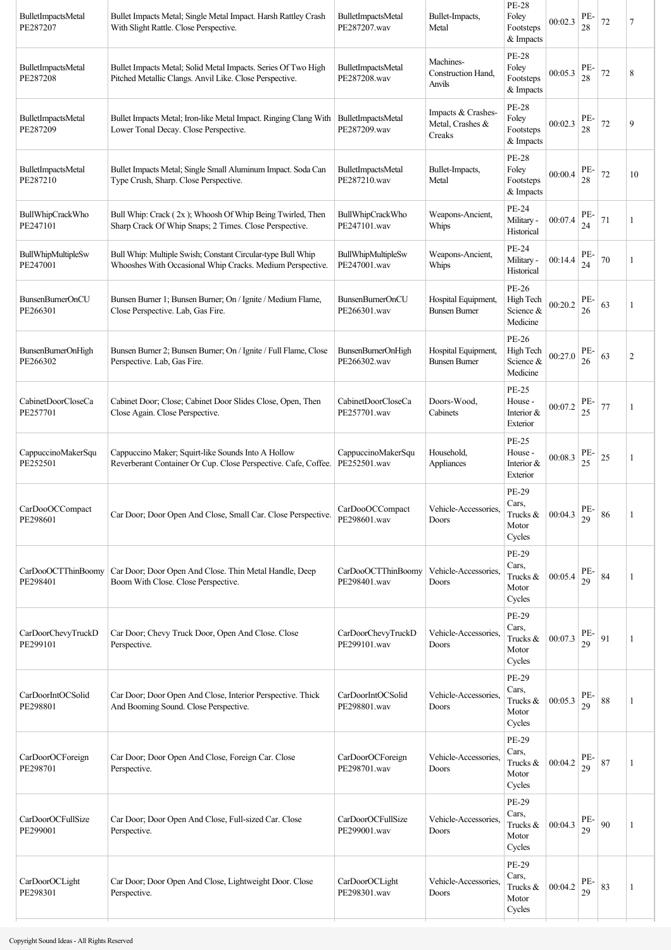| <b>BulletImpactsMetal</b><br>PE287207 | Bullet Impacts Metal; Single Metal Impact. Harsh Rattley Crash<br>With Slight Rattle. Close Perspective.                 | BulletImpactsMetal<br>PE287207.wav        | Bullet-Impacts,<br>Metal                         | <b>PE-28</b><br>Foley<br>Footsteps<br>& Impacts      | 00:02.3 | PE-<br>28 | 72     | 7  |
|---------------------------------------|--------------------------------------------------------------------------------------------------------------------------|-------------------------------------------|--------------------------------------------------|------------------------------------------------------|---------|-----------|--------|----|
| BulletImpactsMetal<br>PE287208        | Bullet Impacts Metal; Solid Metal Impacts. Series Of Two High<br>Pitched Metallic Clangs. Anvil Like. Close Perspective. | BulletImpactsMetal<br>PE287208.wav        | Machines-<br>Construction Hand,<br>Anvils        | PE-28<br>Foley<br>Footsteps<br>& Impacts             | 00:05.3 | PE-<br>28 | 72     | 8  |
| <b>BulletImpactsMetal</b><br>PE287209 | Bullet Impacts Metal; Iron-like Metal Impact. Ringing Clang With<br>Lower Tonal Decay. Close Perspective.                | BulletImpactsMetal<br>PE287209.wav        | Impacts & Crashes-<br>Metal, Crashes &<br>Creaks | PE-28<br>Foley<br>Footsteps<br>& Impacts             | 00:02.3 | PE-<br>28 | 72     | 9  |
| BulletImpactsMetal<br>PE287210        | Bullet Impacts Metal; Single Small Aluminum Impact. Soda Can<br>Type Crush, Sharp. Close Perspective.                    | BulletImpactsMetal<br>PE287210.wav        | Bullet-Impacts,<br>Metal                         | PE-28<br>Foley<br>Footsteps<br>& Impacts             | 00:00.4 | PE-<br>28 | 72     | 10 |
| BullWhipCrackWho<br>PE247101          | Bull Whip: Crack (2x); Whoosh Of Whip Being Twirled, Then<br>Sharp Crack Of Whip Snaps; 2 Times. Close Perspective.      | <b>BullWhipCrackWho</b><br>PE247101.wav   | Weapons-Ancient,<br>Whips                        | PE-24<br>Military -<br>Historical                    | 00:07.4 | PE-<br>24 | 71     |    |
| BullWhipMultipleSw<br>PE247001        | Bull Whip: Multiple Swish; Constant Circular-type Bull Whip<br>Whooshes With Occasional Whip Cracks. Medium Perspective. | BullWhipMultipleSw<br>PE247001.wav        | Weapons-Ancient,<br>Whips                        | PE-24<br>Military -<br>Historical                    | 00:14.4 | PE-<br>24 | 70     | 1  |
| <b>BunsenBurnerOnCU</b><br>PE266301   | Bunsen Burner 1; Bunsen Burner; On / Ignite / Medium Flame,<br>Close Perspective. Lab, Gas Fire.                         | <b>BunsenBurnerOnCU</b><br>PE266301.wav   | Hospital Equipment,<br><b>Bunsen Burner</b>      | PE-26<br>High Tech<br>Science &<br>Medicine          | 00:20.2 | PE-<br>26 | 63     |    |
| <b>BunsenBurnerOnHigh</b><br>PE266302 | Bunsen Burner 2; Bunsen Burner; On / Ignite / Full Flame, Close<br>Perspective. Lab, Gas Fire.                           | <b>BunsenBurnerOnHigh</b><br>PE266302.wav | Hospital Equipment,<br><b>Bunsen Burner</b>      | PE-26<br>High Tech<br>Science &<br>Medicine          | 00:27.0 | PE-<br>26 | 63     | 2  |
| CabinetDoorCloseCa<br>PE257701        | Cabinet Door; Close; Cabinet Door Slides Close, Open, Then<br>Close Again. Close Perspective.                            | CabinetDoorCloseCa<br>PE257701.wav        | Doors-Wood,<br>Cabinets                          | PE-25<br>House -<br>Interior &<br>Exterior           | 00:07.2 | PE-<br>25 | 77     | -1 |
| CappuccinoMakerSqu<br>PE252501        | Cappuccino Maker; Squirt-like Sounds Into A Hollow<br>Reverberant Container Or Cup. Close Perspective. Cafe, Coffee.     | CappuccinoMakerSqu<br>PE252501.wav        | Household,<br>Appliances                         | PE-25<br>House -<br>Interior &<br>Exterior           | 00:08.3 | PE-<br>25 | 25     | 1  |
| CarDooOCCompact<br>PE298601           | Car Door; Door Open And Close, Small Car. Close Perspective.                                                             | CarDooOCCompact<br>PE298601.wav           | Vehicle-Accessories,<br>Doors                    | PE-29<br>Cars,<br>Trucks &<br>Motor<br>Cycles        | 00:04.3 | PE-<br>29 | 86     |    |
| CarDooOCTThinBoomy<br>PE298401        | Car Door; Door Open And Close. Thin Metal Handle, Deep<br>Boom With Close. Close Perspective.                            | CarDooOCTThinBoomy<br>PE298401.wav        | Vehicle-Accessories,<br>Doors                    | PE-29<br>Cars,<br>Trucks &<br>Motor<br>Cycles        | 00:05.4 | PE-<br>29 | 84     |    |
| CarDoorChevyTruckD<br>PE299101        | Car Door; Chevy Truck Door, Open And Close. Close<br>Perspective.                                                        | CarDoorChevyTruckD<br>PE299101.wav        | Vehicle-Accessories,<br>Doors                    | PE-29<br>Cars,<br>Trucks &<br>Motor<br>Cycles        | 00:07.3 | PE-<br>29 | 91     | 1  |
| CarDoorIntOCSolid<br>PE298801         | Car Door; Door Open And Close, Interior Perspective. Thick<br>And Booming Sound. Close Perspective.                      | CarDoorIntOCSolid<br>PE298801.wav         | Vehicle-Accessories,<br>Doors                    | PE-29<br>Cars,<br>Trucks &<br>Motor<br>Cycles        | 00:05.3 | PE-<br>29 | $88\,$ |    |
| CarDoorOCForeign<br>PE298701          | Car Door; Door Open And Close, Foreign Car. Close<br>Perspective.                                                        | CarDoorOCForeign<br>PE298701.wav          | Vehicle-Accessories,<br>Doors                    | PE-29<br>Cars,<br>Trucks &<br>Motor<br>Cycles        | 00:04.2 | PE-<br>29 | 87     | -1 |
| CarDoorOCFullSize<br>PE299001         | Car Door; Door Open And Close, Full-sized Car. Close<br>Perspective.                                                     | CarDoorOCFullSize<br>PE299001.wav         | Vehicle-Accessories.<br>Doors                    | PE-29<br>Cars,<br>Trucks &<br>Motor<br>Cycles        | 00:04.3 | PE-<br>29 | 90     | 1  |
| CarDoorOCLight<br>PE298301            | Car Door; Door Open And Close, Lightweight Door. Close<br>Perspective.                                                   | CarDoorOCLight<br>PE298301.wav            | Vehicle-Accessories,<br>Doors                    | <b>PE-29</b><br>Cars,<br>Trucks &<br>Motor<br>Cycles | 00:04.2 | PE-<br>29 | 83     |    |
|                                       |                                                                                                                          |                                           |                                                  |                                                      |         |           |        |    |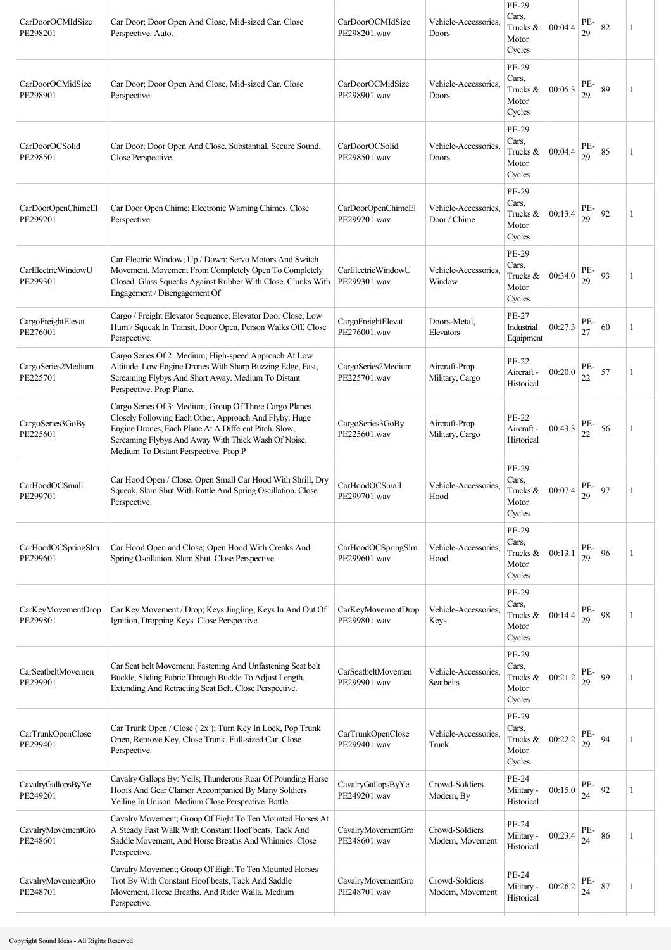| CarDoorOCMIdSize<br>PE298201   | Car Door; Door Open And Close, Mid-sized Car. Close<br>Perspective. Auto.                                                                                                                                                                                                 | CarDoorOCMIdSize<br>PE298201.wav   | Vehicle-Accessories,<br>Doors        | PE-29<br>Cars.<br>Trucks &<br>Motor<br>Cycles | 00:04.4 | PE-<br>29 | 82 | 1 |
|--------------------------------|---------------------------------------------------------------------------------------------------------------------------------------------------------------------------------------------------------------------------------------------------------------------------|------------------------------------|--------------------------------------|-----------------------------------------------|---------|-----------|----|---|
| CarDoorOCMidSize<br>PE298901   | Car Door; Door Open And Close, Mid-sized Car. Close<br>Perspective.                                                                                                                                                                                                       | CarDoorOCMidSize<br>PE298901.wav   | Vehicle-Accessories,<br>Doors        | PE-29<br>Cars.<br>Trucks &<br>Motor<br>Cycles | 00:05.3 | PE-<br>29 | 89 |   |
| CarDoorOCSolid<br>PE298501     | Car Door; Door Open And Close. Substantial, Secure Sound.<br>Close Perspective.                                                                                                                                                                                           | CarDoorOCSolid<br>PE298501.wav     | Vehicle-Accessories,<br>Doors        | PE-29<br>Cars.<br>Trucks &<br>Motor<br>Cycles | 00:04.4 | PE-<br>29 | 85 | 1 |
| CarDoorOpenChimeEl<br>PE299201 | Car Door Open Chime; Electronic Warning Chimes. Close<br>Perspective.                                                                                                                                                                                                     | CarDoorOpenChimeEl<br>PE299201.wav | Vehicle-Accessories,<br>Door / Chime | PE-29<br>Cars,<br>Trucks &<br>Motor<br>Cycles | 00:13.4 | PE-<br>29 | 92 | 1 |
| CarElectricWindowU<br>PE299301 | Car Electric Window; Up / Down; Servo Motors And Switch<br>Movement. Movement From Completely Open To Completely<br>Closed. Glass Squeaks Against Rubber With Close. Clunks With<br>Engagement / Disengagement Of                                                         | CarElectricWindowU<br>PE299301.wav | Vehicle-Accessories.<br>Window       | PE-29<br>Cars,<br>Trucks &<br>Motor<br>Cycles | 00:34.0 | PE-<br>29 | 93 |   |
| CargoFreightElevat<br>PE276001 | Cargo / Freight Elevator Sequence; Elevator Door Close, Low<br>Hum / Squeak In Transit, Door Open, Person Walks Off, Close<br>Perspective.                                                                                                                                | CargoFreightElevat<br>PE276001.wav | Doors-Metal,<br>Elevators            | PE-27<br>Industrial<br>Equipment              | 00:27.3 | PE-<br>27 | 60 | 1 |
| CargoSeries2Medium<br>PE225701 | Cargo Series Of 2: Medium; High-speed Approach At Low<br>Altitude. Low Engine Drones With Sharp Buzzing Edge, Fast,<br>Screaming Flybys And Short Away. Medium To Distant<br>Perspective. Prop Plane.                                                                     | CargoSeries2Medium<br>PE225701.wav | Aircraft-Prop<br>Military, Cargo     | PE-22<br>Aircraft -<br>Historical             | 00:20.0 | PE-<br>22 | 57 |   |
| CargoSeries3GoBy<br>PE225601   | Cargo Series Of 3: Medium; Group Of Three Cargo Planes<br>Closely Following Each Other, Approach And Flyby. Huge<br>Engine Drones, Each Plane At A Different Pitch, Slow,<br>Screaming Flybys And Away With Thick Wash Of Noise.<br>Medium To Distant Perspective. Prop P | CargoSeries3GoBy<br>PE225601.wav   | Aircraft-Prop<br>Military, Cargo     | PE-22<br>Aircraft -<br>Historical             | 00:43.3 | PE-<br>22 | 56 | 1 |
| CarHoodOCSmall<br>PE299701     | Car Hood Open / Close; Open Small Car Hood With Shrill, Dry<br>Squeak, Slam Shut With Rattle And Spring Oscillation. Close<br>Perspective.                                                                                                                                | CarHoodOCSmall<br>PE299701.wav     | Vehicle-Accessories.<br>Hood         | PE-29<br>Cars.<br>Trucks &<br>Motor<br>Cycles | 00:07.4 | PE-<br>29 | 97 |   |
|                                |                                                                                                                                                                                                                                                                           |                                    |                                      |                                               |         |           |    |   |
| CarHoodOCSpringSlm<br>PE299601 | Car Hood Open and Close; Open Hood With Creaks And<br>Spring Oscillation, Slam Shut. Close Perspective.                                                                                                                                                                   | CarHoodOCSpringSlm<br>PE299601.wav | Vehicle-Accessories.<br>Hood         | PE-29<br>Cars,<br>Trucks &<br>Motor<br>Cycles | 00:13.1 | PE-<br>29 | 96 | 1 |
| CarKeyMovementDrop<br>PE299801 | Car Key Movement / Drop; Keys Jingling, Keys In And Out Of<br>Ignition, Dropping Keys. Close Perspective.                                                                                                                                                                 | CarKeyMovementDrop<br>PE299801.wav | Vehicle-Accessories,<br>Keys         | PE-29<br>Cars,<br>Trucks &<br>Motor<br>Cycles | 00:14.4 | PE-<br>29 | 98 |   |
| CarSeatbeltMovemen<br>PE299901 | Car Seat belt Movement; Fastening And Unfastening Seat belt<br>Buckle, Sliding Fabric Through Buckle To Adjust Length,<br>Extending And Retracting Seat Belt. Close Perspective.                                                                                          | CarSeatbeltMovemen<br>PE299901.wav | Vehicle-Accessories.<br>Seatbelts    | PE-29<br>Cars,<br>Trucks &<br>Motor<br>Cycles | 00:21.2 | PE-<br>29 | 99 |   |
| CarTrunkOpenClose<br>PE299401  | Car Trunk Open / Close (2x); Turn Key In Lock, Pop Trunk<br>Open, Remove Key, Close Trunk. Full-sized Car. Close<br>Perspective.                                                                                                                                          | CarTrunkOpenClose<br>PE299401.wav  | Vehicle-Accessories.<br>Trunk        | PE-29<br>Cars.<br>Trucks &<br>Motor<br>Cycles | 00:22.2 | PE-<br>29 | 94 |   |
| CavalryGallopsByYe<br>PE249201 | Cavalry Gallops By: Yells; Thunderous Roar Of Pounding Horse<br>Hoofs And Gear Clamor Accompanied By Many Soldiers<br>Yelling In Unison. Medium Close Perspective. Battle.                                                                                                | CavalryGallopsByYe<br>PE249201.wav | Crowd-Soldiers<br>Modern, By         | PE-24<br>Military -<br>Historical             | 00:15.0 | PE-<br>24 | 92 |   |
| CavalryMovementGro<br>PE248601 | Cavalry Movement; Group Of Eight To Ten Mounted Horses At<br>A Steady Fast Walk With Constant Hoof beats, Tack And<br>Saddle Movement, And Horse Breaths And Whinnies. Close<br>Perspective.                                                                              | CavalryMovementGro<br>PE248601.wav | Crowd-Soldiers<br>Modern, Movement   | PE-24<br>Military -<br>Historical             | 00:23.4 | PE-<br>24 | 86 |   |
| CavalryMovementGro<br>PE248701 | Cavalry Movement; Group Of Eight To Ten Mounted Horses<br>Trot By With Constant Hoof beats, Tack And Saddle<br>Movement, Horse Breaths, And Rider Walla. Medium<br>Perspective.                                                                                           | CavalryMovementGro<br>PE248701.wav | Crowd-Soldiers<br>Modern, Movement   | PE-24<br>Military -<br>Historical             | 00:26.2 | PE-<br>24 | 87 |   |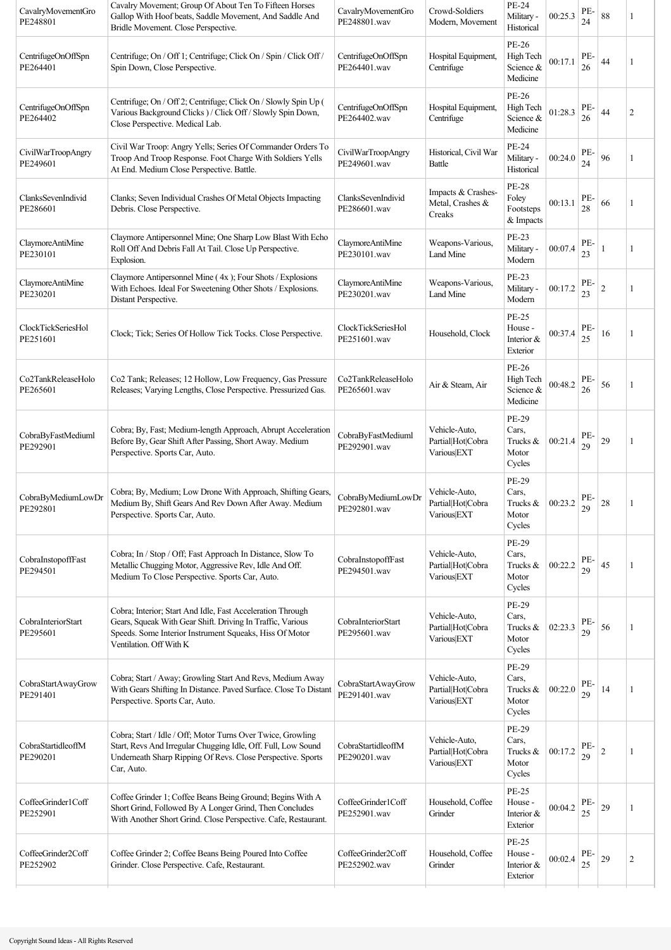| CavalryMovementGro<br>PE248801 | Cavalry Movement; Group Of About Ten To Fifteen Horses<br>Gallop With Hoof beats, Saddle Movement, And Saddle And<br>Bridle Movement. Close Perspective.                                                       | CavalryMovementGro<br>PE248801.wav        | Crowd-Soldiers<br>Modern, Movement                | <b>PE-24</b><br>Military -<br>Historical          | 00:25.3 | PE-<br>24 | 88             | 1              |
|--------------------------------|----------------------------------------------------------------------------------------------------------------------------------------------------------------------------------------------------------------|-------------------------------------------|---------------------------------------------------|---------------------------------------------------|---------|-----------|----------------|----------------|
| CentrifugeOnOffSpn<br>PE264401 | Centrifuge; On / Off 1; Centrifuge; Click On / Spin / Click Off /<br>Spin Down, Close Perspective.                                                                                                             | CentrifugeOnOffSpn<br>PE264401.wav        | Hospital Equipment,<br>Centrifuge                 | PE-26<br>High Tech<br>Science &<br>Medicine       | 00:17.1 | PE-<br>26 | 44             | 1              |
| CentrifugeOnOffSpn<br>PE264402 | Centrifuge; On / Off 2; Centrifuge; Click On / Slowly Spin Up (<br>Various Background Clicks ) / Click Off / Slowly Spin Down,<br>Close Perspective. Medical Lab.                                              | CentrifugeOnOffSpn<br>PE264402.wav        | Hospital Equipment,<br>Centrifuge                 | PE-26<br>High Tech<br>Science &<br>Medicine       | 01:28.3 | PE-<br>26 | 44             | $\overline{2}$ |
| CivilWarTroopAngry<br>PE249601 | Civil War Troop: Angry Yells; Series Of Commander Orders To<br>Troop And Troop Response. Foot Charge With Soldiers Yells<br>At End. Medium Close Perspective. Battle.                                          | CivilWarTroopAngry<br>PE249601.wav        | Historical, Civil War<br>Battle                   | <b>PE-24</b><br>Military -<br>Historical          | 00:24.0 | PE-<br>24 | 96             | 1              |
| ClanksSevenIndivid<br>PE286601 | Clanks; Seven Individual Crashes Of Metal Objects Impacting<br>Debris. Close Perspective.                                                                                                                      | ClanksSevenIndivid<br>PE286601.wav        | Impacts & Crashes-<br>Metal, Crashes &<br>Creaks  | <b>PE-28</b><br>Foley<br>Footsteps<br>& Impacts   | 00:13.1 | PE-<br>28 | 66             | 1              |
| ClaymoreAntiMine<br>PE230101   | Claymore Antipersonnel Mine; One Sharp Low Blast With Echo<br>Roll Off And Debris Fall At Tail. Close Up Perspective.<br>Explosion.                                                                            | ClaymoreAntiMine<br>PE230101.wav          | Weapons-Various,<br>Land Mine                     | <b>PE-23</b><br>Military -<br>Modern              | 00:07.4 | PE-<br>23 |                | 1              |
| ClaymoreAntiMine<br>PE230201   | Claymore Antipersonnel Mine (4x); Four Shots / Explosions<br>With Echoes. Ideal For Sweetening Other Shots / Explosions.<br>Distant Perspective.                                                               | ClaymoreAntiMine<br>PE230201.wav          | Weapons-Various,<br>Land Mine                     | PE-23<br>Military -<br>Modern                     | 00:17.2 | PE-<br>23 | $\overline{2}$ | 1              |
| ClockTickSeriesHol<br>PE251601 | Clock; Tick; Series Of Hollow Tick Tocks. Close Perspective.                                                                                                                                                   | <b>ClockTickSeriesHol</b><br>PE251601.wav | Household, Clock                                  | <b>PE-25</b><br>House -<br>Interior &<br>Exterior | 00:37.4 | PE-<br>25 | 16             |                |
| Co2TankReleaseHolo<br>PE265601 | Co2 Tank; Releases; 12 Hollow, Low Frequency, Gas Pressure<br>Releases; Varying Lengths, Close Perspective. Pressurized Gas.                                                                                   | Co2TankReleaseHolo<br>PE265601.wav        | Air & Steam, Air                                  | PE-26<br>High Tech<br>Science &<br>Medicine       | 00:48.2 | PE-<br>26 | 56             |                |
| CobraByFastMediuml<br>PE292901 | Cobra; By, Fast; Medium-length Approach, Abrupt Acceleration<br>Before By, Gear Shift After Passing, Short Away. Medium<br>Perspective. Sports Car, Auto.                                                      | CobraByFastMediuml<br>PE292901.wav        | Vehicle-Auto,<br>Partial Hot Cobra<br>Various EXT | PE-29<br>Cars,<br>Trucks &<br>Motor<br>Cycles     | 00:21.4 | PE-<br>29 | 29             | 1              |
| CobraByMediumLowDr<br>PE292801 | Cobra; By, Medium; Low Drone With Approach, Shifting Gears,<br>Medium By, Shift Gears And Rev Down After Away. Medium<br>Perspective. Sports Car, Auto.                                                        | CobraByMediumLowDr<br>PE292801.wav        | Vehicle-Auto,<br>Partial Hot Cobra<br>Various EXT | PE-29<br>Cars,<br>Trucks &<br>Motor<br>Cycles     | 00:23.2 | PE-<br>29 | 28             |                |
| CobraInstopoffFast<br>PE294501 | Cobra; In / Stop / Off; Fast Approach In Distance, Slow To<br>Metallic Chugging Motor, Aggressive Rev, Idle And Off.<br>Medium To Close Perspective. Sports Car, Auto.                                         | CobraInstopoffFast<br>PE294501.wav        | Vehicle-Auto,<br>Partial Hot Cobra<br>Various EXT | PE-29<br>Cars,<br>Trucks &<br>Motor<br>Cycles     | 00:22.2 | PE-<br>29 | 45             | 1              |
| CobraInteriorStart<br>PE295601 | Cobra; Interior; Start And Idle, Fast Acceleration Through<br>Gears, Squeak With Gear Shift. Driving In Traffic, Various<br>Speeds. Some Interior Instrument Squeaks, Hiss Of Motor<br>Ventilation. Off With K | CobraInteriorStart<br>PE295601.wav        | Vehicle-Auto,<br>Partial Hot Cobra<br>Various EXT | PE-29<br>Cars,<br>Trucks &<br>Motor<br>Cycles     | 02:23.3 | PE-<br>29 | 56             | 1              |
| CobraStartAwayGrow<br>PE291401 | Cobra; Start / Away; Growling Start And Revs, Medium Away<br>With Gears Shifting In Distance. Paved Surface. Close To Distant<br>Perspective. Sports Car, Auto.                                                | CobraStartAwayGrow<br>PE291401.wav        | Vehicle-Auto,<br>Partial Hot Cobra<br>Various EXT | PE-29<br>Cars,<br>Trucks &<br>Motor<br>Cycles     | 00:22.0 | PE-<br>29 | 14             |                |
| CobraStartidleoffM<br>PE290201 | Cobra; Start / Idle / Off; Motor Turns Over Twice, Growling<br>Start, Revs And Irregular Chugging Idle, Off. Full, Low Sound<br>Underneath Sharp Ripping Of Revs. Close Perspective. Sports<br>Car, Auto.      | CobraStartidleoffM<br>PE290201.wav        | Vehicle-Auto,<br>Partial Hot Cobra<br>Various EXT | PE-29<br>Cars,<br>Trucks &<br>Motor<br>Cycles     | 00:17.2 | PE-<br>29 | $\sqrt{2}$     | 1              |
| CoffeeGrinder1Coff<br>PE252901 | Coffee Grinder 1; Coffee Beans Being Ground; Begins With A<br>Short Grind, Followed By A Longer Grind, Then Concludes<br>With Another Short Grind. Close Perspective. Cafe, Restaurant.                        | CoffeeGrinder1Coff<br>PE252901.wav        | Household, Coffee<br>Grinder                      | PE-25<br>House -<br>Interior &<br>Exterior        | 00:04.2 | PE-<br>25 | 29             | 1              |
| CoffeeGrinder2Coff<br>PE252902 | Coffee Grinder 2; Coffee Beans Being Poured Into Coffee<br>Grinder. Close Perspective. Cafe, Restaurant.                                                                                                       | CoffeeGrinder2Coff<br>PE252902.wav        | Household, Coffee<br>Grinder                      | <b>PE-25</b><br>House -<br>Interior &<br>Exterior | 00:02.4 | PE-<br>25 | 29             | $\overline{2}$ |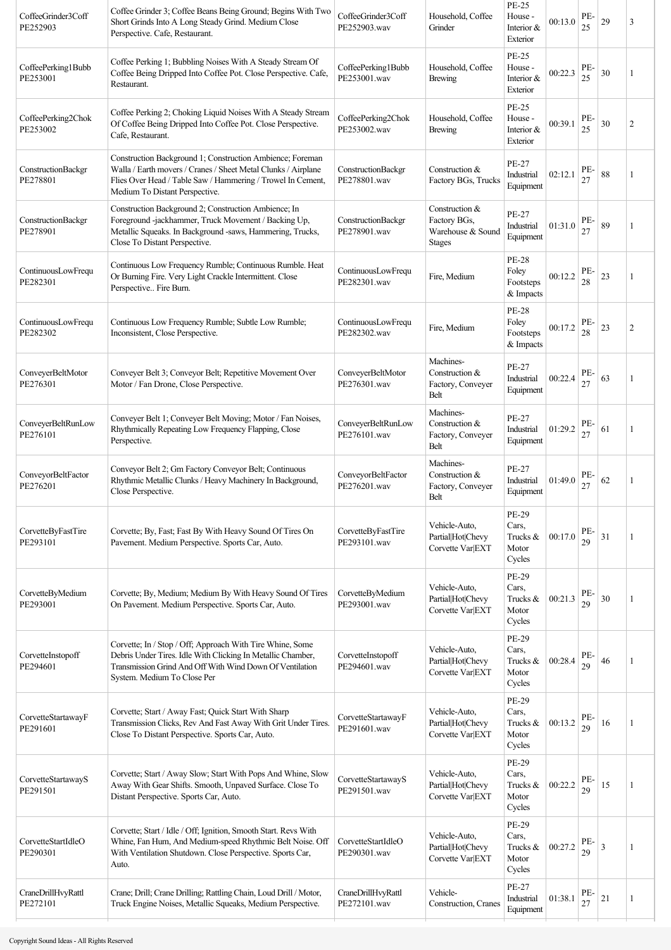| CoffeeGrinder3Coff<br>PE252903 | Coffee Grinder 3; Coffee Beans Being Ground; Begins With Two<br>Short Grinds Into A Long Steady Grind. Medium Close<br>Perspective. Cafe, Restaurant.                                                                       | CoffeeGrinder3Coff<br>PE252903.wav | Household, Coffee<br>Grinder                                         | PE-25<br>House -<br>Interior $&$<br>Exterior         | 00:13.0 | PE-<br>25 | 29 | $\overline{3}$ |
|--------------------------------|-----------------------------------------------------------------------------------------------------------------------------------------------------------------------------------------------------------------------------|------------------------------------|----------------------------------------------------------------------|------------------------------------------------------|---------|-----------|----|----------------|
| CoffeePerking1Bubb<br>PE253001 | Coffee Perking 1; Bubbling Noises With A Steady Stream Of<br>Coffee Being Dripped Into Coffee Pot. Close Perspective. Cafe,<br>Restaurant.                                                                                  | CoffeePerking1Bubb<br>PE253001.wav | Household, Coffee<br><b>Brewing</b>                                  | PE-25<br>House -<br>Interior &<br>Exterior           | 00:22.3 | PE-<br>25 | 30 | 1              |
| CoffeePerking2Chok<br>PE253002 | Coffee Perking 2; Choking Liquid Noises With A Steady Stream<br>Of Coffee Being Dripped Into Coffee Pot. Close Perspective.<br>Cafe, Restaurant.                                                                            | CoffeePerking2Chok<br>PE253002.wav | Household, Coffee<br><b>Brewing</b>                                  | <b>PE-25</b><br>House -<br>Interior $&$<br>Exterior  | 00:39.1 | PE-<br>25 | 30 | $\overline{2}$ |
| ConstructionBackgr<br>PE278801 | Construction Background 1; Construction Ambience; Foreman<br>Walla / Earth movers / Cranes / Sheet Metal Clunks / Airplane<br>Flies Over Head / Table Saw / Hammering / Trowel In Cement,<br>Medium To Distant Perspective. | ConstructionBackgr<br>PE278801.wav | Construction &<br>Factory BGs, Trucks                                | <b>PE-27</b><br>Industrial<br>Equipment              | 02:12.1 | PE-       | 88 | 1              |
| ConstructionBackgr<br>PE278901 | Construction Background 2; Construction Ambience; In<br>Foreground -jackhammer, Truck Movement / Backing Up,<br>Metallic Squeaks. In Background -saws, Hammering, Trucks,<br>Close To Distant Perspective.                  | ConstructionBackgr<br>PE278901.wav | Construction &<br>Factory BGs,<br>Warehouse & Sound<br><b>Stages</b> | <b>PE-27</b><br>Industrial<br>Equipment              | 01:31.0 | PE-<br>27 | 89 | 1              |
| ContinuousLowFrequ<br>PE282301 | Continuous Low Frequency Rumble; Continuous Rumble. Heat<br>Or Burning Fire. Very Light Crackle Intermittent. Close<br>Perspective Fire Burn.                                                                               | ContinuousLowFrequ<br>PE282301 way | Fire, Medium                                                         | <b>PE-28</b><br>Foley<br>Footsteps<br>& Impacts      | 00:12.2 | PE<br>28  | 23 | 1              |
| ContinuousLowFrequ<br>PE282302 | Continuous Low Frequency Rumble; Subtle Low Rumble;<br>Inconsistent, Close Perspective.                                                                                                                                     | ContinuousLowFrequ<br>PE282302.wav | Fire, Medium                                                         | <b>PE-28</b><br>Foley<br>Footsteps<br>& Impacts      | 00:17.2 | PE-<br>28 | 23 | $\overline{2}$ |
| ConveyerBeltMotor<br>PE276301  | Conveyer Belt 3; Conveyor Belt; Repetitive Movement Over<br>Motor / Fan Drone, Close Perspective.                                                                                                                           | ConveyerBeltMotor<br>PE276301.wav  | Machines-<br>Construction &<br>Factory, Conveyer<br>Belt             | <b>PE-27</b><br>Industrial<br>Equipment              | 00:22.4 | PE-       | 63 | 1              |
| ConveyerBeltRunLow<br>PE276101 | Conveyer Belt 1; Conveyer Belt Moving; Motor / Fan Noises,<br>Rhythmically Repeating Low Frequency Flapping, Close<br>Perspective.                                                                                          | ConveyerBeltRunLow<br>PE276101.wav | Machines-<br>Construction &<br>Factory, Conveyer<br>Belt             | PE-27<br>Industrial<br>Equipment                     | 01:29.2 | PE-<br>27 | 61 | 1              |
| ConveyorBeltFactor<br>PE276201 | Conveyor Belt 2; Gm Factory Conveyor Belt; Continuous<br>Rhythmic Metallic Clunks / Heavy Machinery In Background,<br>Close Perspective.                                                                                    | ConveyorBeltFactor<br>PE276201.wav | Machines-<br>Construction &<br>Factory, Conveyer<br>Belt             | <b>PE-27</b><br>Industrial<br>Equipment              | 01:49.0 | PE-<br>27 | 62 | 1              |
| CorvetteByFastTire<br>PE293101 | Corvette; By, Fast; Fast By With Heavy Sound Of Tires On<br>Pavement. Medium Perspective. Sports Car, Auto.                                                                                                                 | CorvetteByFastTire<br>PE293101.wav | Vehicle-Auto,<br>Partial Hot Chevy<br>Corvette Var EXT               | <b>PE-29</b><br>Cars,<br>Trucks &<br>Motor<br>Cycles | 00:17.0 | PE-<br>29 | 31 | 1              |
| CorvetteByMedium<br>PE293001   | Corvette; By, Medium; Medium By With Heavy Sound Of Tires<br>On Pavement. Medium Perspective. Sports Car, Auto.                                                                                                             | CorvetteByMedium<br>PE293001.wav   | Vehicle-Auto.<br>Partial Hot Chevy<br>Corvette Var EXT               | PE-29<br>Cars,<br>Trucks &<br>Motor<br>Cycles        | 00:21.3 | PE-<br>29 | 30 | 1              |
| CorvetteInstopoff<br>PE294601  | Corvette; In / Stop / Off; Approach With Tire Whine, Some<br>Debris Under Tires. Idle With Clicking In Metallic Chamber,<br>Transmission Grind And Off With Wind Down Of Ventilation<br>System. Medium To Close Per         | CorvetteInstopoff<br>PE294601.wav  | Vehicle-Auto,<br>Partial Hot Chevy<br>Corvette Var EXT               | PE-29<br>Cars,<br>Trucks &<br>Motor<br>Cycles        | 00:28.4 | PE-<br>29 | 46 | 1              |
| CorvetteStartawayF<br>PE291601 | Corvette; Start / Away Fast; Quick Start With Sharp<br>Transmission Clicks, Rev And Fast Away With Grit Under Tires.<br>Close To Distant Perspective. Sports Car, Auto.                                                     | CorvetteStartawayF<br>PE291601.wav | Vehicle-Auto,<br>Partial Hot Chevy<br>Corvette Var EXT               | <b>PE-29</b><br>Cars,<br>Trucks &<br>Motor<br>Cycles | 00:13.2 | PE-<br>29 | 16 | 1              |
| CorvetteStartawayS<br>PE291501 | Corvette; Start / Away Slow; Start With Pops And Whine, Slow<br>Away With Gear Shifts. Smooth, Unpaved Surface. Close To<br>Distant Perspective. Sports Car, Auto.                                                          | CorvetteStartawayS<br>PE291501.wav | Vehicle-Auto,<br>Partial Hot Chevy<br>Corvette Var EXT               | <b>PE-29</b><br>Cars,<br>Trucks &<br>Motor<br>Cycles | 00:22.2 | PE-<br>29 | 15 | $\mathbf{1}$   |
| CorvetteStartIdleO<br>PE290301 | Corvette; Start / Idle / Off; Ignition, Smooth Start. Revs With<br>Whine, Fan Hum, And Medium-speed Rhythmic Belt Noise. Off<br>With Ventilation Shutdown. Close Perspective. Sports Car,<br>Auto.                          | CorvetteStartIdleO<br>PE290301.wav | Vehicle-Auto,<br>Partial Hot Chevy<br>Corvette Var EXT               | PE-29<br>Cars,<br>Trucks &<br>Motor<br>Cycles        | 00:27.2 | PE.<br>29 | 3  | 1              |
| CraneDrillHvyRattl<br>PE272101 | Crane; Drill; Crane Drilling; Rattling Chain, Loud Drill / Motor,<br>Truck Engine Noises, Metallic Squeaks, Medium Perspective.                                                                                             | CraneDrillHvyRattl<br>PE272101.wav | Vehicle-<br>Construction, Cranes                                     | <b>PE-27</b><br>Industrial<br>Equipment              | 01:38.1 | PE-<br>27 | 21 | 1              |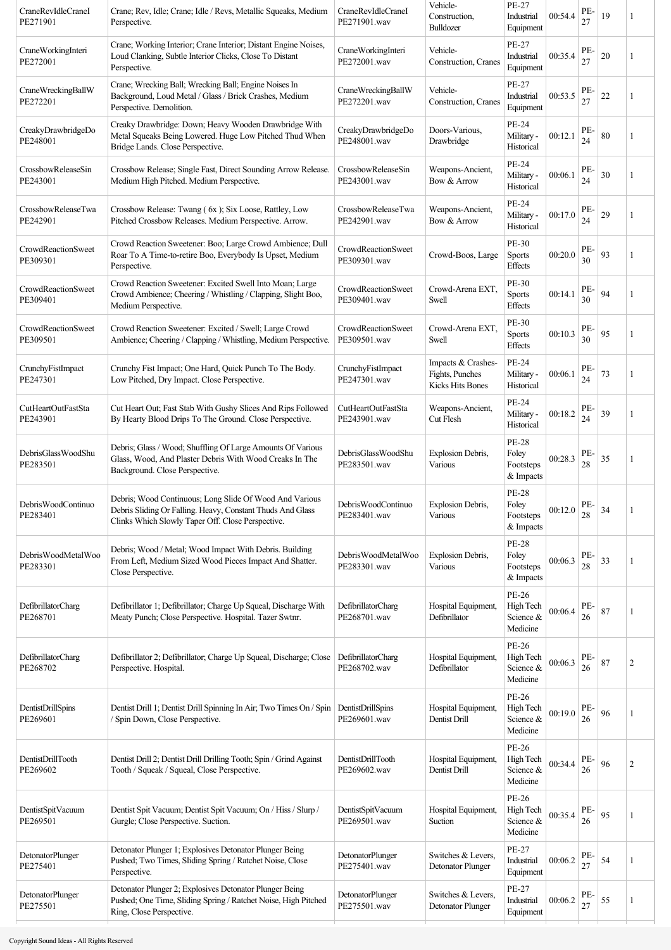| CraneRevIdleCraneI<br>PE271901        | Crane; Rev, Idle; Crane; Idle / Revs, Metallic Squeaks, Medium<br>Perspective.                                                                                             | CraneRevIdleCraneI<br>PE271901.wav        | Vehicle-<br>Construction,<br>Bulldozer                           | PE-27<br>Industrial<br>Equipment                   | 00:54.4                             | PE-<br>27 | 19 |    |
|---------------------------------------|----------------------------------------------------------------------------------------------------------------------------------------------------------------------------|-------------------------------------------|------------------------------------------------------------------|----------------------------------------------------|-------------------------------------|-----------|----|----|
| CraneWorkingInteri<br>PE272001        | Crane; Working Interior; Crane Interior; Distant Engine Noises,<br>Loud Clanking, Subtle Interior Clicks, Close To Distant<br>Perspective.                                 | CraneWorkingInteri<br>PE272001.wav        | Vehicle-<br>Construction, Cranes                                 | PE-27<br>Industrial<br>Equipment                   | 00:35.4                             | PE-<br>27 | 20 | 1  |
| CraneWreckingBallW<br>PE272201        | Crane; Wrecking Ball; Wrecking Ball; Engine Noises In<br>Background, Loud Metal / Glass / Brick Crashes, Medium<br>Perspective. Demolition.                                | CraneWreckingBallW<br>PE272201.wav        | Vehicle-<br>Construction, Cranes                                 | PE-27<br>Industrial<br>Equipment                   | 00:53.5                             | PE-<br>27 | 22 | 1  |
| CreakyDrawbridgeDo<br>PE248001        | Creaky Drawbridge: Down; Heavy Wooden Drawbridge With<br>Metal Squeaks Being Lowered. Huge Low Pitched Thud When<br>Bridge Lands. Close Perspective.                       | CreakyDrawbridgeDo<br>PE248001.wav        | Doors-Various.<br>Drawbridge                                     | PE-24<br>Military -<br>Historical                  | 00:12.1                             | PE-<br>24 | 80 | -1 |
| CrossbowReleaseSin<br>PE243001        | Crossbow Release; Single Fast, Direct Sounding Arrow Release.<br>Medium High Pitched. Medium Perspective.                                                                  | CrossbowReleaseSin<br>PE243001.wav        | Weapons-Ancient,<br>Bow & Arrow                                  | PE-24<br>Military -<br>Historical                  | 00:06.1                             | PE-<br>24 | 30 | 1  |
| CrossbowReleaseTwa<br>PE242901        | Crossbow Release: Twang (6x); Six Loose, Rattley, Low<br>Pitched Crossbow Releases. Medium Perspective. Arrow.                                                             | CrossbowReleaseTwa<br>PE242901.wav        | Weapons-Ancient,<br>Bow & Arrow                                  | PE-24<br>Military -<br>Historical                  | 00:17.0                             | PE-<br>24 | 29 |    |
| CrowdReactionSweet<br>PE309301        | Crowd Reaction Sweetener: Boo; Large Crowd Ambience; Dull<br>Roar To A Time-to-retire Boo, Everybody Is Upset, Medium<br>Perspective.                                      | <b>CrowdReactionSweet</b><br>PE309301.wav | Crowd-Boos, Large                                                | PE-30<br><b>Sports</b><br><b>Effects</b>           | 00:20.0                             | PE-<br>30 | 93 | 1  |
| CrowdReactionSweet<br>PE309401        | Crowd Reaction Sweetener: Excited Swell Into Moan; Large<br>Crowd Ambience; Cheering / Whistling / Clapping, Slight Boo,<br>Medium Perspective.                            | <b>CrowdReactionSweet</b><br>PE309401.wav | Crowd-Arena EXT,<br>Swell                                        | PE-30<br>Sports<br>Effects                         | 00:14.1                             | PE-<br>30 | 94 | 1  |
| CrowdReactionSweet<br>PE309501        | Crowd Reaction Sweetener: Excited / Swell; Large Crowd<br>Ambience; Cheering / Clapping / Whistling, Medium Perspective.                                                   | CrowdReactionSweet<br>PE309501.wav        | Crowd-Arena EXT.<br>Swell                                        | PE-30<br><b>Sports</b><br><b>Effects</b>           | 00:10.3                             | PE-<br>30 | 95 |    |
| CrunchyFistImpact<br>PE247301         | Crunchy Fist Impact; One Hard, Quick Punch To The Body.<br>Low Pitched, Dry Impact. Close Perspective.                                                                     | CrunchyFistImpact<br>PE247301.wav         | Impacts & Crashes-<br>Fights, Punches<br><b>Kicks Hits Bones</b> | PE-24<br>Military -<br>Historical                  | 00:06.1                             | PE-<br>24 | 73 | 1  |
| CutHeartOutFastSta<br>PE243901        | Cut Heart Out; Fast Stab With Gushy Slices And Rips Followed<br>By Hearty Blood Drips To The Ground. Close Perspective.                                                    | CutHeartOutFastSta<br>PE243901.wav        | Weapons-Ancient,<br>Cut Flesh                                    | PE-24<br>Military -<br>Historical                  | 00:18.2                             | PE-<br>24 | 39 | 1  |
| DebrisGlassWoodShu<br>PE283501        | Debris; Glass / Wood; Shuffling Of Large Amounts Of Various<br>Glass, Wood, And Plaster Debris With Wood Creaks In The<br>Background. Close Perspective.                   | DebrisGlassWoodShu<br>PE283501.wav        | Explosion Debris,<br>Various                                     | <b>PE-28</b><br>Foley<br>Footsteps<br>& Impacts    | 00:28.3                             | PE-<br>28 | 35 |    |
| DebrisWoodContinuo<br>PE283401        | Debris; Wood Continuous; Long Slide Of Wood And Various<br>Debris Sliding Or Falling. Heavy, Constant Thuds And Glass<br>Clinks Which Slowly Taper Off. Close Perspective. | DebrisWoodContinuo<br>PE283401.wav        | <b>Explosion Debris.</b><br>Various                              | <b>PE-28</b><br>Foley<br>Footsteps<br>& Impacts    | $00:12.0\left \frac{PE}{20}\right $ | $28\,$    | 34 |    |
| DebrisWoodMetalWoo<br>PE283301        | Debris; Wood / Metal; Wood Impact With Debris. Building<br>From Left, Medium Sized Wood Pieces Impact And Shatter.<br>Close Perspective.                                   | Debris Wood Metal Woo<br>PE283301.wav     | Explosion Debris,<br>Various                                     | <b>PE-28</b><br>Foley<br>Footsteps<br>& Impacts    | 00:06.3                             | PE-<br>28 | 33 | 1  |
| DefibrillatorCharg<br>PE268701        | Defibrillator 1; Defibrillator; Charge Up Squeal, Discharge With<br>Meaty Punch; Close Perspective. Hospital. Tazer Swtnr.                                                 | DefibrillatorCharg<br>PE268701.wav        | Hospital Equipment,<br>Defibrillator                             | <b>PE-26</b><br>High Tech<br>Science &<br>Medicine | 00:06.4                             | PE-<br>26 | 87 |    |
| <b>DefibrillatorCharg</b><br>PE268702 | Defibrillator 2; Defibrillator; Charge Up Squeal, Discharge; Close<br>Perspective. Hospital.                                                                               | DefibrillatorCharg<br>PE268702.wav        | Hospital Equipment,<br>Defibrillator                             | PE-26<br>High Tech<br>Science &<br>Medicine        | 00:06.3                             | PE-<br>26 | 87 | 2  |
| DentistDrillSpins<br>PE269601         | Dentist Drill 1; Dentist Drill Spinning In Air; Two Times On / Spin<br>/ Spin Down, Close Perspective.                                                                     | DentistDrillSpins<br>PE269601.wav         | Hospital Equipment,<br>Dentist Drill                             | <b>PE-26</b><br>High Tech<br>Science &<br>Medicine | 00:19.0                             | PE-<br>26 | 96 |    |
| DentistDrillTooth<br>PE269602         | Dentist Drill 2; Dentist Drill Drilling Tooth; Spin / Grind Against<br>Tooth / Squeak / Squeal, Close Perspective.                                                         | DentistDrillTooth<br>PE269602.wav         | Hospital Equipment,<br>Dentist Drill                             | PE-26<br>High Tech<br>Science &<br>Medicine        | 00:34.4                             | PE-<br>26 | 96 | 2  |
| DentistSpitVacuum<br>PE269501         | Dentist Spit Vacuum; Dentist Spit Vacuum; On / Hiss / Slurp /<br>Gurgle; Close Perspective. Suction.                                                                       | DentistSpitVacuum<br>PE269501.wav         | Hospital Equipment,<br>Suction                                   | PE-26<br>High Tech<br>Science &<br>Medicine        | 00:35.4                             | PE-<br>26 | 95 |    |
| DetonatorPlunger<br>PE275401          | Detonator Plunger 1; Explosives Detonator Plunger Being<br>Pushed; Two Times, Sliding Spring / Ratchet Noise, Close<br>Perspective.                                        | <b>DetonatorPlunger</b><br>PE275401.wav   | Switches & Levers,<br>Detonator Plunger                          | PE-27<br>Industrial<br>Equipment                   | 00:06.2                             | PE-<br>27 | 54 | 1  |
| <b>DetonatorPlunger</b><br>PE275501   | Detonator Plunger 2; Explosives Detonator Plunger Being<br>Pushed; One Time, Sliding Spring / Ratchet Noise, High Pitched<br>Ring, Close Perspective.                      | <b>DetonatorPlunger</b><br>PE275501.wav   | Switches & Levers,<br>Detonator Plunger                          | <b>PE-27</b><br>Industrial<br>Equipment            | 00:06.2                             | PE-<br>27 | 55 | 1  |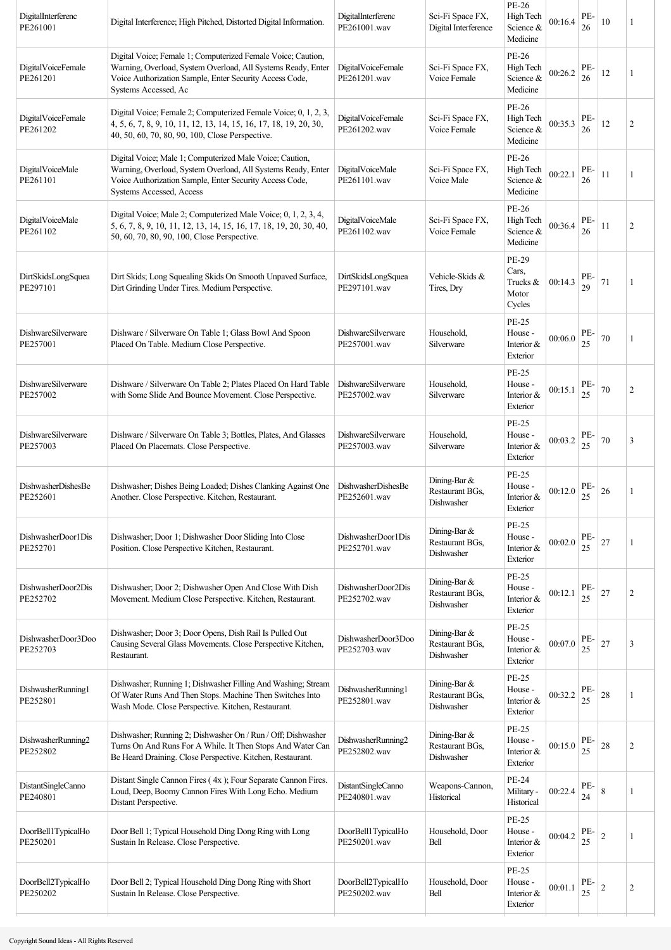| DigitalInterferenc<br>PE261001 | Digital Interference; High Pitched, Distorted Digital Information.                                                                                                                                              | DigitalInterferenc<br>PE261001.wav | Sci-Fi Space FX,<br>Digital Interference        | PE-26<br>High Tech<br>Science &<br>Medicine       | 00:16.4 | PE-<br>26 | 10             | 1              |
|--------------------------------|-----------------------------------------------------------------------------------------------------------------------------------------------------------------------------------------------------------------|------------------------------------|-------------------------------------------------|---------------------------------------------------|---------|-----------|----------------|----------------|
| DigitalVoiceFemale<br>PE261201 | Digital Voice; Female 1; Computerized Female Voice; Caution,<br>Warning, Overload, System Overload, All Systems Ready, Enter<br>Voice Authorization Sample, Enter Security Access Code,<br>Systems Accessed, Ac | DigitalVoiceFemale<br>PE261201.wav | Sci-Fi Space FX,<br>Voice Female                | PE-26<br>High Tech<br>Science &<br>Medicine       | 00:26.2 | PE-<br>26 | 12             | 1              |
| DigitalVoiceFemale<br>PE261202 | Digital Voice; Female 2; Computerized Female Voice; 0, 1, 2, 3,<br>4, 5, 6, 7, 8, 9, 10, 11, 12, 13, 14, 15, 16, 17, 18, 19, 20, 30,<br>40, 50, 60, 70, 80, 90, 100, Close Perspective.                         | DigitalVoiceFemale<br>PE261202.wav | Sci-Fi Space FX,<br>Voice Female                | PE-26<br>High Tech<br>Science &<br>Medicine       | 00:35.3 | PE-<br>26 | 12             | $\overline{2}$ |
| DigitalVoiceMale<br>PE261101   | Digital Voice; Male 1; Computerized Male Voice; Caution,<br>Warning, Overload, System Overload, All Systems Ready, Enter<br>Voice Authorization Sample, Enter Security Access Code,<br>Systems Accessed, Access | DigitalVoiceMale<br>PE261101.wav   | Sci-Fi Space FX,<br>Voice Male                  | PE-26<br>High Tech<br>Science &<br>Medicine       | 00:22.1 | PE-<br>26 | 11             | 1              |
| DigitalVoiceMale<br>PE261102   | Digital Voice; Male 2; Computerized Male Voice; 0, 1, 2, 3, 4,<br>5, 6, 7, 8, 9, 10, 11, 12, 13, 14, 15, 16, 17, 18, 19, 20, 30, 40,<br>50, 60, 70, 80, 90, 100, Close Perspective.                             | DigitalVoiceMale<br>PE261102.wav   | Sci-Fi Space FX,<br>Voice Female                | PE-26<br>High Tech<br>Science &<br>Medicine       | 00:36.4 | PE-<br>26 | 11             | 2              |
| DirtSkidsLongSquea<br>PE297101 | Dirt Skids; Long Squealing Skids On Smooth Unpaved Surface,<br>Dirt Grinding Under Tires. Medium Perspective.                                                                                                   | DirtSkidsLongSquea<br>PE297101.wav | Vehicle-Skids &<br>Tires, Dry                   | PE-29<br>Cars,<br>Trucks $\&$<br>Motor<br>Cycles  | 00:14.3 | PE-<br>29 | 71             | -1             |
| DishwareSilverware<br>PE257001 | Dishware / Silverware On Table 1; Glass Bowl And Spoon<br>Placed On Table. Medium Close Perspective.                                                                                                            | DishwareSilverware<br>PE257001.wav | Household,<br>Silverware                        | <b>PE-25</b><br>House -<br>Interior &<br>Exterior | 00:06.0 | PE-<br>25 | 70             | -1             |
| DishwareSilverware<br>PE257002 | Dishware / Silverware On Table 2; Plates Placed On Hard Table<br>with Some Slide And Bounce Movement. Close Perspective.                                                                                        | DishwareSilverware<br>PE257002.wav | Household,<br>Silverware                        | <b>PE-25</b><br>House -<br>Interior &<br>Exterior | 00:15.1 | PE-<br>25 | 70             | $\overline{2}$ |
| DishwareSilverware<br>PE257003 | Dishware / Silverware On Table 3; Bottles, Plates, And Glasses<br>Placed On Placemats. Close Perspective.                                                                                                       | DishwareSilverware<br>PE257003.wav | Household,<br>Silverware                        | <b>PE-25</b><br>House -<br>Interior &<br>Exterior | 00:03.2 | PE.<br>25 | $70\,$         | 3              |
| DishwasherDishesBe<br>PE252601 | Dishwasher; Dishes Being Loaded; Dishes Clanking Against One<br>Another. Close Perspective. Kitchen, Restaurant.                                                                                                | DishwasherDishesBe<br>PE252601.wav | Dining-Bar &<br>Restaurant BGs,<br>Dishwasher   | <b>PE-25</b><br>House -<br>Interior &<br>Exterior | 00:12.0 | PE.<br>25 | 26             | 1              |
| DishwasherDoor1Dis<br>PE252701 | Dishwasher; Door 1; Dishwasher Door Sliding Into Close<br>Position. Close Perspective Kitchen, Restaurant.                                                                                                      | DishwasherDoor1Dis<br>PE252701.wav | Dining-Bar $&$<br>Restaurant BGs,<br>Dishwasher | <b>PE-25</b><br>House -<br>Interior &<br>Exterior | 00:02.0 | PE.<br>25 | 27             | 1              |
| DishwasherDoor2Dis<br>PE252702 | Dishwasher; Door 2; Dishwasher Open And Close With Dish<br>Movement. Medium Close Perspective. Kitchen, Restaurant.                                                                                             | DishwasherDoor2Dis<br>PE252702.wav | Dining-Bar &<br>Restaurant BGs,<br>Dishwasher   | <b>PE-25</b><br>House -<br>Interior &<br>Exterior | 00:12.1 | PE-<br>25 | 27             | $\overline{2}$ |
| DishwasherDoor3Doo<br>PE252703 | Dishwasher; Door 3; Door Opens, Dish Rail Is Pulled Out<br>Causing Several Glass Movements. Close Perspective Kitchen,<br>Restaurant.                                                                           | DishwasherDoor3Doo<br>PE252703.wav | Dining-Bar &<br>Restaurant BGs.<br>Dishwasher   | <b>PE-25</b><br>House -<br>Interior &<br>Exterior | 00:07.0 | PE-<br>25 | 27             | $\overline{3}$ |
| DishwasherRunning1<br>PE252801 | Dishwasher; Running 1; Dishwasher Filling And Washing; Stream<br>Of Water Runs And Then Stops. Machine Then Switches Into<br>Wash Mode. Close Perspective. Kitchen, Restaurant.                                 | DishwasherRunning1<br>PE252801.wav | Dining-Bar &<br>Restaurant BGs,<br>Dishwasher   | <b>PE-25</b><br>House -<br>Interior &<br>Exterior | 00:32.2 | PE-<br>25 | 28             | 1              |
| DishwasherRunning2<br>PE252802 | Dishwasher; Running 2; Dishwasher On / Run / Off; Dishwasher<br>Turns On And Runs For A While. It Then Stops And Water Can<br>Be Heard Draining. Close Perspective. Kitchen, Restaurant.                        | DishwasherRunning2<br>PE252802.wav | Dining-Bar &<br>Restaurant BGs,<br>Dishwasher   | <b>PE-25</b><br>House -<br>Interior &<br>Exterior | 00:15.0 | PE-<br>25 | 28             | $\overline{2}$ |
| DistantSingleCanno<br>PE240801 | Distant Single Cannon Fires (4x); Four Separate Cannon Fires.<br>Loud, Deep, Boomy Cannon Fires With Long Echo. Medium<br>Distant Perspective.                                                                  | DistantSingleCanno<br>PE240801.wav | Weapons-Cannon,<br>Historical                   | PE-24<br>Military -<br>Historical                 | 00:22.4 | PE-<br>24 | 8              | 1              |
| DoorBell1TypicalHo<br>PE250201 | Door Bell 1; Typical Household Ding Dong Ring with Long<br>Sustain In Release. Close Perspective.                                                                                                               | DoorBell1TypicalHo<br>PE250201.wav | Household, Door<br>Bell                         | <b>PE-25</b><br>House -<br>Interior &<br>Exterior | 00:04.2 | PE.<br>25 | $\overline{c}$ | 1              |
| DoorBell2TypicalHo<br>PE250202 | Door Bell 2; Typical Household Ding Dong Ring with Short<br>Sustain In Release. Close Perspective.                                                                                                              | DoorBell2TypicalHo<br>PE250202.wav | Household, Door<br>Bell                         | <b>PE-25</b><br>House -<br>Interior &<br>Exterior | 00:01.1 | PE.<br>25 | $\overline{c}$ | $\overline{2}$ |
|                                |                                                                                                                                                                                                                 |                                    |                                                 |                                                   |         |           |                |                |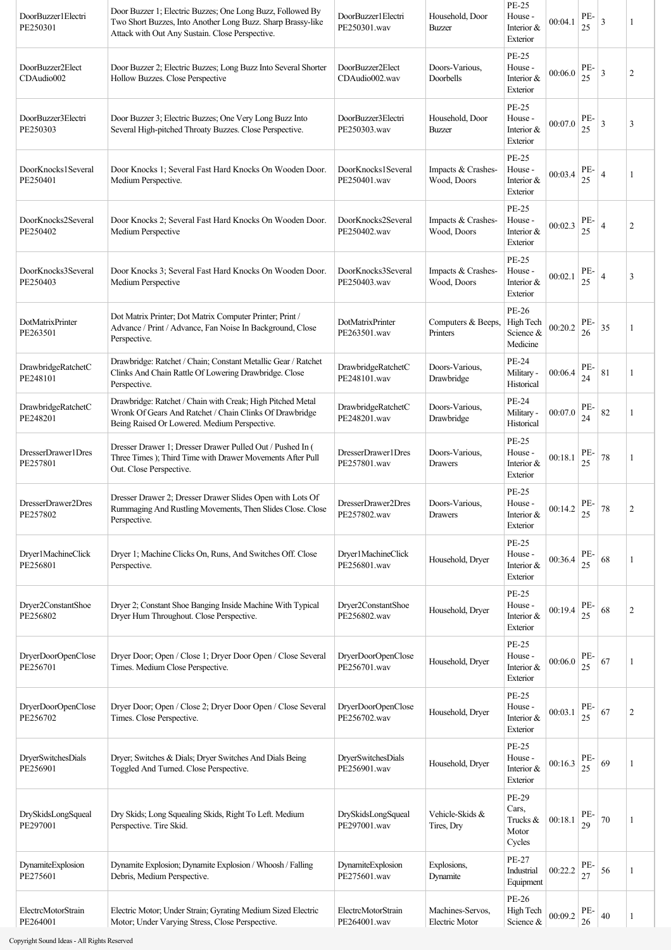| DoorBuzzer1Electri<br>PE250301 | Door Buzzer 1; Electric Buzzes; One Long Buzz, Followed By<br>Two Short Buzzes, Into Another Long Buzz. Sharp Brassy-like<br>Attack with Out Any Sustain. Close Perspective. | DoorBuzzer1Electri<br>PE250301.wav | Household, Door<br>Buzzer          | <b>PE-25</b><br>House -<br>Interior &<br>Exterior | 00:04.1 | PE-<br>25 | $\mathfrak{Z}$ | 1              |
|--------------------------------|------------------------------------------------------------------------------------------------------------------------------------------------------------------------------|------------------------------------|------------------------------------|---------------------------------------------------|---------|-----------|----------------|----------------|
| DoorBuzzer2Elect<br>CDAudio002 | Door Buzzer 2; Electric Buzzes; Long Buzz Into Several Shorter<br>Hollow Buzzes. Close Perspective                                                                           | DoorBuzzer2Elect<br>CDAudio002.wav | Doors-Various,<br>Doorbells        | <b>PE-25</b><br>House -<br>Interior &<br>Exterior | 00:06.0 | PE-<br>25 | 3              | 2              |
| DoorBuzzer3Electri<br>PE250303 | Door Buzzer 3; Electric Buzzes; One Very Long Buzz Into<br>Several High-pitched Throaty Buzzes. Close Perspective.                                                           | DoorBuzzer3Electri<br>PE250303.wav | Household, Door<br>Buzzer          | PE-25<br>House -<br>Interior &<br>Exterior        | 00:07.0 | PE-<br>25 | 3              | 3              |
| DoorKnocks1Several<br>PE250401 | Door Knocks 1; Several Fast Hard Knocks On Wooden Door.<br>Medium Perspective.                                                                                               | DoorKnocks1Several<br>PE250401.wav | Impacts & Crashes-<br>Wood, Doors  | PE-25<br>House -<br>Interior &<br>Exterior        | 00:03.4 | PE-<br>25 | $\overline{4}$ | 1              |
| DoorKnocks2Several<br>PE250402 | Door Knocks 2; Several Fast Hard Knocks On Wooden Door.<br>Medium Perspective                                                                                                | DoorKnocks2Several<br>PE250402.wav | Impacts & Crashes-<br>Wood, Doors  | PE-25<br>House -<br>Interior &<br>Exterior        | 00:02.3 | PE-<br>25 | $\overline{4}$ | 2              |
| DoorKnocks3Several<br>PE250403 | Door Knocks 3; Several Fast Hard Knocks On Wooden Door.<br>Medium Perspective                                                                                                | DoorKnocks3Several<br>PE250403.wav | Impacts & Crashes-<br>Wood, Doors  | <b>PE-25</b><br>House -<br>Interior &<br>Exterior | 00:02.1 | PE-<br>25 | 4              | 3              |
| DotMatrixPrinter<br>PE263501   | Dot Matrix Printer; Dot Matrix Computer Printer; Print /<br>Advance / Print / Advance, Fan Noise In Background, Close<br>Perspective.                                        | DotMatrixPrinter<br>PE263501.wav   | Computers & Beeps,<br>Printers     | PE-26<br>High Tech<br>Science &<br>Medicine       | 00:20.2 | PE-<br>26 | 35             | 1              |
| DrawbridgeRatchetC<br>PE248101 | Drawbridge: Ratchet / Chain; Constant Metallic Gear / Ratchet<br>Clinks And Chain Rattle Of Lowering Drawbridge. Close<br>Perspective.                                       | DrawbridgeRatchetC<br>PE248101.wav | Doors-Various,<br>Drawbridge       | PE-24<br>Military -<br>Historical                 | 00:06.4 | PE-<br>24 | 81             | 1              |
| DrawbridgeRatchetC<br>PE248201 | Drawbridge: Ratchet / Chain with Creak; High Pitched Metal<br>Wronk Of Gears And Ratchet / Chain Clinks Of Drawbridge<br>Being Raised Or Lowered. Medium Perspective.        | DrawbridgeRatchetC<br>PE248201.wav | Doors-Various,<br>Drawbridge       | PE-24<br>Military -<br>Historical                 | 00:07.0 | PE-<br>24 | 82             | 1              |
| DresserDrawer1Dres<br>PE257801 | Dresser Drawer 1; Dresser Drawer Pulled Out / Pushed In (<br>Three Times ); Third Time with Drawer Movements After Pull<br>Out. Close Perspective.                           | DresserDrawer1Dres<br>PE257801.wav | Doors-Various,<br>Drawers          | <b>PE-25</b><br>House -<br>Interior &<br>Exterior | 00:18.1 | PE-<br>25 | 78             | 1              |
| DresserDrawer2Dres<br>PE257802 | Dresser Drawer 2; Dresser Drawer Slides Open with Lots Of<br>Rummaging And Rustling Movements, Then Slides Close. Close<br>Perspective.                                      | DresserDrawer2Dres<br>PE257802.wav | Doors-Various.<br>Drawers          | PE-25<br>House -<br>Interior &<br>Exterior        | 00:14.2 | PE-<br>25 | $78\,$         | 2              |
| Dryer1MachineClick<br>PE256801 | Dryer 1; Machine Clicks On, Runs, And Switches Off. Close<br>Perspective.                                                                                                    | Dryer1MachineClick<br>PE256801.wav | Household, Dryer                   | <b>PE-25</b><br>House -<br>Interior &<br>Exterior | 00:36.4 | PE-<br>25 | 68             | 1              |
| Dryer2ConstantShoe<br>PE256802 | Dryer 2; Constant Shoe Banging Inside Machine With Typical<br>Dryer Hum Throughout. Close Perspective.                                                                       | Dryer2ConstantShoe<br>PE256802.wav | Household, Dryer                   | <b>PE-25</b><br>House -<br>Interior &<br>Exterior | 00:19.4 | PE-<br>25 | 68             | $\overline{c}$ |
| DryerDoorOpenClose<br>PE256701 | Dryer Door; Open / Close 1; Dryer Door Open / Close Several<br>Times. Medium Close Perspective.                                                                              | DryerDoorOpenClose<br>PE256701.wav | Household, Dryer                   | <b>PE-25</b><br>House -<br>Interior &<br>Exterior | 00:06.0 | PE-<br>25 | 67             | -1             |
| DryerDoorOpenClose<br>PE256702 | Dryer Door; Open / Close 2; Dryer Door Open / Close Several<br>Times. Close Perspective.                                                                                     | DryerDoorOpenClose<br>PE256702.wav | Household, Dryer                   | <b>PE-25</b><br>House -<br>Interior &<br>Exterior | 00:03.1 | PE-<br>25 | 67             | $\overline{c}$ |
| DryerSwitchesDials<br>PE256901 | Dryer; Switches & Dials; Dryer Switches And Dials Being<br>Toggled And Turned. Close Perspective.                                                                            | DryerSwitchesDials<br>PE256901.wav | Household, Dryer                   | <b>PE-25</b><br>House -<br>Interior &<br>Exterior | 00:16.3 | PE-<br>25 | 69             | 1              |
| DrySkidsLongSqueal<br>PE297001 | Dry Skids; Long Squealing Skids, Right To Left. Medium<br>Perspective. Tire Skid.                                                                                            | DrySkidsLongSqueal<br>PE297001.wav | Vehicle-Skids &<br>Tires, Dry      | PE-29<br>Cars,<br>Trucks &<br>Motor<br>Cycles     | 00:18.1 | PE-<br>29 | 70             |                |
| DynamiteExplosion<br>PE275601  | Dynamite Explosion; Dynamite Explosion / Whoosh / Falling<br>Debris, Medium Perspective.                                                                                     | DynamiteExplosion<br>PE275601.wav  | Explosions,<br>Dynamite            | PE-27<br>Industrial<br>Equipment                  | 00:22.2 | PE-<br>27 | 56             | 1              |
| ElectrcMotorStrain<br>PE264001 | Electric Motor; Under Strain; Gyrating Medium Sized Electric<br>Motor; Under Varying Stress, Close Perspective.                                                              | ElectrcMotorStrain<br>PE264001.wav | Machines-Servos,<br>Electric Motor | PE-26<br>High Tech<br>Science &                   | 00:09.2 | PE-<br>26 | 40             | 1              |

Copyright Sound Ideas - All Rights Reserved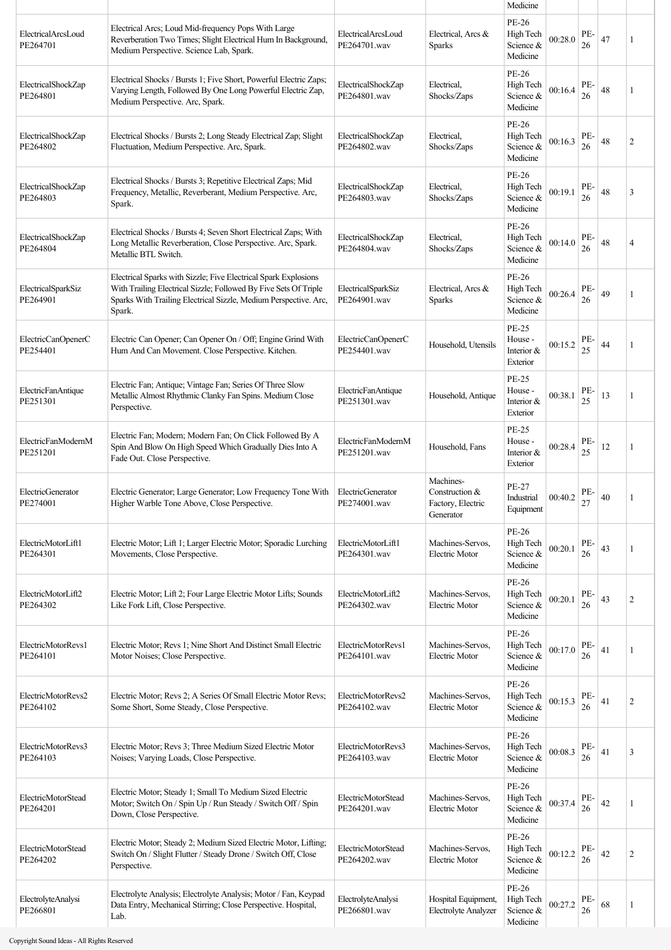|                                |                                                                                                                                                                                                                   |                                    |                                                               | Medicine                                    |         |           |    |                |
|--------------------------------|-------------------------------------------------------------------------------------------------------------------------------------------------------------------------------------------------------------------|------------------------------------|---------------------------------------------------------------|---------------------------------------------|---------|-----------|----|----------------|
| ElectricalArcsLoud<br>PE264701 | Electrical Arcs; Loud Mid-frequency Pops With Large<br>Reverberation Two Times; Slight Electrical Hum In Background,<br>Medium Perspective. Science Lab, Spark.                                                   | ElectricalArcsLoud<br>PE264701.wav | Electrical, Arcs &<br><b>Sparks</b>                           | PE-26<br>High Tech<br>Science &<br>Medicine | 00:28.0 | PE-<br>26 | 47 | 1              |
| ElectricalShockZap<br>PE264801 | Electrical Shocks / Bursts 1; Five Short, Powerful Electric Zaps;<br>Varying Length, Followed By One Long Powerful Electric Zap,<br>Medium Perspective. Arc, Spark.                                               | ElectricalShockZap<br>PE264801.wav | Electrical.<br>Shocks/Zaps                                    | PE-26<br>High Tech<br>Science &<br>Medicine | 00:16.4 | PE-<br>26 | 48 | 1              |
| ElectricalShockZap<br>PE264802 | Electrical Shocks / Bursts 2; Long Steady Electrical Zap; Slight<br>Fluctuation, Medium Perspective. Arc, Spark.                                                                                                  | ElectricalShockZap<br>PE264802.wav | Electrical.<br>Shocks/Zaps                                    | PE-26<br>High Tech<br>Science &<br>Medicine | 00:16.3 | PE-<br>26 | 48 | $\overline{2}$ |
| ElectricalShockZap<br>PE264803 | Electrical Shocks / Bursts 3; Repetitive Electrical Zaps; Mid<br>Frequency, Metallic, Reverberant, Medium Perspective. Arc,<br>Spark.                                                                             | ElectricalShockZap<br>PE264803.wav | Electrical.<br>Shocks/Zaps                                    | PE-26<br>High Tech<br>Science &<br>Medicine | 00:19.1 | PE-<br>26 | 48 | 3              |
| ElectricalShockZap<br>PE264804 | Electrical Shocks / Bursts 4; Seven Short Electrical Zaps; With<br>Long Metallic Reverberation, Close Perspective. Arc, Spark.<br>Metallic BTL Switch.                                                            | ElectricalShockZap<br>PE264804.wav | Electrical.<br>Shocks/Zaps                                    | PE-26<br>High Tech<br>Science &<br>Medicine | 00:14.0 | PE-<br>26 | 48 | 4              |
| ElectricalSparkSiz<br>PE264901 | Electrical Sparks with Sizzle; Five Electrical Spark Explosions<br>With Trailing Electrical Sizzle; Followed By Five Sets Of Triple<br>Sparks With Trailing Electrical Sizzle, Medium Perspective. Arc,<br>Spark. | ElectricalSparkSiz<br>PE264901.wav | Electrical, Arcs &<br>Sparks                                  | PE-26<br>High Tech<br>Science &<br>Medicine | 00:26.4 | PE-<br>26 | 49 | 1              |
| ElectricCanOpenerC<br>PE254401 | Electric Can Opener; Can Opener On / Off; Engine Grind With<br>Hum And Can Movement. Close Perspective. Kitchen.                                                                                                  | ElectricCanOpenerC<br>PE254401.wav | Household, Utensils                                           | PE-25<br>House -<br>Interior &<br>Exterior  | 00:15.2 | PE-<br>25 | 44 | 1              |
| ElectricFanAntique<br>PE251301 | Electric Fan; Antique; Vintage Fan; Series Of Three Slow<br>Metallic Almost Rhythmic Clanky Fan Spins. Medium Close<br>Perspective.                                                                               | ElectricFanAntique<br>PE251301.wav | Household, Antique                                            | PE-25<br>House -<br>Interior &<br>Exterior  | 00:38.1 | PE-<br>25 | 13 | 1              |
| ElectricFanModernM<br>PE251201 | Electric Fan; Modern; Modern Fan; On Click Followed By A<br>Spin And Blow On High Speed Which Gradually Dies Into A<br>Fade Out. Close Perspective.                                                               | ElectricFanModernM<br>PE251201.wav | Household, Fans                                               | PE-25<br>House -<br>Interior &<br>Exterior  | 00:28.4 | PE-<br>25 | 12 | 1              |
| ElectricGenerator<br>PE274001  | Electric Generator; Large Generator; Low Frequency Tone With<br>Higher Warble Tone Above, Close Perspective.                                                                                                      | ElectricGenerator<br>PE274001.wav  | Machines-<br>Construction &<br>Factory, Electric<br>Generator | PE-27<br>Industrial<br>Equipment            | 00:40.2 | PE-<br>27 | 40 | 1              |
| ElectricMotorLift1<br>PE264301 | Electric Motor; Lift 1; Larger Electric Motor; Sporadic Lurching<br>Movements, Close Perspective.                                                                                                                 | ElectricMotorLift1<br>PE264301.wav | Machines-Servos,<br><b>Electric Motor</b>                     | PE-26<br>High Tech<br>Science &<br>Medicine | 00:20.1 | PE-<br>26 | 43 | 1              |
| ElectricMotorLift2<br>PE264302 | Electric Motor; Lift 2; Four Large Electric Motor Lifts; Sounds<br>Like Fork Lift, Close Perspective.                                                                                                             | ElectricMotorLift2<br>PE264302.wav | Machines-Servos,<br>Electric Motor                            | PE-26<br>High Tech<br>Science &<br>Medicine | 00:20.1 | PE-<br>26 | 43 | $\overline{2}$ |
| ElectricMotorRevs1<br>PE264101 | Electric Motor; Revs 1; Nine Short And Distinct Small Electric<br>Motor Noises; Close Perspective.                                                                                                                | ElectricMotorRevs1<br>PE264101.wav | Machines-Servos,<br>Electric Motor                            | PE-26<br>High Tech<br>Science &<br>Medicine | 00:17.0 | PE-<br>26 | 41 | 1              |
| ElectricMotorRevs2<br>PE264102 | Electric Motor; Revs 2; A Series Of Small Electric Motor Revs;<br>Some Short, Some Steady, Close Perspective.                                                                                                     | ElectricMotorRevs2<br>PE264102.wav | Machines-Servos,<br><b>Electric Motor</b>                     | PE-26<br>High Tech<br>Science &<br>Medicine | 00:15.3 | PE-<br>26 | 41 | $\overline{2}$ |
| ElectricMotorRevs3<br>PE264103 | Electric Motor; Revs 3; Three Medium Sized Electric Motor<br>Noises; Varying Loads, Close Perspective.                                                                                                            | ElectricMotorRevs3<br>PE264103.wav | Machines-Servos,<br><b>Electric Motor</b>                     | PE-26<br>High Tech<br>Science &<br>Medicine | 00:08.3 | PE-<br>26 | 41 | 3              |
| ElectricMotorStead<br>PE264201 | Electric Motor; Steady 1; Small To Medium Sized Electric<br>Motor; Switch On / Spin Up / Run Steady / Switch Off / Spin<br>Down, Close Perspective.                                                               | ElectricMotorStead<br>PE264201.wav | Machines-Servos,<br><b>Electric Motor</b>                     | PE-26<br>High Tech<br>Science &<br>Medicine | 00:37.4 | PE-<br>26 | 42 |                |
| ElectricMotorStead<br>PE264202 | Electric Motor; Steady 2; Medium Sized Electric Motor, Lifting;<br>Switch On / Slight Flutter / Steady Drone / Switch Off, Close<br>Perspective.                                                                  | ElectricMotorStead<br>PE264202.wav | Machines-Servos,<br>Electric Motor                            | PE-26<br>High Tech<br>Science &<br>Medicine | 00:12.2 | PE-<br>26 | 42 | $\overline{2}$ |
| ElectrolyteAnalysi<br>PE266801 | Electrolyte Analysis; Electrolyte Analysis; Motor / Fan, Keypad<br>Data Entry, Mechanical Stirring; Close Perspective. Hospital,<br>Lab.                                                                          | ElectrolyteAnalysi<br>PE266801.wav | Hospital Equipment,<br>Electrolyte Analyzer                   | PE-26<br>High Tech<br>Science &<br>Medicine | 00:27.2 | PE-<br>26 | 68 |                |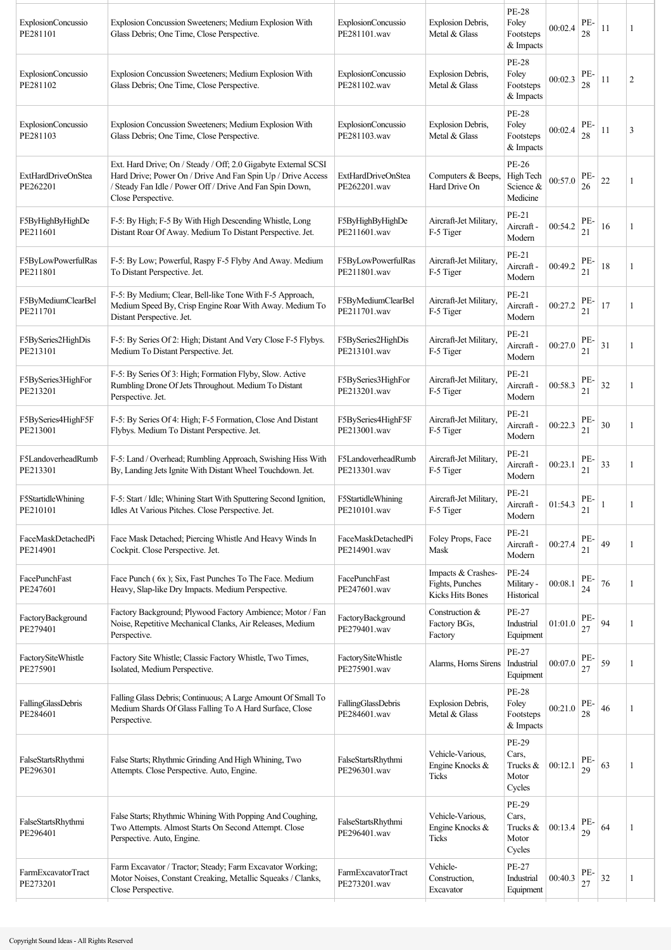| ExplosionConcussio<br>PE281101        | Explosion Concussion Sweeteners; Medium Explosion With<br>Glass Debris; One Time, Close Perspective.                                                                                                            | ExplosionConcussio<br>PE281101.wav | Explosion Debris,<br>Metal & Glass                        | <b>PE-28</b><br>Foley<br>Footsteps<br>& Impacts | 00:02.4 | PE-<br>28 | 11 | 1              |
|---------------------------------------|-----------------------------------------------------------------------------------------------------------------------------------------------------------------------------------------------------------------|------------------------------------|-----------------------------------------------------------|-------------------------------------------------|---------|-----------|----|----------------|
| ExplosionConcussio<br>PE281102        | Explosion Concussion Sweeteners; Medium Explosion With<br>Glass Debris; One Time, Close Perspective.                                                                                                            | ExplosionConcussio<br>PE281102.wav | Explosion Debris,<br>Metal & Glass                        | <b>PE-28</b><br>Foley<br>Footsteps<br>& Impacts | 00:02.3 | PE-<br>28 | 11 | $\overline{c}$ |
| ExplosionConcussio<br>PE281103        | Explosion Concussion Sweeteners; Medium Explosion With<br>Glass Debris; One Time, Close Perspective.                                                                                                            | ExplosionConcussio<br>PE281103.wav | Explosion Debris,<br>Metal & Glass                        | <b>PE-28</b><br>Foley<br>Footsteps<br>& Impacts | 00:02.4 | PE-<br>28 | 11 | 3              |
| <b>ExtHardDriveOnStea</b><br>PE262201 | Ext. Hard Drive; On / Steady / Off; 2.0 Gigabyte External SCSI<br>Hard Drive; Power On / Drive And Fan Spin Up / Drive Access<br>/ Steady Fan Idle / Power Off / Drive And Fan Spin Down,<br>Close Perspective. | ExtHardDriveOnStea<br>PE262201.wav | Computers & Beeps,<br>Hard Drive On                       | PE-26<br>High Tech<br>Science &<br>Medicine     | 00:57.0 | PE-<br>26 | 22 | 1              |
| F5ByHighByHighDe<br>PE211601          | F-5: By High; F-5 By With High Descending Whistle, Long<br>Distant Roar Of Away. Medium To Distant Perspective. Jet.                                                                                            | F5ByHighByHighDe<br>PE211601.wav   | Aircraft-Jet Military,<br>F-5 Tiger                       | PE-21<br>Aircraft -<br>Modern                   | 00:54.2 | PE-<br>21 | 16 | 1              |
| F5ByLowPowerfulRas<br>PE211801        | F-5: By Low; Powerful, Raspy F-5 Flyby And Away. Medium<br>To Distant Perspective. Jet.                                                                                                                         | F5ByLowPowerfulRas<br>PE211801.wav | Aircraft-Jet Military,<br>F-5 Tiger                       | PE-21<br>Aircraft -<br>Modern                   | 00:49.2 | PE-<br>21 | 18 | -1             |
| F5ByMediumClearBel<br>PE211701        | F-5: By Medium; Clear, Bell-like Tone With F-5 Approach,<br>Medium Speed By, Crisp Engine Roar With Away. Medium To<br>Distant Perspective. Jet.                                                                | F5ByMediumClearBel<br>PE211701.wav | Aircraft-Jet Military,<br>F-5 Tiger                       | PE-21<br>Aircraft -<br>Modern                   | 00:27.2 | PE-<br>21 | 17 | 1              |
| F5BySeries2HighDis<br>PE213101        | F-5: By Series Of 2: High; Distant And Very Close F-5 Flybys.<br>Medium To Distant Perspective. Jet.                                                                                                            | F5BySeries2HighDis<br>PE213101.wav | Aircraft-Jet Military.<br>F-5 Tiger                       | PE-21<br>Aircraft -<br>Modern                   | 00:27.0 | PE-<br>21 | 31 | 1              |
| F5BySeries3HighFor<br>PE213201        | F-5: By Series Of 3: High; Formation Flyby, Slow. Active<br>Rumbling Drone Of Jets Throughout. Medium To Distant<br>Perspective. Jet.                                                                           | F5BySeries3HighFor<br>PE213201.wav | Aircraft-Jet Military,<br>F-5 Tiger                       | PE-21<br>Aircraft -<br>Modern                   | 00:58.3 | PE-<br>21 | 32 | 1              |
| F5BySeries4HighF5F<br>PE213001        | F-5: By Series Of 4: High; F-5 Formation, Close And Distant<br>Flybys. Medium To Distant Perspective. Jet.                                                                                                      | F5BySeries4HighF5F<br>PE213001.wav | Aircraft-Jet Military,<br>F-5 Tiger                       | PE-21<br>Aircraft -<br>Modern                   | 00:22.3 | PE-<br>21 | 30 | 1              |
| F5LandoverheadRumb<br>PE213301        | F-5: Land / Overhead; Rumbling Approach, Swishing Hiss With<br>By, Landing Jets Ignite With Distant Wheel Touchdown. Jet.                                                                                       | F5LandoverheadRumb<br>PE213301.wav | Aircraft-Jet Military,<br>F-5 Tiger                       | PE-21<br>Aircraft -<br>Modern                   | 00:23.1 | PE-<br>21 | 33 |                |
| F5StartidleWhining<br>PE210101        | F-5: Start / Idle; Whining Start With Sputtering Second Ignition,<br>Idles At Various Pitches. Close Perspective. Jet.                                                                                          | F5StartidleWhining<br>PE210101.wav | Aircraft-Jet Military,<br>F-5 Tiger                       | PE-21<br>Aircraft -<br>Modern                   | 01:54.3 | PE-<br>21 |    |                |
| FaceMaskDetachedPi<br>PE214901        | Face Mask Detached; Piercing Whistle And Heavy Winds In<br>Cockpit. Close Perspective. Jet.                                                                                                                     | FaceMaskDetachedPi<br>PE214901.wav | Foley Props, Face<br>Mask                                 | PE-21<br>Aircraft -<br>Modern                   | 00:27.4 | PE-<br>21 | 49 | 1              |
| FacePunchFast<br>PE247601             | Face Punch (6x); Six, Fast Punches To The Face. Medium<br>Heavy, Slap-like Dry Impacts. Medium Perspective.                                                                                                     | FacePunchFast<br>PE247601.wav      | Impacts & Crashes-<br>Fights, Punches<br>Kicks Hits Bones | PE-24<br>Military -<br>Historical               | 00:08.1 | PE-<br>24 | 76 | 1              |
| FactoryBackground<br>PE279401         | Factory Background; Plywood Factory Ambience; Motor / Fan<br>Noise, Repetitive Mechanical Clanks, Air Releases, Medium<br>Perspective.                                                                          | FactoryBackground<br>PE279401.wav  | Construction &<br>Factory BGs,<br>Factory                 | PE-27<br>Industrial<br>Equipment                | 01:01.0 | PE-<br>27 | 94 |                |
| FactorySiteWhistle<br>PE275901        | Factory Site Whistle; Classic Factory Whistle, Two Times,<br>Isolated, Medium Perspective.                                                                                                                      | FactorySiteWhistle<br>PE275901.wav | Alarms, Horns Sirens                                      | PE-27<br>Industrial<br>Equipment                | 00:07.0 | PE-<br>27 | 59 | 1              |
| FallingGlassDebris<br>PE284601        | Falling Glass Debris; Continuous; A Large Amount Of Small To<br>Medium Shards Of Glass Falling To A Hard Surface, Close<br>Perspective.                                                                         | FallingGlassDebris<br>PE284601.wav | Explosion Debris,<br>Metal & Glass                        | <b>PE-28</b><br>Foley<br>Footsteps<br>& Impacts | 00:21.0 | PE-<br>28 | 46 | 1              |
| FalseStartsRhythmi<br>PE296301        | False Starts; Rhythmic Grinding And High Whining, Two<br>Attempts. Close Perspective. Auto, Engine.                                                                                                             | FalseStartsRhythmi<br>PE296301.wav | Vehicle-Various.<br>Engine Knocks &<br>Ticks              | PE-29<br>Cars,<br>Trucks &<br>Motor<br>Cycles   | 00:12.1 | PE-<br>29 | 63 | 1              |
| FalseStartsRhythmi<br>PE296401        | False Starts; Rhythmic Whining With Popping And Coughing,<br>Two Attempts. Almost Starts On Second Attempt. Close<br>Perspective. Auto, Engine.                                                                 | FalseStartsRhythmi<br>PE296401.wav | Vehicle-Various,<br>Engine Knocks &<br>Ticks              | PE-29<br>Cars,<br>Trucks &<br>Motor<br>Cycles   | 00:13.4 | PE-<br>29 | 64 | -1             |
| FarmExcavatorTract<br>PE273201        | Farm Excavator / Tractor; Steady; Farm Excavator Working;<br>Motor Noises, Constant Creaking, Metallic Squeaks / Clanks,<br>Close Perspective.                                                                  | FarmExcavatorTract<br>PE273201.wav | Vehicle-<br>Construction,<br>Excavator                    | PE-27<br>Industrial<br>Equipment                | 00:40.3 | PE-<br>27 | 32 | 1              |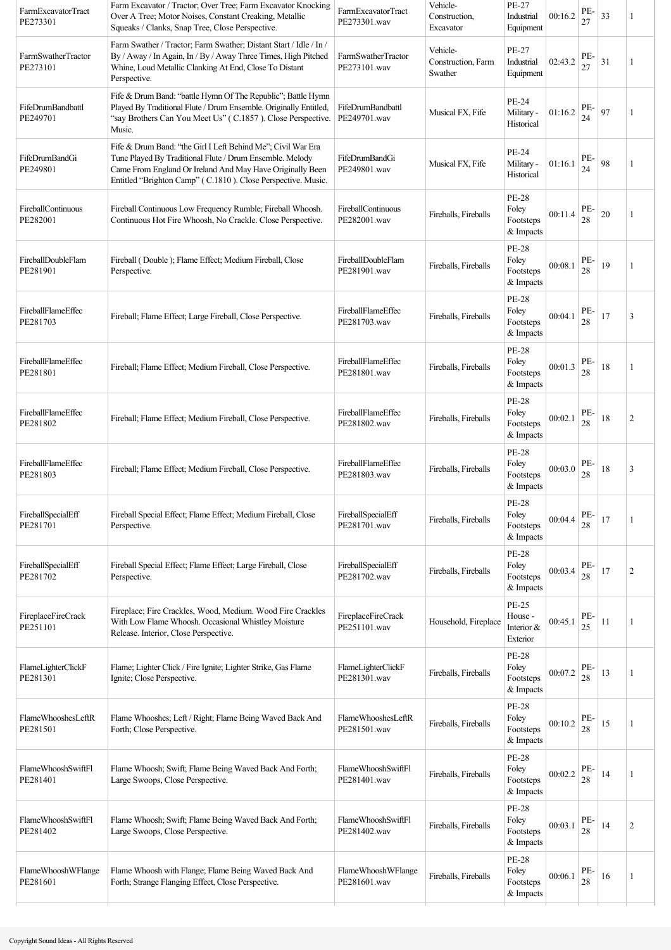| FarmExcavatorTract<br>PE273301 | Farm Excavator / Tractor; Over Tree; Farm Excavator Knocking<br>Over A Tree; Motor Noises, Constant Creaking, Metallic<br>Squeaks / Clanks, Snap Tree, Close Perspective.                                                                             | FarmExcavatorTract<br>PE273301.wav | Vehicle-<br>Construction,<br>Excavator    | PE-27<br>Industrial<br>Equipment                  | 00:16.2 | PE-<br>27     | 33     | 1              |
|--------------------------------|-------------------------------------------------------------------------------------------------------------------------------------------------------------------------------------------------------------------------------------------------------|------------------------------------|-------------------------------------------|---------------------------------------------------|---------|---------------|--------|----------------|
| FarmSwatherTractor<br>PE273101 | Farm Swather / Tractor; Farm Swather; Distant Start / Idle / In /<br>By / Away / In Again, In / By / Away Three Times, High Pitched<br>Whine, Loud Metallic Clanking At End, Close To Distant<br>Perspective.                                         | FarmSwatherTractor<br>PE273101.wav | Vehicle-<br>Construction, Farm<br>Swather | PE-27<br>Industrial<br>Equipment                  | 02:43.2 | PE-<br>27     | 31     | 1              |
| FifeDrumBandbattl<br>PE249701  | Fife & Drum Band: "battle Hymn Of The Republic"; Battle Hymn<br>Played By Traditional Flute / Drum Ensemble. Originally Entitled,<br>"say Brothers Can You Meet Us" (C.1857). Close Perspective.<br>Music.                                            | FifeDrumBandbattl<br>PE249701.wav  | Musical FX, Fife                          | <b>PE-24</b><br>Military -<br>Historical          | 01:16.2 | PE-<br>24     | 97     | 1              |
| FifeDrumBandGi<br>PE249801     | Fife & Drum Band: "the Girl I Left Behind Me"; Civil War Era<br>Tune Played By Traditional Flute / Drum Ensemble. Melody<br>Came From England Or Ireland And May Have Originally Been<br>Entitled "Brighton Camp" (C.1810). Close Perspective. Music. | FifeDrumBandGi<br>PE249801.wav     | Musical FX, Fife                          | <b>PE-24</b><br>Military -<br>Historical          | 01:16.1 | PE-<br>24     | 98     | 1              |
| FireballContinuous<br>PE282001 | Fireball Continuous Low Frequency Rumble; Fireball Whoosh.<br>Continuous Hot Fire Whoosh, No Crackle. Close Perspective.                                                                                                                              | FireballContinuous<br>PE282001.wav | Fireballs, Fireballs                      | <b>PE-28</b><br>Foley<br>Footsteps<br>& Impacts   | 00:11.4 | PE-<br>28     | $20\,$ | 1              |
| FireballDoubleFlam<br>PE281901 | Fireball (Double); Flame Effect; Medium Fireball, Close<br>Perspective.                                                                                                                                                                               | FireballDoubleFlam<br>PE281901.wav | Fireballs, Fireballs                      | <b>PE-28</b><br>Foley<br>Footsteps<br>& Impacts   | 00:08.1 | PE-<br>28     | 19     | 1              |
| FireballFlameEffec<br>PE281703 | Fireball; Flame Effect; Large Fireball, Close Perspective.                                                                                                                                                                                            | FireballFlameEffec<br>PE281703.wav | Fireballs, Fireballs                      | <b>PE-28</b><br>Foley<br>Footsteps<br>& Impacts   | 00:04.1 | PE-<br>28     | 17     | 3              |
| FireballFlameEffec<br>PE281801 | Fireball; Flame Effect; Medium Fireball, Close Perspective.                                                                                                                                                                                           | FireballFlameEffec<br>PE281801.wav | Fireballs, Fireballs                      | <b>PE-28</b><br>Foley<br>Footsteps<br>& Impacts   | 00:01.3 | PE-<br>28     | 18     | 1              |
| FireballFlameEffec<br>PE281802 | Fireball; Flame Effect; Medium Fireball, Close Perspective.                                                                                                                                                                                           | FireballFlameEffec<br>PE281802.wav | Fireballs, Fireballs                      | <b>PE-28</b><br>Foley<br>Footsteps<br>& Impacts   | 00:02.1 | PE-<br>28     | 18     | 2              |
| FireballFlameEffec<br>PE281803 | Fireball; Flame Effect; Medium Fireball, Close Perspective.                                                                                                                                                                                           | FireballFlameEffec<br>PE281803.wav | Fireballs, Fireballs                      | <b>PE-28</b><br>Foley<br>Footsteps<br>& Impacts   | 00:03.0 | PE-<br>28     | 18     | 3              |
| FireballSpecialEff<br>PE281701 | Fireball Special Effect; Flame Effect; Medium Fireball, Close<br>Perspective.                                                                                                                                                                         | FireballSpecialEff<br>PE281701.wav | Fireballs, Fireballs                      | PE-28<br>Foley<br>Footsteps<br>& Impacts          | 00:04.4 | PE-<br>28     | 17     | 1              |
| FireballSpecialEff<br>PE281702 | Fireball Special Effect; Flame Effect; Large Fireball, Close<br>Perspective.                                                                                                                                                                          | FireballSpecialEff<br>PE281702.wav | Fireballs, Fireballs                      | <b>PE-28</b><br>Foley<br>Footsteps<br>& Impacts   | 00:03.4 | PE-<br>28     | 17     | $\overline{c}$ |
| FireplaceFireCrack<br>PE251101 | Fireplace; Fire Crackles, Wood, Medium. Wood Fire Crackles<br>With Low Flame Whoosh. Occasional Whistley Moisture<br>Release. Interior, Close Perspective.                                                                                            | FireplaceFireCrack<br>PE251101.wav | Household, Fireplace                      | <b>PE-25</b><br>House -<br>Interior &<br>Exterior | 00:45.1 | PE-<br>25     | 11     | 1              |
| FlameLighterClickF<br>PE281301 | Flame; Lighter Click / Fire Ignite; Lighter Strike, Gas Flame<br>Ignite; Close Perspective.                                                                                                                                                           | FlameLighterClickF<br>PE281301.wav | Fireballs, Fireballs                      | <b>PE-28</b><br>Foley<br>Footsteps<br>& Impacts   | 00:07.2 | PE-<br>28     | 13     | 1              |
| FlameWhooshesLeftR<br>PE281501 | Flame Whooshes; Left / Right; Flame Being Waved Back And<br>Forth; Close Perspective.                                                                                                                                                                 | FlameWhooshesLeftR<br>PE281501.wav | Fireballs, Fireballs                      | <b>PE-28</b><br>Foley<br>Footsteps<br>& Impacts   | 00:10.2 | PE-<br>28     | 15     | 1              |
| FlameWhooshSwiftFl<br>PE281401 | Flame Whoosh; Swift; Flame Being Waved Back And Forth;<br>Large Swoops, Close Perspective.                                                                                                                                                            | FlameWhooshSwiftFl<br>PE281401.wav | Fireballs, Fireballs                      | <b>PE-28</b><br>Foley<br>Footsteps<br>& Impacts   | 00:02.2 | PE-<br>28     | 14     | 1              |
| FlameWhooshSwiftFl<br>PE281402 | Flame Whoosh; Swift; Flame Being Waved Back And Forth;<br>Large Swoops, Close Perspective.                                                                                                                                                            | FlameWhooshSwiftFl<br>PE281402.wav | Fireballs, Fireballs                      | <b>PE-28</b><br>Foley<br>Footsteps<br>& Impacts   | 00:03.1 | PE-<br>28     | 14     | $\overline{c}$ |
| FlameWhooshWFlange<br>PE281601 | Flame Whoosh with Flange; Flame Being Waved Back And<br>Forth; Strange Flanging Effect, Close Perspective.                                                                                                                                            | FlameWhooshWFlange<br>PE281601.wav | Fireballs, Fireballs                      | <b>PE-28</b><br>Foley<br>Footsteps<br>& Impacts   | 00:06.1 | PE-<br>$28\,$ | 16     | 1              |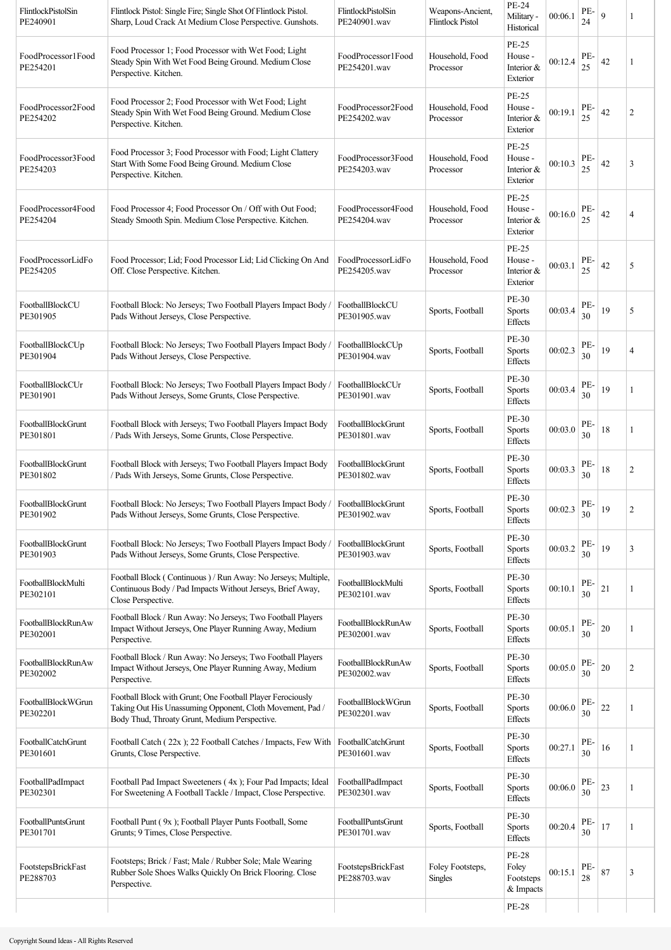| FlintlockPistolSin<br>PE240901 | Flintlock Pistol: Single Fire; Single Shot Of Flintlock Pistol.<br>Sharp, Loud Crack At Medium Close Perspective. Gunshots.                                              | FlintlockPistolSin<br>PE240901.wav | Weapons-Ancient,<br><b>Flintlock Pistol</b> | PE-24<br>Military -<br>Historical                                                                                                           | 00:06.1 | PE-<br>24 | 9  | 1              |
|--------------------------------|--------------------------------------------------------------------------------------------------------------------------------------------------------------------------|------------------------------------|---------------------------------------------|---------------------------------------------------------------------------------------------------------------------------------------------|---------|-----------|----|----------------|
| FoodProcessor1Food<br>PE254201 | Food Processor 1; Food Processor with Wet Food; Light<br>Steady Spin With Wet Food Being Ground. Medium Close<br>Perspective. Kitchen.                                   | FoodProcessor1Food<br>PE254201.wav | Household, Food<br>Processor                | PE-25<br>House -<br>Interior &<br>Exterior                                                                                                  | 00:12.4 | PE-<br>25 | 42 | 1              |
| FoodProcessor2Food<br>PE254202 | Food Processor 2; Food Processor with Wet Food; Light<br>Steady Spin With Wet Food Being Ground. Medium Close<br>Perspective. Kitchen.                                   | FoodProcessor2Food<br>PE254202.wav | Household, Food<br>Processor                | PE-25<br>House -<br>Interior &<br>Exterior                                                                                                  | 00:19.1 | PE-<br>25 | 42 | $\overline{2}$ |
| FoodProcessor3Food<br>PE254203 | Food Processor 3; Food Processor with Food; Light Clattery<br>Start With Some Food Being Ground. Medium Close<br>Perspective. Kitchen.                                   | FoodProcessor3Food<br>PE254203.wav | Household, Food<br>Processor                | PE-25<br>House -<br>Interior &<br>Exterior                                                                                                  | 00:10.3 | PE-<br>25 | 42 | 3              |
| FoodProcessor4Food<br>PE254204 | Food Processor 4; Food Processor On / Off with Out Food;<br>Steady Smooth Spin. Medium Close Perspective. Kitchen.                                                       | FoodProcessor4Food<br>PE254204.wav | Household, Food<br>Processor                | <b>PE-25</b><br>House -<br>Interior $&$<br>Exterior                                                                                         | 00:16.0 | PE-<br>25 | 42 | 4              |
| FoodProcessorLidFo<br>PE254205 | Food Processor; Lid; Food Processor Lid; Lid Clicking On And<br>Off. Close Perspective. Kitchen.                                                                         | FoodProcessorLidFo<br>PE254205.wav | Household, Food<br>Processor                | PE-25<br>House -<br>Interior &<br>Exterior                                                                                                  | 00:03.1 | PE-<br>25 | 42 | 5              |
| FootballBlockCU<br>PE301905    | Football Block: No Jerseys; Two Football Players Impact Body /<br>Pads Without Jerseys, Close Perspective.                                                               | FootballBlockCU<br>PE301905.wav    | Sports, Football                            | PE-30<br><b>Sports</b><br><b>Effects</b>                                                                                                    | 00:03.4 | PE-<br>30 | 19 | 5              |
| FootballBlockCUp<br>PE301904   | Football Block: No Jerseys; Two Football Players Impact Body /<br>Pads Without Jerseys, Close Perspective.                                                               | FootballBlockCUp<br>PE301904.wav   | Sports, Football                            | PE-30<br><b>Sports</b><br>Effects                                                                                                           | 00:02.3 | PE-<br>30 | 19 | $\overline{4}$ |
| FootballBlockCUr<br>PE301901   | Football Block: No Jerseys; Two Football Players Impact Body /<br>Pads Without Jerseys, Some Grunts, Close Perspective.                                                  | FootballBlockCUr<br>PE301901.wav   | Sports, Football                            | PE-30<br><b>Sports</b><br>Effects                                                                                                           | 00:03.4 | PE-<br>30 | 19 | 1              |
| FootballBlockGrunt<br>PE301801 | Football Block with Jerseys; Two Football Players Impact Body<br>/ Pads With Jerseys, Some Grunts, Close Perspective.                                                    | FootballBlockGrunt<br>PE301801.wav | Sports, Football                            | PE-30<br><b>Sports</b><br><b>Effects</b>                                                                                                    | 00:03.0 | PE-<br>30 | 18 | 1              |
| FootballBlockGrunt<br>PE301802 | Football Block with Jerseys; Two Football Players Impact Body<br>/ Pads With Jerseys, Some Grunts, Close Perspective.                                                    | FootballBlockGrunt<br>PE301802.wav | Sports, Football                            | PE-30<br><b>Sports</b><br><b>Effects</b>                                                                                                    | 00:03.3 | PE-<br>30 | 18 | 2              |
| FootballBlockGrunt<br>PE301902 | Football Block: No Jerseys; Two Football Players Impact Body / FootballBlockGrunt<br>Pads Without Jerseys, Some Grunts, Close Perspective.                               | PE301902.wav                       | Sports, Football                            | PE-30<br>$\operatorname*{Sports}% \left( X_{0},\mathbf{0}\right) \equiv\operatorname*{Sports}% \left( X_{0},\mathbf{0}\right) ,$<br>Effects | 00:02.3 | PE-<br>30 | 19 | 2              |
| FootballBlockGrunt<br>PE301903 | Football Block: No Jerseys; Two Football Players Impact Body /<br>Pads Without Jerseys, Some Grunts, Close Perspective.                                                  | FootballBlockGrunt<br>PE301903.wav | Sports, Football                            | PE-30<br><b>Sports</b><br><b>Effects</b>                                                                                                    | 00:03.2 | PE-<br>30 | 19 | 3              |
| FootballBlockMulti<br>PE302101 | Football Block (Continuous) / Run Away: No Jerseys; Multiple,<br>Continuous Body / Pad Impacts Without Jerseys, Brief Away,<br>Close Perspective.                        | FootballBlockMulti<br>PE302101.wav | Sports, Football                            | PE-30<br><b>Sports</b><br>Effects                                                                                                           | 00:10.1 | PE-<br>30 | 21 | 1              |
| FootballBlockRunAw<br>PE302001 | Football Block / Run Away: No Jerseys; Two Football Players<br>Impact Without Jerseys, One Player Running Away, Medium<br>Perspective.                                   | FootballBlockRunAw<br>PE302001.wav | Sports, Football                            | PE-30<br><b>Sports</b><br>Effects                                                                                                           | 00:05.1 | PE-<br>30 | 20 |                |
| FootballBlockRunAw<br>PE302002 | Football Block / Run Away: No Jerseys; Two Football Players<br>Impact Without Jerseys, One Player Running Away, Medium<br>Perspective.                                   | FootballBlockRunAw<br>PE302002.wav | Sports, Football                            | PE-30<br><b>Sports</b><br><b>Effects</b>                                                                                                    | 00:05.0 | PE-<br>30 | 20 | $\overline{c}$ |
| FootballBlockWGrun<br>PE302201 | Football Block with Grunt; One Football Player Ferociously<br>Taking Out His Unassuming Opponent, Cloth Movement, Pad /<br>Body Thud, Throaty Grunt, Medium Perspective. | FootballBlockWGrun<br>PE302201.wav | Sports, Football                            | PE-30<br><b>Sports</b><br>Effects                                                                                                           | 00:06.0 | PE-<br>30 | 22 | 1              |
| FootballCatchGrunt<br>PE301601 | Football Catch (22x); 22 Football Catches / Impacts, Few With<br>Grunts, Close Perspective.                                                                              | FootballCatchGrunt<br>PE301601.wav | Sports, Football                            | PE-30<br><b>Sports</b><br>Effects                                                                                                           | 00:27.1 | PE-<br>30 | 16 | 1              |
| FootballPadImpact<br>PE302301  | Football Pad Impact Sweeteners (4x); Four Pad Impacts; Ideal<br>For Sweetening A Football Tackle / Impact, Close Perspective.                                            | FootballPadImpact<br>PE302301.wav  | Sports, Football                            | PE-30<br><b>Sports</b><br><b>Effects</b>                                                                                                    | 00:06.0 | PE-<br>30 | 23 | 1              |
| FootballPuntsGrunt<br>PE301701 | Football Punt (9x); Football Player Punts Football, Some<br>Grunts; 9 Times, Close Perspective.                                                                          | FootballPuntsGrunt<br>PE301701.wav | Sports, Football                            | PE-30<br><b>Sports</b><br><b>Effects</b>                                                                                                    | 00:20.4 | PE-<br>30 | 17 |                |
| FootstepsBrickFast<br>PE288703 | Footsteps; Brick / Fast; Male / Rubber Sole; Male Wearing<br>Rubber Sole Shoes Walks Quickly On Brick Flooring. Close<br>Perspective.                                    | FootstepsBrickFast<br>PE288703.wav | Foley Footsteps,<br>Singles                 | <b>PE-28</b><br>Foley<br>Footsteps<br>& Impacts                                                                                             | 00:15.1 | PE-<br>28 | 87 | 3              |
|                                |                                                                                                                                                                          |                                    |                                             | <b>PE-28</b>                                                                                                                                |         |           |    |                |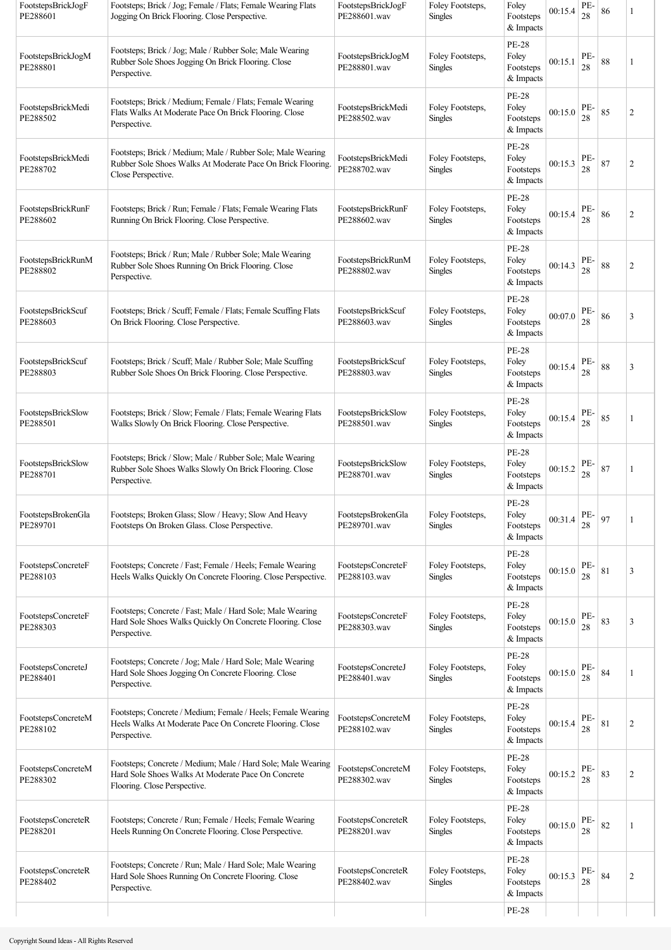| FootstepsBrickJogF<br>PE288601 | Footsteps; Brick / Jog; Female / Flats; Female Wearing Flats<br>Jogging On Brick Flooring. Close Perspective.                                      | FootstepsBrickJogF<br>PE288601.wav | Foley Footsteps,<br><b>Singles</b> | Foley<br>Footsteps<br>& Impacts                 | 00:15.4 | PE-<br>28     | 86 |                |
|--------------------------------|----------------------------------------------------------------------------------------------------------------------------------------------------|------------------------------------|------------------------------------|-------------------------------------------------|---------|---------------|----|----------------|
| FootstepsBrickJogM<br>PE288801 | Footsteps; Brick / Jog; Male / Rubber Sole; Male Wearing<br>Rubber Sole Shoes Jogging On Brick Flooring. Close<br>Perspective.                     | FootstepsBrickJogM<br>PE288801.wav | Foley Footsteps,<br><b>Singles</b> | <b>PE-28</b><br>Foley<br>Footsteps<br>& Impacts | 00:15.1 | PE-<br>28     | 88 | 1              |
| FootstepsBrickMedi<br>PE288502 | Footsteps; Brick / Medium; Female / Flats; Female Wearing<br>Flats Walks At Moderate Pace On Brick Flooring. Close<br>Perspective.                 | FootstepsBrickMedi<br>PE288502.wav | Foley Footsteps,<br><b>Singles</b> | <b>PE-28</b><br>Foley<br>Footsteps<br>& Impacts | 00:15.0 | PE-<br>28     | 85 | $\overline{c}$ |
| FootstepsBrickMedi<br>PE288702 | Footsteps; Brick / Medium; Male / Rubber Sole; Male Wearing<br>Rubber Sole Shoes Walks At Moderate Pace On Brick Flooring.<br>Close Perspective.   | FootstepsBrickMedi<br>PE288702.wav | Foley Footsteps,<br><b>Singles</b> | <b>PE-28</b><br>Foley<br>Footsteps<br>& Impacts | 00:15.3 | PE-<br>28     | 87 | $\mathfrak{2}$ |
| FootstepsBrickRunF<br>PE288602 | Footsteps; Brick / Run; Female / Flats; Female Wearing Flats<br>Running On Brick Flooring. Close Perspective.                                      | FootstepsBrickRunF<br>PE288602.wav | Foley Footsteps,<br><b>Singles</b> | <b>PE-28</b><br>Foley<br>Footsteps<br>& Impacts | 00:15.4 | PE-<br>28     | 86 | $\overline{c}$ |
| FootstepsBrickRunM<br>PE288802 | Footsteps; Brick / Run; Male / Rubber Sole; Male Wearing<br>Rubber Sole Shoes Running On Brick Flooring. Close<br>Perspective.                     | FootstepsBrickRunM<br>PE288802.wav | Foley Footsteps,<br><b>Singles</b> | <b>PE-28</b><br>Foley<br>Footsteps<br>& Impacts | 00:14.3 | PE-<br>$28\,$ | 88 | 2              |
| FootstepsBrickScuf<br>PE288603 | Footsteps; Brick / Scuff; Female / Flats; Female Scuffing Flats<br>On Brick Flooring. Close Perspective.                                           | FootstepsBrickScuf<br>PE288603.wav | Foley Footsteps,<br><b>Singles</b> | <b>PE-28</b><br>Foley<br>Footsteps<br>& Impacts | 00:07.0 | PE-<br>28     | 86 | 3              |
| FootstepsBrickScuf<br>PE288803 | Footsteps; Brick / Scuff; Male / Rubber Sole; Male Scuffing<br>Rubber Sole Shoes On Brick Flooring. Close Perspective.                             | FootstepsBrickScuf<br>PE288803.wav | Foley Footsteps,<br><b>Singles</b> | <b>PE-28</b><br>Foley<br>Footsteps<br>& Impacts | 00:15.4 | PE-<br>28     | 88 | 3              |
| FootstepsBrickSlow<br>PE288501 | Footsteps; Brick / Slow; Female / Flats; Female Wearing Flats<br>Walks Slowly On Brick Flooring. Close Perspective.                                | FootstepsBrickSlow<br>PE288501.wav | Foley Footsteps,<br><b>Singles</b> | <b>PE-28</b><br>Foley<br>Footsteps<br>& Impacts | 00:15.4 | PE-<br>28     | 85 | 1              |
| FootstepsBrickSlow<br>PE288701 | Footsteps; Brick / Slow; Male / Rubber Sole; Male Wearing<br>Rubber Sole Shoes Walks Slowly On Brick Flooring. Close<br>Perspective.               | FootstepsBrickSlow<br>PE288701.wav | Foley Footsteps,<br><b>Singles</b> | <b>PE-28</b><br>Foley<br>Footsteps<br>& Impacts | 00:15.2 | PE-<br>28     | 87 | 1              |
| FootstepsBrokenGla<br>PE289701 | Footsteps; Broken Glass; Slow / Heavy; Slow And Heavy<br>Footsteps On Broken Glass. Close Perspective.                                             | FootstepsBrokenGla<br>PE289701.wav | Foley Footsteps,<br><b>Singles</b> | <b>PE-28</b><br>Foley<br>Footsteps<br>& Impacts | 00:31.4 | PE-<br>28     | 97 |                |
| FootstepsConcreteF<br>PE288103 | Footsteps; Concrete / Fast; Female / Heels; Female Wearing<br>Heels Walks Quickly On Concrete Flooring. Close Perspective.                         | FootstepsConcreteF<br>PE288103.wav | Foley Footsteps,<br><b>Singles</b> | <b>PE-28</b><br>Foley<br>Footsteps<br>& Impacts | 00:15.0 | PE-<br>28     | 81 | 3              |
| FootstepsConcreteF<br>PE288303 | Footsteps; Concrete / Fast; Male / Hard Sole; Male Wearing<br>Hard Sole Shoes Walks Quickly On Concrete Flooring. Close<br>Perspective.            | FootstepsConcreteF<br>PE288303.wav | Foley Footsteps,<br><b>Singles</b> | <b>PE-28</b><br>Foley<br>Footsteps<br>& Impacts | 00:15.0 | PE-<br>28     | 83 | 3              |
| FootstepsConcreteJ<br>PE288401 | Footsteps; Concrete / Jog; Male / Hard Sole; Male Wearing<br>Hard Sole Shoes Jogging On Concrete Flooring. Close<br>Perspective.                   | FootstepsConcreteJ<br>PE288401.wav | Foley Footsteps,<br><b>Singles</b> | <b>PE-28</b><br>Foley<br>Footsteps<br>& Impacts | 00:15.0 | PE-<br>28     | 84 | 1              |
| FootstepsConcreteM<br>PE288102 | Footsteps; Concrete / Medium; Female / Heels; Female Wearing<br>Heels Walks At Moderate Pace On Concrete Flooring. Close<br>Perspective.           | FootstepsConcreteM<br>PE288102.wav | Foley Footsteps,<br><b>Singles</b> | <b>PE-28</b><br>Foley<br>Footsteps<br>& Impacts | 00:15.4 | PE-<br>28     | 81 | 2              |
| FootstepsConcreteM<br>PE288302 | Footsteps; Concrete / Medium; Male / Hard Sole; Male Wearing<br>Hard Sole Shoes Walks At Moderate Pace On Concrete<br>Flooring. Close Perspective. | FootstepsConcreteM<br>PE288302.wav | Foley Footsteps,<br><b>Singles</b> | <b>PE-28</b><br>Foley<br>Footsteps<br>& Impacts | 00:15.2 | PE-<br>28     | 83 | 2              |
| FootstepsConcreteR<br>PE288201 | Footsteps; Concrete / Run; Female / Heels; Female Wearing<br>Heels Running On Concrete Flooring. Close Perspective.                                | FootstepsConcreteR<br>PE288201.wav | Foley Footsteps,<br><b>Singles</b> | <b>PE-28</b><br>Foley<br>Footsteps<br>& Impacts | 00:15.0 | PE-<br>28     | 82 | 1              |
| FootstepsConcreteR<br>PE288402 | Footsteps; Concrete / Run; Male / Hard Sole; Male Wearing<br>Hard Sole Shoes Running On Concrete Flooring. Close<br>Perspective.                   | FootstepsConcreteR<br>PE288402.wav | Foley Footsteps,<br><b>Singles</b> | <b>PE-28</b><br>Foley<br>Footsteps<br>& Impacts | 00:15.3 | PE-<br>28     | 84 | 2              |
|                                |                                                                                                                                                    |                                    |                                    | <b>PE-28</b>                                    |         |               |    |                |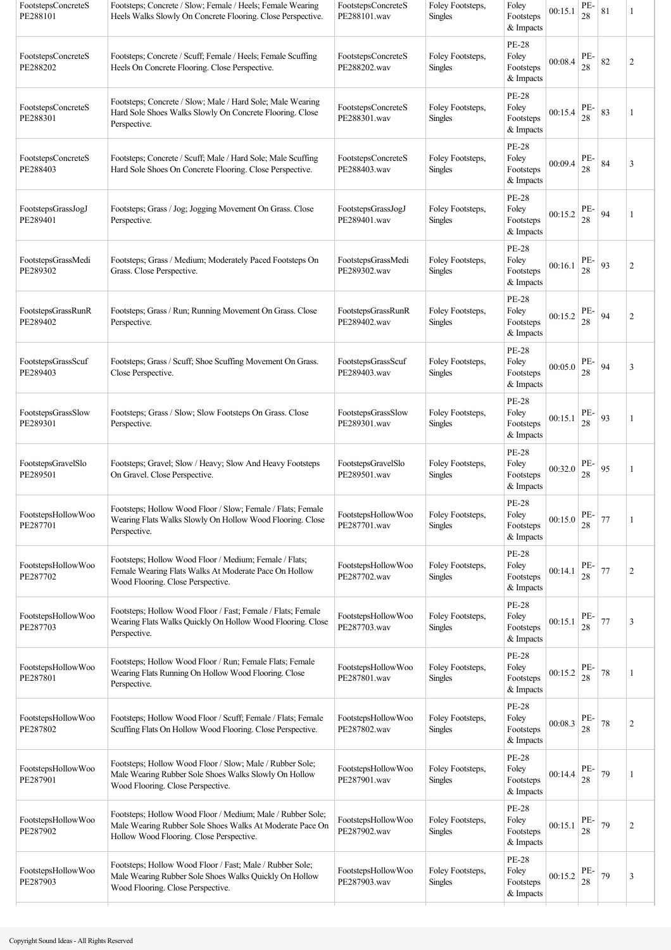| FootstepsConcreteS<br>PE288101 | Footsteps; Concrete / Slow; Female / Heels; Female Wearing<br>Heels Walks Slowly On Concrete Flooring. Close Perspective.                                          | FootstepsConcreteS<br>PE288101.wav | Foley Footsteps,<br><b>Singles</b> | Foley<br>Footsteps<br>& Impacts                 | 00:15.1 | PE-<br>28 | 81 |                |
|--------------------------------|--------------------------------------------------------------------------------------------------------------------------------------------------------------------|------------------------------------|------------------------------------|-------------------------------------------------|---------|-----------|----|----------------|
| FootstepsConcreteS<br>PE288202 | Footsteps; Concrete / Scuff; Female / Heels; Female Scuffing<br>Heels On Concrete Flooring. Close Perspective.                                                     | FootstepsConcreteS<br>PE288202.wav | Foley Footsteps,<br><b>Singles</b> | <b>PE-28</b><br>Foley<br>Footsteps<br>& Impacts | 00:08.4 | PE-<br>28 | 82 | $\overline{c}$ |
| FootstepsConcreteS<br>PE288301 | Footsteps; Concrete / Slow; Male / Hard Sole; Male Wearing<br>Hard Sole Shoes Walks Slowly On Concrete Flooring. Close<br>Perspective.                             | FootstepsConcreteS<br>PE288301.wav | Foley Footsteps,<br><b>Singles</b> | <b>PE-28</b><br>Foley<br>Footsteps<br>& Impacts | 00:15.4 | PE-<br>28 | 83 | 1              |
| FootstepsConcreteS<br>PE288403 | Footsteps; Concrete / Scuff; Male / Hard Sole; Male Scuffing<br>Hard Sole Shoes On Concrete Flooring. Close Perspective.                                           | FootstepsConcreteS<br>PE288403.wav | Foley Footsteps,<br><b>Singles</b> | <b>PE-28</b><br>Foley<br>Footsteps<br>& Impacts | 00:09.4 | PE-<br>28 | 84 | 3              |
| FootstepsGrassJogJ<br>PE289401 | Footsteps; Grass / Jog; Jogging Movement On Grass. Close<br>Perspective.                                                                                           | FootstepsGrassJogJ<br>PE289401.wav | Foley Footsteps,<br><b>Singles</b> | <b>PE-28</b><br>Foley<br>Footsteps<br>& Impacts | 00:15.2 | PE-<br>28 | 94 | 1              |
| FootstepsGrassMedi<br>PE289302 | Footsteps; Grass / Medium; Moderately Paced Footsteps On<br>Grass. Close Perspective.                                                                              | FootstepsGrassMedi<br>PE289302.wav | Foley Footsteps,<br><b>Singles</b> | <b>PE-28</b><br>Foley<br>Footsteps<br>& Impacts | 00:16.1 | PE-<br>28 | 93 | $\overline{c}$ |
| FootstepsGrassRunR<br>PE289402 | Footsteps; Grass / Run; Running Movement On Grass. Close<br>Perspective.                                                                                           | FootstepsGrassRunR<br>PE289402.wav | Foley Footsteps.<br><b>Singles</b> | <b>PE-28</b><br>Foley<br>Footsteps<br>& Impacts | 00:15.2 | PE-<br>28 | 94 | 2              |
| FootstepsGrassScuf<br>PE289403 | Footsteps; Grass / Scuff; Shoe Scuffing Movement On Grass.<br>Close Perspective.                                                                                   | FootstepsGrassScuf<br>PE289403.wav | Foley Footsteps,<br>Singles        | <b>PE-28</b><br>Foley<br>Footsteps<br>& Impacts | 00:05.0 | PE-<br>28 | 94 | 3              |
| FootstepsGrassSlow<br>PE289301 | Footsteps; Grass / Slow; Slow Footsteps On Grass. Close<br>Perspective.                                                                                            | FootstepsGrassSlow<br>PE289301.wav | Foley Footsteps,<br>Singles        | <b>PE-28</b><br>Foley<br>Footsteps<br>& Impacts | 00:15.1 | PE-<br>28 | 93 | 1              |
| FootstepsGravelSlo<br>PE289501 | Footsteps; Gravel; Slow / Heavy; Slow And Heavy Footsteps<br>On Gravel. Close Perspective.                                                                         | FootstepsGravelSlo<br>PE289501.wav | Foley Footsteps,<br><b>Singles</b> | <b>PE-28</b><br>Foley<br>Footsteps<br>& Impacts | 00:32.0 | PE-<br>28 | 95 | 1              |
| FootstepsHollowWoo<br>PE287701 | Footsteps; Hollow Wood Floor / Slow; Female / Flats; Female<br>Wearing Flats Walks Slowly On Hollow Wood Flooring. Close<br>Perspective.                           | FootstepsHollowWoo<br>PE287701.wav | Foley Footsteps,<br><b>Singles</b> | <b>PE-28</b><br>Foley<br>Footsteps<br>& Impacts | 00:15.0 | PE-<br>28 | 77 |                |
| FootstepsHollowWoo<br>PE287702 | Footsteps; Hollow Wood Floor / Medium; Female / Flats;<br>Female Wearing Flats Walks At Moderate Pace On Hollow<br>Wood Flooring. Close Perspective.               | FootstepsHollowWoo<br>PE287702.wav | Foley Footsteps,<br><b>Singles</b> | <b>PE-28</b><br>Foley<br>Footsteps<br>& Impacts | 00:14.1 | PE-<br>28 | 77 | 2              |
| FootstepsHollowWoo<br>PE287703 | Footsteps; Hollow Wood Floor / Fast; Female / Flats; Female<br>Wearing Flats Walks Quickly On Hollow Wood Flooring. Close<br>Perspective.                          | FootstepsHollowWoo<br>PE287703.wav | Foley Footsteps,<br>Singles        | PE-28<br>Foley<br>Footsteps<br>& Impacts        | 00:15.1 | PE-<br>28 | 77 | 3              |
| FootstepsHollowWoo<br>PE287801 | Footsteps; Hollow Wood Floor / Run; Female Flats; Female<br>Wearing Flats Running On Hollow Wood Flooring. Close<br>Perspective.                                   | FootstepsHollowWoo<br>PE287801.wav | Foley Footsteps,<br>Singles        | PE-28<br>Foley<br>Footsteps<br>& Impacts        | 00:15.2 | PE-<br>28 | 78 |                |
| FootstepsHollowWoo<br>PE287802 | Footsteps; Hollow Wood Floor / Scuff; Female / Flats; Female<br>Scuffing Flats On Hollow Wood Flooring. Close Perspective.                                         | FootstepsHollowWoo<br>PE287802.wav | Foley Footsteps,<br><b>Singles</b> | PE-28<br>Foley<br>Footsteps<br>& Impacts        | 00:08.3 | PE-<br>28 | 78 | 2              |
| FootstepsHollowWoo<br>PE287901 | Footsteps; Hollow Wood Floor / Slow; Male / Rubber Sole;<br>Male Wearing Rubber Sole Shoes Walks Slowly On Hollow<br>Wood Flooring. Close Perspective.             | FootstepsHollowWoo<br>PE287901.wav | Foley Footsteps,<br><b>Singles</b> | <b>PE-28</b><br>Foley<br>Footsteps<br>& Impacts | 00:14.4 | PE-<br>28 | 79 | 1              |
| FootstepsHollowWoo<br>PE287902 | Footsteps; Hollow Wood Floor / Medium; Male / Rubber Sole;<br>Male Wearing Rubber Sole Shoes Walks At Moderate Pace On<br>Hollow Wood Flooring. Close Perspective. | FootstepsHollowWoo<br>PE287902.wav | Foley Footsteps,<br><b>Singles</b> | <b>PE-28</b><br>Foley<br>Footsteps<br>& Impacts | 00:15.1 | PE-<br>28 | 79 | $\overline{c}$ |
| FootstepsHollowWoo<br>PE287903 | Footsteps; Hollow Wood Floor / Fast; Male / Rubber Sole;<br>Male Wearing Rubber Sole Shoes Walks Quickly On Hollow<br>Wood Flooring. Close Perspective.            | FootstepsHollowWoo<br>PE287903.wav | Foley Footsteps,<br><b>Singles</b> | <b>PE-28</b><br>Foley<br>Footsteps<br>& Impacts | 00:15.2 | PE-<br>28 | 79 | 3              |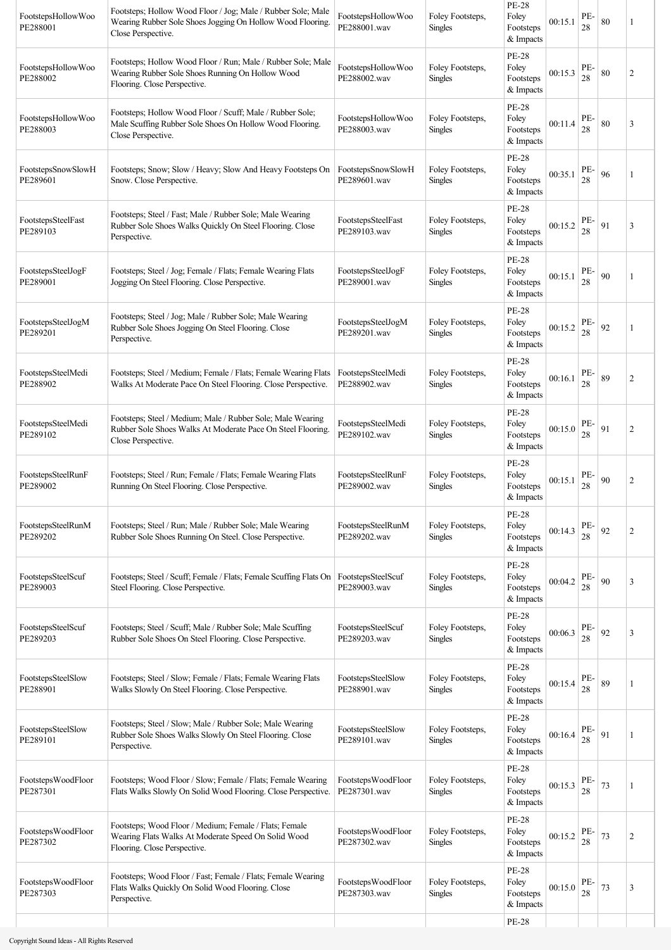| FootstepsHollowWoo<br>PE288001 | Footsteps; Hollow Wood Floor / Jog; Male / Rubber Sole; Male<br>Wearing Rubber Sole Shoes Jogging On Hollow Wood Flooring.<br>Close Perspective. | FootstepsHollowWoo<br>PE288001.wav | Foley Footsteps,<br>Singles        | <b>PE-28</b><br>Foley<br>Footsteps<br>& Impacts | 00:15.1 | PE-<br>28 | 80 | 1              |
|--------------------------------|--------------------------------------------------------------------------------------------------------------------------------------------------|------------------------------------|------------------------------------|-------------------------------------------------|---------|-----------|----|----------------|
| FootstepsHollowWoo<br>PE288002 | Footsteps; Hollow Wood Floor / Run; Male / Rubber Sole; Male<br>Wearing Rubber Sole Shoes Running On Hollow Wood<br>Flooring. Close Perspective. | FootstepsHollowWoo<br>PE288002.wav | Foley Footsteps,<br><b>Singles</b> | <b>PE-28</b><br>Foley<br>Footsteps<br>& Impacts | 00:15.3 | PE-<br>28 | 80 | $\overline{2}$ |
| FootstepsHollowWoo<br>PE288003 | Footsteps; Hollow Wood Floor / Scuff; Male / Rubber Sole;<br>Male Scuffing Rubber Sole Shoes On Hollow Wood Flooring.<br>Close Perspective.      | FootstepsHollowWoo<br>PE288003.wav | Foley Footsteps,<br><b>Singles</b> | <b>PE-28</b><br>Foley<br>Footsteps<br>& Impacts | 00:11.4 | PE-<br>28 | 80 | 3              |
| FootstepsSnowSlowH<br>PE289601 | Footsteps; Snow; Slow / Heavy; Slow And Heavy Footsteps On<br>Snow. Close Perspective.                                                           | FootstepsSnowSlowH<br>PE289601.wav | Foley Footsteps,<br><b>Singles</b> | <b>PE-28</b><br>Foley<br>Footsteps<br>& Impacts | 00:35.1 | PE-<br>28 | 96 | 1              |
| FootstepsSteelFast<br>PE289103 | Footsteps; Steel / Fast; Male / Rubber Sole; Male Wearing<br>Rubber Sole Shoes Walks Quickly On Steel Flooring. Close<br>Perspective.            | FootstepsSteelFast<br>PE289103.wav | Foley Footsteps,<br><b>Singles</b> | <b>PE-28</b><br>Foley<br>Footsteps<br>& Impacts | 00:15.2 | PE-<br>28 | 91 | 3              |
| FootstepsSteelJogF<br>PE289001 | Footsteps; Steel / Jog; Female / Flats; Female Wearing Flats<br>Jogging On Steel Flooring. Close Perspective.                                    | FootstepsSteelJogF<br>PE289001.wav | Foley Footsteps,<br>Singles        | <b>PE-28</b><br>Foley<br>Footsteps<br>& Impacts | 00:15.1 | PE-<br>28 | 90 | 1              |
| FootstepsSteelJogM<br>PE289201 | Footsteps; Steel / Jog; Male / Rubber Sole; Male Wearing<br>Rubber Sole Shoes Jogging On Steel Flooring. Close<br>Perspective.                   | FootstepsSteelJogM<br>PE289201.wav | Foley Footsteps,<br><b>Singles</b> | <b>PE-28</b><br>Foley<br>Footsteps<br>& Impacts | 00:15.2 | PE-<br>28 | 92 | 1              |
| FootstepsSteelMedi<br>PE288902 | Footsteps; Steel / Medium; Female / Flats; Female Wearing Flats<br>Walks At Moderate Pace On Steel Flooring. Close Perspective.                  | FootstepsSteelMedi<br>PE288902.wav | Foley Footsteps,<br><b>Singles</b> | <b>PE-28</b><br>Foley<br>Footsteps<br>& Impacts | 00:16.1 | PE-<br>28 | 89 | $\overline{2}$ |
| FootstepsSteelMedi<br>PE289102 | Footsteps; Steel / Medium; Male / Rubber Sole; Male Wearing<br>Rubber Sole Shoes Walks At Moderate Pace On Steel Flooring.<br>Close Perspective. | FootstepsSteelMedi<br>PE289102.wav | Foley Footsteps,<br><b>Singles</b> | <b>PE-28</b><br>Foley<br>Footsteps<br>& Impacts | 00:15.0 | PE-<br>28 | 91 | $\overline{2}$ |
| FootstepsSteelRunF<br>PE289002 | Footsteps; Steel / Run; Female / Flats; Female Wearing Flats<br>Running On Steel Flooring. Close Perspective.                                    | FootstepsSteelRunF<br>PE289002.wav | Foley Footsteps,<br><b>Singles</b> | <b>PE-28</b><br>Foley<br>Footsteps<br>& Impacts | 00:15.1 | PE-<br>28 | 90 | 2              |
| FootstepsSteelRunM<br>PE289202 | Footsteps; Steel / Run; Male / Rubber Sole; Male Wearing<br>Rubber Sole Shoes Running On Steel. Close Perspective.                               | FootstepsSteelRunM<br>PE289202.wav | Foley Footsteps,<br><b>Singles</b> | <b>PE-28</b><br>Foley<br>Footsteps<br>& Impacts | 00:14.3 | PE-<br>28 | 92 | $\mathfrak{2}$ |
| FootstepsSteelScuf<br>PE289003 | Footsteps; Steel / Scuff; Female / Flats; Female Scuffing Flats On<br>Steel Flooring. Close Perspective.                                         | FootstepsSteelScuf<br>PE289003.wav | Foley Footsteps,<br>Singles        | <b>PE-28</b><br>Foley<br>Footsteps<br>& Impacts | 00:04.2 | PE-<br>28 | 90 | 3              |
| FootstepsSteelScuf<br>PE289203 | Footsteps; Steel / Scuff; Male / Rubber Sole; Male Scuffing<br>Rubber Sole Shoes On Steel Flooring. Close Perspective.                           | FootstepsSteelScuf<br>PE289203.wav | Foley Footsteps,<br><b>Singles</b> | <b>PE-28</b><br>Foley<br>Footsteps<br>& Impacts | 00:06.3 | PE-<br>28 | 92 | 3              |
| FootstepsSteelSlow<br>PE288901 | Footsteps; Steel / Slow; Female / Flats; Female Wearing Flats<br>Walks Slowly On Steel Flooring. Close Perspective.                              | FootstepsSteelSlow<br>PE288901.wav | Foley Footsteps,<br><b>Singles</b> | <b>PE-28</b><br>Foley<br>Footsteps<br>& Impacts | 00:15.4 | PE-<br>28 | 89 | 1              |
| FootstepsSteelSlow<br>PE289101 | Footsteps; Steel / Slow; Male / Rubber Sole; Male Wearing<br>Rubber Sole Shoes Walks Slowly On Steel Flooring. Close<br>Perspective.             | FootstepsSteelSlow<br>PE289101.wav | Foley Footsteps,<br><b>Singles</b> | <b>PE-28</b><br>Foley<br>Footsteps<br>& Impacts | 00:16.4 | PE-<br>28 | 91 | 1              |
| FootstepsWoodFloor<br>PE287301 | Footsteps; Wood Floor / Slow; Female / Flats; Female Wearing<br>Flats Walks Slowly On Solid Wood Flooring. Close Perspective.                    | FootstepsWoodFloor<br>PE287301.wav | Foley Footsteps,<br>Singles        | <b>PE-28</b><br>Foley<br>Footsteps<br>& Impacts | 00:15.3 | PE-<br>28 | 73 | 1              |
| FootstepsWoodFloor<br>PE287302 | Footsteps; Wood Floor / Medium; Female / Flats; Female<br>Wearing Flats Walks At Moderate Speed On Solid Wood<br>Flooring. Close Perspective.    | FootstepsWoodFloor<br>PE287302.wav | Foley Footsteps,<br><b>Singles</b> | <b>PE-28</b><br>Foley<br>Footsteps<br>& Impacts | 00:15.2 | PE-<br>28 | 73 | $\overline{c}$ |
| FootstepsWoodFloor<br>PE287303 | Footsteps; Wood Floor / Fast; Female / Flats; Female Wearing<br>Flats Walks Quickly On Solid Wood Flooring. Close<br>Perspective.                | FootstepsWoodFloor<br>PE287303.wav | Foley Footsteps,<br>Singles        | <b>PE-28</b><br>Foley<br>Footsteps<br>& Impacts | 00:15.0 | PE-<br>28 | 73 | 3              |
|                                |                                                                                                                                                  |                                    |                                    | <b>PE-28</b>                                    |         |           |    |                |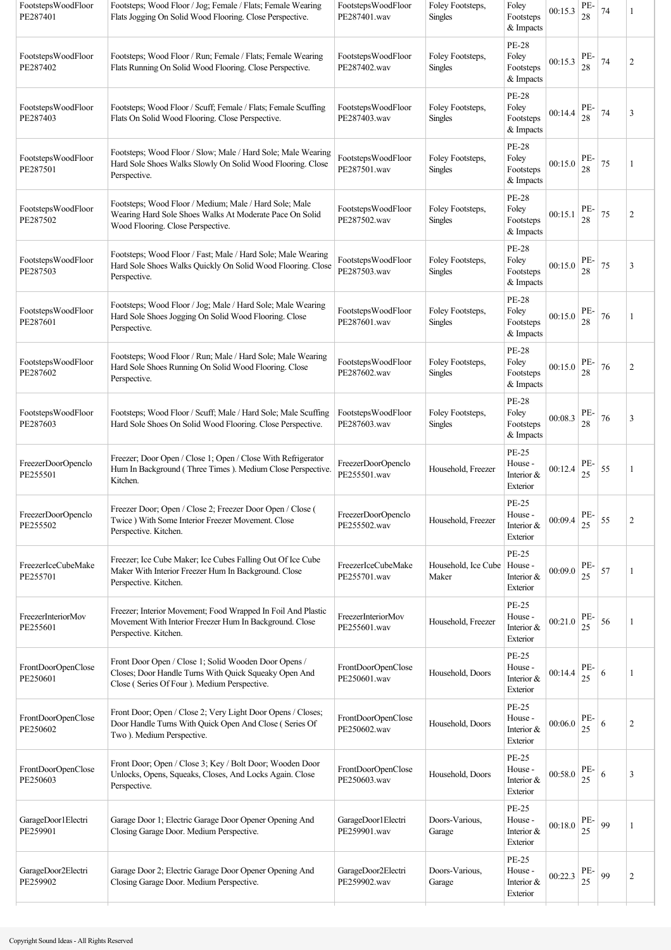| FootstepsWoodFloor<br>PE287401 | Footsteps; Wood Floor / Jog; Female / Flats; Female Wearing<br>Flats Jogging On Solid Wood Flooring. Close Perspective.                                      | FootstepsWoodFloor<br>PE287401.wav | Foley Footsteps,<br><b>Singles</b> | Foley<br>Footsteps<br>& Impacts                     | 00:15.3 | PE-<br>28 | 74 | 1              |
|--------------------------------|--------------------------------------------------------------------------------------------------------------------------------------------------------------|------------------------------------|------------------------------------|-----------------------------------------------------|---------|-----------|----|----------------|
| FootstepsWoodFloor<br>PE287402 | Footsteps; Wood Floor / Run; Female / Flats; Female Wearing<br>Flats Running On Solid Wood Flooring. Close Perspective.                                      | FootstepsWoodFloor<br>PE287402.wav | Foley Footsteps,<br><b>Singles</b> | <b>PE-28</b><br>Foley<br>Footsteps<br>& Impacts     | 00:15.3 | PE-<br>28 | 74 | $\overline{2}$ |
| FootstepsWoodFloor<br>PE287403 | Footsteps; Wood Floor / Scuff; Female / Flats; Female Scuffing<br>Flats On Solid Wood Flooring. Close Perspective.                                           | FootstepsWoodFloor<br>PE287403.wav | Foley Footsteps,<br><b>Singles</b> | <b>PE-28</b><br>Foley<br>Footsteps<br>& Impacts     | 00:14.4 | PE-<br>28 | 74 | 3              |
| FootstepsWoodFloor<br>PE287501 | Footsteps; Wood Floor / Slow; Male / Hard Sole; Male Wearing<br>Hard Sole Shoes Walks Slowly On Solid Wood Flooring. Close<br>Perspective.                   | FootstepsWoodFloor<br>PE287501.wav | Foley Footsteps,<br><b>Singles</b> | <b>PE-28</b><br>Foley<br>Footsteps<br>& Impacts     | 00:15.0 | PE-<br>28 | 75 | 1              |
| FootstepsWoodFloor<br>PE287502 | Footsteps; Wood Floor / Medium; Male / Hard Sole; Male<br>Wearing Hard Sole Shoes Walks At Moderate Pace On Solid<br>Wood Flooring. Close Perspective.       | FootstepsWoodFloor<br>PE287502.wav | Foley Footsteps,<br><b>Singles</b> | <b>PE-28</b><br>Foley<br>Footsteps<br>& Impacts     | 00:15.1 | PE-<br>28 | 75 | $\overline{2}$ |
| FootstepsWoodFloor<br>PE287503 | Footsteps; Wood Floor / Fast; Male / Hard Sole; Male Wearing<br>Hard Sole Shoes Walks Quickly On Solid Wood Flooring. Close<br>Perspective.                  | FootstepsWoodFloor<br>PE287503.wav | Foley Footsteps,<br><b>Singles</b> | <b>PE-28</b><br>Foley<br>Footsteps<br>& Impacts     | 00:15.0 | PE-<br>28 | 75 | 3              |
| FootstepsWoodFloor<br>PE287601 | Footsteps; Wood Floor / Jog; Male / Hard Sole; Male Wearing<br>Hard Sole Shoes Jogging On Solid Wood Flooring. Close<br>Perspective.                         | FootstepsWoodFloor<br>PE287601.wav | Foley Footsteps,<br>Singles        | <b>PE-28</b><br>Foley<br>Footsteps<br>& Impacts     | 00:15.0 | PE-<br>28 | 76 |                |
| FootstepsWoodFloor<br>PE287602 | Footsteps; Wood Floor / Run; Male / Hard Sole; Male Wearing<br>Hard Sole Shoes Running On Solid Wood Flooring. Close<br>Perspective.                         | FootstepsWoodFloor<br>PE287602.wav | Foley Footsteps,<br>Singles        | <b>PE-28</b><br>Foley<br>Footsteps<br>& Impacts     | 00:15.0 | PE-<br>28 | 76 | 2              |
| FootstepsWoodFloor<br>PE287603 | Footsteps; Wood Floor / Scuff; Male / Hard Sole; Male Scuffing<br>Hard Sole Shoes On Solid Wood Flooring. Close Perspective.                                 | FootstepsWoodFloor<br>PE287603.wav | Foley Footsteps,<br>Singles        | <b>PE-28</b><br>Foley<br>Footsteps<br>& Impacts     | 00:08.3 | PE-<br>28 | 76 | 3              |
| FreezerDoorOpenclo<br>PE255501 | Freezer; Door Open / Close 1; Open / Close With Refrigerator<br>Hum In Background (Three Times). Medium Close Perspective.<br>Kitchen.                       | FreezerDoorOpenclo<br>PE255501.wav | Household, Freezer                 | <b>PE-25</b><br>House -<br>Interior &<br>Exterior   | 00:12.4 | PE-<br>25 | 55 | 1              |
| FreezerDoorOpenclo<br>PE255502 | Freezer Door; Open / Close 2; Freezer Door Open / Close (<br>Twice ) With Some Interior Freezer Movement. Close<br>Perspective. Kitchen.                     | FreezerDoorOpenclo<br>PE255502.wav | Household, Freezer                 | PE-25<br>House -<br>Interior &<br>Exterior          | 00:09.4 | PE-<br>25 | 55 | $\overline{2}$ |
| FreezerIceCubeMake<br>PE255701 | Freezer; Ice Cube Maker; Ice Cubes Falling Out Of Ice Cube<br>Maker With Interior Freezer Hum In Background. Close<br>Perspective. Kitchen.                  | FreezerIceCubeMake<br>PE255701.wav | Household, Ice Cube<br>Maker       | <b>PE-25</b><br>House -<br>Interior &<br>Exterior   | 00:09.0 | PE-<br>25 | 57 | 1              |
| FreezerInteriorMov<br>PE255601 | Freezer; Interior Movement; Food Wrapped In Foil And Plastic<br>Movement With Interior Freezer Hum In Background. Close<br>Perspective. Kitchen.             | FreezerInteriorMov<br>PE255601.wav | Household, Freezer                 | <b>PE-25</b><br>House -<br>Interior $&$<br>Exterior | 00:21.0 | PE-<br>25 | 56 | 1              |
| FrontDoorOpenClose<br>PE250601 | Front Door Open / Close 1; Solid Wooden Door Opens /<br>Closes; Door Handle Turns With Quick Squeaky Open And<br>Close (Series Of Four). Medium Perspective. | FrontDoorOpenClose<br>PE250601.wav | Household, Doors                   | <b>PE-25</b><br>House -<br>Interior &<br>Exterior   | 00:14.4 | PE-<br>25 | 6  | 1              |
| FrontDoorOpenClose<br>PE250602 | Front Door; Open / Close 2; Very Light Door Opens / Closes;<br>Door Handle Turns With Quick Open And Close (Series Of<br>Two). Medium Perspective.           | FrontDoorOpenClose<br>PE250602.wav | Household, Doors                   | <b>PE-25</b><br>House -<br>Interior $&$<br>Exterior | 00:06.0 | PE-<br>25 | 6  | $\overline{2}$ |
| FrontDoorOpenClose<br>PE250603 | Front Door; Open / Close 3; Key / Bolt Door; Wooden Door<br>Unlocks, Opens, Squeaks, Closes, And Locks Again. Close<br>Perspective.                          | FrontDoorOpenClose<br>PE250603.wav | Household, Doors                   | <b>PE-25</b><br>House -<br>Interior &<br>Exterior   | 00:58.0 | PE-<br>25 | 6  | 3              |
| GarageDoor1Electri<br>PE259901 | Garage Door 1; Electric Garage Door Opener Opening And<br>Closing Garage Door. Medium Perspective.                                                           | GarageDoor1Electri<br>PE259901.wav | Doors-Various,<br>Garage           | PE-25<br>House -<br>Interior $\&$<br>Exterior       | 00:18.0 | PE-<br>25 | 99 | 1              |
| GarageDoor2Electri<br>PE259902 | Garage Door 2; Electric Garage Door Opener Opening And<br>Closing Garage Door. Medium Perspective.                                                           | GarageDoor2Electri<br>PE259902.wav | Doors-Various,<br>Garage           | PE-25<br>House -<br>Interior $&$<br>Exterior        | 00:22.3 | PE-<br>25 | 99 | $\overline{2}$ |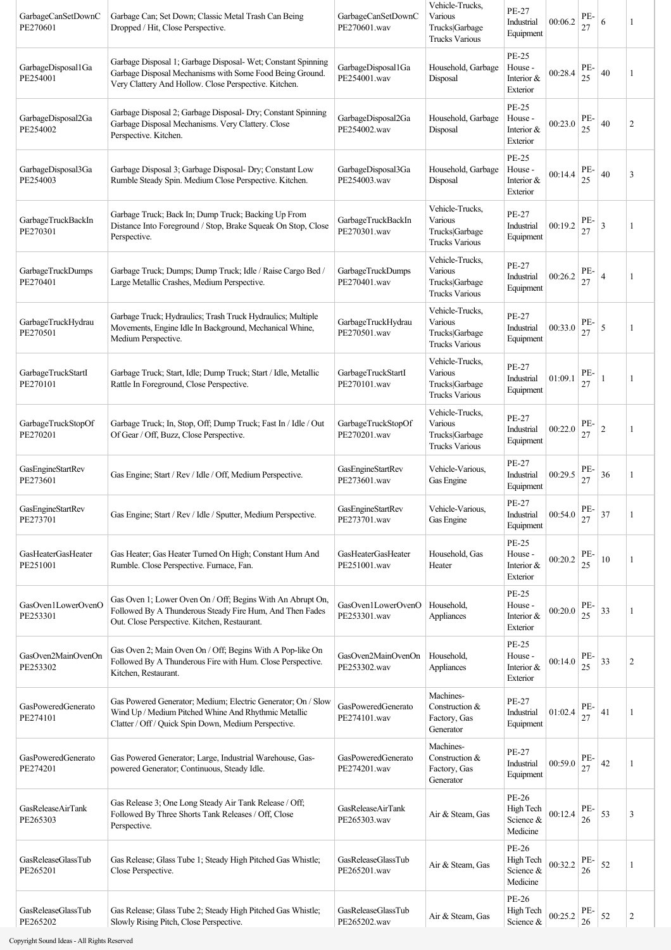| GarbageCanSetDownC<br>PE270601        | Garbage Can; Set Down; Classic Metal Trash Can Being<br>Dropped / Hit, Close Perspective.                                                                                         | GarbageCanSetDownC<br>PE270601.wav       | Vehicle-Trucks,<br>Various<br>Trucks Garbage<br><b>Trucks Various</b> | PE-27<br>Industrial<br>Equipment                     | 00:06.2 | PE-<br>27 | 6              | 1              |
|---------------------------------------|-----------------------------------------------------------------------------------------------------------------------------------------------------------------------------------|------------------------------------------|-----------------------------------------------------------------------|------------------------------------------------------|---------|-----------|----------------|----------------|
| GarbageDisposal1Ga<br>PE254001        | Garbage Disposal 1; Garbage Disposal- Wet; Constant Spinning<br>Garbage Disposal Mechanisms with Some Food Being Ground.<br>Very Clattery And Hollow. Close Perspective. Kitchen. | GarbageDisposal1Ga<br>PE254001.wav       | Household, Garbage<br>Disposal                                        | PE-25<br>House -<br>Interior &<br>Exterior           | 00:28.4 | PE-<br>25 | 40             |                |
| GarbageDisposal2Ga<br>PE254002        | Garbage Disposal 2; Garbage Disposal- Dry; Constant Spinning<br>Garbage Disposal Mechanisms. Very Clattery. Close<br>Perspective. Kitchen.                                        | GarbageDisposal2Ga<br>PE254002.wav       | Household, Garbage<br>Disposal                                        | PE-25<br>House -<br>Interior &<br>Exterior           | 00:23.0 | PE-<br>25 | 40             | $\overline{2}$ |
| GarbageDisposal3Ga<br>PE254003        | Garbage Disposal 3; Garbage Disposal- Dry; Constant Low<br>Rumble Steady Spin. Medium Close Perspective. Kitchen.                                                                 | GarbageDisposal3Ga<br>PE254003.wav       | Household, Garbage<br>Disposal                                        | PE-25<br>House -<br>Interior &<br>Exterior           | 00:14.4 | PE-<br>25 | 40             | 3              |
| GarbageTruckBackIn<br>PE270301        | Garbage Truck; Back In; Dump Truck; Backing Up From<br>Distance Into Foreground / Stop, Brake Squeak On Stop, Close<br>Perspective.                                               | GarbageTruckBackIn<br>PE270301.wav       | Vehicle-Trucks,<br>Various<br>Trucks Garbage<br><b>Trucks Various</b> | <b>PE-27</b><br>Industrial<br>Equipment              | 00:19.2 | PE-<br>27 | 3              | 1              |
| GarbageTruckDumps<br>PE270401         | Garbage Truck; Dumps; Dump Truck; Idle / Raise Cargo Bed /<br>Large Metallic Crashes, Medium Perspective.                                                                         | GarbageTruckDumps<br>PE270401.wav        | Vehicle-Trucks,<br>Various<br>Trucks Garbage<br><b>Trucks Various</b> | PE-27<br>Industrial<br>Equipment                     | 00:26.2 | PE-<br>27 | 4              | 1              |
| GarbageTruckHydrau<br>PE270501        | Garbage Truck; Hydraulics; Trash Truck Hydraulics; Multiple<br>Movements, Engine Idle In Background, Mechanical Whine,<br>Medium Perspective.                                     | GarbageTruckHydrau<br>PE270501.wav       | Vehicle-Trucks,<br>Various<br>Trucks Garbage<br><b>Trucks Various</b> | <b>PE-27</b><br>Industrial<br>Equipment              | 00:33.0 | PE-<br>27 | 5              | 1              |
| GarbageTruckStartI<br>PE270101        | Garbage Truck; Start, Idle; Dump Truck; Start / Idle, Metallic<br>Rattle In Foreground, Close Perspective.                                                                        | GarbageTruckStartI<br>PE270101.wav       | Vehicle-Trucks,<br>Various<br>Trucks Garbage<br><b>Trucks Various</b> | PE-27<br>Industrial<br>Equipment                     | 01:09.1 | PE-<br>27 |                | 1              |
| GarbageTruckStopOf<br>PE270201        | Garbage Truck; In, Stop, Off; Dump Truck; Fast In / Idle / Out<br>Of Gear / Off, Buzz, Close Perspective.                                                                         | GarbageTruckStopOf<br>PE270201.wav       | Vehicle-Trucks,<br>Various<br>Trucks Garbage<br><b>Trucks Various</b> | <b>PE-27</b><br>Industrial<br>Equipment              | 00:22.0 | PE-<br>27 | $\overline{c}$ | 1              |
| GasEngineStartRev<br>PE273601         | Gas Engine; Start / Rev / Idle / Off, Medium Perspective.                                                                                                                         | GasEngineStartRev<br>PE273601.wav        | Vehicle-Various,<br>Gas Engine                                        | PE-27<br>Industrial<br>Equipment                     | 00:29.5 | PE-<br>27 | 36             | 1              |
| GasEngineStartRev<br>PE273701         | Gas Engine; Start / Rev / Idle / Sputter, Medium Perspective.                                                                                                                     | GasEngineStartRev<br>PE273701.wav        | Vehicle-Various,<br>Gas Engine                                        | PE-27<br>Industrial<br>Equipment                     | 00:54.0 | PE-<br>27 | 37             | $\mathbf{1}$   |
| <b>GasHeaterGasHeater</b><br>PE251001 | Gas Heater; Gas Heater Turned On High; Constant Hum And<br>Rumble. Close Perspective. Furnace, Fan.                                                                               | GasHeaterGasHeater<br>PE251001.wav       | Household, Gas<br>Heater                                              | <b>PE-25</b><br>House -<br>Interior &<br>Exterior    | 00:20.2 | PE-<br>25 | 10             |                |
| GasOven1LowerOvenO<br>PE253301        | Gas Oven 1; Lower Oven On / Off; Begins With An Abrupt On,<br>Followed By A Thunderous Steady Fire Hum, And Then Fades<br>Out. Close Perspective. Kitchen, Restaurant.            | GasOven1LowerOvenO<br>PE253301.wav       | Household,<br>Appliances                                              | <b>PE-25</b><br>House -<br>Interior $\&$<br>Exterior | 00:20.0 | PE-<br>25 | 33             | 1              |
| GasOven2MainOvenOn<br>PE253302        | Gas Oven 2; Main Oven On / Off; Begins With A Pop-like On<br>Followed By A Thunderous Fire with Hum. Close Perspective.<br>Kitchen, Restaurant.                                   | GasOven2MainOvenOn<br>PE253302.wav       | Household,<br>Appliances                                              | PE-25<br>House -<br>Interior &<br>Exterior           | 00:14.0 | PE-<br>25 | 33             | $\overline{2}$ |
| GasPoweredGenerato<br>PE274101        | Gas Powered Generator; Medium; Electric Generator; On / Slow<br>Wind Up / Medium Pitched Whine And Rhythmic Metallic<br>Clatter / Off / Quick Spin Down, Medium Perspective.      | GasPoweredGenerato<br>PE274101.wav       | Machines-<br>Construction &<br>Factory, Gas<br>Generator              | PE-27<br>Industrial<br>Equipment                     | 01:02.4 | PE-<br>27 | 41             | 1              |
| GasPoweredGenerato<br>PE274201        | Gas Powered Generator; Large, Industrial Warehouse, Gas-<br>powered Generator; Continuous, Steady Idle.                                                                           | GasPoweredGenerato<br>PE274201.wav       | Machines-<br>Construction &<br>Factory, Gas<br>Generator              | <b>PE-27</b><br>Industrial<br>Equipment              | 00:59.0 | PE-<br>27 | 42             | 1              |
| GasReleaseAirTank<br>PE265303         | Gas Release 3; One Long Steady Air Tank Release / Off;<br>Followed By Three Shorts Tank Releases / Off, Close<br>Perspective.                                                     | <b>GasReleaseAirTank</b><br>PE265303.wav | Air & Steam, Gas                                                      | PE-26<br>High Tech<br>Science &<br>Medicine          | 00:12.4 | PE-<br>26 | 53             | 3              |
| GasReleaseGlassTub<br>PE265201        | Gas Release; Glass Tube 1; Steady High Pitched Gas Whistle;<br>Close Perspective.                                                                                                 | GasReleaseGlassTub<br>PE265201.wav       | Air & Steam, Gas                                                      | PE-26<br>High Tech<br>Science &<br>Medicine          | 00:32.2 | PE-<br>26 | 52             | 1              |
| GasReleaseGlassTub<br>PE265202        | Gas Release; Glass Tube 2; Steady High Pitched Gas Whistle;<br>Slowly Rising Pitch, Close Perspective.                                                                            | GasReleaseGlassTub<br>PE265202.wav       | Air & Steam, Gas                                                      | PE-26<br>High Tech<br>Science &                      | 00:25.2 | PE-<br>26 | 52             | $\overline{2}$ |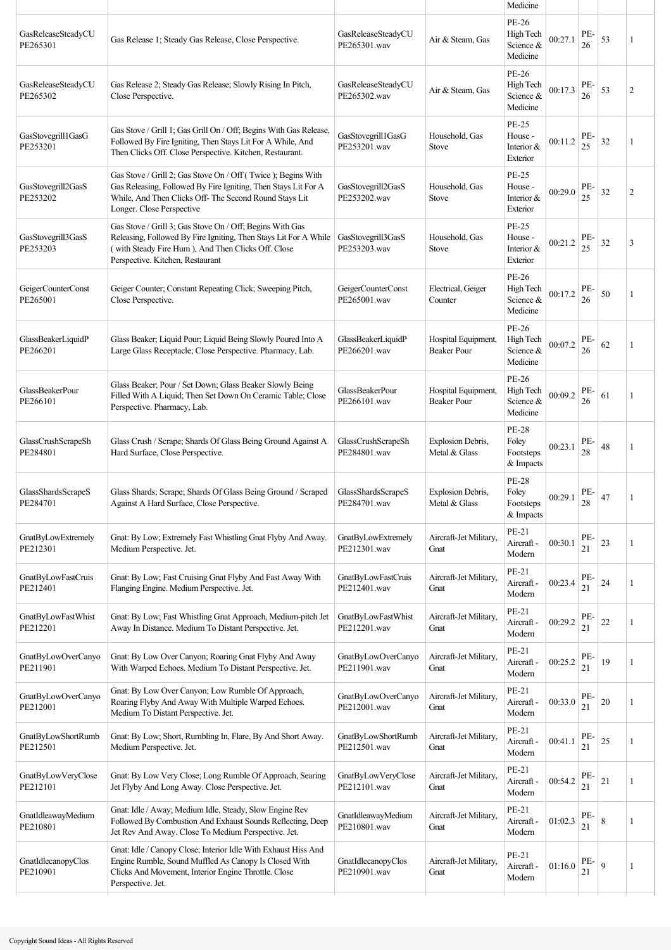|                                       |                                                                                                                                                                                                                        |                                           |                                           | Medicine                                        |         |           |             |                |
|---------------------------------------|------------------------------------------------------------------------------------------------------------------------------------------------------------------------------------------------------------------------|-------------------------------------------|-------------------------------------------|-------------------------------------------------|---------|-----------|-------------|----------------|
| GasReleaseSteadyCU<br>PE265301        | Gas Release 1; Steady Gas Release, Close Perspective.                                                                                                                                                                  | GasReleaseSteadyCU<br>PE265301.wav        | Air & Steam, Gas                          | PE-26<br>High Tech<br>Science &<br>Medicine     | 00:27.1 | PE-<br>26 | 53          | 1              |
| GasReleaseSteadyCU<br>PE265302        | Gas Release 2; Steady Gas Release; Slowly Rising In Pitch,<br>Close Perspective.                                                                                                                                       | GasReleaseSteadyCU<br>PE265302.wav        | Air & Steam, Gas                          | PE-26<br>High Tech<br>Science &<br>Medicine     | 00:17.3 | PE-<br>26 | 53          | $\overline{2}$ |
| GasStovegrill1GasG<br>PE253201        | Gas Stove / Grill 1; Gas Grill On / Off; Begins With Gas Release,<br>Followed By Fire Igniting, Then Stays Lit For A While, And<br>Then Clicks Off. Close Perspective. Kitchen, Restaurant.                            | GasStovegrill1GasG<br>PE253201.wav        | Household, Gas<br><b>Stove</b>            | PE-25<br>House -<br>Interior &<br>Exterior      | 00:11.2 | PE-<br>25 | 32          | 1              |
| GasStovegrill2GasS<br>PE253202        | Gas Stove / Grill 2; Gas Stove On / Off (Twice); Begins With<br>Gas Releasing, Followed By Fire Igniting, Then Stays Lit For A<br>While, And Then Clicks Off- The Second Round Stays Lit<br>Longer. Close Perspective  | GasStovegrill2GasS<br>PE253202.wav        | Household, Gas<br><b>Stove</b>            | PE-25<br>House -<br>Interior &<br>Exterior      | 00:29.0 | PE-<br>25 | 32          | $\overline{2}$ |
| GasStovegrill3GasS<br>PE253203        | Gas Stove / Grill 3; Gas Stove On / Off; Begins With Gas<br>Releasing, Followed By Fire Igniting, Then Stays Lit For A While<br>(with Steady Fire Hum), And Then Clicks Off. Close<br>Perspective. Kitchen, Restaurant | GasStovegrill3GasS<br>PE253203.wav        | Household, Gas<br><b>Stove</b>            | PE-25<br>House -<br>Interior &<br>Exterior      | 00:21.2 | PE-<br>25 | 32          | 3              |
| GeigerCounterConst<br>PE265001        | Geiger Counter; Constant Repeating Click; Sweeping Pitch,<br>Close Perspective.                                                                                                                                        | GeigerCounterConst<br>PE265001.wav        | Electrical, Geiger<br>Counter             | PE-26<br>High Tech<br>Science &<br>Medicine     | 00:17.2 | PE-<br>26 | 50          | 1              |
| GlassBeakerLiquidP<br>PE266201        | Glass Beaker; Liquid Pour; Liquid Being Slowly Poured Into A<br>Large Glass Receptacle; Close Perspective. Pharmacy, Lab.                                                                                              | GlassBeakerLiquidP<br>PE266201.wav        | Hospital Equipment,<br>Beaker Pour        | PE-26<br>High Tech<br>Science &<br>Medicine     | 00:07.2 | PE-<br>26 | 62          | 1              |
| GlassBeakerPour<br>PE266101           | Glass Beaker; Pour / Set Down; Glass Beaker Slowly Being<br>Filled With A Liquid; Then Set Down On Ceramic Table; Close<br>Perspective. Pharmacy, Lab.                                                                 | GlassBeakerPour<br>PE266101.wav           | Hospital Equipment,<br>Beaker Pour        | PE-26<br>High Tech<br>Science &<br>Medicine     | 00:09.2 | PE-<br>26 | 61          | 1              |
| GlassCrushScrapeSh<br>PE284801        | Glass Crush / Scrape; Shards Of Glass Being Ground Against A<br>Hard Surface, Close Perspective.                                                                                                                       | GlassCrushScrapeSh<br>PE284801.wav        | Explosion Debris,<br>Metal & Glass        | <b>PE-28</b><br>Foley<br>Footsteps<br>& Impacts | 00:23.1 | PE-<br>28 | 48          | 1              |
| GlassShardsScrapeS<br>PE284701        | Glass Shards; Scrape; Shards Of Glass Being Ground / Scraped<br>Against A Hard Surface, Close Perspective.                                                                                                             | GlassShardsScrapeS<br>PE284701.wav        | <b>Explosion Debris,</b><br>Metal & Glass | <b>PE-28</b><br>Foley<br>Footsteps<br>& Impacts | 00:29.1 | PE-<br>28 | 47          | 1              |
| <b>GnatByLowExtremely</b><br>PE212301 | Gnat: By Low; Extremely Fast Whistling Gnat Flyby And Away.<br>Medium Perspective. Jet.                                                                                                                                | <b>GnatByLowExtremely</b><br>PE212301.wav | Aircraft-Jet Military,<br>Gnat            | PE-21<br>Aircraft -<br>Modern                   | 00:30.1 | PE-<br>21 | 23          | 1              |
| <b>GnatByLowFastCruis</b><br>PE212401 | Gnat: By Low; Fast Cruising Gnat Flyby And Fast Away With<br>Flanging Engine. Medium Perspective. Jet.                                                                                                                 | <b>GnatByLowFastCruis</b><br>PE212401.wav | Aircraft-Jet Military,<br>Gnat            | PE-21<br>Aircraft -<br>Modern                   | 00:23.4 | PE-<br>21 | 24          | 1              |
| <b>GnatByLowFastWhist</b><br>PE212201 | Gnat: By Low; Fast Whistling Gnat Approach, Medium-pitch Jet<br>Away In Distance. Medium To Distant Perspective. Jet.                                                                                                  | GnatByLowFastWhist<br>PE212201.wav        | Aircraft-Jet Military,<br>Gnat            | PE-21<br>Aircraft -<br>Modern                   | 00:29.2 | PE-<br>21 | $22\,$      | 1              |
| GnatByLowOverCanyo<br>PE211901        | Gnat: By Low Over Canyon; Roaring Gnat Flyby And Away<br>With Warped Echoes. Medium To Distant Perspective. Jet.                                                                                                       | GnatByLowOverCanyo<br>PE211901.wav        | Aircraft-Jet Military,<br>Gnat            | PE-21<br>Aircraft -<br>Modern                   | 00:25.2 | PE-<br>21 | 19          | 1              |
| GnatByLowOverCanyo<br>PE212001        | Gnat: By Low Over Canyon; Low Rumble Of Approach,<br>Roaring Flyby And Away With Multiple Warped Echoes.<br>Medium To Distant Perspective. Jet.                                                                        | GnatByLowOverCanyo<br>PE212001.wav        | Aircraft-Jet Military,<br>Gnat            | PE-21<br>Aircraft -<br>Modern                   | 00:33.0 | PE-<br>21 | $20\,$      | 1              |
| GnatByLowShortRumb<br>PE212501        | Gnat: By Low; Short, Rumbling In, Flare, By And Short Away.<br>Medium Perspective. Jet.                                                                                                                                | GnatByLowShortRumb<br>PE212501.wav        | Aircraft-Jet Military,<br>Gnat            | PE-21<br>Aircraft -<br>Modern                   | 00:41.1 | PE-<br>21 | 25          | 1              |
| GnatByLowVeryClose<br>PE212101        | Gnat: By Low Very Close; Long Rumble Of Approach, Searing<br>Jet Flyby And Long Away. Close Perspective. Jet.                                                                                                          | GnatByLowVeryClose<br>PE212101.wav        | Aircraft-Jet Military,<br>Gnat            | PE-21<br>Aircraft -<br>Modern                   | 00:54.2 | PE-<br>21 | 21          | 1              |
| GnatIdleawayMedium<br>PE210801        | Gnat: Idle / Away; Medium Idle, Steady, Slow Engine Rev<br>Followed By Combustion And Exhaust Sounds Reflecting, Deep<br>Jet Rev And Away. Close To Medium Perspective. Jet.                                           | GnatIdleawayMedium<br>PE210801.wav        | Aircraft-Jet Military,<br>Gnat            | PE-21<br>Aircraft -<br>Modern                   | 01:02.3 | PE-<br>21 | $\,$ 8 $\,$ | 1              |
| GnatIdlecanopyClos<br>PE210901        | Gnat: Idle / Canopy Close; Interior Idle With Exhaust Hiss And<br>Engine Rumble, Sound Muffled As Canopy Is Closed With<br>Clicks And Movement, Interior Engine Throttle. Close<br>Perspective. Jet.                   | GnatIdlecanopyClos<br>PE210901.wav        | Aircraft-Jet Military,<br>Gnat            | PE-21<br>Aircraft -<br>Modern                   | 01:16.0 | PE-<br>21 | 9           | 1              |
|                                       |                                                                                                                                                                                                                        |                                           |                                           |                                                 |         |           |             |                |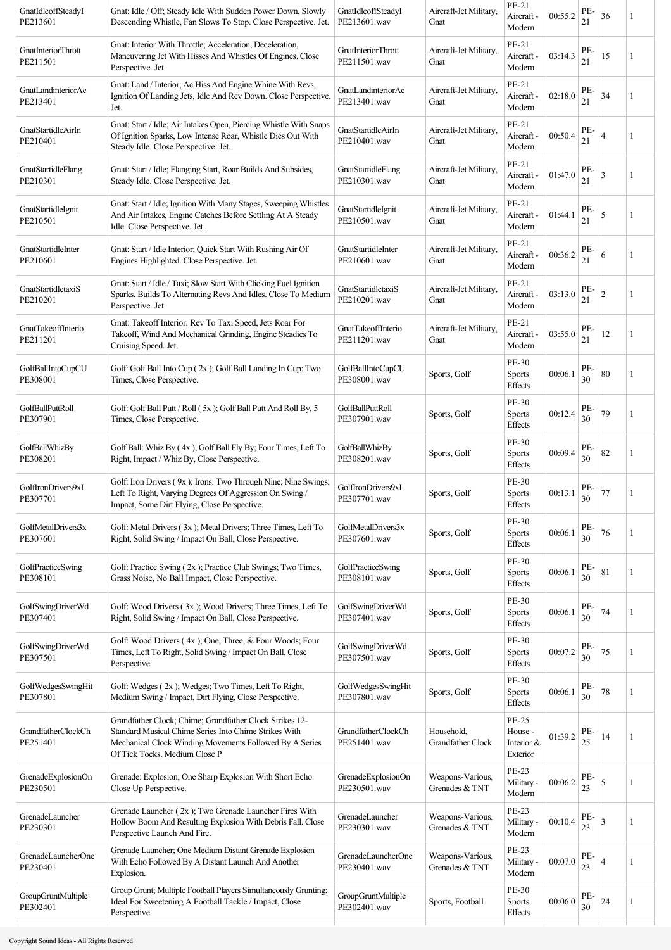| GnatIdleoffSteadyI<br>PE213601       | Gnat: Idle / Off; Steady Idle With Sudden Power Down, Slowly<br>Descending Whistle, Fan Slows To Stop. Close Perspective. Jet.                                                                               | GnatIdleoffSteadyI<br>PE213601.wav | Aircraft-Jet Military,<br>Gnat     | PE-21<br>Aircraft -<br>Modern                     | 00:55.2 | PE-<br>21 | 36 |   |
|--------------------------------------|--------------------------------------------------------------------------------------------------------------------------------------------------------------------------------------------------------------|------------------------------------|------------------------------------|---------------------------------------------------|---------|-----------|----|---|
| GnatInteriorThrott<br>PE211501       | Gnat: Interior With Throttle; Acceleration, Deceleration,<br>Maneuvering Jet With Hisses And Whistles Of Engines. Close<br>Perspective. Jet.                                                                 | GnatInteriorThrott<br>PE211501.wav | Aircraft-Jet Military,<br>Gnat     | PE-21<br>Aircraft -<br>Modern                     | 03:14.3 | PE-<br>21 | 15 | 1 |
| GnatLandinteriorAc<br>PE213401       | Gnat: Land / Interior; Ac Hiss And Engine Whine With Revs,<br>Ignition Of Landing Jets, Idle And Rev Down. Close Perspective.<br>Jet.                                                                        | GnatLandinteriorAc<br>PE213401.wav | Aircraft-Jet Military,<br>Gnat     | PE-21<br>Aircraft -<br>Modern                     | 02:18.0 | PE-<br>21 | 34 | 1 |
| GnatStartidleAirIn<br>PE210401       | Gnat: Start / Idle; Air Intakes Open, Piercing Whistle With Snaps<br>Of Ignition Sparks, Low Intense Roar, Whistle Dies Out With<br>Steady Idle. Close Perspective. Jet.                                     | GnatStartidleAirIn<br>PE210401.wav | Aircraft-Jet Military,<br>Gnat     | PE-21<br>Aircraft -<br>Modern                     | 00:50.4 | PE-<br>21 | 4  | 1 |
| GnatStartidleFlang<br>PE210301       | Gnat: Start / Idle; Flanging Start, Roar Builds And Subsides,<br>Steady Idle. Close Perspective. Jet.                                                                                                        | GnatStartidleFlang<br>PE210301.wav | Aircraft-Jet Military,<br>Gnat     | PE-21<br>Aircraft -<br>Modern                     | 01:47.0 | PE-<br>21 | 3  |   |
| GnatStartidleIgnit<br>PE210501       | Gnat: Start / Idle; Ignition With Many Stages, Sweeping Whistles<br>And Air Intakes, Engine Catches Before Settling At A Steady<br>Idle. Close Perspective. Jet.                                             | GnatStartidleIgnit<br>PE210501.wav | Aircraft-Jet Military,<br>Gnat     | PE-21<br>Aircraft -<br>Modern                     | 01:44.1 | PE-<br>21 | 5  | 1 |
| GnatStartidleInter<br>PE210601       | Gnat: Start / Idle Interior; Quick Start With Rushing Air Of<br>Engines Highlighted. Close Perspective. Jet.                                                                                                 | GnatStartidleInter<br>PE210601.wav | Aircraft-Jet Military,<br>Gnat     | PE-21<br>Aircraft -<br>Modern                     | 00:36.2 | PE-<br>21 | 6  | 1 |
| GnatStartidletaxiS<br>PE210201       | Gnat: Start / Idle / Taxi; Slow Start With Clicking Fuel Ignition<br>Sparks, Builds To Alternating Revs And Idles. Close To Medium<br>Perspective. Jet.                                                      | GnatStartidletaxiS<br>PE210201.wav | Aircraft-Jet Military,<br>Gnat     | PE-21<br>Aircraft -<br>Modern                     | 03:13.0 | PE-<br>21 | 2  | 1 |
| GnatTakeoffInterio<br>PE211201       | Gnat: Takeoff Interior; Rev To Taxi Speed, Jets Roar For<br>Takeoff, Wind And Mechanical Grinding, Engine Steadies To<br>Cruising Speed. Jet.                                                                | GnatTakeoffInterio<br>PE211201.wav | Aircraft-Jet Military,<br>Gnat     | PE-21<br>Aircraft -<br>Modern                     | 03:55.0 | PE-<br>21 | 12 | 1 |
| GolfBallIntoCupCU<br>PE308001        | Golf: Golf Ball Into Cup (2x); Golf Ball Landing In Cup; Two<br>Times, Close Perspective.                                                                                                                    | GolfBallIntoCupCU<br>PE308001.wav  | Sports, Golf                       | PE-30<br><b>Sports</b><br>Effects                 | 00:06.1 | PE-<br>30 | 80 | 1 |
| GolfBallPuttRoll<br>PE307901         | Golf: Golf Ball Putt / Roll (5x); Golf Ball Putt And Roll By, 5<br>Times, Close Perspective.                                                                                                                 | GolfBallPuttRoll<br>PE307901.wav   | Sports, Golf                       | PE-30<br><b>Sports</b><br>Effects                 | 00:12.4 | PE-<br>30 | 79 | 1 |
| GolfBallWhizBy<br>PE308201           | Golf Ball: Whiz By (4x); Golf Ball Fly By; Four Times, Left To<br>Right, Impact / Whiz By, Close Perspective.                                                                                                | GolfBallWhizBy<br>PE308201.wav     | Sports, Golf                       | PE-30<br><b>Sports</b><br>Effects                 | 00:09.4 | PE-<br>30 | 82 |   |
| GolfIronDrivers9xI<br>PE307701       | Golf: Iron Drivers (9x); Irons: Two Through Nine; Nine Swings,<br>Left To Right, Varying Degrees Of Aggression On Swing /<br>Impact, Some Dirt Flying, Close Perspective.                                    | GolfIronDrivers9xI<br>PE307701.wav | Sports, Golf                       | PE-30<br><b>Sports</b><br>Effects                 | 00:13.1 | PE-<br>30 | 77 | 1 |
| GolfMetalDrivers3x<br>PE307601       | Golf: Metal Drivers (3x); Metal Drivers; Three Times, Left To<br>Right, Solid Swing / Impact On Ball, Close Perspective.                                                                                     | GolfMetalDrivers3x<br>PE307601.wav | Sports, Golf                       | PE-30<br><b>Sports</b><br>Effects                 | 00:06.1 | PE-<br>30 | 76 | 1 |
| <b>GolfPracticeSwing</b><br>PE308101 | Golf: Practice Swing (2x); Practice Club Swings; Two Times,<br>Grass Noise, No Ball Impact, Close Perspective.                                                                                               | GolfPracticeSwing<br>PE308101.wav  | Sports, Golf                       | PE-30<br><b>Sports</b><br>Effects                 | 00:06.1 | PE-<br>30 | 81 | 1 |
| GolfSwingDriverWd<br>PE307401        | Golf: Wood Drivers (3x); Wood Drivers; Three Times, Left To<br>Right, Solid Swing / Impact On Ball, Close Perspective.                                                                                       | GolfSwingDriverWd<br>PE307401.wav  | Sports, Golf                       | PE-30<br><b>Sports</b><br>Effects                 | 00:06.1 | PE-<br>30 | 74 | 1 |
| GolfSwingDriverWd<br>PE307501        | Golf: Wood Drivers (4x); One, Three, & Four Woods; Four<br>Times, Left To Right, Solid Swing / Impact On Ball, Close<br>Perspective.                                                                         | GolfSwingDriverWd<br>PE307501.wav  | Sports, Golf                       | PE-30<br><b>Sports</b><br>Effects                 | 00:07.2 | PE-<br>30 | 75 | 1 |
| GolfWedgesSwingHit<br>PE307801       | Golf: Wedges (2x); Wedges; Two Times, Left To Right,<br>Medium Swing / Impact, Dirt Flying, Close Perspective.                                                                                               | GolfWedgesSwingHit<br>PE307801.wav | Sports, Golf                       | PE-30<br><b>Sports</b><br>Effects                 | 00:06.1 | PE-<br>30 | 78 |   |
| GrandfatherClockCh<br>PE251401       | Grandfather Clock; Chime; Grandfather Clock Strikes 12-<br>Standard Musical Chime Series Into Chime Strikes With<br>Mechanical Clock Winding Movements Followed By A Series<br>Of Tick Tocks. Medium Close P | GrandfatherClockCh<br>PE251401.wav | Household,<br>Grandfather Clock    | <b>PE-25</b><br>House -<br>Interior &<br>Exterior | 01:39.2 | PE-<br>25 | 14 |   |
| GrenadeExplosionOn<br>PE230501       | Grenade: Explosion; One Sharp Explosion With Short Echo.<br>Close Up Perspective.                                                                                                                            | GrenadeExplosionOn<br>PE230501.wav | Weapons-Various,<br>Grenades & TNT | <b>PE-23</b><br>Military -<br>Modern              | 00:06.2 | PE-<br>23 | 5  | 1 |
| GrenadeLauncher<br>PE230301          | Grenade Launcher (2x); Two Grenade Launcher Fires With<br>Hollow Boom And Resulting Explosion With Debris Fall. Close<br>Perspective Launch And Fire.                                                        | GrenadeLauncher<br>PE230301.wav    | Weapons-Various,<br>Grenades & TNT | <b>PE-23</b><br>Military -<br>Modern              | 00:10.4 | PE-<br>23 | 3  | 1 |
| GrenadeLauncherOne<br>PE230401       | Grenade Launcher; One Medium Distant Grenade Explosion<br>With Echo Followed By A Distant Launch And Another<br>Explosion.                                                                                   | GrenadeLauncherOne<br>PE230401.wav | Weapons-Various,<br>Grenades & TNT | PE-23<br>Military -<br>Modern                     | 00:07.0 | PE-<br>23 | 4  | 1 |
| GroupGruntMultiple<br>PE302401       | Group Grunt; Multiple Football Players Simultaneously Grunting;<br>Ideal For Sweetening A Football Tackle / Impact, Close<br>Perspective.                                                                    | GroupGruntMultiple<br>PE302401.wav | Sports, Football                   | PE-30<br><b>Sports</b><br>Effects                 | 00:06.0 | PE-<br>30 | 24 | 1 |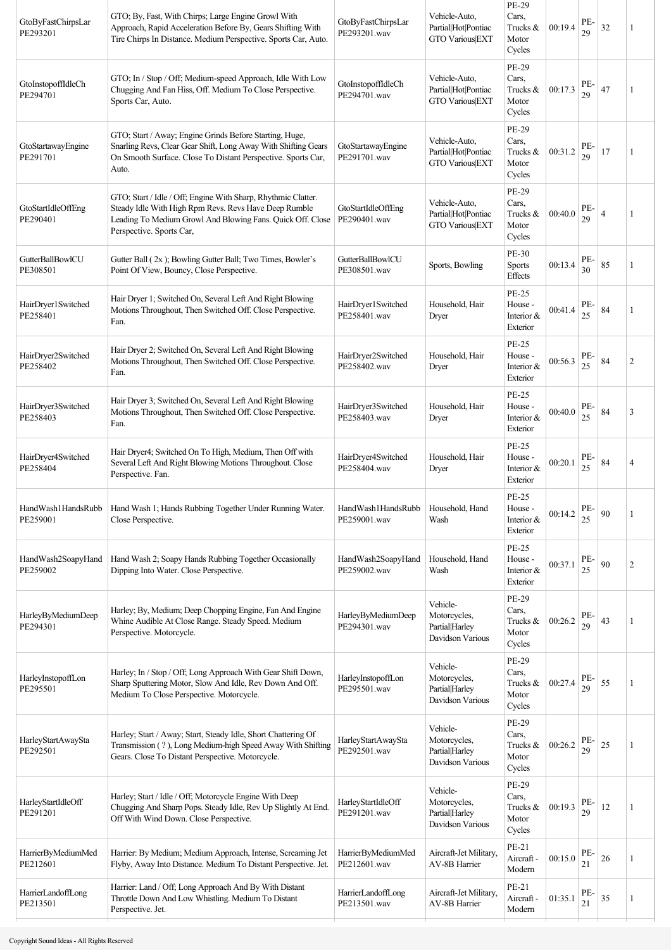| GtoByFastChirpsLar<br>PE293201 | GTO; By, Fast, With Chirps; Large Engine Growl With<br>Approach, Rapid Acceleration Before By, Gears Shifting With<br>Tire Chirps In Distance. Medium Perspective. Sports Car, Auto.                             | GtoByFastChirpsLar<br>PE293201.wav        | Vehicle-Auto,<br>Partial Hot Pontiac<br><b>GTO Various EXT</b> | PE-29<br>Cars,<br>Trucks &<br>Motor<br>Cycles           | 00:19.4 | PE.<br>29 | 32             | 1              |
|--------------------------------|------------------------------------------------------------------------------------------------------------------------------------------------------------------------------------------------------------------|-------------------------------------------|----------------------------------------------------------------|---------------------------------------------------------|---------|-----------|----------------|----------------|
| GtoInstopoffIdleCh<br>PE294701 | GTO; In / Stop / Off; Medium-speed Approach, Idle With Low<br>Chugging And Fan Hiss, Off. Medium To Close Perspective.<br>Sports Car, Auto.                                                                      | GtoInstopoffIdleCh<br>PE294701.wav        | Vehicle-Auto,<br>Partial Hot Pontiac<br><b>GTO Various EXT</b> | PE-29<br>Cars,<br>Trucks &<br>Motor<br>Cycles           | 00:17.3 | PE-<br>29 | 47             | 1              |
| GtoStartawayEngine<br>PE291701 | GTO; Start / Away; Engine Grinds Before Starting, Huge,<br>Snarling Revs, Clear Gear Shift, Long Away With Shifting Gears<br>On Smooth Surface. Close To Distant Perspective. Sports Car,<br>Auto.               | GtoStartawayEngine<br>PE291701.wav        | Vehicle-Auto,<br>Partial Hot Pontiac<br><b>GTO Various EXT</b> | <b>PE-29</b><br>Cars,<br>Trucks &<br>Motor<br>Cycles    | 00:31.2 | PE-<br>29 | 17             | 1              |
| GtoStartIdleOffEng<br>PE290401 | GTO; Start / Idle / Off; Engine With Sharp, Rhythmic Clatter.<br>Steady Idle With High Rpm Revs. Revs Have Deep Rumble<br>Leading To Medium Growl And Blowing Fans. Quick Off. Close<br>Perspective. Sports Car, | GtoStartIdleOffEng<br>PE290401.wav        | Vehicle-Auto,<br>Partial Hot Pontiac<br><b>GTO Various EXT</b> | PE-29<br>Cars,<br>Trucks &<br>Motor<br>Cycles           | 00:40.0 | PE-<br>29 | $\overline{4}$ | 1              |
| GutterBallBowlCU<br>PE308501   | Gutter Ball (2x); Bowling Gutter Ball; Two Times, Bowler's<br>Point Of View, Bouncy, Close Perspective.                                                                                                          | <b>GutterBallBowlCU</b><br>PE308501.wav   | Sports, Bowling                                                | <b>PE-30</b><br>Sports<br>Effects                       | 00:13.4 | PE-<br>30 | 85             | 1              |
| HairDryer1Switched<br>PE258401 | Hair Dryer 1; Switched On, Several Left And Right Blowing<br>Motions Throughout, Then Switched Off. Close Perspective.<br>Fan.                                                                                   | HairDryer1Switched<br>PE258401.wav        | Household, Hair<br>Dryer                                       | <b>PE-25</b><br>House -<br>Interior &<br>Exterior       | 00:41.4 | PE-<br>25 | 84             | 1              |
| HairDryer2Switched<br>PE258402 | Hair Dryer 2; Switched On, Several Left And Right Blowing<br>Motions Throughout, Then Switched Off. Close Perspective.<br>Fan.                                                                                   | HairDryer2Switched<br>PE258402.wav        | Household, Hair<br>Dryer                                       | <b>PE-25</b><br>House -<br>Interior &<br>Exterior       | 00:56.3 | PE-<br>25 | 84             | 2              |
| HairDryer3Switched<br>PE258403 | Hair Dryer 3; Switched On, Several Left And Right Blowing<br>Motions Throughout, Then Switched Off. Close Perspective.<br>Fan.                                                                                   | HairDryer3Switched<br>PE258403.wav        | Household, Hair<br>Dryer                                       | <b>PE-25</b><br>House -<br>Interior &<br>Exterior       | 00:40.0 | PE.<br>25 | 84             | 3              |
| HairDryer4Switched<br>PE258404 | Hair Dryer4; Switched On To High, Medium, Then Off with<br>Several Left And Right Blowing Motions Throughout. Close<br>Perspective. Fan.                                                                         | HairDryer4Switched<br>PE258404.wav        | Household, Hair<br>Dryer                                       | <b>PE-25</b><br>House -<br>Interior &<br>Exterior       | 00:20.1 | PE-<br>25 | 84             | $\overline{4}$ |
| HandWash1HandsRubb<br>PE259001 | Hand Wash 1; Hands Rubbing Together Under Running Water.<br>Close Perspective.                                                                                                                                   | HandWash1HandsRubb<br>PE259001.wav        | Household, Hand<br>Wash                                        | PE-25<br>House -<br>Interior &<br>Exterior              | 00:14.2 | PE-<br>25 | 90             | 1              |
| HandWash2SoapyHand<br>PE259002 | Hand Wash 2; Soapy Hands Rubbing Together Occasionally<br>Dipping Into Water. Close Perspective.                                                                                                                 | HandWash2SoapyHand<br>PE259002.wav        | Household, Hand<br>Wash                                        | <b>PE-25</b><br>House -<br>Interior &<br>Exterior       | 00:37.1 | PE-<br>25 | 90             | $\overline{2}$ |
| HarleyByMediumDeep<br>PE294301 | Harley, By, Medium; Deep Chopping Engine, Fan And Engine<br>Whine Audible At Close Range. Steady Speed. Medium<br>Perspective. Motorcycle.                                                                       | HarleyByMediumDeep<br>PE294301.wav        | Vehicle-<br>Motorcycles,<br>Partial Harley<br>Davidson Various | PE-29<br>Cars,<br>Trucks &<br>Motor<br>Cycles           | 00:26.2 | PE-<br>29 | 43             | 1              |
| HarleyInstopoffLon<br>PE295501 | Harley; In / Stop / Off; Long Approach With Gear Shift Down,<br>Sharp Sputtering Motor, Slow And Idle, Rev Down And Off.<br>Medium To Close Perspective. Motorcycle.                                             | HarleyInstopoffLon<br>PE295501.wav        | Vehicle-<br>Motorcycles,<br>Partial Harley<br>Davidson Various | <b>PE-29</b><br>Cars,<br>Trucks $\&$<br>Motor<br>Cycles | 00:27.4 | PE-<br>29 | 55             | -1             |
| HarleyStartAwaySta<br>PE292501 | Harley; Start / Away; Start, Steady Idle, Short Chattering Of<br>Transmission (?), Long Medium-high Speed Away With Shifting<br>Gears. Close To Distant Perspective. Motorcycle.                                 | HarleyStartAwaySta<br>PE292501.wav        | Vehicle-<br>Motorcycles,<br>Partial Harley<br>Davidson Various | PE-29<br>Cars,<br>Trucks &<br>Motor<br>Cycles           | 00:26.2 | PE.<br>29 | 25             | 1              |
| HarleyStartIdleOff<br>PE291201 | Harley; Start / Idle / Off; Motorcycle Engine With Deep<br>Chugging And Sharp Pops. Steady Idle, Rev Up Slightly At End.<br>Off With Wind Down. Close Perspective.                                               | HarleyStartIdleOff<br>PE291201.wav        | Vehicle-<br>Motorcycles,<br>Partial Harley<br>Davidson Various | PE-29<br>Cars,<br>Trucks &<br>Motor<br>Cycles           | 00:19.3 | PE-<br>29 | 12             | 1              |
| HarrierByMediumMed<br>PE212601 | Harrier: By Medium; Medium Approach, Intense, Screaming Jet<br>Flyby, Away Into Distance. Medium To Distant Perspective. Jet.                                                                                    | HarrierByMediumMed<br>PE212601.wav        | Aircraft-Jet Military,<br>AV-8B Harrier                        | PE-21<br>Aircraft -<br>Modern                           | 00:15.0 | PE-<br>21 | $26\,$         | 1              |
| HarrierLandoffLong<br>PE213501 | Harrier: Land / Off; Long Approach And By With Distant<br>Throttle Down And Low Whistling. Medium To Distant<br>Perspective. Jet.                                                                                | <b>HarrierLandoffLong</b><br>PE213501.wav | Aircraft-Jet Military,<br>AV-8B Harrier                        | PE-21<br>Aircraft -<br>Modern                           | 01:35.1 | PE-<br>21 | 35             | 1              |
|                                |                                                                                                                                                                                                                  |                                           |                                                                |                                                         |         |           |                |                |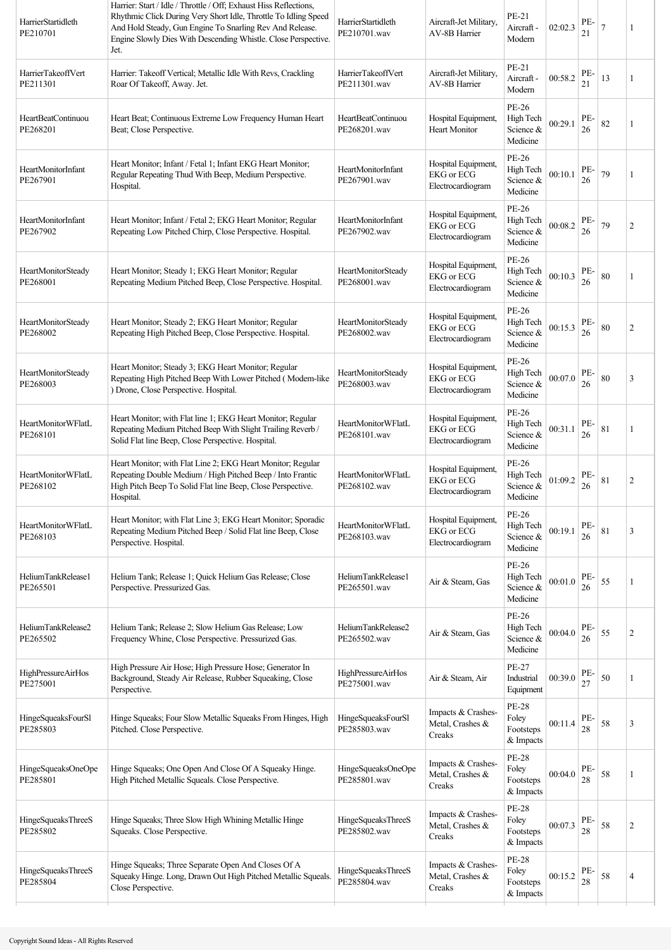| HarrierStartidleth<br>PE210701        | Harrier: Start / Idle / Throttle / Off; Exhaust Hiss Reflections,<br>Rhythmic Click During Very Short Idle, Throttle To Idling Speed<br>And Hold Steady, Gun Engine To Snarling Rev And Release.<br>Engine Slowly Dies With Descending Whistle. Close Perspective.<br>Jet. | HarrierStartidleth<br>PE210701.wav        | Aircraft-Jet Military,<br><b>AV-8B Harrier</b>                | PE-21<br>Aircraft -<br>Modern                   | 02:02.3 | PE-<br>21 | $\overline{7}$ | 1              |
|---------------------------------------|----------------------------------------------------------------------------------------------------------------------------------------------------------------------------------------------------------------------------------------------------------------------------|-------------------------------------------|---------------------------------------------------------------|-------------------------------------------------|---------|-----------|----------------|----------------|
| HarrierTakeoffVert<br>PE211301        | Harrier: Takeoff Vertical; Metallic Idle With Revs, Crackling<br>Roar Of Takeoff, Away. Jet.                                                                                                                                                                               | HarrierTakeoffVert<br>PE211301.wav        | Aircraft-Jet Military,<br><b>AV-8B Harrier</b>                | PE-21<br>Aircraft -<br>Modern                   | 00:58.2 | PE-<br>21 | 13             | 1              |
| HeartBeatContinuou<br>PE268201        | Heart Beat; Continuous Extreme Low Frequency Human Heart<br>Beat; Close Perspective.                                                                                                                                                                                       | HeartBeatContinuou<br>PE268201.wav        | Hospital Equipment,<br><b>Heart Monitor</b>                   | PE-26<br>High Tech<br>Science &<br>Medicine     | 00:29.1 | PE-<br>26 | 82             | 1              |
| HeartMonitorInfant<br>PE267901        | Heart Monitor; Infant / Fetal 1; Infant EKG Heart Monitor;<br>Regular Repeating Thud With Beep, Medium Perspective.<br>Hospital.                                                                                                                                           | HeartMonitorInfant<br>PE267901.wav        | Hospital Equipment,<br><b>EKG</b> or ECG<br>Electrocardiogram | PE-26<br>High Tech<br>Science &<br>Medicine     | 00:10.1 | PE-<br>26 | 79             | 1              |
| HeartMonitorInfant<br>PE267902        | Heart Monitor; Infant / Fetal 2; EKG Heart Monitor; Regular<br>Repeating Low Pitched Chirp, Close Perspective. Hospital.                                                                                                                                                   | HeartMonitorInfant<br>PE267902.wav        | Hospital Equipment,<br>EKG or ECG<br>Electrocardiogram        | PE-26<br>High Tech<br>Science &<br>Medicine     | 00:08.2 | PE-<br>26 | 79             | 2              |
| HeartMonitorSteady<br>PE268001        | Heart Monitor; Steady 1; EKG Heart Monitor; Regular<br>Repeating Medium Pitched Beep, Close Perspective. Hospital.                                                                                                                                                         | HeartMonitorSteady<br>PE268001.wav        | Hospital Equipment,<br><b>EKG</b> or ECG<br>Electrocardiogram | PE-26<br>High Tech<br>Science &<br>Medicine     | 00:10.3 | PE-<br>26 | 80             |                |
| <b>HeartMonitorSteady</b><br>PE268002 | Heart Monitor; Steady 2; EKG Heart Monitor; Regular<br>Repeating High Pitched Beep, Close Perspective. Hospital.                                                                                                                                                           | HeartMonitorSteady<br>PE268002.wav        | Hospital Equipment,<br><b>EKG</b> or ECG<br>Electrocardiogram | PE-26<br>High Tech<br>Science &<br>Medicine     | 00:15.3 | PE-<br>26 | 80             | $\overline{c}$ |
| <b>HeartMonitorSteady</b><br>PE268003 | Heart Monitor; Steady 3; EKG Heart Monitor; Regular<br>Repeating High Pitched Beep With Lower Pitched (Modem-like<br>) Drone, Close Perspective. Hospital.                                                                                                                 | HeartMonitorSteady<br>PE268003.wav        | Hospital Equipment,<br><b>EKG</b> or ECG<br>Electrocardiogram | PE-26<br>High Tech<br>Science &<br>Medicine     | 00:07.0 | PE-<br>26 | 80             | 3              |
| HeartMonitorWFlatL<br>PE268101        | Heart Monitor; with Flat line 1; EKG Heart Monitor; Regular<br>Repeating Medium Pitched Beep With Slight Trailing Reverb /<br>Solid Flat line Beep, Close Perspective. Hospital.                                                                                           | HeartMonitorWFlatL<br>PE268101.wav        | Hospital Equipment,<br><b>EKG</b> or ECG<br>Electrocardiogram | PE-26<br>High Tech<br>Science &<br>Medicine     | 00:31.1 | PE-<br>26 | 81             | 1              |
| HeartMonitorWFlatL<br>PE268102        | Heart Monitor, with Flat Line 2; EKG Heart Monitor; Regular<br>Repeating Double Medium / High Pitched Beep / Into Frantic<br>High Pitch Beep To Solid Flat line Beep, Close Perspective.<br>Hospital.                                                                      | <b>HeartMonitorWFlatL</b><br>PE268102.wav | Hospital Equipment,<br><b>EKG</b> or ECG<br>Electrocardiogram | PE-26<br>High Tech<br>Science &<br>Medicine     | 01:09.2 | PE-<br>26 | 81             | 2              |
| HeartMonitorWFlatL<br>PE268103        | Heart Monitor; with Flat Line 3; EKG Heart Monitor; Sporadic<br>Repeating Medium Pitched Beep / Solid Flat line Beep, Close<br>Perspective. Hospital.                                                                                                                      | <b>HeartMonitorWFlatL</b><br>PE268103.wav | Hospital Equipment,<br><b>EKG</b> or ECG<br>Electrocardiogram | PE-26<br>High Tech<br>Science &<br>Medicine     | 00:19.1 | PE-<br>26 | 81             | 3              |
| HeliumTankRelease1<br>PE265501        | Helium Tank; Release 1; Quick Helium Gas Release; Close<br>Perspective. Pressurized Gas.                                                                                                                                                                                   | HeliumTankRelease1<br>PE265501.wav        | Air & Steam, Gas                                              | PE-26<br>High Tech<br>Science &<br>Medicine     | 00:01.0 | PE-<br>26 | 55             | 1              |
| HeliumTankRelease2<br>PE265502        | Helium Tank; Release 2; Slow Helium Gas Release; Low<br>Frequency Whine, Close Perspective. Pressurized Gas.                                                                                                                                                               | HeliumTankRelease2<br>PE265502.wav        | Air & Steam, Gas                                              | PE-26<br>High Tech<br>Science &<br>Medicine     | 00:04.0 | PE-<br>26 | 55             | 2              |
| <b>HighPressureAirHos</b><br>PE275001 | High Pressure Air Hose; High Pressure Hose; Generator In<br>Background, Steady Air Release, Rubber Squeaking, Close<br>Perspective.                                                                                                                                        | <b>HighPressureAirHos</b><br>PE275001.wav | Air & Steam, Air                                              | PE-27<br>Industrial<br>Equipment                | 00:39.0 | PE-<br>27 | 50             | 1              |
| HingeSqueaksFourSl<br>PE285803        | Hinge Squeaks; Four Slow Metallic Squeaks From Hinges, High<br>Pitched. Close Perspective.                                                                                                                                                                                 | HingeSqueaksFourSl<br>PE285803.wav        | Impacts & Crashes-<br>Metal, Crashes &<br>Creaks              | <b>PE-28</b><br>Foley<br>Footsteps<br>& Impacts | 00:11.4 | PE-<br>28 | 58             | 3              |
| HingeSqueaksOneOpe<br>PE285801        | Hinge Squeaks; One Open And Close Of A Squeaky Hinge.<br>High Pitched Metallic Squeals. Close Perspective.                                                                                                                                                                 | HingeSqueaksOneOpe<br>PE285801.wav        | Impacts & Crashes-<br>Metal, Crashes &<br>Creaks              | <b>PE-28</b><br>Foley<br>Footsteps<br>& Impacts | 00:04.0 | PE-<br>28 | 58             |                |
| HingeSqueaksThreeS<br>PE285802        | Hinge Squeaks; Three Slow High Whining Metallic Hinge<br>Squeaks. Close Perspective.                                                                                                                                                                                       | HingeSqueaksThreeS<br>PE285802.wav        | Impacts & Crashes-<br>Metal, Crashes &<br>Creaks              | <b>PE-28</b><br>Foley<br>Footsteps<br>& Impacts | 00:07.3 | PE-<br>28 | 58             | $\overline{c}$ |
| HingeSqueaksThreeS<br>PE285804        | Hinge Squeaks; Three Separate Open And Closes Of A<br>Squeaky Hinge. Long, Drawn Out High Pitched Metallic Squeals.<br>Close Perspective.                                                                                                                                  | HingeSqueaksThreeS<br>PE285804.wav        | Impacts & Crashes-<br>Metal, Crashes &<br>Creaks              | <b>PE-28</b><br>Foley<br>Footsteps<br>& Impacts | 00:15.2 | PE-<br>28 | 58             | 4              |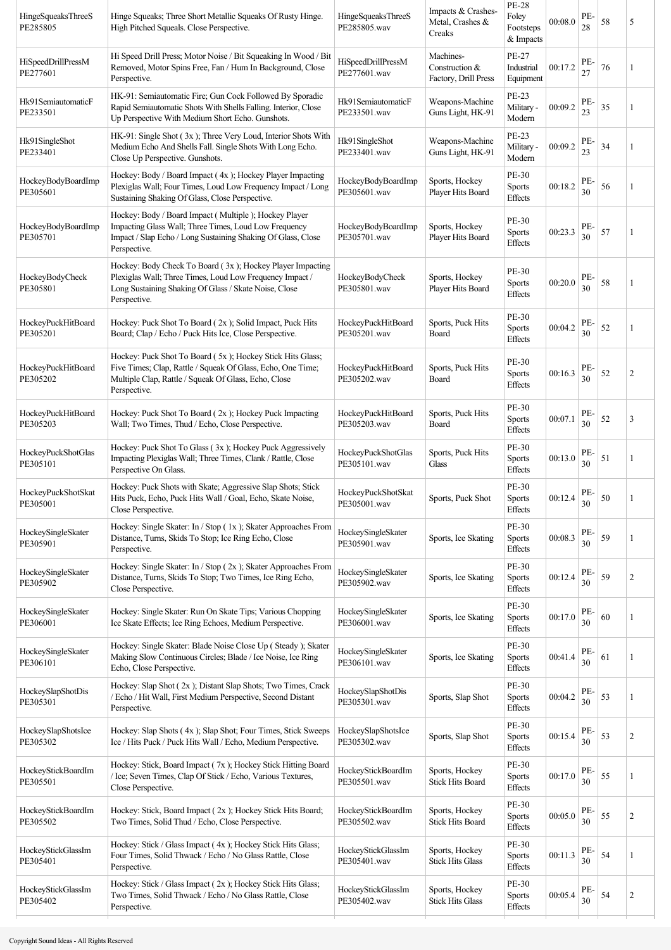| HingeSqueaksThreeS<br>PE285805 | Hinge Squeaks; Three Short Metallic Squeaks Of Rusty Hinge.<br>High Pitched Squeals. Close Perspective.                                                                                          | HingeSqueaksThreeS<br>PE285805.wav | Impacts & Crashes-<br>Metal, Crashes &<br>Creaks    | <b>PE-28</b><br>Foley<br>Footsteps<br>& Impacts | 00:08.0 | PE-<br>28 | 58 | 5              |
|--------------------------------|--------------------------------------------------------------------------------------------------------------------------------------------------------------------------------------------------|------------------------------------|-----------------------------------------------------|-------------------------------------------------|---------|-----------|----|----------------|
| HiSpeedDrillPressM<br>PE277601 | Hi Speed Drill Press; Motor Noise / Bit Squeaking In Wood / Bit<br>Removed, Motor Spins Free, Fan / Hum In Background, Close<br>Perspective.                                                     | HiSpeedDrillPressM<br>PE277601.wav | Machines-<br>Construction &<br>Factory, Drill Press | PE-27<br>Industrial<br>Equipment                | 00:17.2 | PE-<br>27 | 76 | 1              |
| Hk91SemiautomaticF<br>PE233501 | HK-91: Semiautomatic Fire; Gun Cock Followed By Sporadic<br>Rapid Semiautomatic Shots With Shells Falling. Interior, Close<br>Up Perspective With Medium Short Echo. Gunshots.                   | Hk91SemiautomaticF<br>PE233501.wav | Weapons-Machine<br>Guns Light, HK-91                | PE-23<br>Military -<br>Modern                   | 00:09.2 | PE-<br>23 | 35 | 1              |
| Hk91SingleShot<br>PE233401     | HK-91: Single Shot (3x); Three Very Loud, Interior Shots With<br>Medium Echo And Shells Fall. Single Shots With Long Echo.<br>Close Up Perspective. Gunshots.                                    | Hk91SingleShot<br>PE233401.wav     | Weapons-Machine<br>Guns Light, HK-91                | PE-23<br>Military -<br>Modern                   | 00:09.2 | PE-<br>23 | 34 | -1             |
| HockeyBodyBoardImp<br>PE305601 | Hockey: Body / Board Impact (4x); Hockey Player Impacting<br>Plexiglas Wall; Four Times, Loud Low Frequency Impact / Long<br>Sustaining Shaking Of Glass, Close Perspective.                     | HockeyBodyBoardImp<br>PE305601.wav | Sports, Hockey<br>Player Hits Board                 | PE-30<br><b>Sports</b><br><b>Effects</b>        | 00:18.2 | PE-<br>30 | 56 |                |
| HockeyBodyBoardImp<br>PE305701 | Hockey: Body / Board Impact (Multiple); Hockey Player<br>Impacting Glass Wall; Three Times, Loud Low Frequency<br>Impact / Slap Echo / Long Sustaining Shaking Of Glass, Close<br>Perspective.   | HockeyBodyBoardImp<br>PE305701.wav | Sports, Hockey<br>Player Hits Board                 | PE-30<br><b>Sports</b><br>Effects               | 00:23.3 | PE-<br>30 | 57 | -1             |
| HockeyBodyCheck<br>PE305801    | Hockey: Body Check To Board (3x); Hockey Player Impacting<br>Plexiglas Wall; Three Times, Loud Low Frequency Impact /<br>Long Sustaining Shaking Of Glass / Skate Noise, Close<br>Perspective.   | HockeyBodyCheck<br>PE305801.wav    | Sports, Hockey<br>Player Hits Board                 | PE-30<br><b>Sports</b><br>Effects               | 00:20.0 | PE-<br>30 | 58 |                |
| HockeyPuckHitBoard<br>PE305201 | Hockey: Puck Shot To Board (2x); Solid Impact, Puck Hits<br>Board; Clap / Echo / Puck Hits Ice, Close Perspective.                                                                               | HockeyPuckHitBoard<br>PE305201.wav | Sports, Puck Hits<br>Board                          | PE-30<br><b>Sports</b><br>Effects               | 00:04.2 | PE-<br>30 | 52 | 1              |
| HockeyPuckHitBoard<br>PE305202 | Hockey: Puck Shot To Board (5x); Hockey Stick Hits Glass;<br>Five Times; Clap, Rattle / Squeak Of Glass, Echo, One Time;<br>Multiple Clap, Rattle / Squeak Of Glass, Echo, Close<br>Perspective. | HockeyPuckHitBoard<br>PE305202.wav | Sports, Puck Hits<br>Board                          | PE-30<br><b>Sports</b><br>Effects               | 00:16.3 | PE-<br>30 | 52 | 2              |
| HockeyPuckHitBoard<br>PE305203 | Hockey: Puck Shot To Board (2x); Hockey Puck Impacting<br>Wall; Two Times, Thud / Echo, Close Perspective.                                                                                       | HockeyPuckHitBoard<br>PE305203.wav | Sports, Puck Hits<br>Board                          | PE-30<br><b>Sports</b><br>Effects               | 00:07.1 | PE-<br>30 | 52 | 3              |
| HockeyPuckShotGlas<br>PE305101 | Hockey: Puck Shot To Glass (3x); Hockey Puck Aggressively<br>Impacting Plexiglas Wall; Three Times, Clank / Rattle, Close<br>Perspective On Glass.                                               | HockeyPuckShotGlas<br>PE305101.wav | Sports, Puck Hits<br>Glass                          | PE-30<br><b>Sports</b><br>Effects               | 00:13.0 | PE-<br>30 | 51 | 1              |
| HockeyPuckShotSkat<br>PE305001 | Hockey: Puck Shots with Skate; Aggressive Slap Shots; Stick<br>Hits Puck, Echo, Puck Hits Wall / Goal, Echo, Skate Noise,<br>Close Perspective.                                                  | HockeyPuckShotSkat<br>PE305001.wav | Sports, Puck Shot                                   | PE-30<br><b>Sports</b><br>Effects               | 00:12.4 | PE-<br>30 | 50 |                |
| HockeySingleSkater<br>PE305901 | Hockey: Single Skater: In / Stop (1x); Skater Approaches From<br>Distance, Turns, Skids To Stop; Ice Ring Echo, Close<br>Perspective.                                                            | HockeySingleSkater<br>PE305901.wav | Sports, Ice Skating                                 | PE-30<br><b>Sports</b><br>Effects               | 00:08.3 | PE-<br>30 | 59 | 1              |
| HockeySingleSkater<br>PE305902 | Hockey: Single Skater: In / Stop (2x); Skater Approaches From<br>Distance, Turns, Skids To Stop; Two Times, Ice Ring Echo,<br>Close Perspective.                                                 | HockeySingleSkater<br>PE305902.wav | Sports, Ice Skating                                 | PE-30<br><b>Sports</b><br>Effects               | 00:12.4 | PE-<br>30 | 59 | $\overline{c}$ |
| HockeySingleSkater<br>PE306001 | Hockey: Single Skater: Run On Skate Tips; Various Chopping<br>Ice Skate Effects; Ice Ring Echoes, Medium Perspective.                                                                            | HockeySingleSkater<br>PE306001.wav | Sports, Ice Skating                                 | PE-30<br><b>Sports</b><br><b>Effects</b>        | 00:17.0 | PE-<br>30 | 60 | 1              |
| HockeySingleSkater<br>PE306101 | Hockey: Single Skater: Blade Noise Close Up ( Steady ); Skater<br>Making Slow Continuous Circles; Blade / Ice Noise, Ice Ring<br>Echo, Close Perspective.                                        | HockeySingleSkater<br>PE306101.wav | Sports, Ice Skating                                 | PE-30<br><b>Sports</b><br><b>Effects</b>        | 00:41.4 | PE-<br>30 | 61 | 1              |
| HockeySlapShotDis<br>PE305301  | Hockey: Slap Shot (2x); Distant Slap Shots; Two Times, Crack<br>/ Echo / Hit Wall, First Medium Perspective, Second Distant<br>Perspective.                                                      | HockeySlapShotDis<br>PE305301.wav  | Sports, Slap Shot                                   | PE-30<br><b>Sports</b><br><b>Effects</b>        | 00:04.2 | PE-<br>30 | 53 | 1              |
| HockeySlapShotsIce<br>PE305302 | Hockey: Slap Shots (4x); Slap Shot; Four Times, Stick Sweeps<br>Ice / Hits Puck / Puck Hits Wall / Echo, Medium Perspective.                                                                     | HockeySlapShotsIce<br>PE305302.wav | Sports, Slap Shot                                   | PE-30<br><b>Sports</b><br>Effects               | 00:15.4 | PE-<br>30 | 53 | 2              |
| HockeyStickBoardIm<br>PE305501 | Hockey: Stick, Board Impact (7x); Hockey Stick Hitting Board<br>/ Ice; Seven Times, Clap Of Stick / Echo, Various Textures,<br>Close Perspective.                                                | HockeyStickBoardIm<br>PE305501.wav | Sports, Hockey<br><b>Stick Hits Board</b>           | PE-30<br><b>Sports</b><br><b>Effects</b>        | 00:17.0 | PE-<br>30 | 55 | 1              |
| HockeyStickBoardIm<br>PE305502 | Hockey: Stick, Board Impact (2x); Hockey Stick Hits Board;<br>Two Times, Solid Thud / Echo, Close Perspective.                                                                                   | HockeyStickBoardIm<br>PE305502.wav | Sports, Hockey<br><b>Stick Hits Board</b>           | PE-30<br><b>Sports</b><br><b>Effects</b>        | 00:05.0 | PE-<br>30 | 55 | $\overline{c}$ |
| HockeyStickGlassIm<br>PE305401 | Hockey: Stick / Glass Impact (4x); Hockey Stick Hits Glass;<br>Four Times, Solid Thwack / Echo / No Glass Rattle, Close<br>Perspective.                                                          | HockeyStickGlassIm<br>PE305401.wav | Sports, Hockey<br><b>Stick Hits Glass</b>           | PE-30<br><b>Sports</b><br>Effects               | 00:11.3 | PE-<br>30 | 54 | 1              |
| HockeyStickGlassIm<br>PE305402 | Hockey: Stick / Glass Impact (2x); Hockey Stick Hits Glass;<br>Two Times, Solid Thwack / Echo / No Glass Rattle, Close<br>Perspective.                                                           | HockeyStickGlassIm<br>PE305402.wav | Sports, Hockey<br><b>Stick Hits Glass</b>           | PE-30<br>Sports<br>Effects                      | 00:05.4 | PE-<br>30 | 54 | $\overline{c}$ |
|                                |                                                                                                                                                                                                  |                                    |                                                     |                                                 |         |           |    |                |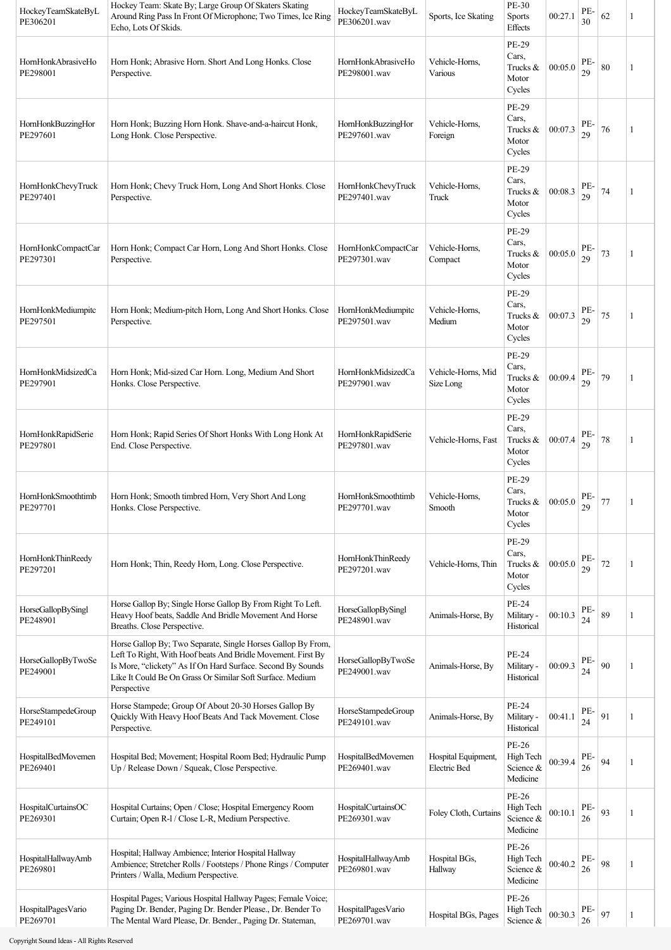| HockeyTeamSkateByL<br>PE306201 | Hockey Team: Skate By; Large Group Of Skaters Skating<br>Around Ring Pass In Front Of Microphone; Two Times, Ice Ring<br>Echo, Lots Of Skids.                                                                                                                           | HockeyTeamSkateByL<br>PE306201.wav | Sports, Ice Skating                        | PE-30<br><b>Sports</b><br>Effects             | 00:27.1 | PE-<br>30 | 62 | 1  |
|--------------------------------|-------------------------------------------------------------------------------------------------------------------------------------------------------------------------------------------------------------------------------------------------------------------------|------------------------------------|--------------------------------------------|-----------------------------------------------|---------|-----------|----|----|
| HornHonkAbrasiveHo<br>PE298001 | Horn Honk; Abrasive Horn. Short And Long Honks. Close<br>Perspective.                                                                                                                                                                                                   | HornHonkAbrasiveHo<br>PE298001.wav | Vehicle-Horns,<br>Various                  | PE-29<br>Cars,<br>Trucks &<br>Motor<br>Cycles | 00:05.0 | PE-<br>29 | 80 | 1  |
| HornHonkBuzzingHor<br>PE297601 | Horn Honk; Buzzing Horn Honk. Shave-and-a-haircut Honk,<br>Long Honk. Close Perspective.                                                                                                                                                                                | HornHonkBuzzingHor<br>PE297601.wav | Vehicle-Horns,<br>Foreign                  | PE-29<br>Cars,<br>Trucks &<br>Motor<br>Cycles | 00:07.3 | PE-<br>29 | 76 | 1  |
| HornHonkChevyTruck<br>PE297401 | Horn Honk; Chevy Truck Horn, Long And Short Honks. Close<br>Perspective.                                                                                                                                                                                                | HornHonkChevyTruck<br>PE297401.wav | Vehicle-Horns,<br>Truck                    | PE-29<br>Cars,<br>Trucks &<br>Motor<br>Cycles | 00:08.3 | PE-<br>29 | 74 |    |
| HornHonkCompactCar<br>PE297301 | Horn Honk; Compact Car Horn, Long And Short Honks. Close<br>Perspective.                                                                                                                                                                                                | HornHonkCompactCar<br>PE297301.wav | Vehicle-Horns,<br>Compact                  | PE-29<br>Cars,<br>Trucks &<br>Motor<br>Cycles | 00:05.0 | PE-<br>29 | 73 | -1 |
| HornHonkMediumpitc<br>PE297501 | Horn Honk; Medium-pitch Horn, Long And Short Honks. Close<br>Perspective.                                                                                                                                                                                               | HornHonkMediumpitc<br>PE297501.wav | Vehicle-Horns,<br>Medium                   | PE-29<br>Cars,<br>Trucks &<br>Motor<br>Cycles | 00:07.3 | PE-<br>29 | 75 | 1  |
| HornHonkMidsizedCa<br>PE297901 | Horn Honk; Mid-sized Car Horn. Long, Medium And Short<br>Honks. Close Perspective.                                                                                                                                                                                      | HornHonkMidsizedCa<br>PE297901.wav | Vehicle-Horns, Mid<br>Size Long            | PE-29<br>Cars,<br>Trucks &<br>Motor<br>Cycles | 00:09.4 | PE-<br>29 | 79 | 1  |
| HornHonkRapidSerie<br>PE297801 | Horn Honk; Rapid Series Of Short Honks With Long Honk At<br>End. Close Perspective.                                                                                                                                                                                     | HornHonkRapidSerie<br>PE297801.wav | Vehicle-Horns, Fast                        | PE-29<br>Cars,<br>Trucks &<br>Motor<br>Cycles | 00:07.4 | PE-<br>29 | 78 | -1 |
| HornHonkSmoothtimb<br>PE297701 | Horn Honk; Smooth timbred Horn, Very Short And Long<br>Honks. Close Perspective.                                                                                                                                                                                        | HornHonkSmoothtimb<br>PE297701.wav | Vehicle-Horns.<br>Smooth                   | PE-29<br>Cars,<br>Trucks &<br>Motor<br>Cycles | 00:05.0 | PE-<br>29 | 77 |    |
| HornHonkThinReedy<br>PE297201  | Horn Honk; Thin, Reedy Horn, Long. Close Perspective.                                                                                                                                                                                                                   | HornHonkThinReedy<br>PE297201.wav  | Vehicle-Horns, Thin                        | PE-29<br>Cars,<br>Trucks &<br>Motor<br>Cycles | 00:05.0 | PE-<br>29 | 72 |    |
| HorseGallopBySingl<br>PE248901 | Horse Gallop By; Single Horse Gallop By From Right To Left.<br>Heavy Hoof beats, Saddle And Bridle Movement And Horse<br>Breaths. Close Perspective.                                                                                                                    | HorseGallopBySingl<br>PE248901.wav | Animals-Horse, By                          | PE-24<br>Military -<br>Historical             | 00:10.3 | PE-<br>24 | 89 |    |
| HorseGallopByTwoSe<br>PE249001 | Horse Gallop By; Two Separate, Single Horses Gallop By From,<br>Left To Right, With Hoof beats And Bridle Movement. First By<br>Is More, "clickety" As If On Hard Surface. Second By Sounds<br>Like It Could Be On Grass Or Similar Soft Surface. Medium<br>Perspective | HorseGallopByTwoSe<br>PE249001.wav | Animals-Horse, By                          | PE-24<br>Military -<br>Historical             | 00:09.3 | PE-<br>24 | 90 |    |
| HorseStampedeGroup<br>PE249101 | Horse Stampede; Group Of About 20-30 Horses Gallop By<br>Quickly With Heavy Hoof Beats And Tack Movement. Close<br>Perspective.                                                                                                                                         | HorseStampedeGroup<br>PE249101.wav | Animals-Horse, By                          | <b>PE-24</b><br>Military -<br>Historical      | 00:41.1 | PE-<br>24 | 91 | 1  |
| HospitalBedMovemen<br>PE269401 | Hospital Bed; Movement; Hospital Room Bed; Hydraulic Pump<br>Up / Release Down / Squeak, Close Perspective.                                                                                                                                                             | HospitalBedMovemen<br>PE269401.wav | Hospital Equipment,<br><b>Electric Bed</b> | PE-26<br>High Tech<br>Science &<br>Medicine   | 00:39.4 | PE-<br>26 | 94 | 1  |
| HospitalCurtainsOC<br>PE269301 | Hospital Curtains; Open / Close; Hospital Emergency Room<br>Curtain; Open R-1 / Close L-R, Medium Perspective.                                                                                                                                                          | HospitalCurtainsOC<br>PE269301.wav | Foley Cloth, Curtains                      | PE-26<br>High Tech<br>Science &<br>Medicine   | 00:10.1 | PE-<br>26 | 93 |    |
| HospitalHallwayAmb<br>PE269801 | Hospital; Hallway Ambience; Interior Hospital Hallway<br>Ambience; Stretcher Rolls / Footsteps / Phone Rings / Computer<br>Printers / Walla, Medium Perspective.                                                                                                        | HospitalHallwayAmb<br>PE269801.wav | Hospital BGs,<br>Hallway                   | PE-26<br>High Tech<br>Science &<br>Medicine   | 00:40.2 | PE-<br>26 | 98 |    |
| HospitalPagesVario<br>PE269701 | Hospital Pages; Various Hospital Hallway Pages; Female Voice;<br>Paging Dr. Bender, Paging Dr. Bender Please., Dr. Bender To<br>The Mental Ward Please, Dr. Bender., Paging Dr. Stateman,                                                                               | HospitalPagesVario<br>PE269701.wav | Hospital BGs, Pages                        | PE-26<br>High Tech<br>Science &               | 00:30.3 | PE-<br>26 | 97 |    |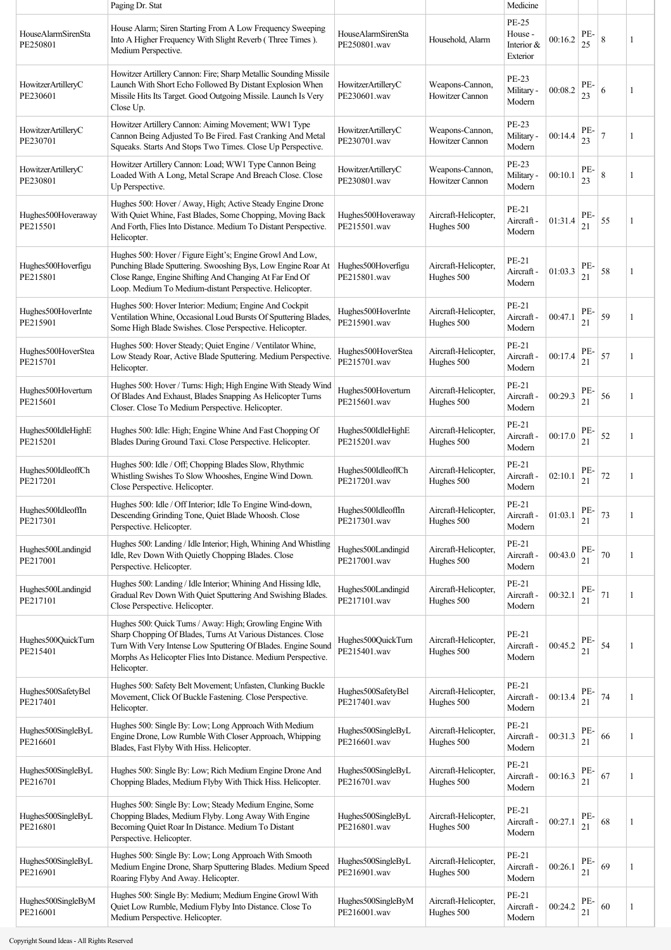|                                | Paging Dr. Stat                                                                                                                                                                                                                                                            |                                    |                                           | Medicine                                          |         |           |                |   |
|--------------------------------|----------------------------------------------------------------------------------------------------------------------------------------------------------------------------------------------------------------------------------------------------------------------------|------------------------------------|-------------------------------------------|---------------------------------------------------|---------|-----------|----------------|---|
| HouseAlarmSirenSta<br>PE250801 | House Alarm; Siren Starting From A Low Frequency Sweeping<br>Into A Higher Frequency With Slight Reverb (Three Times).<br>Medium Perspective.                                                                                                                              | HouseAlarmSirenSta<br>PE250801.wav | Household, Alarm                          | <b>PE-25</b><br>House -<br>Interior &<br>Exterior | 00:16.2 | PE-<br>25 | 8              | 1 |
| HowitzerArtilleryC<br>PE230601 | Howitzer Artillery Cannon: Fire; Sharp Metallic Sounding Missile<br>Launch With Short Echo Followed By Distant Explosion When<br>Missile Hits Its Target. Good Outgoing Missile. Launch Is Very<br>Close Up.                                                               | HowitzerArtilleryC<br>PE230601.wav | Weapons-Cannon,<br><b>Howitzer Cannon</b> | PE-23<br>Military -<br>Modern                     | 00:08.2 | PE-<br>23 | 6              | 1 |
| HowitzerArtilleryC<br>PE230701 | Howitzer Artillery Cannon: Aiming Movement; WW1 Type<br>Cannon Being Adjusted To Be Fired. Fast Cranking And Metal<br>Squeaks. Starts And Stops Two Times. Close Up Perspective.                                                                                           | HowitzerArtilleryC<br>PE230701.wav | Weapons-Cannon,<br>Howitzer Cannon        | PE-23<br>Military -<br>Modern                     | 00:14.4 | PE-<br>23 | $\overline{7}$ |   |
| HowitzerArtilleryC<br>PE230801 | Howitzer Artillery Cannon: Load; WW1 Type Cannon Being<br>Loaded With A Long, Metal Scrape And Breach Close. Close<br>Up Perspective.                                                                                                                                      | HowitzerArtilleryC<br>PE230801.wav | Weapons-Cannon,<br>Howitzer Cannon        | <b>PE-23</b><br>Military -<br>Modern              | 00:10.1 | PE-<br>23 | 8              | 1 |
| Hughes500Hoveraway<br>PE215501 | Hughes 500: Hover / Away, High; Active Steady Engine Drone<br>With Quiet Whine, Fast Blades, Some Chopping, Moving Back<br>And Forth, Flies Into Distance. Medium To Distant Perspective.<br>Helicopter.                                                                   | Hughes500Hoveraway<br>PE215501.wav | Aircraft-Helicopter,<br>Hughes 500        | PE-21<br>Aircraft -<br>Modern                     | 01:31.4 | PE-<br>21 | 55             | 1 |
| Hughes500Hoverfigu<br>PE215801 | Hughes 500: Hover / Figure Eight's; Engine Growl And Low,<br>Punching Blade Sputtering. Swooshing Bys, Low Engine Roar At<br>Close Range, Engine Shifting And Changing At Far End Of<br>Loop. Medium To Medium-distant Perspective. Helicopter.                            | Hughes500Hoverfigu<br>PE215801.wav | Aircraft-Helicopter,<br>Hughes 500        | PE-21<br>Aircraft -<br>Modern                     | 01:03.3 | PE-<br>21 | 58             | 1 |
| Hughes500HoverInte<br>PE215901 | Hughes 500: Hover Interior: Medium; Engine And Cockpit<br>Ventilation Whine, Occasional Loud Bursts Of Sputtering Blades,<br>Some High Blade Swishes. Close Perspective. Helicopter.                                                                                       | Hughes500HoverInte<br>PE215901.wav | Aircraft-Helicopter,<br>Hughes 500        | PE-21<br>Aircraft -<br>Modern                     | 00:47.1 | PE-<br>21 | 59             | 1 |
| Hughes500HoverStea<br>PE215701 | Hughes 500: Hover Steady; Quiet Engine / Ventilator Whine,<br>Low Steady Roar, Active Blade Sputtering. Medium Perspective.<br>Helicopter.                                                                                                                                 | Hughes500HoverStea<br>PE215701.wav | Aircraft-Helicopter,<br>Hughes 500        | PE-21<br>Aircraft -<br>Modern                     | 00:17.4 | PE-<br>21 | 57             | 1 |
| Hughes500Hoverturn<br>PE215601 | Hughes 500: Hover / Turns: High; High Engine With Steady Wind<br>Of Blades And Exhaust, Blades Snapping As Helicopter Turns<br>Closer. Close To Medium Perspective. Helicopter.                                                                                            | Hughes500Hoverturn<br>PE215601.wav | Aircraft-Helicopter,<br>Hughes 500        | PE-21<br>Aircraft -<br>Modern                     | 00:29.3 | PE-<br>21 | 56             | 1 |
| Hughes500IdleHighE<br>PE215201 | Hughes 500: Idle: High; Engine Whine And Fast Chopping Of<br>Blades During Ground Taxi. Close Perspective. Helicopter.                                                                                                                                                     | Hughes500IdleHighE<br>PE215201.wav | Aircraft-Helicopter,<br>Hughes 500        | PE-21<br>Aircraft -<br>Modern                     | 00:17.0 | PE<br>21  | 52             |   |
| Hughes500IdleoffCh<br>PE217201 | Hughes 500: Idle / Off; Chopping Blades Slow, Rhythmic<br>Whistling Swishes To Slow Whooshes, Engine Wind Down.<br>Close Perspective. Helicopter.                                                                                                                          | Hughes500IdleoffCh<br>PE217201.wav | Aircraft-Helicopter,<br>Hughes 500        | PE-21<br>Aircraft -<br>Modern                     | 02:10.1 | PE-<br>21 | 72             | 1 |
| Hughes500IdleoffIn<br>PE217301 | Hughes 500: Idle / Off Interior; Idle To Engine Wind-down,<br>Descending Grinding Tone, Quiet Blade Whoosh. Close<br>Perspective. Helicopter.                                                                                                                              | Hughes500IdleoffIn<br>PE217301.wav | Aircraft-Helicopter,<br>Hughes 500        | PE-21<br>Aircraft -<br>Modern                     | 01:03.1 | PE-<br>21 | 73             |   |
| Hughes500Landingid<br>PE217001 | Hughes 500: Landing / Idle Interior; High, Whining And Whistling<br>Idle, Rev Down With Quietly Chopping Blades. Close<br>Perspective. Helicopter.                                                                                                                         | Hughes500Landingid<br>PE217001.wav | Aircraft-Helicopter,<br>Hughes 500        | PE-21<br>Aircraft -<br>Modern                     | 00:43.0 | PE-<br>21 | 70             | 1 |
| Hughes500Landingid<br>PE217101 | Hughes 500: Landing / Idle Interior; Whining And Hissing Idle,<br>Gradual Rev Down With Quiet Sputtering And Swishing Blades.<br>Close Perspective. Helicopter.                                                                                                            | Hughes500Landingid<br>PE217101.wav | Aircraft-Helicopter,<br>Hughes 500        | PE-21<br>Aircraft -<br>Modern                     | 00:32.1 | PE-<br>21 | 71             | 1 |
| Hughes500QuickTurn<br>PE215401 | Hughes 500: Quick Turns / Away: High; Growling Engine With<br>Sharp Chopping Of Blades, Turns At Various Distances. Close<br>Turn With Very Intense Low Sputtering Of Blades. Engine Sound<br>Morphs As Helicopter Flies Into Distance. Medium Perspective.<br>Helicopter. | Hughes500QuickTurn<br>PE215401.wav | Aircraft-Helicopter,<br>Hughes 500        | PE-21<br>Aircraft -<br>Modern                     | 00:45.2 | PE-<br>21 | 54             |   |
| Hughes500SafetyBel<br>PE217401 | Hughes 500: Safety Belt Movement; Unfasten, Clunking Buckle<br>Movement, Click Of Buckle Fastening. Close Perspective.<br>Helicopter.                                                                                                                                      | Hughes500SafetyBel<br>PE217401.wav | Aircraft-Helicopter,<br>Hughes 500        | PE-21<br>Aircraft -<br>Modern                     | 00:13.4 | PE-<br>21 | 74             | 1 |
| Hughes500SingleByL<br>PE216601 | Hughes 500: Single By: Low; Long Approach With Medium<br>Engine Drone, Low Rumble With Closer Approach, Whipping<br>Blades, Fast Flyby With Hiss. Helicopter.                                                                                                              | Hughes500SingleByL<br>PE216601.wav | Aircraft-Helicopter,<br>Hughes 500        | PE-21<br>Aircraft -<br>Modern                     | 00:31.3 | PE-<br>21 | 66             | 1 |
| Hughes500SingleByL<br>PE216701 | Hughes 500: Single By: Low; Rich Medium Engine Drone And<br>Chopping Blades, Medium Flyby With Thick Hiss. Helicopter.                                                                                                                                                     | Hughes500SingleByL<br>PE216701.wav | Aircraft-Helicopter,<br>Hughes 500        | PE-21<br>Aircraft -<br>Modern                     | 00:16.3 | PE-<br>21 | 67             | 1 |
| Hughes500SingleByL<br>PE216801 | Hughes 500: Single By: Low; Steady Medium Engine, Some<br>Chopping Blades, Medium Flyby. Long Away With Engine<br>Becoming Quiet Roar In Distance. Medium To Distant<br>Perspective. Helicopter.                                                                           | Hughes500SingleByL<br>PE216801.wav | Aircraft-Helicopter,<br>Hughes 500        | PE-21<br>Aircraft -<br>Modern                     | 00:27.1 | PE-<br>21 | 68             |   |
| Hughes500SingleByL<br>PE216901 | Hughes 500: Single By: Low; Long Approach With Smooth<br>Medium Engine Drone, Sharp Sputtering Blades. Medium Speed<br>Roaring Flyby And Away. Helicopter.                                                                                                                 | Hughes500SingleByL<br>PE216901.wav | Aircraft-Helicopter,<br>Hughes 500        | PE-21<br>Aircraft -<br>Modern                     | 00:26.1 | PE-<br>21 | 69             | 1 |
| Hughes500SingleByM<br>PE216001 | Hughes 500: Single By: Medium; Medium Engine Growl With<br>Quiet Low Rumble, Medium Flyby Into Distance. Close To<br>Medium Perspective. Helicopter.                                                                                                                       | Hughes500SingleByM<br>PE216001.wav | Aircraft-Helicopter,<br>Hughes 500        | PE-21<br>Aircraft -<br>Modern                     | 00:24.2 | PE-<br>21 | 60             | 1 |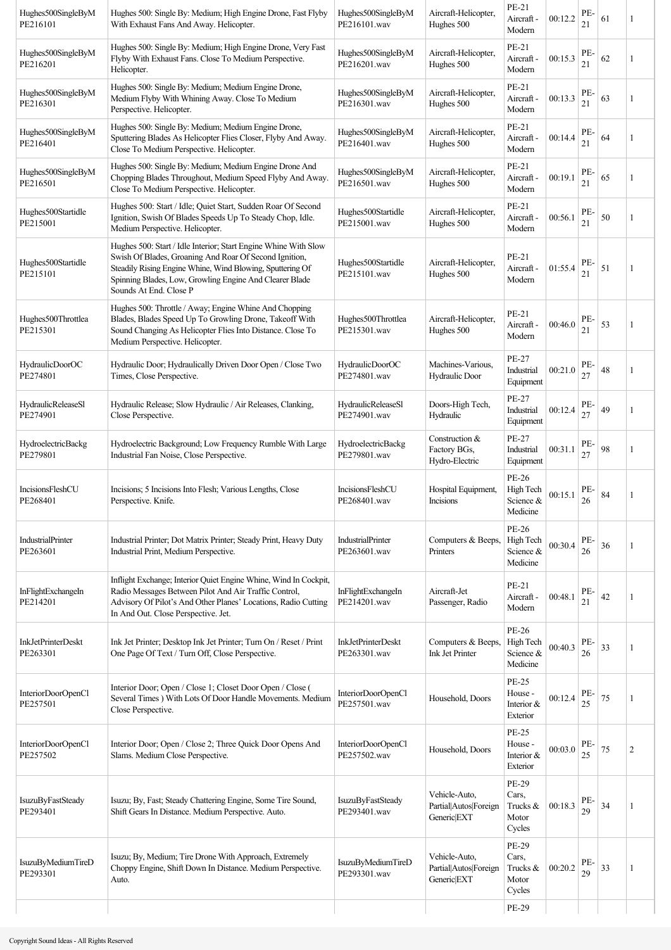| Hughes500SingleByM<br>PE216101        | Hughes 500: Single By: Medium; High Engine Drone, Fast Flyby<br>With Exhaust Fans And Away. Helicopter.                                                                                                                                                                     | Hughes500SingleByM<br>PE216101.wav        | Aircraft-Helicopter,<br>Hughes 500                                | PE-21<br>Aircraft -<br>Modern                     | 00:12.2 | PE-<br>21 | 61     | 1              |
|---------------------------------------|-----------------------------------------------------------------------------------------------------------------------------------------------------------------------------------------------------------------------------------------------------------------------------|-------------------------------------------|-------------------------------------------------------------------|---------------------------------------------------|---------|-----------|--------|----------------|
| Hughes500SingleByM<br>PE216201        | Hughes 500: Single By: Medium; High Engine Drone, Very Fast<br>Flyby With Exhaust Fans. Close To Medium Perspective.<br>Helicopter.                                                                                                                                         | Hughes500SingleByM<br>PE216201.wav        | Aircraft-Helicopter,<br>Hughes 500                                | PE-21<br>Aircraft -<br>Modern                     | 00:15.3 | PE-<br>21 | 62     | 1              |
| Hughes500SingleByM<br>PE216301        | Hughes 500: Single By: Medium; Medium Engine Drone,<br>Medium Flyby With Whining Away. Close To Medium<br>Perspective. Helicopter.                                                                                                                                          | Hughes500SingleByM<br>PE216301.wav        | Aircraft-Helicopter,<br>Hughes 500                                | PE-21<br>Aircraft -<br>Modern                     | 00:13.3 | PE-<br>21 | 63     | 1              |
| Hughes500SingleByM<br>PE216401        | Hughes 500: Single By: Medium; Medium Engine Drone,<br>Sputtering Blades As Helicopter Flies Closer, Flyby And Away.<br>Close To Medium Perspective. Helicopter.                                                                                                            | Hughes500SingleByM<br>PE216401.wav        | Aircraft-Helicopter,<br>Hughes 500                                | PE-21<br>Aircraft -<br>Modern                     | 00:14.4 | PE-<br>21 | 64     | 1              |
| Hughes500SingleByM<br>PE216501        | Hughes 500: Single By: Medium; Medium Engine Drone And<br>Chopping Blades Throughout, Medium Speed Flyby And Away.<br>Close To Medium Perspective. Helicopter.                                                                                                              | Hughes500SingleByM<br>PE216501.wav        | Aircraft-Helicopter,<br>Hughes 500                                | PE-21<br>Aircraft -<br>Modern                     | 00:19.1 | PE-<br>21 | 65     |                |
| Hughes500Startidle<br>PE215001        | Hughes 500: Start / Idle; Quiet Start, Sudden Roar Of Second<br>Ignition, Swish Of Blades Speeds Up To Steady Chop, Idle.<br>Medium Perspective. Helicopter.                                                                                                                | Hughes500Startidle<br>PE215001.wav        | Aircraft-Helicopter,<br>Hughes 500                                | PE-21<br>Aircraft -<br>Modern                     | 00:56.1 | PE-<br>21 | $50\,$ | 1              |
| Hughes500Startidle<br>PE215101        | Hughes 500: Start / Idle Interior; Start Engine Whine With Slow<br>Swish Of Blades, Groaning And Roar Of Second Ignition,<br>Steadily Rising Engine Whine, Wind Blowing, Sputtering Of<br>Spinning Blades, Low, Growling Engine And Clearer Blade<br>Sounds At End. Close P | Hughes500Startidle<br>PE215101.wav        | Aircraft-Helicopter,<br>Hughes 500                                | PE-21<br>Aircraft -<br>Modern                     | 01:55.4 | PE-<br>21 | 51     |                |
| Hughes500Throttlea<br>PE215301        | Hughes 500: Throttle / Away; Engine Whine And Chopping<br>Blades, Blades Speed Up To Growling Drone, Takeoff With<br>Sound Changing As Helicopter Flies Into Distance. Close To<br>Medium Perspective. Helicopter.                                                          | Hughes500Throttlea<br>PE215301.wav        | Aircraft-Helicopter,<br>Hughes 500                                | PE-21<br>Aircraft -<br>Modern                     | 00:46.0 | PE-<br>21 | 53     |                |
| <b>HydraulicDoorOC</b><br>PE274801    | Hydraulic Door; Hydraulically Driven Door Open / Close Two<br>Times, Close Perspective.                                                                                                                                                                                     | HydraulicDoorOC<br>PE274801.wav           | Machines-Various.<br>Hydraulic Door                               | PE-27<br>Industrial<br>Equipment                  | 00:21.0 | PE.<br>27 | 48     | 1              |
| <b>HydraulicReleaseSl</b><br>PE274901 | Hydraulic Release; Slow Hydraulic / Air Releases, Clanking,<br>Close Perspective.                                                                                                                                                                                           | HydraulicReleaseSl<br>PE274901.wav        | Doors-High Tech,<br>Hydraulic                                     | PE-27<br>Industrial<br>Equipment                  | 00:12.4 | PE-<br>27 | 49     | 1              |
| HydroelectricBackg<br>PE279801        | Hydroelectric Background; Low Frequency Rumble With Large<br>Industrial Fan Noise, Close Perspective.                                                                                                                                                                       | HydroelectricBackg<br>PE279801.wav        | Construction &<br>Factory BGs,<br>Hydro-Electric                  | PE-27<br>Industrial<br>Equipment                  | 00:31.1 | PE-<br>27 | 98     | 1              |
| IncisionsFleshCU<br>PE268401          | Incisions; 5 Incisions Into Flesh; Various Lengths, Close<br>Perspective. Knife.                                                                                                                                                                                            | IncisionsFleshCU<br>PE268401.wav          | Hospital Equipment,<br>Incisions                                  | PE-26<br>High Tech<br>Science &<br>Medicine       | 00:15.1 | PE-<br>26 | 84     |                |
| IndustrialPrinter<br>PE263601         | Industrial Printer; Dot Matrix Printer; Steady Print, Heavy Duty<br>Industrial Print, Medium Perspective.                                                                                                                                                                   | IndustrialPrinter<br>PE263601.wav         | Computers & Beeps,<br>Printers                                    | PE-26<br>High Tech<br>Science &<br>Medicine       | 00:30.4 | PE-<br>26 | 36     | 1              |
| InFlightExchangeIn<br>PE214201        | Inflight Exchange; Interior Quiet Engine Whine, Wind In Cockpit,<br>Radio Messages Between Pilot And Air Traffic Control,<br>Advisory Of Pilot's And Other Planes' Locations, Radio Cutting<br>In And Out. Close Perspective. Jet.                                          | InFlightExchangeIn<br>PE214201.wav        | Aircraft-Jet<br>Passenger, Radio                                  | PE-21<br>Aircraft -<br>Modern                     | 00:48.1 | PE-<br>21 | 42     |                |
| <b>InkJetPrinterDeskt</b><br>PE263301 | Ink Jet Printer; Desktop Ink Jet Printer; Turn On / Reset / Print<br>One Page Of Text / Turn Off, Close Perspective.                                                                                                                                                        | <b>InkJetPrinterDeskt</b><br>PE263301.wav | Computers & Beeps,<br>Ink Jet Printer                             | PE-26<br>High Tech<br>Science &<br>Medicine       | 00:40.3 | PE-<br>26 | 33     |                |
| InteriorDoorOpenCl<br>PE257501        | Interior Door; Open / Close 1; Closet Door Open / Close (<br>Several Times ) With Lots Of Door Handle Movements. Medium<br>Close Perspective.                                                                                                                               | InteriorDoorOpenCl<br>PE257501.wav        | Household, Doors                                                  | <b>PE-25</b><br>House -<br>Interior &<br>Exterior | 00:12.4 | PE-<br>25 | 75     |                |
| InteriorDoorOpenCl<br>PE257502        | Interior Door; Open / Close 2; Three Quick Door Opens And<br>Slams. Medium Close Perspective.                                                                                                                                                                               | InteriorDoorOpenCl<br>PE257502.wav        | Household, Doors                                                  | <b>PE-25</b><br>House -<br>Interior &<br>Exterior | 00:03.0 | PE-<br>25 | 75     | $\overline{2}$ |
| IsuzuByFastSteady<br>PE293401         | Isuzu; By, Fast; Steady Chattering Engine, Some Tire Sound,<br>Shift Gears In Distance. Medium Perspective. Auto.                                                                                                                                                           | <b>IsuzuByFastSteady</b><br>PE293401.wav  | Vehicle-Auto,<br>Partial Autos Foreign<br>Generic <sup>[EXT</sup> | PE-29<br>Cars,<br>Trucks &<br>Motor<br>Cycles     | 00:18.3 | PE-<br>29 | 34     | 1              |
| IsuzuByMediumTireD<br>PE293301        | Isuzu; By, Medium; Tire Drone With Approach, Extremely<br>Choppy Engine, Shift Down In Distance. Medium Perspective.<br>Auto.                                                                                                                                               | IsuzuByMediumTireD<br>PE293301.wav        | Vehicle-Auto,<br>Partial Autos Foreign<br>Generic <sup>[EXT</sup> | PE-29<br>Cars,<br>Trucks &<br>Motor<br>Cycles     | 00:20.2 | PE-<br>29 | 33     | 1              |
|                                       |                                                                                                                                                                                                                                                                             |                                           |                                                                   | PE-29                                             |         |           |        |                |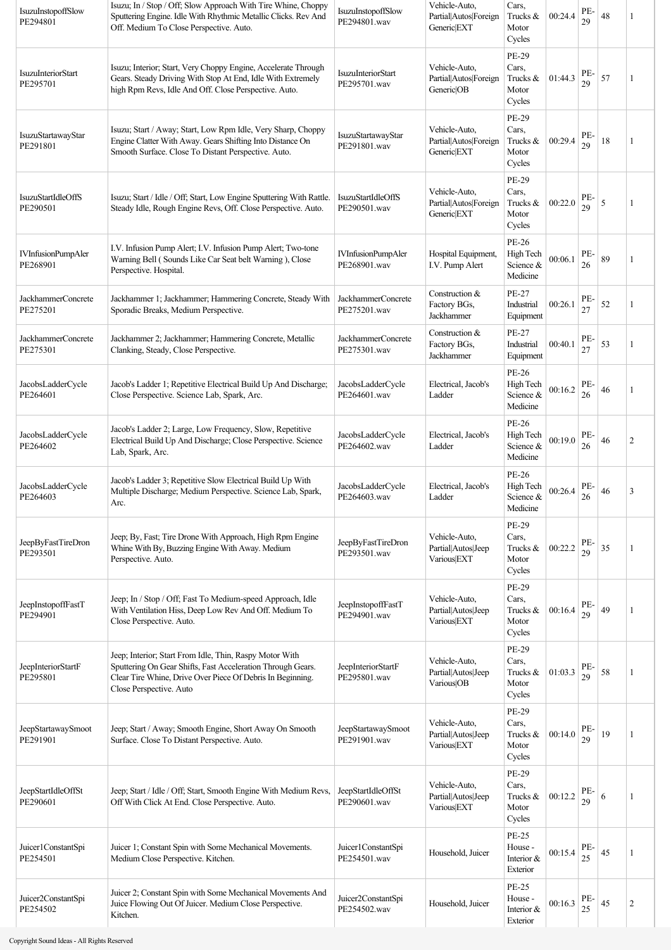| IsuzuInstopoffSlow<br>PE294801        | Isuzu; In / Stop / Off; Slow Approach With Tire Whine, Choppy<br>Sputtering Engine. Idle With Rhythmic Metallic Clicks. Rev And<br>Off. Medium To Close Perspective. Auto.                                      | IsuzuInstopoffSlow<br>PE294801.wav        | Vehicle-Auto,<br>Partial Autos Foreign<br>Generic EXT             | Cars,<br>Trucks &<br>Motor<br>Cycles                    | 00:24.4 | PE-<br>29 | 48 | 1              |
|---------------------------------------|-----------------------------------------------------------------------------------------------------------------------------------------------------------------------------------------------------------------|-------------------------------------------|-------------------------------------------------------------------|---------------------------------------------------------|---------|-----------|----|----------------|
| <b>IsuzuInteriorStart</b><br>PE295701 | Isuzu; Interior; Start, Very Choppy Engine, Accelerate Through<br>Gears. Steady Driving With Stop At End, Idle With Extremely<br>high Rpm Revs, Idle And Off. Close Perspective. Auto.                          | <b>IsuzuInteriorStart</b><br>PE295701.wav | Vehicle-Auto,<br>Partial Autos Foreign<br>Generic <sup>OB</sup>   | PE-29<br>Cars,<br>Trucks &<br>Motor<br>Cycles           | 01:44.3 | PE-<br>29 | 57 | 1              |
| IsuzuStartawayStar<br>PE291801        | Isuzu; Start / Away; Start, Low Rpm Idle, Very Sharp, Choppy<br>Engine Clatter With Away. Gears Shifting Into Distance On<br>Smooth Surface. Close To Distant Perspective. Auto.                                | IsuzuStartawayStar<br>PE291801.wav        | Vehicle-Auto,<br>Partial Autos Foreign<br>Generic <sup>[EXT</sup> | PE-29<br>Cars,<br>Trucks &<br>Motor<br>Cycles           | 00:29.4 | PE-<br>29 | 18 | 1              |
| <b>IsuzuStartIdleOffS</b><br>PE290501 | Isuzu; Start / Idle / Off; Start, Low Engine Sputtering With Rattle.<br>Steady Idle, Rough Engine Revs, Off. Close Perspective. Auto.                                                                           | <b>IsuzuStartIdleOffS</b><br>PE290501.wav | Vehicle-Auto,<br>Partial Autos Foreign<br>Generic EXT             | <b>PE-29</b><br>Cars,<br>Trucks $\&$<br>Motor<br>Cycles | 00:22.0 | PE-<br>29 | 5  | 1              |
| <b>IVInfusionPumpAler</b><br>PE268901 | I.V. Infusion Pump Alert; I.V. Infusion Pump Alert; Two-tone<br>Warning Bell (Sounds Like Car Seat belt Warning), Close<br>Perspective. Hospital.                                                               | <b>IVInfusionPumpAler</b><br>PE268901.wav | Hospital Equipment,<br>I.V. Pump Alert                            | PE-26<br>High Tech<br>Science &<br>Medicine             | 00:06.1 | PE-<br>26 | 89 | 1              |
| JackhammerConcrete<br>PE275201        | Jackhammer 1; Jackhammer; Hammering Concrete, Steady With<br>Sporadic Breaks, Medium Perspective.                                                                                                               | JackhammerConcrete<br>PE275201.wav        | Construction &<br>Factory BGs,<br>Jackhammer                      | PE-27<br>Industrial<br>Equipment                        | 00:26.1 | PE.<br>27 | 52 | 1              |
| JackhammerConcrete<br>PE275301        | Jackhammer 2; Jackhammer; Hammering Concrete, Metallic<br>Clanking, Steady, Close Perspective.                                                                                                                  | JackhammerConcrete<br>PE275301.wav        | Construction &<br>Factory BGs,<br>Jackhammer                      | PE-27<br>Industrial<br>Equipment                        | 00:40.1 | PE.<br>27 | 53 | 1              |
| JacobsLadderCycle<br>PE264601         | Jacob's Ladder 1; Repetitive Electrical Build Up And Discharge;<br>Close Perspective. Science Lab, Spark, Arc.                                                                                                  | JacobsLadderCycle<br>PE264601.wav         | Electrical, Jacob's<br>Ladder                                     | PE-26<br>High Tech<br>Science &<br>Medicine             | 00:16.2 | PE-<br>26 | 46 | 1              |
| JacobsLadderCycle<br>PE264602         | Jacob's Ladder 2; Large, Low Frequency, Slow, Repetitive<br>Electrical Build Up And Discharge; Close Perspective. Science<br>Lab, Spark, Arc.                                                                   | JacobsLadderCycle<br>PE264602.wav         | Electrical, Jacob's<br>Ladder                                     | PE-26<br>High Tech<br>Science &<br>Medicine             | 00:19.0 | PE<br>26  | 46 | $\overline{2}$ |
| JacobsLadderCycle<br>PE264603         | Jacob's Ladder 3; Repetitive Slow Electrical Build Up With<br>Multiple Discharge; Medium Perspective. Science Lab, Spark,<br>Arc.                                                                               | JacobsLadderCycle<br>PE264603.wav         | Electrical, Jacob's<br>Ladder                                     | PE-26<br>High Tech<br>Science &<br>Medicine             | 00:26.4 | PE-<br>26 | 46 | 3              |
| JeepByFastTireDron<br>PE293501        | Jeep; By, Fast; Tire Drone With Approach, High Rpm Engine<br>Whine With By, Buzzing Engine With Away. Medium<br>Perspective. Auto.                                                                              | JeepByFastTireDron<br>PE293501.wav        | Vehicle-Auto,<br>Partial Autos Jeep<br>Various EXT                | PE-29<br>Cars,<br>Trucks &<br>Motor<br>Cycles           | 00:22.2 | PE-<br>29 | 35 | 1              |
| JeepInstopoffFastT<br>PE294901        | Jeep; In / Stop / Off; Fast To Medium-speed Approach, Idle<br>With Ventilation Hiss, Deep Low Rev And Off. Medium To<br>Close Perspective. Auto.                                                                | JeepInstopoffFastT<br>PE294901.wav        | Vehicle-Auto,<br>Partial Autos Jeep<br>Various EXT                | PE-29<br>Cars,<br>Trucks &<br>Motor<br>Cycles           | 00:16.4 | PE.<br>29 | 49 | 1              |
| JeepInteriorStartF<br>PE295801        | Jeep; Interior; Start From Idle, Thin, Raspy Motor With<br>Sputtering On Gear Shifts, Fast Acceleration Through Gears.<br>Clear Tire Whine, Drive Over Piece Of Debris In Beginning.<br>Close Perspective. Auto | JeepInteriorStartF<br>PE295801.wav        | Vehicle-Auto,<br>Partial Autos Jeep<br>Various OB                 | PE-29<br>Cars,<br>Trucks $\&$<br>Motor<br>Cycles        | 01:03.3 | PE-<br>29 | 58 | 1              |
| JeepStartawaySmoot<br>PE291901        | Jeep; Start / Away; Smooth Engine, Short Away On Smooth<br>Surface. Close To Distant Perspective. Auto.                                                                                                         | JeepStartawaySmoot<br>PE291901.wav        | Vehicle-Auto,<br>Partial Autos Jeep<br>Various EXT                | PE-29<br>Cars,<br>Trucks &<br>Motor<br>Cycles           | 00:14.0 | PE-<br>29 | 19 | 1              |
| JeepStartIdleOffSt<br>PE290601        | Jeep; Start / Idle / Off; Start, Smooth Engine With Medium Revs,<br>Off With Click At End. Close Perspective. Auto.                                                                                             | JeepStartIdleOffSt<br>PE290601.wav        | Vehicle-Auto,<br>Partial Autos Jeep<br>Various EXT                | PE-29<br>Cars,<br>Trucks &<br>Motor<br>Cycles           | 00:12.2 | PE-<br>29 | 6  | 1              |
| Juicer1ConstantSpi<br>PE254501        | Juicer 1; Constant Spin with Some Mechanical Movements.<br>Medium Close Perspective. Kitchen.                                                                                                                   | Juicer1ConstantSpi<br>PE254501.wav        | Household, Juicer                                                 | <b>PE-25</b><br>House -<br>Interior $&$<br>Exterior     | 00:15.4 | PE.<br>25 | 45 |                |
| Juicer2ConstantSpi<br>PE254502        | Juicer 2; Constant Spin with Some Mechanical Movements And<br>Juice Flowing Out Of Juicer. Medium Close Perspective.<br>Kitchen.                                                                                | Juicer2ConstantSpi<br>PE254502.wav        | Household, Juicer                                                 | <b>PE-25</b><br>House -<br>Interior &<br>Exterior       | 00:16.3 | PE-<br>25 | 45 | $\overline{c}$ |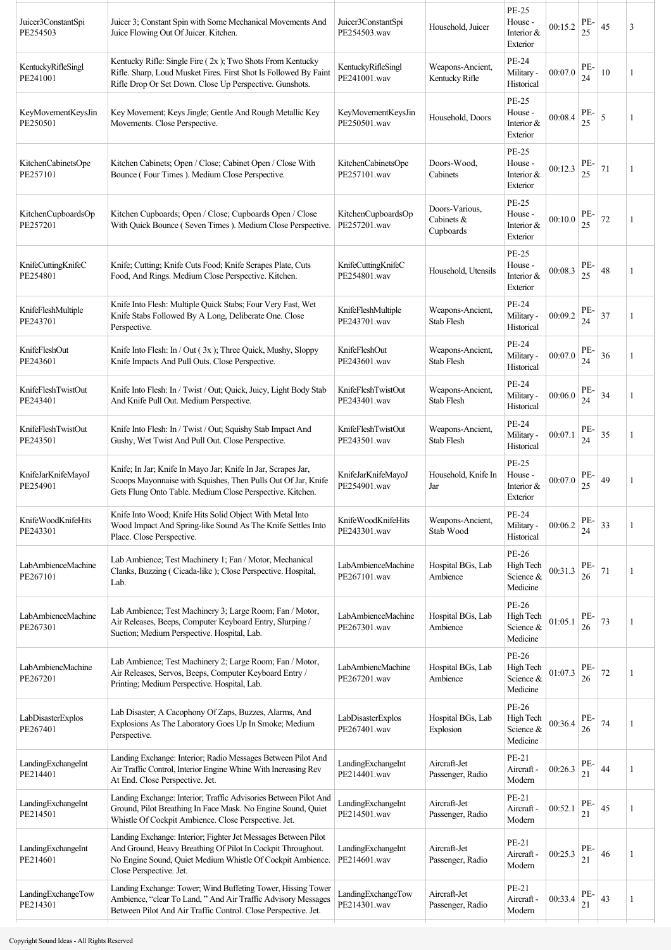| Juicer3ConstantSpi<br>PE254503 | Juicer 3; Constant Spin with Some Mechanical Movements And<br>Juice Flowing Out Of Juicer. Kitchen.                                                                                                                    | Juicer3ConstantSpi<br>PE254503.wav | Household, Juicer                         | <b>PE-25</b><br>House -<br>Interior &<br>Exterior | 00:15.2 | PE-<br>25 | 45 | 3  |
|--------------------------------|------------------------------------------------------------------------------------------------------------------------------------------------------------------------------------------------------------------------|------------------------------------|-------------------------------------------|---------------------------------------------------|---------|-----------|----|----|
| KentuckyRifleSingl<br>PE241001 | Kentucky Rifle: Single Fire (2x); Two Shots From Kentucky<br>Rifle. Sharp, Loud Musket Fires. First Shot Is Followed By Faint<br>Rifle Drop Or Set Down. Close Up Perspective. Gunshots.                               | KentuckyRifleSingl<br>PE241001.wav | Weapons-Ancient,<br>Kentucky Rifle        | PE-24<br>Military -<br>Historical                 | 00:07.0 | PE-<br>24 | 10 | 1  |
| KeyMovementKeysJin<br>PE250501 | Key Movement; Keys Jingle; Gentle And Rough Metallic Key<br>Movements. Close Perspective.                                                                                                                              | KeyMovementKeysJin<br>PE250501.wav | Household, Doors                          | PE-25<br>House -<br>Interior &<br>Exterior        | 00:08.4 | PE-<br>25 | 5  | -1 |
| KitchenCabinetsOpe<br>PE257101 | Kitchen Cabinets; Open / Close; Cabinet Open / Close With<br>Bounce (Four Times). Medium Close Perspective.                                                                                                            | KitchenCabinetsOpe<br>PE257101.wav | Doors-Wood,<br>Cabinets                   | PE-25<br>House -<br>Interior &<br>Exterior        | 00:12.3 | PE-<br>25 | 71 | 1  |
| KitchenCupboardsOp<br>PE257201 | Kitchen Cupboards; Open / Close; Cupboards Open / Close<br>With Quick Bounce (Seven Times). Medium Close Perspective.                                                                                                  | KitchenCupboardsOp<br>PE257201.wav | Doors-Various.<br>Cabinets &<br>Cupboards | PE-25<br>House -<br>Interior &<br>Exterior        | 00:10.0 | PE-<br>25 | 72 | 1  |
| KnifeCuttingKnifeC<br>PE254801 | Knife; Cutting; Knife Cuts Food; Knife Scrapes Plate, Cuts<br>Food, And Rings. Medium Close Perspective. Kitchen.                                                                                                      | KnifeCuttingKnifeC<br>PE254801.wav | Household, Utensils                       | PE-25<br>House -<br>Interior &<br>Exterior        | 00:08.3 | PE-<br>25 | 48 |    |
| KnifeFleshMultiple<br>PE243701 | Knife Into Flesh: Multiple Quick Stabs; Four Very Fast, Wet<br>Knife Stabs Followed By A Long, Deliberate One. Close<br>Perspective.                                                                                   | KnifeFleshMultiple<br>PE243701.wav | Weapons-Ancient,<br>Stab Flesh            | PE-24<br>Military -<br>Historical                 | 00:09.2 | PE-<br>24 | 37 | 1  |
| KnifeFleshOut<br>PE243601      | Knife Into Flesh: In / Out (3x); Three Quick, Mushy, Sloppy<br>Knife Impacts And Pull Outs. Close Perspective.                                                                                                         | KnifeFleshOut<br>PE243601.wav      | Weapons-Ancient,<br>Stab Flesh            | PE-24<br>Military -<br>Historical                 | 00:07.0 | PE-<br>24 | 36 | 1  |
| KnifeFleshTwistOut<br>PE243401 | Knife Into Flesh: In / Twist / Out; Quick, Juicy, Light Body Stab<br>And Knife Pull Out. Medium Perspective.                                                                                                           | KnifeFleshTwistOut<br>PE243401.wav | Weapons-Ancient,<br>Stab Flesh            | PE-24<br>Military -<br>Historical                 | 00:06.0 | PE-<br>24 | 34 | 1  |
| KnifeFleshTwistOut<br>PE243501 | Knife Into Flesh: In / Twist / Out; Squishy Stab Impact And<br>Gushy, Wet Twist And Pull Out. Close Perspective.                                                                                                       | KnifeFleshTwistOut<br>PE243501.wav | Weapons-Ancient,<br>Stab Flesh            | PE-24<br>Military -<br>Historical                 | 00:07.1 | PE-<br>24 | 35 | 1  |
| KnifeJarKnifeMayoJ<br>PE254901 | Knife; In Jar; Knife In Mayo Jar; Knife In Jar, Scrapes Jar,<br>Scoops Mayonnaise with Squishes, Then Pulls Out Of Jar, Knife<br>Gets Flung Onto Table. Medium Close Perspective. Kitchen.                             | KnifeJarKnifeMayoJ<br>PE254901.wav | Household, Knife In<br>Jar                | PE-25<br>House -<br>Interior &<br>Exterior        | 00:07.0 | PE-<br>25 | 49 | -1 |
| KnifeWoodKnifeHits<br>PE243301 | Knife Into Wood; Knife Hits Solid Object With Metal Into<br>Wood Impact And Spring-like Sound As The Knife Settles Into<br>Place. Close Perspective.                                                                   | KnifeWoodKnifeHits<br>PE243301.wav | Weapons-Ancient,<br>Stab Wood             | PE-24<br>Military -<br>Historical                 | 00:06.2 | PE-<br>24 | 33 |    |
| LabAmbienceMachine<br>PE267101 | Lab Ambience; Test Machinery 1; Fan / Motor, Mechanical<br>Clanks, Buzzing (Cicada-like); Close Perspective. Hospital,<br>Lab.                                                                                         | LabAmbienceMachine<br>PE267101.wav | Hospital BGs, Lab<br>Ambience             | PE-26<br>High Tech<br>Science &<br>Medicine       | 00:31.3 | PE-<br>26 | 71 |    |
| LabAmbienceMachine<br>PE267301 | Lab Ambience; Test Machinery 3; Large Room; Fan / Motor,<br>Air Releases, Beeps, Computer Keyboard Entry, Slurping /<br>Suction; Medium Perspective. Hospital, Lab.                                                    | LabAmbienceMachine<br>PE267301.wav | Hospital BGs, Lab<br>Ambience             | PE-26<br>High Tech<br>Science $\&$<br>Medicine    | 01:05.1 | PE-<br>26 | 73 |    |
| LabAmbiencMachine<br>PE267201  | Lab Ambience; Test Machinery 2; Large Room; Fan / Motor,<br>Air Releases, Servos, Beeps, Computer Keyboard Entry /<br>Printing; Medium Perspective. Hospital, Lab.                                                     | LabAmbiencMachine<br>PE267201.wav  | Hospital BGs, Lab<br>Ambience             | PE-26<br>High Tech<br>Science &<br>Medicine       | 01:07.3 | PE-<br>26 | 72 |    |
| LabDisasterExplos<br>PE267401  | Lab Disaster; A Cacophony Of Zaps, Buzzes, Alarms, And<br>Explosions As The Laboratory Goes Up In Smoke; Medium<br>Perspective.                                                                                        | LabDisasterExplos<br>PE267401.wav  | Hospital BGs, Lab<br>Explosion            | PE-26<br>High Tech<br>Science &<br>Medicine       | 00:36.4 | PE-<br>26 | 74 |    |
| LandingExchangeInt<br>PE214401 | Landing Exchange: Interior; Radio Messages Between Pilot And<br>Air Traffic Control, Interior Engine Whine With Increasing Rev<br>At End. Close Perspective. Jet.                                                      | LandingExchangeInt<br>PE214401.wav | Aircraft-Jet<br>Passenger, Radio          | PE-21<br>Aircraft -<br>Modern                     | 00:26.3 | PE-<br>21 | 44 |    |
| LandingExchangeInt<br>PE214501 | Landing Exchange: Interior; Traffic Advisories Between Pilot And<br>Ground, Pilot Breathing In Face Mask. No Engine Sound, Quiet<br>Whistle Of Cockpit Ambience. Close Perspective. Jet.                               | LandingExchangeInt<br>PE214501.wav | Aircraft-Jet<br>Passenger, Radio          | PE-21<br>Aircraft -<br>Modern                     | 00:52.1 | PE-<br>21 | 45 | -1 |
| LandingExchangeInt<br>PE214601 | Landing Exchange: Interior; Fighter Jet Messages Between Pilot<br>And Ground, Heavy Breathing Of Pilot In Cockpit Throughout.<br>No Engine Sound, Quiet Medium Whistle Of Cockpit Ambience.<br>Close Perspective. Jet. | LandingExchangeInt<br>PE214601.wav | Aircraft-Jet<br>Passenger, Radio          | PE-21<br>Aircraft -<br>Modern                     | 00:25.3 | PE-<br>21 | 46 | 1  |
| LandingExchangeTow<br>PE214301 | Landing Exchange: Tower; Wind Buffeting Tower, Hissing Tower<br>Ambience, "clear To Land," And Air Traffic Advisory Messages<br>Between Pilot And Air Traffic Control. Close Perspective. Jet.                         | LandingExchangeTow<br>PE214301.wav | Aircraft-Jet<br>Passenger, Radio          | PE-21<br>Aircraft -<br>Modern                     | 00:33.4 | PE-<br>21 | 43 | 1  |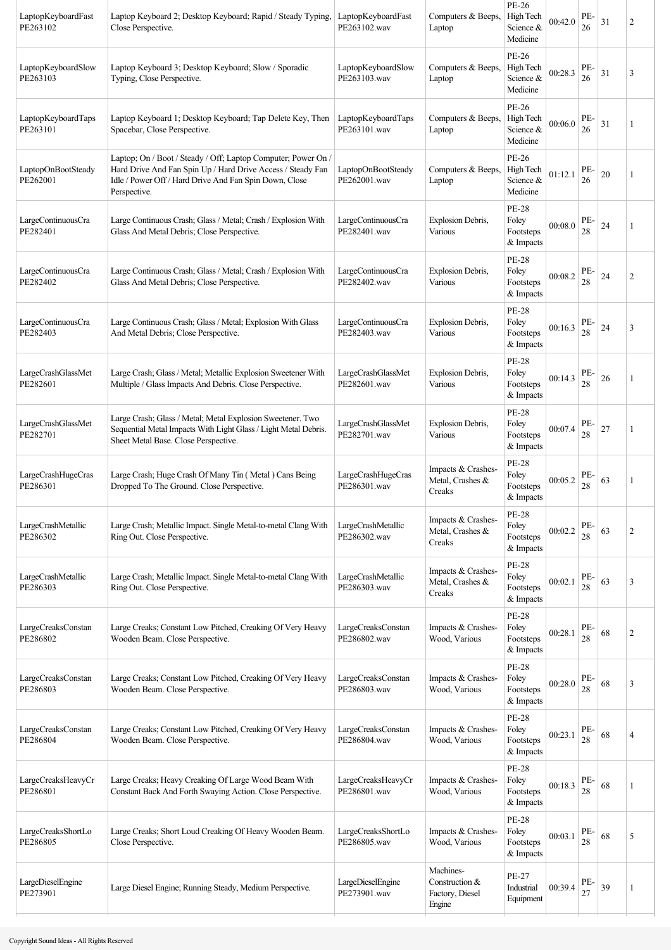| LaptopKeyboardFast<br>PE263102 | Laptop Keyboard 2; Desktop Keyboard; Rapid / Steady Typing,<br>Close Perspective.                                                                                                                      | LaptopKeyboardFast<br>PE263102.wav | Computers & Beeps,<br>Laptop                             | <b>PE-26</b><br>High Tech<br>Science &<br>Medicine | 00:42.0 | PE-<br>26 | 31 | 2              |
|--------------------------------|--------------------------------------------------------------------------------------------------------------------------------------------------------------------------------------------------------|------------------------------------|----------------------------------------------------------|----------------------------------------------------|---------|-----------|----|----------------|
| LaptopKeyboardSlow<br>PE263103 | Laptop Keyboard 3; Desktop Keyboard; Slow / Sporadic<br>Typing, Close Perspective.                                                                                                                     | LaptopKeyboardSlow<br>PE263103.wav | Computers & Beeps,<br>Laptop                             | PE-26<br>High Tech<br>Science &<br>Medicine        | 00:28.3 | PE-<br>26 | 31 | 3              |
| LaptopKeyboardTaps<br>PE263101 | Laptop Keyboard 1; Desktop Keyboard; Tap Delete Key, Then<br>Spacebar, Close Perspective.                                                                                                              | LaptopKeyboardTaps<br>PE263101.wav | Computers & Beeps,<br>Laptop                             | PE-26<br>High Tech<br>Science &<br>Medicine        | 00:06.0 | PE-<br>26 | 31 |                |
| LaptopOnBootSteady<br>PE262001 | Laptop; On / Boot / Steady / Off; Laptop Computer; Power On /<br>Hard Drive And Fan Spin Up / Hard Drive Access / Steady Fan<br>Idle / Power Off / Hard Drive And Fan Spin Down, Close<br>Perspective. | LaptopOnBootSteady<br>PE262001.wav | Computers & Beeps,<br>Laptop                             | PE-26<br>High Tech<br>Science &<br>Medicine        | 01:12.1 | PE-<br>26 | 20 | 1              |
| LargeContinuousCra<br>PE282401 | Large Continuous Crash; Glass / Metal; Crash / Explosion With<br>Glass And Metal Debris; Close Perspective.                                                                                            | LargeContinuousCra<br>PE282401.wav | Explosion Debris,<br>Various                             | <b>PE-28</b><br>Foley<br>Footsteps<br>& Impacts    | 00:08.0 | PE-<br>28 | 24 | 1              |
| LargeContinuousCra<br>PE282402 | Large Continuous Crash; Glass / Metal; Crash / Explosion With<br>Glass And Metal Debris; Close Perspective.                                                                                            | LargeContinuousCra<br>PE282402.wav | Explosion Debris,<br>Various                             | <b>PE-28</b><br>Foley<br>Footsteps<br>& Impacts    | 00:08.2 | PE-<br>28 | 24 | $\overline{2}$ |
| LargeContinuousCra<br>PE282403 | Large Continuous Crash; Glass / Metal; Explosion With Glass<br>And Metal Debris; Close Perspective.                                                                                                    | LargeContinuousCra<br>PE282403.wav | Explosion Debris,<br>Various                             | <b>PE-28</b><br>Foley<br>Footsteps<br>& Impacts    | 00:16.3 | PE-<br>28 | 24 | 3              |
| LargeCrashGlassMet<br>PE282601 | Large Crash; Glass / Metal; Metallic Explosion Sweetener With<br>Multiple / Glass Impacts And Debris. Close Perspective.                                                                               | LargeCrashGlassMet<br>PE282601.wav | Explosion Debris,<br>Various                             | <b>PE-28</b><br>Foley<br>Footsteps<br>& Impacts    | 00:14.3 | PE-<br>28 | 26 | 1              |
| LargeCrashGlassMet<br>PE282701 | Large Crash; Glass / Metal; Metal Explosion Sweetener. Two<br>Sequential Metal Impacts With Light Glass / Light Metal Debris.<br>Sheet Metal Base. Close Perspective.                                  | LargeCrashGlassMet<br>PE282701.wav | Explosion Debris,<br>Various                             | <b>PE-28</b><br>Foley<br>Footsteps<br>& Impacts    | 00:07.4 | PE-<br>28 | 27 | 1              |
| LargeCrashHugeCras<br>PE286301 | Large Crash; Huge Crash Of Many Tin (Metal) Cans Being<br>Dropped To The Ground. Close Perspective.                                                                                                    | LargeCrashHugeCras<br>PE286301.wav | Impacts & Crashes-<br>Metal, Crashes &<br>Creaks         | <b>PE-28</b><br>Foley<br>Footsteps<br>& Impacts    | 00:05.2 | PE-<br>28 | 63 | 1              |
| LargeCrashMetallic<br>PE286302 | Large Crash; Metallic Impact. Single Metal-to-metal Clang With<br>Ring Out. Close Perspective.                                                                                                         | LargeCrashMetallic<br>PE286302.wav | Impacts & Crashes-<br>Metal, Crashes &<br>Creaks         | <b>PE-28</b><br>Foley<br>Footsteps<br>& Impacts    | 00:02.2 | PE-<br>28 | 63 | $\overline{2}$ |
| LargeCrashMetallic<br>PE286303 | Large Crash; Metallic Impact. Single Metal-to-metal Clang With<br>Ring Out. Close Perspective.                                                                                                         | LargeCrashMetallic<br>PE286303.wav | Impacts & Crashes-<br>Metal, Crashes &<br>Creaks         | <b>PE-28</b><br>Foley<br>Footsteps<br>& Impacts    | 00:02.1 | PE-<br>28 | 63 | 3              |
| LargeCreaksConstan<br>PE286802 | Large Creaks; Constant Low Pitched, Creaking Of Very Heavy<br>Wooden Beam. Close Perspective.                                                                                                          | LargeCreaksConstan<br>PE286802.wav | Impacts & Crashes-<br>Wood, Various                      | <b>PE-28</b><br>Foley<br>Footsteps<br>& Impacts    | 00:28.1 | PE-<br>28 | 68 | $\overline{2}$ |
| LargeCreaksConstan<br>PE286803 | Large Creaks; Constant Low Pitched, Creaking Of Very Heavy<br>Wooden Beam. Close Perspective.                                                                                                          | LargeCreaksConstan<br>PE286803.wav | Impacts & Crashes-<br>Wood, Various                      | <b>PE-28</b><br>Foley<br>Footsteps<br>& Impacts    | 00:28.0 | PE-<br>28 | 68 | 3              |
| LargeCreaksConstan<br>PE286804 | Large Creaks; Constant Low Pitched, Creaking Of Very Heavy<br>Wooden Beam. Close Perspective.                                                                                                          | LargeCreaksConstan<br>PE286804.wav | Impacts & Crashes-<br>Wood, Various                      | <b>PE-28</b><br>Foley<br>Footsteps<br>& Impacts    | 00:23.1 | PE-<br>28 | 68 | $\overline{4}$ |
| LargeCreaksHeavyCr<br>PE286801 | Large Creaks; Heavy Creaking Of Large Wood Beam With<br>Constant Back And Forth Swaying Action. Close Perspective.                                                                                     | LargeCreaksHeavyCr<br>PE286801.wav | Impacts & Crashes-<br>Wood, Various                      | <b>PE-28</b><br>Foley<br>Footsteps<br>& Impacts    | 00:18.3 | PE-<br>28 | 68 | 1              |
| LargeCreaksShortLo<br>PE286805 | Large Creaks; Short Loud Creaking Of Heavy Wooden Beam.<br>Close Perspective.                                                                                                                          | LargeCreaksShortLo<br>PE286805.wav | Impacts & Crashes-<br>Wood, Various                      | <b>PE-28</b><br>Foley<br>Footsteps<br>& Impacts    | 00:03.1 | PE-<br>28 | 68 | 5              |
| LargeDieselEngine<br>PE273901  | Large Diesel Engine; Running Steady, Medium Perspective.                                                                                                                                               | LargeDieselEngine<br>PE273901.wav  | Machines-<br>Construction &<br>Factory, Diesel<br>Engine | PE-27<br>Industrial<br>Equipment                   | 00:39.4 | PE-<br>27 | 39 | 1              |
|                                |                                                                                                                                                                                                        |                                    |                                                          |                                                    |         |           |    |                |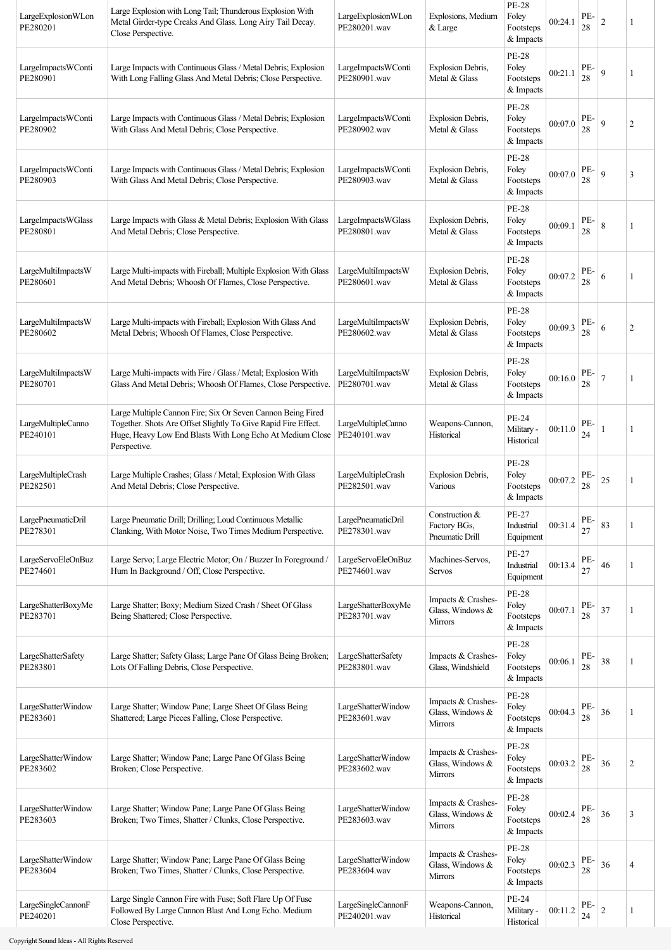| LargeExplosionWLon<br>PE280201 | Large Explosion with Long Tail; Thunderous Explosion With<br>Metal Girder-type Creaks And Glass. Long Airy Tail Decay.<br>Close Perspective.                                                               | LargeExplosionWLon<br>PE280201.wav | Explosions, Medium<br>& Large                            | <b>PE-28</b><br>Foley<br>Footsteps<br>& Impacts | 00:24.1 | PE-<br>28 | $\overline{c}$ | 1              |
|--------------------------------|------------------------------------------------------------------------------------------------------------------------------------------------------------------------------------------------------------|------------------------------------|----------------------------------------------------------|-------------------------------------------------|---------|-----------|----------------|----------------|
| LargeImpactsWConti<br>PE280901 | Large Impacts with Continuous Glass / Metal Debris; Explosion<br>With Long Falling Glass And Metal Debris; Close Perspective.                                                                              | LargeImpactsWConti<br>PE280901.wav | Explosion Debris,<br>Metal & Glass                       | PE-28<br>Foley<br>Footsteps<br>& Impacts        | 00:21.1 | PE-<br>28 | 9              |                |
| LargeImpactsWConti<br>PE280902 | Large Impacts with Continuous Glass / Metal Debris; Explosion<br>With Glass And Metal Debris; Close Perspective.                                                                                           | LargeImpactsWConti<br>PE280902.wav | Explosion Debris,<br>Metal & Glass                       | <b>PE-28</b><br>Foley<br>Footsteps<br>& Impacts | 00:07.0 | PE-<br>28 | 9              | $\overline{2}$ |
| LargeImpactsWConti<br>PE280903 | Large Impacts with Continuous Glass / Metal Debris; Explosion<br>With Glass And Metal Debris; Close Perspective.                                                                                           | LargeImpactsWConti<br>PE280903.wav | Explosion Debris,<br>Metal & Glass                       | <b>PE-28</b><br>Foley<br>Footsteps<br>& Impacts | 00:07.0 | PE-<br>28 | 9              | 3              |
| LargeImpactsWGlass<br>PE280801 | Large Impacts with Glass & Metal Debris; Explosion With Glass<br>And Metal Debris; Close Perspective.                                                                                                      | LargeImpactsWGlass<br>PE280801.wav | Explosion Debris,<br>Metal & Glass                       | <b>PE-28</b><br>Foley<br>Footsteps<br>& Impacts | 00:09.1 | PE-<br>28 | 8              | 1              |
| LargeMultiImpactsW<br>PE280601 | Large Multi-impacts with Fireball; Multiple Explosion With Glass<br>And Metal Debris; Whoosh Of Flames, Close Perspective.                                                                                 | LargeMultiImpactsW<br>PE280601.wav | Explosion Debris,<br>Metal & Glass                       | <b>PE-28</b><br>Foley<br>Footsteps<br>& Impacts | 00:07.2 | PE-<br>28 | 6              | 1              |
| LargeMultiImpactsW<br>PE280602 | Large Multi-impacts with Fireball; Explosion With Glass And<br>Metal Debris; Whoosh Of Flames, Close Perspective.                                                                                          | LargeMultiImpactsW<br>PE280602.wav | Explosion Debris,<br>Metal & Glass                       | <b>PE-28</b><br>Foley<br>Footsteps<br>& Impacts | 00:09.3 | PE-<br>28 | 6              | $\overline{2}$ |
| LargeMultiImpactsW<br>PE280701 | Large Multi-impacts with Fire / Glass / Metal; Explosion With<br>Glass And Metal Debris; Whoosh Of Flames, Close Perspective.                                                                              | LargeMultiImpactsW<br>PE280701.wav | Explosion Debris,<br>Metal & Glass                       | <b>PE-28</b><br>Foley<br>Footsteps<br>& Impacts | 00:16.0 | PE-<br>28 |                | 1              |
| LargeMultipleCanno<br>PE240101 | Large Multiple Cannon Fire; Six Or Seven Cannon Being Fired<br>Together. Shots Are Offset Slightly To Give Rapid Fire Effect.<br>Huge, Heavy Low End Blasts With Long Echo At Medium Close<br>Perspective. | LargeMultipleCanno<br>PE240101.wav | Weapons-Cannon,<br>Historical                            | PE-24<br>Military -<br>Historical               | 00:11.0 | PE-<br>24 |                | 1              |
| LargeMultipleCrash<br>PE282501 | Large Multiple Crashes; Glass / Metal; Explosion With Glass<br>And Metal Debris; Close Perspective.                                                                                                        | LargeMultipleCrash<br>PE282501.wav | Explosion Debris,<br>Various                             | <b>PE-28</b><br>Foley<br>Footsteps<br>& Impacts | 00:07.2 | PE-<br>28 | 25             | 1              |
| LargePneumaticDril<br>PE278301 | Large Pneumatic Drill; Drilling; Loud Continuous Metallic<br>Clanking, With Motor Noise, Two Times Medium Perspective.                                                                                     | LargePneumaticDril<br>PE278301.wav | Construction &<br>Factory BGs,<br>Pneumatic Drill        | <b>PE-27</b><br>Industrial<br>Equipment         | 00:31.4 | PE-<br>27 | 83             |                |
| LargeServoEleOnBuz<br>PE274601 | Large Servo; Large Electric Motor; On / Buzzer In Foreground /<br>Hum In Background / Off, Close Perspective.                                                                                              | LargeServoEleOnBuz<br>PE274601.wav | Machines-Servos,<br>Servos                               | PE-27<br>Industrial<br>Equipment                | 00:13.4 | PE-<br>27 | 46             | 1              |
| LargeShatterBoxyMe<br>PE283701 | Large Shatter; Boxy; Medium Sized Crash / Sheet Of Glass<br>Being Shattered; Close Perspective.                                                                                                            | LargeShatterBoxyMe<br>PE283701.wav | Impacts & Crashes-<br>Glass, Windows &<br>Mirrors        | <b>PE-28</b><br>Foley<br>Footsteps<br>& Impacts | 00:07.1 | PE-<br>28 | 37             |                |
| LargeShatterSafety<br>PE283801 | Large Shatter; Safety Glass; Large Pane Of Glass Being Broken;<br>Lots Of Falling Debris, Close Perspective.                                                                                               | LargeShatterSafety<br>PE283801.wav | Impacts & Crashes-<br>Glass, Windshield                  | <b>PE-28</b><br>Foley<br>Footsteps<br>& Impacts | 00:06.1 | PE-<br>28 | 38             |                |
| LargeShatterWindow<br>PE283601 | Large Shatter; Window Pane; Large Sheet Of Glass Being<br>Shattered; Large Pieces Falling, Close Perspective.                                                                                              | LargeShatterWindow<br>PE283601.wav | Impacts & Crashes-<br>Glass, Windows &<br>Mirrors        | <b>PE-28</b><br>Foley<br>Footsteps<br>& Impacts | 00:04.3 | PE-<br>28 | 36             | 1              |
| LargeShatterWindow<br>PE283602 | Large Shatter; Window Pane; Large Pane Of Glass Being<br>Broken; Close Perspective.                                                                                                                        | LargeShatterWindow<br>PE283602.wav | Impacts & Crashes-<br>Glass, Windows &<br><b>Mirrors</b> | <b>PE-28</b><br>Foley<br>Footsteps<br>& Impacts | 00:03.2 | PE-<br>28 | 36             | $\overline{2}$ |
| LargeShatterWindow<br>PE283603 | Large Shatter; Window Pane; Large Pane Of Glass Being<br>Broken; Two Times, Shatter / Clunks, Close Perspective.                                                                                           | LargeShatterWindow<br>PE283603.wav | Impacts & Crashes-<br>Glass, Windows &<br><b>Mirrors</b> | <b>PE-28</b><br>Foley<br>Footsteps<br>& Impacts | 00:02.4 | PE-<br>28 | 36             | 3              |
| LargeShatterWindow<br>PE283604 | Large Shatter; Window Pane; Large Pane Of Glass Being<br>Broken; Two Times, Shatter / Clunks, Close Perspective.                                                                                           | LargeShatterWindow<br>PE283604.wav | Impacts & Crashes-<br>Glass, Windows &<br><b>Mirrors</b> | <b>PE-28</b><br>Foley<br>Footsteps<br>& Impacts | 00:02.3 | PE-<br>28 | 36             | 4              |
| LargeSingleCannonF<br>PE240201 | Large Single Cannon Fire with Fuse; Soft Flare Up Of Fuse<br>Followed By Large Cannon Blast And Long Echo. Medium<br>Close Perspective.                                                                    | LargeSingleCannonF<br>PE240201.wav | Weapons-Cannon,<br>Historical                            | PE-24<br>Military -<br>Historical               | 00:11.2 | PE-<br>24 | 2              | 1              |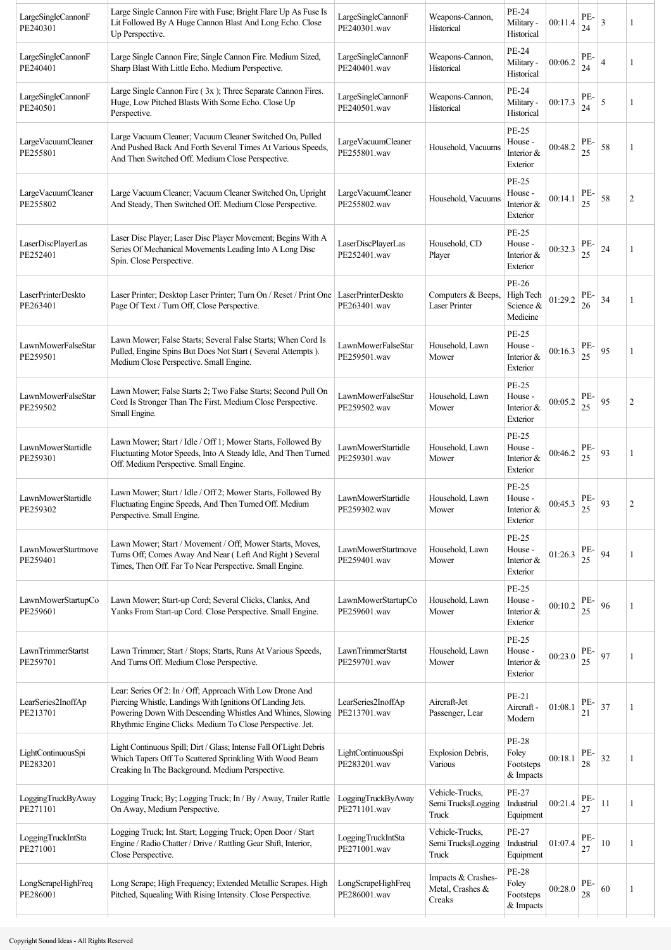| LargeSingleCannonF<br>PE240301 | Large Single Cannon Fire with Fuse; Bright Flare Up As Fuse Is<br>Lit Followed By A Huge Cannon Blast And Long Echo. Close<br>Up Perspective.                                                                                                     | LargeSingleCannonF<br>PE240301.wav | Weapons-Cannon,<br>Historical                    | PE-24<br>Military -<br>Historical                    | 00:11.4 | PE-<br>24 | 3              | 1              |
|--------------------------------|---------------------------------------------------------------------------------------------------------------------------------------------------------------------------------------------------------------------------------------------------|------------------------------------|--------------------------------------------------|------------------------------------------------------|---------|-----------|----------------|----------------|
| LargeSingleCannonF<br>PE240401 | Large Single Cannon Fire; Single Cannon Fire. Medium Sized,<br>Sharp Blast With Little Echo. Medium Perspective.                                                                                                                                  | LargeSingleCannonF<br>PE240401.wav | Weapons-Cannon,<br>Historical                    | PE-24<br>Military -<br>Historical                    | 00:06.2 | PE-<br>24 | $\overline{4}$ | 1              |
| LargeSingleCannonF<br>PE240501 | Large Single Cannon Fire (3x); Three Separate Cannon Fires.<br>Huge, Low Pitched Blasts With Some Echo. Close Up<br>Perspective.                                                                                                                  | LargeSingleCannonF<br>PE240501.wav | Weapons-Cannon,<br>Historical                    | PE-24<br>Military -<br>Historical                    | 00:17.3 | PE-<br>24 | 5              | 1              |
| LargeVacuumCleaner<br>PE255801 | Large Vacuum Cleaner; Vacuum Cleaner Switched On, Pulled<br>And Pushed Back And Forth Several Times At Various Speeds,<br>And Then Switched Off. Medium Close Perspective.                                                                        | LargeVacuumCleaner<br>PE255801.wav | Household, Vacuums                               | PE-25<br>House -<br>Interior &<br>Exterior           | 00:48.2 | PE-<br>25 | 58             | 1              |
| LargeVacuumCleaner<br>PE255802 | Large Vacuum Cleaner; Vacuum Cleaner Switched On, Upright<br>And Steady, Then Switched Off. Medium Close Perspective.                                                                                                                             | LargeVacuumCleaner<br>PE255802.wav | Household, Vacuums                               | <b>PE-25</b><br>House -<br>Interior &<br>Exterior    | 00:14.1 | PE-<br>25 | 58             | $\overline{2}$ |
| LaserDiscPlayerLas<br>PE252401 | Laser Disc Player; Laser Disc Player Movement; Begins With A<br>Series Of Mechanical Movements Leading Into A Long Disc<br>Spin. Close Perspective.                                                                                               | LaserDiscPlayerLas<br>PE252401.wav | Household, CD<br>Player                          | PE-25<br>House -<br>Interior $\&$<br>Exterior        | 00:32.3 | PE-<br>25 | 24             | 1              |
| LaserPrinterDeskto<br>PE263401 | Laser Printer; Desktop Laser Printer; Turn On / Reset / Print One   LaserPrinterDeskto<br>Page Of Text / Turn Off, Close Perspective.                                                                                                             | PE263401.wav                       | Computers & Beeps,<br>Laser Printer              | PE-26<br>High Tech<br>Science &<br>Medicine          | 01:29.2 | PE-<br>26 | 34             | 1              |
| LawnMowerFalseStar<br>PE259501 | Lawn Mower; False Starts; Several False Starts; When Cord Is<br>Pulled, Engine Spins But Does Not Start (Several Attempts).<br>Medium Close Perspective. Small Engine.                                                                            | LawnMowerFalseStar<br>PE259501.wav | Household, Lawn<br>Mower                         | <b>PE-25</b><br>House -<br>Interior &<br>Exterior    | 00:16.3 | PE-<br>25 | 95             | 1              |
| LawnMowerFalseStar<br>PE259502 | Lawn Mower; False Starts 2; Two False Starts; Second Pull On<br>Cord Is Stronger Than The First. Medium Close Perspective.<br>Small Engine.                                                                                                       | LawnMowerFalseStar<br>PE259502.wav | Household, Lawn<br>Mower                         | <b>PE-25</b><br>House -<br>Interior &<br>Exterior    | 00:05.2 | PE-<br>25 | 95             | $\overline{c}$ |
| LawnMowerStartidle<br>PE259301 | Lawn Mower; Start / Idle / Off 1; Mower Starts, Followed By<br>Fluctuating Motor Speeds, Into A Steady Idle, And Then Turned<br>Off. Medium Perspective. Small Engine.                                                                            | LawnMowerStartidle<br>PE259301.wav | Household, Lawn<br>Mower                         | <b>PE-25</b><br>House -<br>Interior $\&$<br>Exterior | 00:46.2 | PE-<br>25 | 93             | 1              |
| LawnMowerStartidle<br>PE259302 | Lawn Mower; Start / Idle / Off 2; Mower Starts, Followed By<br>Fluctuating Engine Speeds, And Then Turned Off. Medium<br>Perspective. Small Engine.                                                                                               | LawnMowerStartidle<br>PE259302.wav | Household, Lawn<br>Mower                         | <b>PE-25</b><br>House -<br>Interior &<br>Exterior    | 00:45.3 | PE-<br>25 | 93             | 2              |
| LawnMowerStartmove<br>PE259401 | Lawn Mower; Start / Movement / Off; Mower Starts, Moves,<br>Turns Off; Comes Away And Near (Left And Right) Several<br>Times, Then Off. Far To Near Perspective. Small Engine.                                                                    | LawnMowerStartmove<br>PE259401.wav | Household, Lawn<br>Mower                         | <b>PE-25</b><br>House -<br>Interior &<br>Exterior    | 01:26.3 | PE-<br>25 | 94             | 1              |
| LawnMowerStartupCo<br>PE259601 | Lawn Mower; Start-up Cord; Several Clicks, Clanks, And<br>Yanks From Start-up Cord. Close Perspective. Small Engine.                                                                                                                              | LawnMowerStartupCo<br>PE259601.wav | Household, Lawn<br>Mower                         | <b>PE-25</b><br>House -<br>Interior &<br>Exterior    | 00:10.2 | PE-<br>25 | 96             | 1              |
| LawnTrimmerStartst<br>PE259701 | Lawn Trimmer; Start / Stops; Starts, Runs At Various Speeds,<br>And Turns Off. Medium Close Perspective.                                                                                                                                          | LawnTrimmerStartst<br>PE259701.wav | Household, Lawn<br>Mower                         | <b>PE-25</b><br>House -<br>Interior &<br>Exterior    | 00:23.0 | PE-<br>25 | 97             | 1              |
| LearSeries2InoffAp<br>PE213701 | Lear: Series Of 2: In / Off; Approach With Low Drone And<br>Piercing Whistle, Landings With Ignitions Of Landing Jets.<br>Powering Down With Descending Whistles And Whines, Slowing<br>Rhythmic Engine Clicks. Medium To Close Perspective. Jet. | LearSeries2InoffAp<br>PE213701.wav | Aircraft-Jet<br>Passenger, Lear                  | PE-21<br>Aircraft -<br>Modern                        | 01:08.1 | PE-<br>21 | 37             | 1              |
| LightContinuousSpi<br>PE283201 | Light Continuous Spill; Dirt / Glass; Intense Fall Of Light Debris<br>Which Tapers Off To Scattered Sprinkling With Wood Beam<br>Creaking In The Background. Medium Perspective.                                                                  | LightContinuousSpi<br>PE283201.wav | Explosion Debris,<br>Various                     | <b>PE-28</b><br>Foley<br>Footsteps<br>& Impacts      | 00:18.1 | PE-<br>28 | 32             | 1              |
| LoggingTruckByAway<br>PE271101 | Logging Truck; By; Logging Truck; In / By / Away, Trailer Rattle<br>On Away, Medium Perspective.                                                                                                                                                  | LoggingTruckByAway<br>PE271101.wav | Vehicle-Trucks,<br>Semi Trucks Logging<br>Truck  | <b>PE-27</b><br>Industrial<br>Equipment              | 00:21.4 | PE-<br>27 | 11             | 1              |
| LoggingTruckIntSta<br>PE271001 | Logging Truck; Int. Start; Logging Truck; Open Door / Start<br>Engine / Radio Chatter / Drive / Rattling Gear Shift, Interior,<br>Close Perspective.                                                                                              | LoggingTruckIntSta<br>PE271001.wav | Vehicle-Trucks,<br>Semi Trucks Logging<br>Truck  | PE-27<br>Industrial<br>Equipment                     | 01:07.4 | PE-<br>27 | $10\,$         | 1              |
| LongScrapeHighFreq<br>PE286001 | Long Scrape; High Frequency; Extended Metallic Scrapes. High<br>Pitched, Squealing With Rising Intensity. Close Perspective.                                                                                                                      | LongScrapeHighFreq<br>PE286001.wav | Impacts & Crashes-<br>Metal, Crashes &<br>Creaks | <b>PE-28</b><br>Foley<br>Footsteps<br>& Impacts      | 00:28.0 | PE-<br>28 | 60             | 1              |
|                                |                                                                                                                                                                                                                                                   |                                    |                                                  |                                                      |         |           |                |                |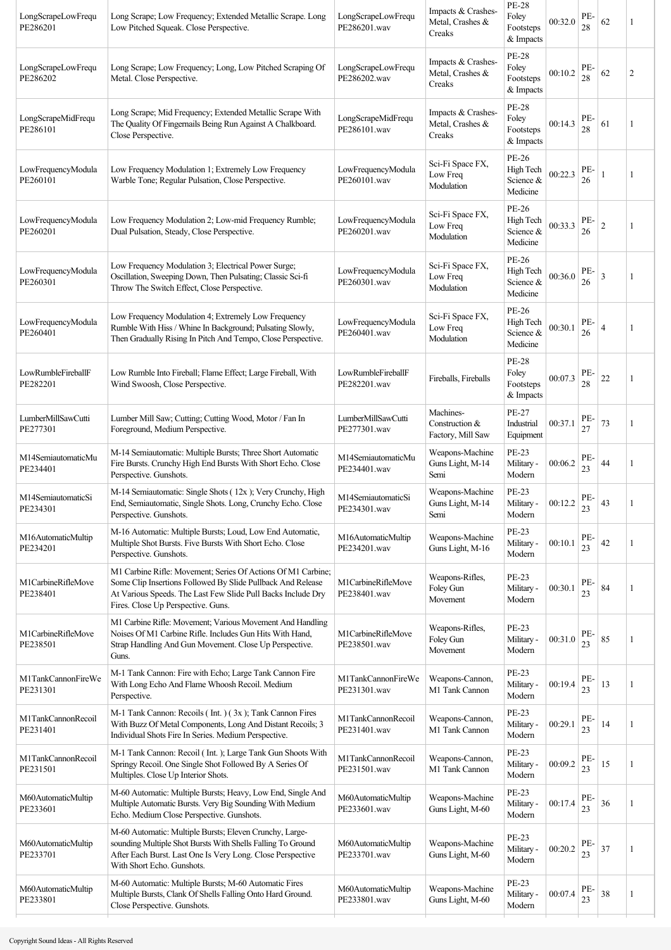| LongScrapeLowFrequ<br>PE286201 | Long Scrape; Low Frequency; Extended Metallic Scrape. Long<br>Low Pitched Squeak. Close Perspective.                                                                                                                              | LongScrapeLowFrequ<br>PE286201.wav | Impacts & Crashes-<br>Metal, Crashes &<br>Creaks | PE-28<br>Foley<br>Footsteps<br>& Impacts        | 00:32.0 | PE-<br>28 | 62             | 1 |
|--------------------------------|-----------------------------------------------------------------------------------------------------------------------------------------------------------------------------------------------------------------------------------|------------------------------------|--------------------------------------------------|-------------------------------------------------|---------|-----------|----------------|---|
| LongScrapeLowFrequ<br>PE286202 | Long Scrape; Low Frequency; Long, Low Pitched Scraping Of<br>Metal. Close Perspective.                                                                                                                                            | LongScrapeLowFrequ<br>PE286202.wav | Impacts & Crashes-<br>Metal, Crashes &<br>Creaks | <b>PE-28</b><br>Foley<br>Footsteps<br>& Impacts | 00:10.2 | PE-<br>28 | 62             | 2 |
| LongScrapeMidFrequ<br>PE286101 | Long Scrape; Mid Frequency; Extended Metallic Scrape With<br>The Quality Of Fingernails Being Run Against A Chalkboard.<br>Close Perspective.                                                                                     | LongScrapeMidFrequ<br>PE286101.wav | Impacts & Crashes-<br>Metal, Crashes &<br>Creaks | <b>PE-28</b><br>Foley<br>Footsteps<br>& Impacts | 00:14.3 | PE-<br>28 | 61             | 1 |
| LowFrequencyModula<br>PE260101 | Low Frequency Modulation 1; Extremely Low Frequency<br>Warble Tone; Regular Pulsation, Close Perspective.                                                                                                                         | LowFrequencyModula<br>PE260101.wav | Sci-Fi Space FX,<br>Low Freq<br>Modulation       | PE-26<br>High Tech<br>Science &<br>Medicine     | 00:22.3 | PE-<br>26 |                | 1 |
| LowFrequencyModula<br>PE260201 | Low Frequency Modulation 2; Low-mid Frequency Rumble;<br>Dual Pulsation, Steady, Close Perspective.                                                                                                                               | LowFrequencyModula<br>PE260201.wav | Sci-Fi Space FX,<br>Low Freq<br>Modulation       | PE-26<br>High Tech<br>Science &<br>Medicine     | 00:33.3 | PE-<br>26 | $\overline{2}$ | 1 |
| LowFrequencyModula<br>PE260301 | Low Frequency Modulation 3; Electrical Power Surge;<br>Oscillation, Sweeping Down, Then Pulsating; Classic Sci-fi<br>Throw The Switch Effect, Close Perspective.                                                                  | LowFrequencyModula<br>PE260301.wav | Sci-Fi Space FX,<br>Low Freq<br>Modulation       | PE-26<br>High Tech<br>Science &<br>Medicine     | 00:36.0 | PE-<br>26 | 3              | 1 |
| LowFrequencyModula<br>PE260401 | Low Frequency Modulation 4; Extremely Low Frequency<br>Rumble With Hiss / Whine In Background; Pulsating Slowly,<br>Then Gradually Rising In Pitch And Tempo, Close Perspective.                                                  | LowFrequencyModula<br>PE260401.wav | Sci-Fi Space FX,<br>Low Freq<br>Modulation       | PE-26<br>High Tech<br>Science &<br>Medicine     | 00:30.1 | PE-<br>26 | $\overline{4}$ | 1 |
| LowRumbleFireballF<br>PE282201 | Low Rumble Into Fireball; Flame Effect; Large Fireball, With<br>Wind Swoosh, Close Perspective.                                                                                                                                   | LowRumbleFireballF<br>PE282201.wav | Fireballs, Fireballs                             | <b>PE-28</b><br>Foley<br>Footsteps<br>& Impacts | 00:07.3 | PE-<br>28 | 22             | 1 |
| LumberMillSawCutti<br>PE277301 | Lumber Mill Saw; Cutting; Cutting Wood, Motor / Fan In<br>Foreground, Medium Perspective.                                                                                                                                         | LumberMillSawCutti<br>PE277301.wav | Machines-<br>Construction &<br>Factory, Mill Saw | PE-27<br>Industrial<br>Equipment                | 00:37.1 | PE-<br>27 | 73             | 1 |
| M14SemiautomaticMu<br>PE234401 | M-14 Semiautomatic: Multiple Bursts; Three Short Automatic<br>Fire Bursts. Crunchy High End Bursts With Short Echo. Close<br>Perspective. Gunshots.                                                                               | M14SemiautomaticMu<br>PE234401.wav | Weapons-Machine<br>Guns Light, M-14<br>Semi      | PE-23<br>Military -<br>Modern                   | 00:06.2 | PE-<br>23 | 44             | 1 |
| M14SemiautomaticSi<br>PE234301 | M-14 Semiautomatic: Single Shots (12x); Very Crunchy, High<br>End, Semiautomatic, Single Shots. Long, Crunchy Echo. Close<br>Perspective. Gunshots.                                                                               | M14SemiautomaticSi<br>PE234301.wav | Weapons-Machine<br>Guns Light, M-14<br>Semi      | <b>PE-23</b><br>Military -<br>Modern            | 00:12.2 | PE-<br>23 | 43             |   |
| M16AutomaticMultip<br>PE234201 | M-16 Automatic: Multiple Bursts; Loud, Low End Automatic,<br>Multiple Shot Bursts. Five Bursts With Short Echo. Close<br>Perspective. Gunshots.                                                                                   | M16AutomaticMultip<br>PE234201.wav | Weapons-Machine<br>Guns Light, M-16              | <b>PE-23</b><br>Military -<br>Modern            | 00:10.1 | PE-<br>23 | 42             | 1 |
| M1CarbineRifleMove<br>PE238401 | M1 Carbine Rifle: Movement; Series Of Actions Of M1 Carbine;<br>Some Clip Insertions Followed By Slide Pullback And Release<br>At Various Speeds. The Last Few Slide Pull Backs Include Dry<br>Fires. Close Up Perspective. Guns. | M1CarbineRifleMove<br>PE238401.wav | Weapons-Rifles,<br>Foley Gun<br>Movement         | PE-23<br>Military -<br>Modern                   | 00:30.1 | PE-<br>23 | 84             | 1 |
| M1CarbineRifleMove<br>PE238501 | M1 Carbine Rifle: Movement; Various Movement And Handling<br>Noises Of M1 Carbine Rifle. Includes Gun Hits With Hand,<br>Strap Handling And Gun Movement. Close Up Perspective.<br>Guns.                                          | M1CarbineRifleMove<br>PE238501.wav | Weapons-Rifles,<br>Foley Gun<br>Movement         | PE-23<br>Military -<br>Modern                   | 00:31.0 | PE-<br>23 | 85             | 1 |
| M1TankCannonFireWe<br>PE231301 | M-1 Tank Cannon: Fire with Echo; Large Tank Cannon Fire<br>With Long Echo And Flame Whoosh Recoil. Medium<br>Perspective.                                                                                                         | M1TankCannonFireWe<br>PE231301.wav | Weapons-Cannon,<br>M1 Tank Cannon                | PE-23<br>Military -<br>Modern                   | 00:19.4 | PE-<br>23 | 13             | 1 |
| M1TankCannonRecoil<br>PE231401 | M-1 Tank Cannon: Recoils (Int. ) (3x); Tank Cannon Fires<br>With Buzz Of Metal Components, Long And Distant Recoils; 3<br>Individual Shots Fire In Series. Medium Perspective.                                                    | M1TankCannonRecoil<br>PE231401.wav | Weapons-Cannon,<br>M1 Tank Cannon                | PE-23<br>Military -<br>Modern                   | 00:29.1 | PE-<br>23 | 14             | 1 |
| M1TankCannonRecoil<br>PE231501 | M-1 Tank Cannon: Recoil (Int.); Large Tank Gun Shoots With<br>Springy Recoil. One Single Shot Followed By A Series Of<br>Multiples. Close Up Interior Shots.                                                                      | M1TankCannonRecoil<br>PE231501.wav | Weapons-Cannon,<br>M1 Tank Cannon                | PE-23<br>Military -<br>Modern                   | 00:09.2 | PE-<br>23 | 15             | 1 |
| M60AutomaticMultip<br>PE233601 | M-60 Automatic: Multiple Bursts; Heavy, Low End, Single And<br>Multiple Automatic Bursts. Very Big Sounding With Medium<br>Echo. Medium Close Perspective. Gunshots.                                                              | M60AutomaticMultip<br>PE233601.wav | Weapons-Machine<br>Guns Light, M-60              | PE-23<br>Military -<br>Modern                   | 00:17.4 | PE-<br>23 | 36             | 1 |
| M60AutomaticMultip<br>PE233701 | M-60 Automatic: Multiple Bursts; Eleven Crunchy, Large-<br>sounding Multiple Shot Bursts With Shells Falling To Ground<br>After Each Burst. Last One Is Very Long. Close Perspective<br>With Short Echo. Gunshots.                | M60AutomaticMultip<br>PE233701.wav | Weapons-Machine<br>Guns Light, M-60              | PE-23<br>Military -<br>Modern                   | 00:20.2 | PE-<br>23 | 37             | 1 |
| M60AutomaticMultip<br>PE233801 | M-60 Automatic: Multiple Bursts; M-60 Automatic Fires<br>Multiple Bursts, Clank Of Shells Falling Onto Hard Ground.<br>Close Perspective. Gunshots.                                                                               | M60AutomaticMultip<br>PE233801.wav | Weapons-Machine<br>Guns Light, M-60              | PE-23<br>Military -<br>Modern                   | 00:07.4 | PE-<br>23 | 38             | 1 |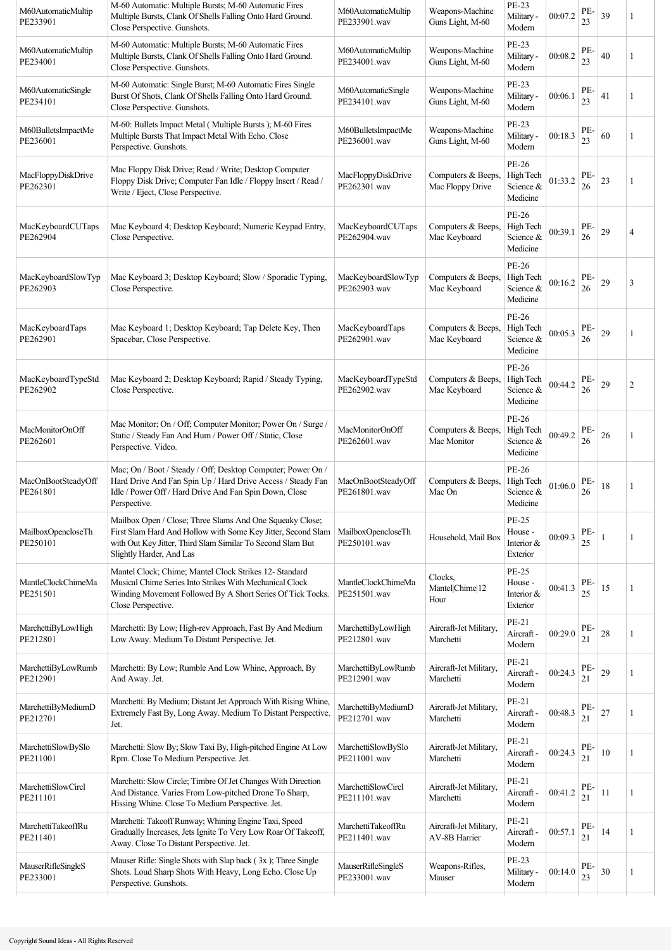| M60AutomaticMultip<br>PE233901 | M-60 Automatic: Multiple Bursts; M-60 Automatic Fires<br>Multiple Bursts, Clank Of Shells Falling Onto Hard Ground.<br>Close Perspective. Gunshots.                                                                | M60AutomaticMultip<br>PE233901.wav | Weapons-Machine<br>Guns Light, M-60     | PE-23<br>Military -<br>Modern               | 00:07.2 | PE-<br>23 | 39 | 1              |
|--------------------------------|--------------------------------------------------------------------------------------------------------------------------------------------------------------------------------------------------------------------|------------------------------------|-----------------------------------------|---------------------------------------------|---------|-----------|----|----------------|
| M60AutomaticMultip<br>PE234001 | M-60 Automatic: Multiple Bursts; M-60 Automatic Fires<br>Multiple Bursts, Clank Of Shells Falling Onto Hard Ground.<br>Close Perspective. Gunshots.                                                                | M60AutomaticMultip<br>PE234001.wav | Weapons-Machine<br>Guns Light, M-60     | PE-23<br>Military -<br>Modern               | 00:08.2 | PE-<br>23 | 40 | 1              |
| M60AutomaticSingle<br>PE234101 | M-60 Automatic: Single Burst; M-60 Automatic Fires Single<br>Burst Of Shots, Clank Of Shells Falling Onto Hard Ground.<br>Close Perspective. Gunshots.                                                             | M60AutomaticSingle<br>PE234101.wav | Weapons-Machine<br>Guns Light, M-60     | PE-23<br>Military -<br>Modern               | 00:06.1 | PE-<br>23 | 41 | 1              |
| M60BulletsImpactMe<br>PE236001 | M-60: Bullets Impact Metal (Multiple Bursts); M-60 Fires<br>Multiple Bursts That Impact Metal With Echo. Close<br>Perspective. Gunshots.                                                                           | M60BulletsImpactMe<br>PE236001.wav | Weapons-Machine<br>Guns Light, M-60     | PE-23<br>Military -<br>Modern               | 00:18.3 | PE-<br>23 | 60 | 1              |
| MacFloppyDiskDrive<br>PE262301 | Mac Floppy Disk Drive; Read / Write; Desktop Computer<br>Floppy Disk Drive; Computer Fan Idle / Floppy Insert / Read /<br>Write / Eject, Close Perspective.                                                        | MacFloppyDiskDrive<br>PE262301.wav | Computers & Beeps,<br>Mac Floppy Drive  | PE-26<br>High Tech<br>Science &<br>Medicine | 01:33.2 | PE-<br>26 | 23 |                |
| MacKeyboardCUTaps<br>PE262904  | Mac Keyboard 4; Desktop Keyboard; Numeric Keypad Entry,<br>Close Perspective.                                                                                                                                      | MacKeyboardCUTaps<br>PE262904.wav  | Computers & Beeps,<br>Mac Keyboard      | PE-26<br>High Tech<br>Science &<br>Medicine | 00:39.1 | PE-<br>26 | 29 | $\overline{4}$ |
| MacKeyboardSlowTyp<br>PE262903 | Mac Keyboard 3; Desktop Keyboard; Slow / Sporadic Typing,<br>Close Perspective.                                                                                                                                    | MacKeyboardSlowTyp<br>PE262903.wav | Computers & Beeps,<br>Mac Keyboard      | PE-26<br>High Tech<br>Science &<br>Medicine | 00:16.2 | PE-<br>26 | 29 | 3              |
| MacKeyboardTaps<br>PE262901    | Mac Keyboard 1; Desktop Keyboard; Tap Delete Key, Then<br>Spacebar, Close Perspective.                                                                                                                             | MacKeyboardTaps<br>PE262901.wav    | Computers & Beeps,<br>Mac Keyboard      | PE-26<br>High Tech<br>Science &<br>Medicine | 00:05.3 | PE-<br>26 | 29 | 1              |
| MacKeyboardTypeStd<br>PE262902 | Mac Keyboard 2; Desktop Keyboard; Rapid / Steady Typing,<br>Close Perspective.                                                                                                                                     | MacKeyboardTypeStd<br>PE262902.wav | Computers & Beeps,<br>Mac Keyboard      | PE-26<br>High Tech<br>Science &<br>Medicine | 00:44.2 | PE-<br>26 | 29 | $\overline{c}$ |
| MacMonitorOnOff<br>PE262601    | Mac Monitor; On / Off; Computer Monitor; Power On / Surge /<br>Static / Steady Fan And Hum / Power Off / Static, Close<br>Perspective. Video.                                                                      | MacMonitorOnOff<br>PE262601.wav    | Computers & Beeps,<br>Mac Monitor       | PE-26<br>High Tech<br>Science &<br>Medicine | 00:49.2 | PE-<br>26 | 26 | 1              |
| MacOnBootSteadyOff<br>PE261801 | Mac; On / Boot / Steady / Off; Desktop Computer; Power On /<br>Hard Drive And Fan Spin Up / Hard Drive Access / Steady Fan<br>Idle / Power Off / Hard Drive And Fan Spin Down, Close<br>Perspective.               | MacOnBootSteadyOff<br>PE261801.wav | Computers & Beeps,<br>Mac On            | PE-26<br>High Tech<br>Science &<br>Medicine | 01:06.0 | PE-<br>26 | 18 |                |
| MailboxOpencloseTh<br>PE250101 | Mailbox Open / Close; Three Slams And One Squeaky Close;<br>First Slam Hard And Hollow with Some Key Jitter, Second Slam<br>with Out Key Jitter, Third Slam Similar To Second Slam But<br>Slightly Harder, And Las | MailboxOpencloseTh<br>PE250101.wav | Household, Mail Box                     | PE-25<br>House -<br>Interior &<br>Exterior  | 00:09.3 | PE-<br>25 | 1  | 1              |
| MantleClockChimeMa<br>PE251501 | Mantel Clock; Chime; Mantel Clock Strikes 12- Standard<br>Musical Chime Series Into Strikes With Mechanical Clock<br>Winding Movement Followed By A Short Series Of Tick Tocks.<br>Close Perspective.              | MantleClockChimeMa<br>PE251501.wav | Clocks,<br>Mantel Chime 12<br>Hour      | PE-25<br>House -<br>Interior &<br>Exterior  | 00:41.3 | PE-<br>25 | 15 |                |
| MarchettiByLowHigh<br>PE212801 | Marchetti: By Low; High-rev Approach, Fast By And Medium<br>Low Away. Medium To Distant Perspective. Jet.                                                                                                          | MarchettiByLowHigh<br>PE212801.wav | Aircraft-Jet Military,<br>Marchetti     | PE-21<br>Aircraft -<br>Modern               | 00:29.0 | PE-<br>21 | 28 |                |
| MarchettiByLowRumb<br>PE212901 | Marchetti: By Low; Rumble And Low Whine, Approach, By<br>And Away. Jet.                                                                                                                                            | MarchettiByLowRumb<br>PE212901.wav | Aircraft-Jet Military,<br>Marchetti     | PE-21<br>Aircraft -<br>Modern               | 00:24.3 | PE-<br>21 | 29 |                |
| MarchettiByMediumD<br>PE212701 | Marchetti: By Medium; Distant Jet Approach With Rising Whine,<br>Extremely Fast By, Long Away. Medium To Distant Perspective.<br>Jet.                                                                              | MarchettiByMediumD<br>PE212701.wav | Aircraft-Jet Military,<br>Marchetti     | PE-21<br>Aircraft -<br>Modern               | 00:48.3 | PE-<br>21 | 27 | 1              |
| MarchettiSlowBySlo<br>PE211001 | Marchetti: Slow By; Slow Taxi By, High-pitched Engine At Low<br>Rpm. Close To Medium Perspective. Jet.                                                                                                             | MarchettiSlowBySlo<br>PE211001.wav | Aircraft-Jet Military,<br>Marchetti     | PE-21<br>Aircraft -<br>Modern               | 00:24.3 | PE-<br>21 | 10 | 1              |
| MarchettiSlowCircl<br>PE211101 | Marchetti: Slow Circle; Timbre Of Jet Changes With Direction<br>And Distance. Varies From Low-pitched Drone To Sharp,<br>Hissing Whine. Close To Medium Perspective. Jet.                                          | MarchettiSlowCircl<br>PE211101.wav | Aircraft-Jet Military,<br>Marchetti     | PE-21<br>Aircraft -<br>Modern               | 00:41.2 | PE-<br>21 | 11 | 1              |
| MarchettiTakeoffRu<br>PE211401 | Marchetti: Takeoff Runway; Whining Engine Taxi, Speed<br>Gradually Increases, Jets Ignite To Very Low Roar Of Takeoff,<br>Away. Close To Distant Perspective. Jet.                                                 | MarchettiTakeoffRu<br>PE211401.wav | Aircraft-Jet Military,<br>AV-8B Harrier | PE-21<br>Aircraft -<br>Modern               | 00:57.1 | PE-<br>21 | 14 | 1              |
| MauserRifleSingleS<br>PE233001 | Mauser Rifle: Single Shots with Slap back (3x); Three Single<br>Shots. Loud Sharp Shots With Heavy, Long Echo. Close Up<br>Perspective. Gunshots.                                                                  | MauserRifleSingleS<br>PE233001.wav | Weapons-Rifles,<br>Mauser               | PE-23<br>Military -<br>Modern               | 00:14.0 | PE-<br>23 | 30 | 1              |
|                                |                                                                                                                                                                                                                    |                                    |                                         |                                             |         |           |    |                |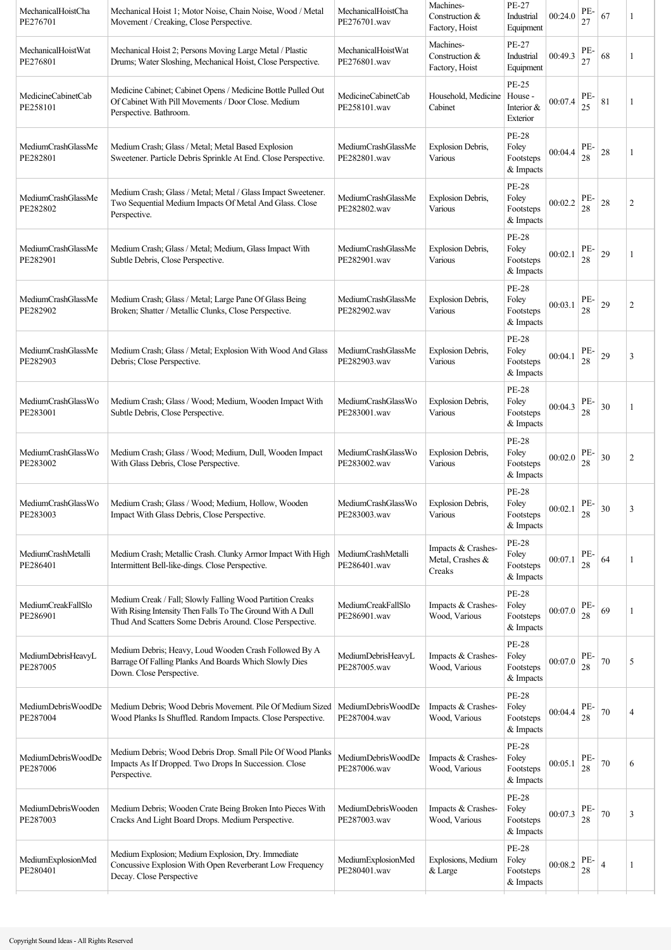| MechanicalHoistCha<br>PE276701 | Mechanical Hoist 1; Motor Noise, Chain Noise, Wood / Metal<br>Movement / Creaking, Close Perspective.                                                                               | MechanicalHoistCha<br>PE276701.wav | Machines-<br>Construction &<br>Factory, Hoist    | PE-27<br>Industrial<br>Equipment                | 00:24.0 | PE-<br>27 | 67             | 1              |
|--------------------------------|-------------------------------------------------------------------------------------------------------------------------------------------------------------------------------------|------------------------------------|--------------------------------------------------|-------------------------------------------------|---------|-----------|----------------|----------------|
| MechanicalHoistWat<br>PE276801 | Mechanical Hoist 2; Persons Moving Large Metal / Plastic<br>Drums; Water Sloshing, Mechanical Hoist, Close Perspective.                                                             | MechanicalHoistWat<br>PE276801.wav | Machines-<br>Construction &<br>Factory, Hoist    | <b>PE-27</b><br>Industrial<br>Equipment         | 00:49.3 | PE-<br>27 | 68             | 1              |
| MedicineCabinetCab<br>PE258101 | Medicine Cabinet; Cabinet Opens / Medicine Bottle Pulled Out<br>Of Cabinet With Pill Movements / Door Close. Medium<br>Perspective. Bathroom.                                       | MedicineCabinetCab<br>PE258101.wav | Household, Medicine   House -<br>Cabinet         | PE-25<br>Interior &<br>Exterior                 | 00:07.4 | PE-<br>25 | 81             |                |
| MediumCrashGlassMe<br>PE282801 | Medium Crash; Glass / Metal; Metal Based Explosion<br>Sweetener. Particle Debris Sprinkle At End. Close Perspective.                                                                | MediumCrashGlassMe<br>PE282801.wav | Explosion Debris,<br>Various                     | <b>PE-28</b><br>Foley<br>Footsteps<br>& Impacts | 00:04.4 | PE-<br>28 | $28\,$         | 1              |
| MediumCrashGlassMe<br>PE282802 | Medium Crash; Glass / Metal; Metal / Glass Impact Sweetener.<br>Two Sequential Medium Impacts Of Metal And Glass. Close<br>Perspective.                                             | MediumCrashGlassMe<br>PE282802.wav | Explosion Debris,<br>Various                     | <b>PE-28</b><br>Foley<br>Footsteps<br>& Impacts | 00:02.2 | PE-<br>28 | 28             | $\overline{2}$ |
| MediumCrashGlassMe<br>PE282901 | Medium Crash; Glass / Metal; Medium, Glass Impact With<br>Subtle Debris, Close Perspective.                                                                                         | MediumCrashGlassMe<br>PE282901.wav | Explosion Debris,<br>Various                     | <b>PE-28</b><br>Foley<br>Footsteps<br>& Impacts | 00:02.1 | PE-<br>28 | 29             | 1              |
| MediumCrashGlassMe<br>PE282902 | Medium Crash; Glass / Metal; Large Pane Of Glass Being<br>Broken; Shatter / Metallic Clunks, Close Perspective.                                                                     | MediumCrashGlassMe<br>PE282902.wav | Explosion Debris,<br>Various                     | <b>PE-28</b><br>Foley<br>Footsteps<br>& Impacts | 00:03.1 | PE-<br>28 | 29             | $\overline{c}$ |
| MediumCrashGlassMe<br>PE282903 | Medium Crash; Glass / Metal; Explosion With Wood And Glass<br>Debris; Close Perspective.                                                                                            | MediumCrashGlassMe<br>PE282903.wav | Explosion Debris,<br>Various                     | <b>PE-28</b><br>Foley<br>Footsteps<br>& Impacts | 00:04.1 | PE-<br>28 | 29             | 3              |
| MediumCrashGlassWo<br>PE283001 | Medium Crash; Glass / Wood; Medium, Wooden Impact With<br>Subtle Debris, Close Perspective.                                                                                         | MediumCrashGlassWo<br>PE283001.wav | Explosion Debris,<br>Various                     | <b>PE-28</b><br>Foley<br>Footsteps<br>& Impacts | 00:04.3 | PE-<br>28 | 30             | 1              |
| MediumCrashGlassWo<br>PE283002 | Medium Crash; Glass / Wood; Medium, Dull, Wooden Impact<br>With Glass Debris, Close Perspective.                                                                                    | MediumCrashGlassWo<br>PE283002.wav | Explosion Debris,<br>Various                     | <b>PE-28</b><br>Foley<br>Footsteps<br>& Impacts | 00:02.0 | PE-<br>28 | 30             | $\overline{2}$ |
| MediumCrashGlassWo<br>PE283003 | Medium Crash; Glass / Wood; Medium, Hollow, Wooden<br>Impact With Glass Debris, Close Perspective.                                                                                  | MediumCrashGlassWo<br>PE283003.wav | <b>Explosion Debris.</b><br>Various              | <b>PE-28</b><br>Foley<br>Footsteps<br>& Impacts | 00:02.1 | PE-<br>28 | $30\,$         | 3              |
| MediumCrashMetalli<br>PE286401 | Medium Crash; Metallic Crash. Clunky Armor Impact With High<br>Intermittent Bell-like-dings. Close Perspective.                                                                     | MediumCrashMetalli<br>PE286401.wav | Impacts & Crashes-<br>Metal, Crashes &<br>Creaks | <b>PE-28</b><br>Foley<br>Footsteps<br>& Impacts | 00:07.1 | PE-<br>28 | 64             |                |
| MediumCreakFallSlo<br>PE286901 | Medium Creak / Fall; Slowly Falling Wood Partition Creaks<br>With Rising Intensity Then Falls To The Ground With A Dull<br>Thud And Scatters Some Debris Around. Close Perspective. | MediumCreakFallSlo<br>PE286901.wav | Impacts & Crashes-<br>Wood, Various              | <b>PE-28</b><br>Foley<br>Footsteps<br>& Impacts | 00:07.0 | PE-<br>28 | 69             |                |
| MediumDebrisHeavyL<br>PE287005 | Medium Debris; Heavy, Loud Wooden Crash Followed By A<br>Barrage Of Falling Planks And Boards Which Slowly Dies<br>Down. Close Perspective.                                         | MediumDebrisHeavyL<br>PE287005.wav | Impacts & Crashes-<br>Wood, Various              | <b>PE-28</b><br>Foley<br>Footsteps<br>& Impacts | 00:07.0 | PE-<br>28 | 70             | 5              |
| MediumDebrisWoodDe<br>PE287004 | Medium Debris; Wood Debris Movement. Pile Of Medium Sized<br>Wood Planks Is Shuffled. Random Impacts. Close Perspective.                                                            | MediumDebrisWoodDe<br>PE287004.wav | Impacts & Crashes-<br>Wood, Various              | <b>PE-28</b><br>Foley<br>Footsteps<br>& Impacts | 00:04.4 | PE-<br>28 | 70             | $\overline{4}$ |
| MediumDebrisWoodDe<br>PE287006 | Medium Debris; Wood Debris Drop. Small Pile Of Wood Planks<br>Impacts As If Dropped. Two Drops In Succession. Close<br>Perspective.                                                 | MediumDebrisWoodDe<br>PE287006.wav | Impacts & Crashes-<br>Wood, Various              | <b>PE-28</b><br>Foley<br>Footsteps<br>& Impacts | 00:05.1 | PE-<br>28 | 70             | 6              |
| MediumDebrisWooden<br>PE287003 | Medium Debris; Wooden Crate Being Broken Into Pieces With<br>Cracks And Light Board Drops. Medium Perspective.                                                                      | MediumDebrisWooden<br>PE287003.wav | Impacts & Crashes-<br>Wood, Various              | <b>PE-28</b><br>Foley<br>Footsteps<br>& Impacts | 00:07.3 | PE-<br>28 | $70\,$         | 3              |
| MediumExplosionMed<br>PE280401 | Medium Explosion; Medium Explosion, Dry. Immediate<br>Concussive Explosion With Open Reverberant Low Frequency<br>Decay. Close Perspective                                          | MediumExplosionMed<br>PE280401.wav | Explosions, Medium<br>& Large                    | <b>PE-28</b><br>Foley<br>Footsteps<br>& Impacts | 00:08.2 | PE-<br>28 | $\overline{4}$ |                |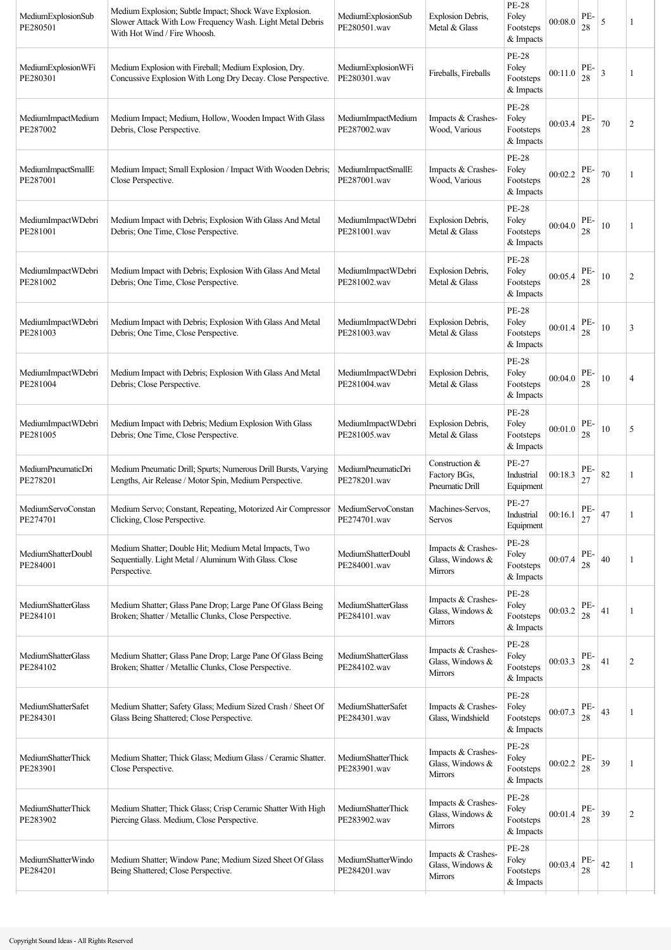| MediumExplosionSub<br>PE280501 | Medium Explosion; Subtle Impact; Shock Wave Explosion.<br>Slower Attack With Low Frequency Wash. Light Metal Debris<br>With Hot Wind / Fire Whoosh. | MediumExplosionSub<br>PE280501.wav | Explosion Debris,<br>Metal & Glass                       | <b>PE-28</b><br>Foley<br>Footsteps<br>& Impacts | 00:08.0 | PE-<br>28 | 5  | 1              |
|--------------------------------|-----------------------------------------------------------------------------------------------------------------------------------------------------|------------------------------------|----------------------------------------------------------|-------------------------------------------------|---------|-----------|----|----------------|
| MediumExplosionWFi<br>PE280301 | Medium Explosion with Fireball; Medium Explosion, Dry.<br>Concussive Explosion With Long Dry Decay. Close Perspective.                              | MediumExplosionWFi<br>PE280301.wav | Fireballs, Fireballs                                     | <b>PE-28</b><br>Foley<br>Footsteps<br>& Impacts | 00:11.0 | PE-<br>28 | 3  | 1              |
| MediumImpactMedium<br>PE287002 | Medium Impact; Medium, Hollow, Wooden Impact With Glass<br>Debris, Close Perspective.                                                               | MediumImpactMedium<br>PE287002.wav | Impacts & Crashes-<br>Wood, Various                      | <b>PE-28</b><br>Foley<br>Footsteps<br>& Impacts | 00:03.4 | PE-<br>28 | 70 | $\overline{2}$ |
| MediumImpactSmallE<br>PE287001 | Medium Impact; Small Explosion / Impact With Wooden Debris;<br>Close Perspective.                                                                   | MediumImpactSmallE<br>PE287001.wav | Impacts & Crashes-<br>Wood, Various                      | <b>PE-28</b><br>Foley<br>Footsteps<br>& Impacts | 00:02.2 | PE-<br>28 | 70 | 1              |
| MediumImpactWDebri<br>PE281001 | Medium Impact with Debris; Explosion With Glass And Metal<br>Debris; One Time, Close Perspective.                                                   | MediumImpactWDebri<br>PE281001.wav | Explosion Debris,<br>Metal & Glass                       | <b>PE-28</b><br>Foley<br>Footsteps<br>& Impacts | 00:04.0 | PE-<br>28 | 10 | 1              |
| MediumImpactWDebri<br>PE281002 | Medium Impact with Debris; Explosion With Glass And Metal<br>Debris; One Time, Close Perspective.                                                   | MediumImpactWDebri<br>PE281002.wav | Explosion Debris,<br>Metal & Glass                       | <b>PE-28</b><br>Foley<br>Footsteps<br>& Impacts | 00:05.4 | PE-<br>28 | 10 | $\overline{2}$ |
| MediumImpactWDebri<br>PE281003 | Medium Impact with Debris; Explosion With Glass And Metal<br>Debris; One Time, Close Perspective.                                                   | MediumImpactWDebri<br>PE281003.wav | Explosion Debris,<br>Metal & Glass                       | <b>PE-28</b><br>Foley<br>Footsteps<br>& Impacts | 00:01.4 | PE-<br>28 | 10 | 3              |
| MediumImpactWDebri<br>PE281004 | Medium Impact with Debris; Explosion With Glass And Metal<br>Debris; Close Perspective.                                                             | MediumImpactWDebri<br>PE281004.wav | <b>Explosion Debris,</b><br>Metal & Glass                | <b>PE-28</b><br>Foley<br>Footsteps<br>& Impacts | 00:04.0 | PE-<br>28 | 10 | 4              |
| MediumImpactWDebri<br>PE281005 | Medium Impact with Debris; Medium Explosion With Glass<br>Debris; One Time, Close Perspective.                                                      | MediumImpactWDebri<br>PE281005.wav | Explosion Debris,<br>Metal & Glass                       | <b>PE-28</b><br>Foley<br>Footsteps<br>& Impacts | 00:01.0 | PE-<br>28 | 10 | 5              |
| MediumPneumaticDri<br>PE278201 | Medium Pneumatic Drill; Spurts; Numerous Drill Bursts, Varying<br>Lengths, Air Release / Motor Spin, Medium Perspective.                            | MediumPneumaticDri<br>PE278201.wav | Construction &<br>Factory BGs,<br>Pneumatic Drill        | PE-27<br>Industrial<br>Equipment                | 00:18.3 | PE-<br>27 | 82 | 1              |
| MediumServoConstan<br>PE274701 | Medium Servo; Constant, Repeating, Motorized Air Compressor<br>Clicking, Close Perspective.                                                         | MediumServoConstan<br>PE274701.wav | Machines-Servos,<br>Servos                               | PE-27<br>Industrial<br>Equipment                | 00:16.1 | PE.<br>27 | 47 | 1              |
| MediumShatterDoubl<br>PE284001 | Medium Shatter; Double Hit; Medium Metal Impacts, Two<br>Sequentially. Light Metal / Aluminum With Glass. Close<br>Perspective.                     | MediumShatterDoubl<br>PE284001.wav | Impacts & Crashes-<br>Glass, Windows &<br>Mirrors        | PE-28<br>Foley<br>Footsteps<br>& Impacts        | 00:07.4 | PE-<br>28 | 40 |                |
| MediumShatterGlass<br>PE284101 | Medium Shatter; Glass Pane Drop; Large Pane Of Glass Being<br>Broken; Shatter / Metallic Clunks, Close Perspective.                                 | MediumShatterGlass<br>PE284101.wav | Impacts & Crashes-<br>Glass, Windows &<br>Mirrors        | <b>PE-28</b><br>Foley<br>Footsteps<br>& Impacts | 00:03.2 | PE-<br>28 | 41 |                |
| MediumShatterGlass<br>PE284102 | Medium Shatter; Glass Pane Drop; Large Pane Of Glass Being<br>Broken; Shatter / Metallic Clunks, Close Perspective.                                 | MediumShatterGlass<br>PE284102.wav | Impacts & Crashes-<br>Glass, Windows &<br><b>Mirrors</b> | <b>PE-28</b><br>Foley<br>Footsteps<br>& Impacts | 00:03.3 | PE-<br>28 | 41 | $\overline{2}$ |
| MediumShatterSafet<br>PE284301 | Medium Shatter; Safety Glass; Medium Sized Crash / Sheet Of<br>Glass Being Shattered; Close Perspective.                                            | MediumShatterSafet<br>PE284301.wav | Impacts & Crashes-<br>Glass, Windshield                  | <b>PE-28</b><br>Foley<br>Footsteps<br>& Impacts | 00:07.3 | PE-<br>28 | 43 | 1              |
| MediumShatterThick<br>PE283901 | Medium Shatter; Thick Glass; Medium Glass / Ceramic Shatter.<br>Close Perspective.                                                                  | MediumShatterThick<br>PE283901.wav | Impacts & Crashes-<br>Glass, Windows &<br><b>Mirrors</b> | <b>PE-28</b><br>Foley<br>Footsteps<br>& Impacts | 00:02.2 | PE-<br>28 | 39 | 1              |
| MediumShatterThick<br>PE283902 | Medium Shatter; Thick Glass; Crisp Ceramic Shatter With High<br>Piercing Glass. Medium, Close Perspective.                                          | MediumShatterThick<br>PE283902.wav | Impacts & Crashes-<br>Glass, Windows &<br><b>Mirrors</b> | <b>PE-28</b><br>Foley<br>Footsteps<br>& Impacts | 00:01.4 | PE-<br>28 | 39 | $\overline{c}$ |
| MediumShatterWindo<br>PE284201 | Medium Shatter; Window Pane; Medium Sized Sheet Of Glass<br>Being Shattered; Close Perspective.                                                     | MediumShatterWindo<br>PE284201.wav | Impacts & Crashes-<br>Glass, Windows &<br><b>Mirrors</b> | <b>PE-28</b><br>Foley<br>Footsteps<br>& Impacts | 00:03.4 | PE-<br>28 | 42 | 1              |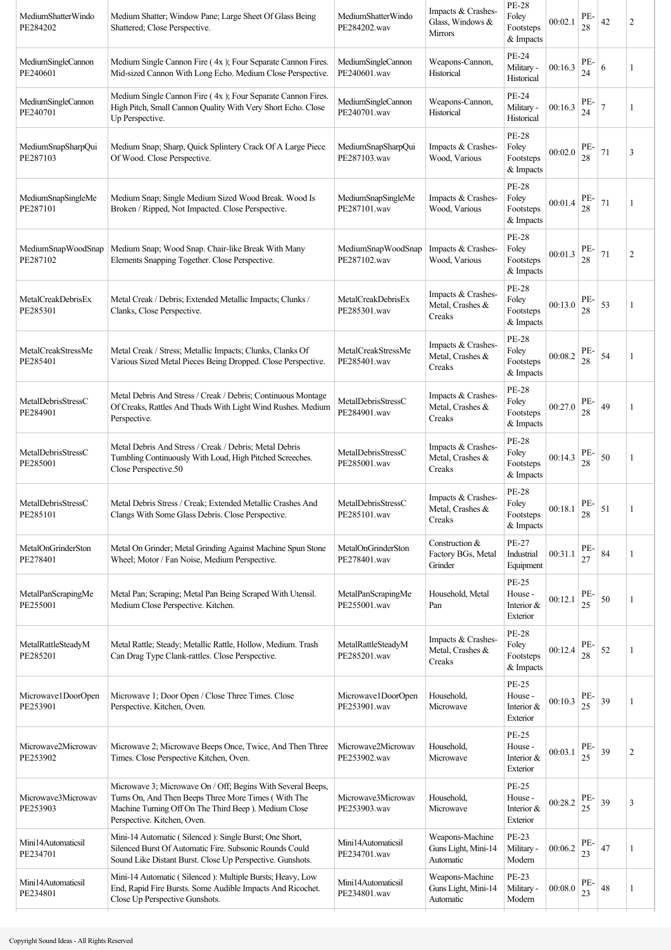| MediumShatterWindo<br>PE284202 | Medium Shatter; Window Pane; Large Sheet Of Glass Being<br>Shattered; Close Perspective.                                                                                                                   | MediumShatterWindo<br>PE284202.wav        | Impacts & Crashes-<br>Glass, Windows &<br><b>Mirrors</b> | <b>PE-28</b><br>Foley<br>Footsteps<br>& Impacts     | 00:02.1 | PE-<br>28 | 42     | $\overline{2}$ |
|--------------------------------|------------------------------------------------------------------------------------------------------------------------------------------------------------------------------------------------------------|-------------------------------------------|----------------------------------------------------------|-----------------------------------------------------|---------|-----------|--------|----------------|
| MediumSingleCannon<br>PE240601 | Medium Single Cannon Fire (4x); Four Separate Cannon Fires.<br>Mid-sized Cannon With Long Echo. Medium Close Perspective.                                                                                  | MediumSingleCannon<br>PE240601.wav        | Weapons-Cannon,<br>Historical                            | PE-24<br>Military -<br>Historical                   | 00:16.3 | PE-<br>24 | 6      | 1              |
| MediumSingleCannon<br>PE240701 | Medium Single Cannon Fire (4x); Four Separate Cannon Fires.<br>High Pitch, Small Cannon Quality With Very Short Echo. Close<br>Up Perspective.                                                             | MediumSingleCannon<br>PE240701.wav        | Weapons-Cannon,<br>Historical                            | PE-24<br>Military -<br>Historical                   | 00:16.3 | PE-<br>24 |        | 1              |
| MediumSnapSharpQui<br>PE287103 | Medium Snap; Sharp, Quick Splintery Crack Of A Large Piece<br>Of Wood. Close Perspective.                                                                                                                  | MediumSnapSharpQui<br>PE287103.wav        | Impacts & Crashes-<br>Wood, Various                      | <b>PE-28</b><br>Foley<br>Footsteps<br>& Impacts     | 00:02.0 | PE-<br>28 | 71     | 3              |
| MediumSnapSingleMe<br>PE287101 | Medium Snap; Single Medium Sized Wood Break. Wood Is<br>Broken / Ripped, Not Impacted. Close Perspective.                                                                                                  | MediumSnapSingleMe<br>PE287101.wav        | Impacts & Crashes-<br>Wood, Various                      | <b>PE-28</b><br>Foley<br>Footsteps<br>& Impacts     | 00:01.4 | PE-<br>28 | 71     | 1              |
| MediumSnapWoodSnap<br>PE287102 | Medium Snap; Wood Snap. Chair-like Break With Many<br>Elements Snapping Together. Close Perspective.                                                                                                       | MediumSnapWoodSnap<br>PE287102.wav        | Impacts & Crashes-<br>Wood, Various                      | <b>PE-28</b><br>Foley<br>Footsteps<br>& Impacts     | 00:01.3 | PE-<br>28 | 71     | $\overline{2}$ |
| MetalCreakDebrisEx<br>PE285301 | Metal Creak / Debris; Extended Metallic Impacts; Clunks /<br>Clanks, Close Perspective.                                                                                                                    | <b>MetalCreakDebrisEx</b><br>PE285301.wav | Impacts & Crashes-<br>Metal, Crashes &<br>Creaks         | <b>PE-28</b><br>Foley<br>Footsteps<br>& Impacts     | 00:13.0 | PE-<br>28 | 53     | 1              |
| MetalCreakStressMe<br>PE285401 | Metal Creak / Stress; Metallic Impacts; Clunks, Clanks Of<br>Various Sized Metal Pieces Being Dropped. Close Perspective.                                                                                  | MetalCreakStressMe<br>PE285401.wav        | Impacts & Crashes-<br>Metal, Crashes &<br>Creaks         | <b>PE-28</b><br>Foley<br>Footsteps<br>& Impacts     | 00:08.2 | PE-<br>28 | 54     | 1              |
| MetalDebrisStressC<br>PE284901 | Metal Debris And Stress / Creak / Debris; Continuous Montage<br>Of Creaks, Rattles And Thuds With Light Wind Rushes. Medium<br>Perspective.                                                                | MetalDebrisStressC<br>PE284901.wav        | Impacts & Crashes-<br>Metal, Crashes &<br>Creaks         | <b>PE-28</b><br>Foley<br>Footsteps<br>& Impacts     | 00:27.0 | PE-<br>28 | 49     |                |
| MetalDebrisStressC<br>PE285001 | Metal Debris And Stress / Creak / Debris; Metal Debris<br>Tumbling Continuously With Loud, High Pitched Screeches.<br>Close Perspective.50                                                                 | MetalDebrisStressC<br>PE285001.wav        | Impacts & Crashes-<br>Metal, Crashes &<br>Creaks         | <b>PE-28</b><br>Foley<br>Footsteps<br>& Impacts     | 00:14.3 | PE-<br>28 | 50     |                |
| MetalDebrisStressC<br>PE285101 | Metal Debris Stress / Creak; Extended Metallic Crashes And<br>Clangs With Some Glass Debris. Close Perspective.                                                                                            | MetalDebrisStressC<br>PE285101.wav        | Impacts & Crashes-<br>Metal, Crashes &<br>Creaks         | <b>PE-28</b><br>Foley<br>Footsteps<br>& Impacts     | 00:18.1 | PE-<br>28 | 51     |                |
| MetalOnGrinderSton<br>PE278401 | Metal On Grinder; Metal Grinding Against Machine Spun Stone<br>Wheel; Motor / Fan Noise, Medium Perspective.                                                                                               | MetalOnGrinderSton<br>PE278401.wav        | Construction &<br>Factory BGs, Metal<br>Grinder          | <b>PE-27</b><br>Industrial<br>Equipment             | 00:31.1 | PE-<br>27 | 84     | 1              |
| MetalPanScrapingMe<br>PE255001 | Metal Pan; Scraping; Metal Pan Being Scraped With Utensil.<br>Medium Close Perspective. Kitchen.                                                                                                           | MetalPanScrapingMe<br>PE255001.wav        | Household, Metal<br>Pan                                  | <b>PE-25</b><br>House -<br>Interior $&$<br>Exterior | 00:12.1 | PE-<br>25 | $50\,$ | 1              |
| MetalRattleSteadyM<br>PE285201 | Metal Rattle; Steady; Metallic Rattle, Hollow, Medium. Trash<br>Can Drag Type Clank-rattles. Close Perspective.                                                                                            | MetalRattleSteadyM<br>PE285201.wav        | Impacts & Crashes-<br>Metal, Crashes &<br>Creaks         | <b>PE-28</b><br>Foley<br>Footsteps<br>& Impacts     | 00:12.4 | PE-<br>28 | 52     | 1              |
| Microwave1DoorOpen<br>PE253901 | Microwave 1; Door Open / Close Three Times. Close<br>Perspective. Kitchen, Oven.                                                                                                                           | Microwave1DoorOpen<br>PE253901.wav        | Household,<br>Microwave                                  | <b>PE-25</b><br>House -<br>Interior $&$<br>Exterior | 00:10.3 | PE-<br>25 | 39     | 1              |
| Microwave2Microwav<br>PE253902 | Microwave 2; Microwave Beeps Once, Twice, And Then Three<br>Times. Close Perspective Kitchen, Oven.                                                                                                        | Microwave2Microwav<br>PE253902.wav        | Household,<br>Microwave                                  | <b>PE-25</b><br>House -<br>Interior &<br>Exterior   | 00:03.1 | PE-<br>25 | 39     | $\overline{c}$ |
| Microwave3Microwav<br>PE253903 | Microwave 3; Microwave On / Off; Begins With Several Beeps,<br>Turns On, And Then Beeps Three More Times (With The<br>Machine Turning Off On The Third Beep ). Medium Close<br>Perspective. Kitchen, Oven. | Microwave3Microwav<br>PE253903.wav        | Household,<br>Microwave                                  | <b>PE-25</b><br>House -<br>Interior &<br>Exterior   | 00:28.2 | PE-<br>25 | 39     | 3              |
| Mini14Automaticsil<br>PE234701 | Mini-14 Automatic (Silenced): Single Burst; One Short,<br>Silenced Burst Of Automatic Fire. Subsonic Rounds Could<br>Sound Like Distant Burst. Close Up Perspective. Gunshots.                             | Mini14Automaticsil<br>PE234701.wav        | Weapons-Machine<br>Guns Light, Mini-14<br>Automatic      | <b>PE-23</b><br>Military -<br>Modern                | 00:06.2 | PE-<br>23 | 47     | 1              |
| Mini14Automaticsil<br>PE234801 | Mini-14 Automatic (Silenced): Multiple Bursts; Heavy, Low<br>End, Rapid Fire Bursts. Some Audible Impacts And Ricochet.<br>Close Up Perspective Gunshots.                                                  | Mini14Automaticsil<br>PE234801.wav        | Weapons-Machine<br>Guns Light, Mini-14<br>Automatic      | PE-23<br>Military -<br>Modern                       | 00:08.0 | PE-<br>23 | 48     | 1              |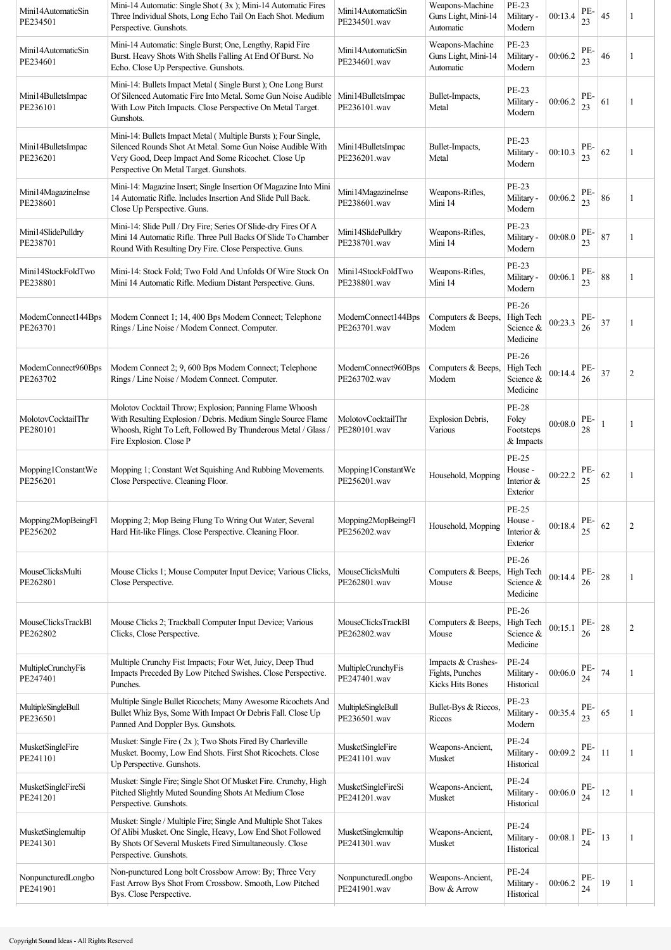| Mini14AutomaticSin<br>PE234501 | Mini-14 Automatic: Single Shot (3x); Mini-14 Automatic Fires<br>Three Individual Shots, Long Echo Tail On Each Shot. Medium<br>Perspective. Gunshots.                                                                       | Mini14AutomaticSin<br>PE234501.wav | Weapons-Machine<br>Guns Light, Mini-14<br>Automatic       | PE-23<br>Military -<br>Modern                   | 00:13.4 | PE-<br>23 | 45 | 1              |
|--------------------------------|-----------------------------------------------------------------------------------------------------------------------------------------------------------------------------------------------------------------------------|------------------------------------|-----------------------------------------------------------|-------------------------------------------------|---------|-----------|----|----------------|
| Mini14AutomaticSin<br>PE234601 | Mini-14 Automatic: Single Burst; One, Lengthy, Rapid Fire<br>Burst. Heavy Shots With Shells Falling At End Of Burst. No<br>Echo. Close Up Perspective. Gunshots.                                                            | Mini14AutomaticSin<br>PE234601.wav | Weapons-Machine<br>Guns Light, Mini-14<br>Automatic       | <b>PE-23</b><br>Military -<br>Modern            | 00:06.2 | PE-<br>23 | 46 | 1              |
| Mini14BulletsImpac<br>PE236101 | Mini-14: Bullets Impact Metal (Single Burst); One Long Burst<br>Of Silenced Automatic Fire Into Metal. Some Gun Noise Audible<br>With Low Pitch Impacts. Close Perspective On Metal Target.<br>Gunshots.                    | Mini14BulletsImpac<br>PE236101.wav | Bullet-Impacts,<br>Metal                                  | PE-23<br>Military -<br>Modern                   | 00:06.2 | PE-<br>23 | 61 |                |
| Mini14BulletsImpac<br>PE236201 | Mini-14: Bullets Impact Metal (Multiple Bursts); Four Single,<br>Silenced Rounds Shot At Metal. Some Gun Noise Audible With<br>Very Good, Deep Impact And Some Ricochet. Close Up<br>Perspective On Metal Target. Gunshots. | Mini14BulletsImpac<br>PE236201.wav | Bullet-Impacts,<br>Metal                                  | PE-23<br>Military -<br>Modern                   | 00:10.3 | PE-<br>23 | 62 | 1              |
| Mini14MagazineInse<br>PE238601 | Mini-14: Magazine Insert; Single Insertion Of Magazine Into Mini<br>14 Automatic Rifle. Includes Insertion And Slide Pull Back.<br>Close Up Perspective. Guns.                                                              | Mini14MagazineInse<br>PE238601.wav | Weapons-Rifles,<br>Mini 14                                | PE-23<br>Military -<br>Modern                   | 00:06.2 | PE-<br>23 | 86 | 1              |
| Mini14SlidePulldry<br>PE238701 | Mini-14: Slide Pull / Dry Fire; Series Of Slide-dry Fires Of A<br>Mini 14 Automatic Rifle. Three Pull Backs Of Slide To Chamber<br>Round With Resulting Dry Fire. Close Perspective. Guns.                                  | Mini14SlidePulldry<br>PE238701.wav | Weapons-Rifles,<br>Mini 14                                | PE-23<br>Military -<br>Modern                   | 00:08.0 | PE-<br>23 | 87 | 1              |
| Mini14StockFoldTwo<br>PE238801 | Mini-14: Stock Fold; Two Fold And Unfolds Of Wire Stock On<br>Mini 14 Automatic Rifle. Medium Distant Perspective. Guns.                                                                                                    | Mini14StockFoldTwo<br>PE238801.wav | Weapons-Rifles,<br>Mini 14                                | PE-23<br>Military -<br>Modern                   | 00:06.1 | PE-<br>23 | 88 |                |
| ModemConnect144Bps<br>PE263701 | Modem Connect 1; 14, 400 Bps Modem Connect; Telephone<br>Rings / Line Noise / Modem Connect. Computer.                                                                                                                      | ModemConnect144Bps<br>PE263701.wav | Computers & Beeps,<br>Modem                               | PE-26<br>High Tech<br>Science &<br>Medicine     | 00:23.3 | PE-<br>26 | 37 | 1              |
| ModemConnect960Bps<br>PE263702 | Modem Connect 2; 9, 600 Bps Modem Connect; Telephone<br>Rings / Line Noise / Modem Connect. Computer.                                                                                                                       | ModemConnect960Bps<br>PE263702.wav | Computers & Beeps,<br>Modem                               | PE-26<br>High Tech<br>Science &<br>Medicine     | 00:14.4 | PE-<br>26 | 37 | $\overline{c}$ |
| MolotovCocktailThr<br>PE280101 | Molotov Cocktail Throw; Explosion; Panning Flame Whoosh<br>With Resulting Explosion / Debris. Medium Single Source Flame<br>Whoosh, Right To Left, Followed By Thunderous Metal / Glass /<br>Fire Explosion. Close P        | MolotovCocktailThr<br>PE280101.wav | Explosion Debris,<br>Various                              | <b>PE-28</b><br>Foley<br>Footsteps<br>& Impacts | 00:08.0 | PE-<br>28 | 1  | 1              |
| Mopping1ConstantWe<br>PE256201 | Mopping 1; Constant Wet Squishing And Rubbing Movements.<br>Close Perspective. Cleaning Floor.                                                                                                                              | Mopping1ConstantWe<br>PE256201.wav | Household, Mopping                                        | PE-25<br>House -<br>Interior &<br>Exterior      | 00:22.2 | PE-<br>25 | 62 | 1              |
| Mopping2MopBeingFl<br>PE256202 | Mopping 2; Mop Being Flung To Wring Out Water; Several<br>Hard Hit-like Flings. Close Perspective. Cleaning Floor.                                                                                                          | Mopping2MopBeingFl<br>PE256202.wav | Household, Mopping                                        | PE-25<br>House -<br>Interior &<br>Exterior      | 00:18.4 | PE-<br>25 | 62 | $\overline{c}$ |
| MouseClicksMulti<br>PE262801   | Mouse Clicks 1; Mouse Computer Input Device; Various Clicks,<br>Close Perspective.                                                                                                                                          | MouseClicksMulti<br>PE262801.wav   | Computers & Beeps,<br>Mouse                               | PE-26<br>High Tech<br>Science &<br>Medicine     | 00:14.4 | PE-<br>26 | 28 | 1              |
| MouseClicksTrackBl<br>PE262802 | Mouse Clicks 2; Trackball Computer Input Device; Various<br>Clicks, Close Perspective.                                                                                                                                      | MouseClicksTrackBl<br>PE262802.wav | Computers & Beeps,<br>Mouse                               | PE-26<br>High Tech<br>Science &<br>Medicine     | 00:15.1 | PE-<br>26 | 28 | 2              |
| MultipleCrunchyFis<br>PE247401 | Multiple Crunchy Fist Impacts; Four Wet, Juicy, Deep Thud<br>Impacts Preceded By Low Pitched Swishes. Close Perspective.<br>Punches.                                                                                        | MultipleCrunchyFis<br>PE247401.wav | Impacts & Crashes-<br>Fights, Punches<br>Kicks Hits Bones | PE-24<br>Military -<br>Historical               | 00:06.0 | PE-<br>24 | 74 |                |
| MultipleSingleBull<br>PE236501 | Multiple Single Bullet Ricochets; Many Awesome Ricochets And<br>Bullet Whiz Bys, Some With Impact Or Debris Fall. Close Up<br>Panned And Doppler Bys. Gunshots.                                                             | MultipleSingleBull<br>PE236501.wav | Bullet-Bys & Riccos,<br>Riccos                            | PE-23<br>Military -<br>Modern                   | 00:35.4 | PE-<br>23 | 65 | 1              |
| MusketSingleFire<br>PE241101   | Musket: Single Fire (2x); Two Shots Fired By Charleville<br>Musket. Boomy, Low End Shots. First Shot Ricochets. Close<br>Up Perspective. Gunshots.                                                                          | MusketSingleFire<br>PE241101.wav   | Weapons-Ancient,<br>Musket                                | PE-24<br>Military -<br>Historical               | 00:09.2 | PE-<br>24 | 11 | 1              |
| MusketSingleFireSi<br>PE241201 | Musket: Single Fire; Single Shot Of Musket Fire. Crunchy, High<br>Pitched Slightly Muted Sounding Shots At Medium Close<br>Perspective. Gunshots.                                                                           | MusketSingleFireSi<br>PE241201.wav | Weapons-Ancient,<br>Musket                                | PE-24<br>Military -<br>Historical               | 00:06.0 | PE-<br>24 | 12 | 1              |
| MusketSinglemultip<br>PE241301 | Musket: Single / Multiple Fire; Single And Multiple Shot Takes<br>Of Alibi Musket. One Single, Heavy, Low End Shot Followed<br>By Shots Of Several Muskets Fired Simultaneously. Close<br>Perspective. Gunshots.            | MusketSinglemultip<br>PE241301.wav | Weapons-Ancient,<br>Musket                                | PE-24<br>Military -<br>Historical               | 00:08.1 | PE-<br>24 | 13 | 1              |
| NonpuncturedLongbo<br>PE241901 | Non-punctured Long bolt Crossbow Arrow: By; Three Very<br>Fast Arrow Bys Shot From Crossbow. Smooth, Low Pitched<br>Bys. Close Perspective.                                                                                 | NonpuncturedLongbo<br>PE241901.wav | Weapons-Ancient,<br>Bow & Arrow                           | PE-24<br>Military -<br>Historical               | 00:06.2 | PE-<br>24 | 19 |                |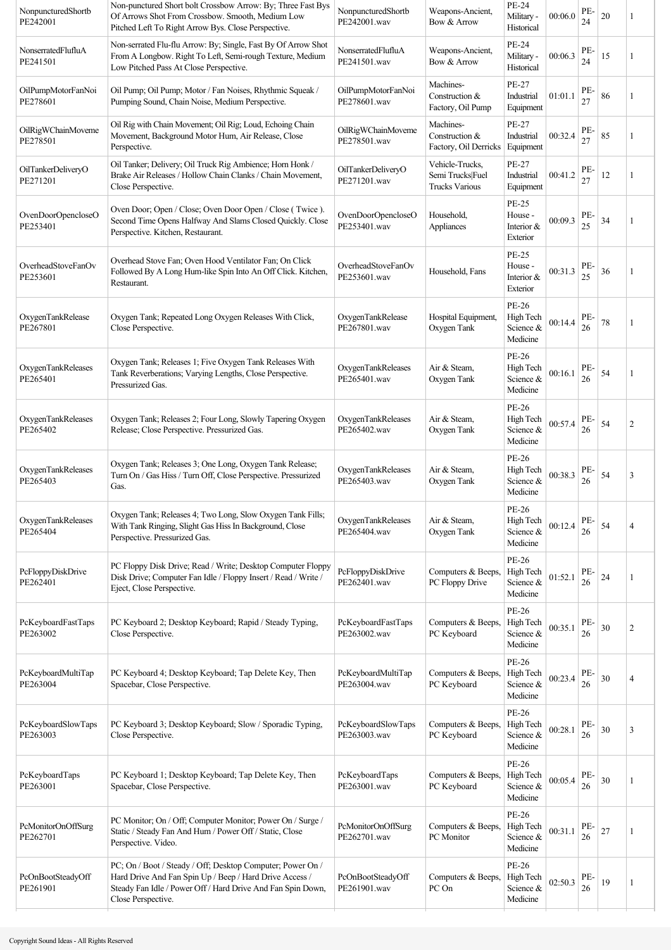| NonpuncturedShortb<br>PE242001 | Non-punctured Short bolt Crossbow Arrow: By; Three Fast Bys<br>Of Arrows Shot From Crossbow. Smooth, Medium Low<br>Pitched Left To Right Arrow Bys. Close Perspective.                                     | NonpuncturedShortb<br>PE242001.wav | Weapons-Ancient,<br>Bow & Arrow                              | <b>PE-24</b><br>Military -<br>Historical          | 00:06.0 | PE-<br>24 | 20 |                |
|--------------------------------|------------------------------------------------------------------------------------------------------------------------------------------------------------------------------------------------------------|------------------------------------|--------------------------------------------------------------|---------------------------------------------------|---------|-----------|----|----------------|
| NonserratedFlufluA<br>PE241501 | Non-serrated Flu-flu Arrow: By; Single, Fast By Of Arrow Shot<br>From A Longbow. Right To Left, Semi-rough Texture, Medium<br>Low Pitched Pass At Close Perspective.                                       | NonserratedFlufluA<br>PE241501.wav | Weapons-Ancient,<br>Bow & Arrow                              | PE-24<br>Military -<br>Historical                 | 00:06.3 | PE-<br>24 | 15 | 1              |
| OilPumpMotorFanNoi<br>PE278601 | Oil Pump; Oil Pump; Motor / Fan Noises, Rhythmic Squeak /<br>Pumping Sound, Chain Noise, Medium Perspective.                                                                                               | OilPumpMotorFanNoi<br>PE278601.wav | Machines-<br>Construction &<br>Factory, Oil Pump             | PE-27<br>Industrial<br>Equipment                  | 01:01.1 | PE-<br>27 | 86 |                |
| OilRigWChainMoveme<br>PE278501 | Oil Rig with Chain Movement; Oil Rig; Loud, Echoing Chain<br>Movement, Background Motor Hum, Air Release, Close<br>Perspective.                                                                            | OilRigWChainMoveme<br>PE278501.wav | Machines-<br>Construction &<br>Factory, Oil Derricks         | PE-27<br>Industrial<br>Equipment                  | 00:32.4 | PE-<br>27 | 85 |                |
| OilTankerDeliveryO<br>PE271201 | Oil Tanker; Delivery; Oil Truck Rig Ambience; Horn Honk /<br>Brake Air Releases / Hollow Chain Clanks / Chain Movement,<br>Close Perspective.                                                              | OilTankerDeliveryO<br>PE271201.wav | Vehicle-Trucks.<br>Semi Trucks Fuel<br><b>Trucks Various</b> | PE-27<br>Industrial<br>Equipment                  | 00:41.2 | PE-<br>27 | 12 |                |
| OvenDoorOpencloseO<br>PE253401 | Oven Door; Open / Close; Oven Door Open / Close (Twice).<br>Second Time Opens Halfway And Slams Closed Quickly. Close<br>Perspective. Kitchen, Restaurant.                                                 | OvenDoorOpencloseO<br>PE253401.wav | Household,<br>Appliances                                     | <b>PE-25</b><br>House -<br>Interior &<br>Exterior | 00:09.3 | PE-<br>25 | 34 |                |
| OverheadStoveFanOv<br>PE253601 | Overhead Stove Fan; Oven Hood Ventilator Fan; On Click<br>Followed By A Long Hum-like Spin Into An Off Click. Kitchen,<br>Restaurant.                                                                      | OverheadStoveFanOv<br>PE253601.wav | Household, Fans                                              | <b>PE-25</b><br>House -<br>Interior &<br>Exterior | 00:31.3 | PE-<br>25 | 36 |                |
| OxygenTankRelease<br>PE267801  | Oxygen Tank; Repeated Long Oxygen Releases With Click,<br>Close Perspective.                                                                                                                               | OxygenTankRelease<br>PE267801.wav  | Hospital Equipment,<br>Oxygen Tank                           | PE-26<br>High Tech<br>Science &<br>Medicine       | 00:14.4 | PE-<br>26 | 78 | 1              |
| OxygenTankReleases<br>PE265401 | Oxygen Tank; Releases 1; Five Oxygen Tank Releases With<br>Tank Reverberations; Varying Lengths, Close Perspective.<br>Pressurized Gas.                                                                    | OxygenTankReleases<br>PE265401.wav | Air & Steam,<br>Oxygen Tank                                  | PE-26<br>High Tech<br>Science &<br>Medicine       | 00:16.1 | PE-<br>26 | 54 |                |
| OxygenTankReleases<br>PE265402 | Oxygen Tank; Releases 2; Four Long, Slowly Tapering Oxygen<br>Release; Close Perspective. Pressurized Gas.                                                                                                 | OxygenTankReleases<br>PE265402.wav | Air & Steam,<br>Oxygen Tank                                  | PE-26<br>High Tech<br>Science &<br>Medicine       | 00:57.4 | PE-<br>26 | 54 | $\overline{c}$ |
| OxygenTankReleases<br>PE265403 | Oxygen Tank; Releases 3; One Long, Oxygen Tank Release;<br>Turn On / Gas Hiss / Turn Off, Close Perspective. Pressurized<br>Gas.                                                                           | OxygenTankReleases<br>PE265403.wav | Air & Steam,<br>Oxygen Tank                                  | PE-26<br>High Tech<br>Science &<br>Medicine       | 00:38.3 | PE-<br>26 | 54 | 3              |
| OxygenTankReleases<br>PE265404 | Oxygen Tank; Releases 4; Two Long, Slow Oxygen Tank Fills;<br>With Tank Ringing, Slight Gas Hiss In Background, Close<br>Perspective. Pressurized Gas.                                                     | OxygenTankReleases<br>PE265404.wav | Air & Steam,<br>Oxygen Tank                                  | $PE-26$<br>High Tech<br>Science &<br>Medicine     | 00:12.4 | PE-<br>26 | 54 | 4              |
| PcFloppyDiskDrive<br>PE262401  | PC Floppy Disk Drive; Read / Write; Desktop Computer Floppy<br>Disk Drive; Computer Fan Idle / Floppy Insert / Read / Write /<br>Eject, Close Perspective.                                                 | PcFloppyDiskDrive<br>PE262401.wav  | Computers & Beeps,<br>PC Floppy Drive                        | PE-26<br>High Tech<br>Science $\&$<br>Medicine    | 01:52.1 | PE-<br>26 | 24 |                |
| PcKeyboardFastTaps<br>PE263002 | PC Keyboard 2; Desktop Keyboard; Rapid / Steady Typing,<br>Close Perspective.                                                                                                                              | PcKeyboardFastTaps<br>PE263002.wav | Computers & Beeps,<br>PC Keyboard                            | PE-26<br>High Tech<br>Science &<br>Medicine       | 00:35.1 | PE-<br>26 | 30 | 2              |
| PcKeyboardMultiTap<br>PE263004 | PC Keyboard 4; Desktop Keyboard; Tap Delete Key, Then<br>Spacebar, Close Perspective.                                                                                                                      | PcKeyboardMultiTap<br>PE263004.wav | Computers & Beeps,<br>PC Keyboard                            | PE-26<br>High Tech<br>Science &<br>Medicine       | 00:23.4 | PE-<br>26 | 30 | $\overline{A}$ |
| PcKeyboardSlowTaps<br>PE263003 | PC Keyboard 3; Desktop Keyboard; Slow / Sporadic Typing,<br>Close Perspective.                                                                                                                             | PcKeyboardSlowTaps<br>PE263003.wav | Computers & Beeps,<br>PC Keyboard                            | PE-26<br>High Tech<br>Science &<br>Medicine       | 00:28.1 | PE-<br>26 | 30 | 3              |
| PcKeyboardTaps<br>PE263001     | PC Keyboard 1; Desktop Keyboard; Tap Delete Key, Then<br>Spacebar, Close Perspective.                                                                                                                      | PcKeyboardTaps<br>PE263001.wav     | Computers & Beeps,<br>PC Keyboard                            | PE-26<br>High Tech<br>Science &<br>Medicine       | 00:05.4 | PE-<br>26 | 30 |                |
| PcMonitorOnOffSurg<br>PE262701 | PC Monitor; On / Off; Computer Monitor; Power On / Surge /<br>Static / Steady Fan And Hum / Power Off / Static, Close<br>Perspective. Video.                                                               | PcMonitorOnOffSurg<br>PE262701.wav | Computers & Beeps,<br>PC Monitor                             | PE-26<br>High Tech<br>Science &<br>Medicine       | 00:31.1 | PE-<br>26 | 27 |                |
| PcOnBootSteadyOff<br>PE261901  | PC; On / Boot / Steady / Off; Desktop Computer; Power On /<br>Hard Drive And Fan Spin Up / Beep / Hard Drive Access /<br>Steady Fan Idle / Power Off / Hard Drive And Fan Spin Down,<br>Close Perspective. | PcOnBootSteadyOff<br>PE261901.wav  | Computers & Beeps,<br>PC On                                  | PE-26<br>High Tech<br>Science &<br>Medicine       | 02:50.3 | PE-<br>26 | 19 | 1              |
|                                |                                                                                                                                                                                                            |                                    |                                                              |                                                   |         |           |    |                |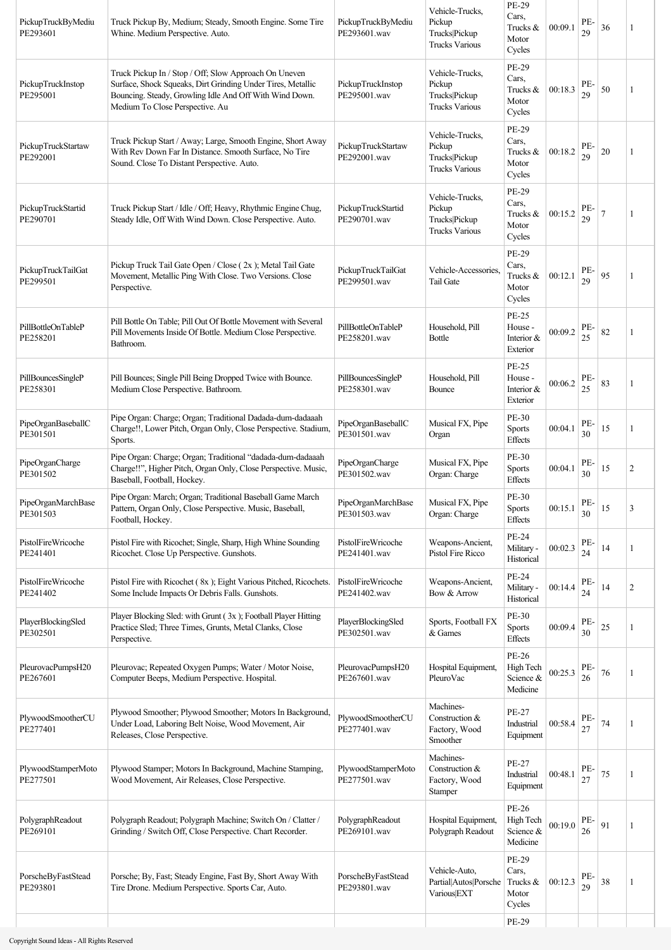| PickupTruckByMediu<br>PE293601 | Truck Pickup By, Medium; Steady, Smooth Engine. Some Tire<br>Whine. Medium Perspective. Auto.                                                                                                                      | PickupTruckByMediu<br>PE293601.wav | Vehicle-Trucks,<br>Pickup<br>Trucks Pickup<br><b>Trucks Various</b> | PE-29<br>Cars,<br>Trucks &<br>Motor<br>Cycles     | 00:09.1 | PE-<br>29 | 36     | 1              |
|--------------------------------|--------------------------------------------------------------------------------------------------------------------------------------------------------------------------------------------------------------------|------------------------------------|---------------------------------------------------------------------|---------------------------------------------------|---------|-----------|--------|----------------|
| PickupTruckInstop<br>PE295001  | Truck Pickup In / Stop / Off; Slow Approach On Uneven<br>Surface, Shock Squeaks, Dirt Grinding Under Tires, Metallic<br>Bouncing. Steady, Growling Idle And Off With Wind Down.<br>Medium To Close Perspective. Au | PickupTruckInstop<br>PE295001.wav  | Vehicle-Trucks,<br>Pickup<br>Trucks Pickup<br><b>Trucks Various</b> | PE-29<br>Cars,<br>Trucks &<br>Motor<br>Cycles     | 00:18.3 | PE-<br>29 | 50     | 1              |
| PickupTruckStartaw<br>PE292001 | Truck Pickup Start / Away; Large, Smooth Engine, Short Away<br>With Rev Down Far In Distance. Smooth Surface, No Tire<br>Sound. Close To Distant Perspective. Auto.                                                | PickupTruckStartaw<br>PE292001.wav | Vehicle-Trucks,<br>Pickup<br>Trucks Pickup<br><b>Trucks Various</b> | PE-29<br>Cars,<br>Trucks &<br>Motor<br>Cycles     | 00:18.2 | PE-<br>29 | 20     | 1              |
| PickupTruckStartid<br>PE290701 | Truck Pickup Start / Idle / Off; Heavy, Rhythmic Engine Chug,<br>Steady Idle, Off With Wind Down. Close Perspective. Auto.                                                                                         | PickupTruckStartid<br>PE290701.wav | Vehicle-Trucks,<br>Pickup<br>Trucks Pickup<br><b>Trucks Various</b> | PE-29<br>Cars,<br>Trucks &<br>Motor<br>Cycles     | 00:15.2 | PE-<br>29 | $\tau$ | 1              |
| PickupTruckTailGat<br>PE299501 | Pickup Truck Tail Gate Open / Close (2x); Metal Tail Gate<br>Movement, Metallic Ping With Close. Two Versions. Close<br>Perspective.                                                                               | PickupTruckTailGat<br>PE299501.wav | Vehicle-Accessories<br><b>Tail Gate</b>                             | PE-29<br>Cars,<br>Trucks &<br>Motor<br>Cycles     | 00:12.1 | PE-<br>29 | 95     | 1              |
| PillBottleOnTableP<br>PE258201 | Pill Bottle On Table; Pill Out Of Bottle Movement with Several<br>Pill Movements Inside Of Bottle. Medium Close Perspective.<br>Bathroom.                                                                          | PillBottleOnTableP<br>PE258201.wav | Household, Pill<br>Bottle                                           | <b>PE-25</b><br>House -<br>Interior &<br>Exterior | 00:09.2 | PE-<br>25 | 82     | 1              |
| PillBouncesSingleP<br>PE258301 | Pill Bounces; Single Pill Being Dropped Twice with Bounce.<br>Medium Close Perspective. Bathroom.                                                                                                                  | PillBouncesSingleP<br>PE258301.wav | Household, Pill<br>Bounce                                           | <b>PE-25</b><br>House -<br>Interior &<br>Exterior | 00:06.2 | PE-<br>25 | 83     | 1              |
| PipeOrganBaseballC<br>PE301501 | Pipe Organ: Charge; Organ; Traditional Dadada-dum-dadaaah<br>Charge!!, Lower Pitch, Organ Only, Close Perspective. Stadium,<br>Sports.                                                                             | PipeOrganBaseballC<br>PE301501.wav | Musical FX, Pipe<br>Organ                                           | <b>PE-30</b><br>Sports<br>Effects                 | 00:04.1 | PE-<br>30 | 15     | 1              |
| PipeOrganCharge<br>PE301502    | Pipe Organ: Charge; Organ; Traditional "dadada-dum-dadaaah<br>Charge!!", Higher Pitch, Organ Only, Close Perspective. Music,<br>Baseball, Football, Hockey.                                                        | PipeOrganCharge<br>PE301502.wav    | Musical FX, Pipe<br>Organ: Charge                                   | PE-30<br>Sports<br>Effects                        | 00:04.1 | PE-<br>30 | 15     | $\overline{2}$ |
| PipeOrganMarchBase<br>PE301503 | Pipe Organ: March; Organ; Traditional Baseball Game March<br>Pattern, Organ Only, Close Perspective. Music, Baseball,<br>Football, Hockey.                                                                         | PipeOrganMarchBase<br>PE301503.wav | Musical FX, Pipe<br>Organ: Charge                                   | PE-30<br>Sports<br>Effects                        | 00:15.1 | PE-<br>30 | 15     | 3              |
| PistolFireWricoche<br>PE241401 | Pistol Fire with Ricochet; Single, Sharp, High Whine Sounding<br>Ricochet. Close Up Perspective. Gunshots.                                                                                                         | PistolFireWricoche<br>PE241401.wav | Weapons-Ancient,<br>Pistol Fire Ricco                               | PE-24<br>Military -<br>Historical                 | 00:02.3 | PE-<br>24 | 14     | 1              |
| PistolFireWricoche<br>PE241402 | Pistol Fire with Ricochet (8x); Eight Various Pitched, Ricochets.<br>Some Include Impacts Or Debris Falls. Gunshots.                                                                                               | PistolFireWricoche<br>PE241402.wav | Weapons-Ancient,<br>Bow & Arrow                                     | <b>PE-24</b><br>Military -<br>Historical          | 00:14.4 | PE-<br>24 | 14     | $\overline{c}$ |
| PlayerBlockingSled<br>PE302501 | Player Blocking Sled: with Grunt (3x); Football Player Hitting<br>Practice Sled; Three Times, Grunts, Metal Clanks, Close<br>Perspective.                                                                          | PlayerBlockingSled<br>PE302501.wav | Sports, Football FX<br>& Games                                      | <b>PE-30</b><br>Sports<br>Effects                 | 00:09.4 | PE-<br>30 | 25     | 1              |
| PleurovacPumpsH20<br>PE267601  | Pleurovac; Repeated Oxygen Pumps; Water / Motor Noise,<br>Computer Beeps, Medium Perspective. Hospital.                                                                                                            | PleurovacPumpsH20<br>PE267601.wav  | Hospital Equipment,<br>PleuroVac                                    | PE-26<br>High Tech<br>Science &<br>Medicine       | 00:25.3 | PE-<br>26 | 76     | 1              |
| PlywoodSmootherCU<br>PE277401  | Plywood Smoother; Plywood Smoother; Motors In Background,<br>Under Load, Laboring Belt Noise, Wood Movement, Air<br>Releases, Close Perspective.                                                                   | PlywoodSmootherCU<br>PE277401.wav  | Machines-<br>Construction &<br>Factory, Wood<br>Smoother            | PE-27<br>Industrial<br>Equipment                  | 00:58.4 | PE-<br>27 | 74     | 1              |
| PlywoodStamperMoto<br>PE277501 | Plywood Stamper; Motors In Background, Machine Stamping,<br>Wood Movement, Air Releases, Close Perspective.                                                                                                        | PlywoodStamperMoto<br>PE277501.wav | Machines-<br>Construction &<br>Factory, Wood<br>Stamper             | PE-27<br>Industrial<br>Equipment                  | 00:48.1 | PE-<br>27 | $75\,$ | 1              |
| PolygraphReadout<br>PE269101   | Polygraph Readout; Polygraph Machine; Switch On / Clatter /<br>Grinding / Switch Off, Close Perspective. Chart Recorder.                                                                                           | PolygraphReadout<br>PE269101.wav   | Hospital Equipment,<br>Polygraph Readout                            | PE-26<br>High Tech<br>Science &<br>Medicine       | 00:19.0 | PE-<br>26 | 91     | 1              |
| PorscheByFastStead<br>PE293801 | Porsche; By, Fast; Steady Engine, Fast By, Short Away With<br>Tire Drone. Medium Perspective. Sports Car, Auto.                                                                                                    | PorscheByFastStead<br>PE293801.wav | Vehicle-Auto,<br>Partial Autos Porsche<br>Various EXT               | PE-29<br>Cars,<br>Trucks $\&$<br>Motor<br>Cycles  | 00:12.3 | PE-<br>29 | 38     | 1              |
|                                |                                                                                                                                                                                                                    |                                    |                                                                     | PE-29                                             |         |           |        |                |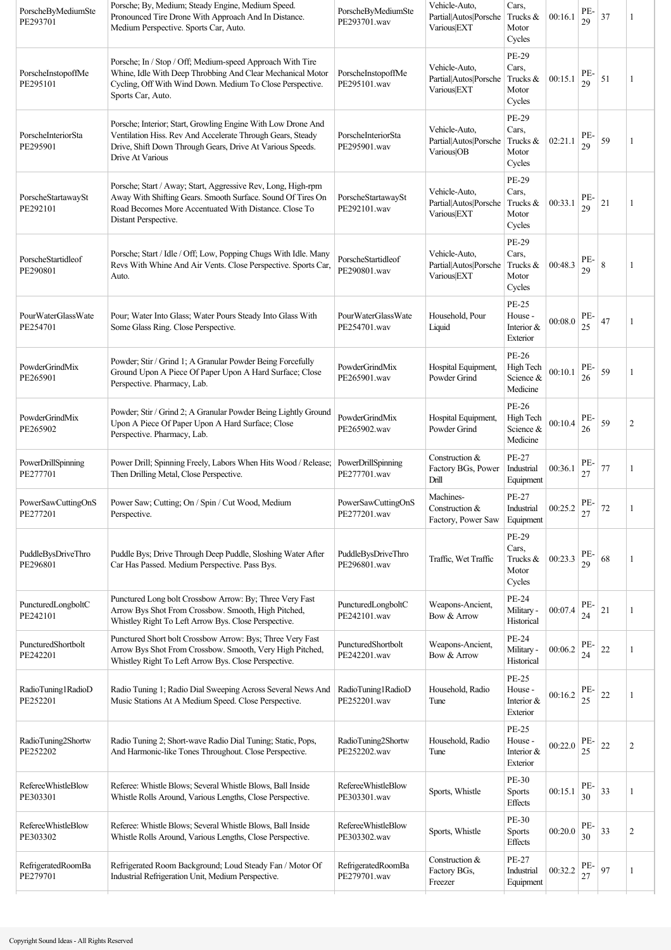| PorscheByMediumSte<br>PE293701        | Porsche; By, Medium; Steady Engine, Medium Speed.<br>Pronounced Tire Drone With Approach And In Distance.<br>Medium Perspective. Sports Car, Auto.                                                           | PorscheByMediumSte<br>PE293701.wav        | Vehicle-Auto,<br>Partial Autos Porsche<br>Various EXT | Cars,<br>Trucks &<br>Motor<br>Cycles              | 00:16.1 | PE-<br>29 | 37          | 1              |
|---------------------------------------|--------------------------------------------------------------------------------------------------------------------------------------------------------------------------------------------------------------|-------------------------------------------|-------------------------------------------------------|---------------------------------------------------|---------|-----------|-------------|----------------|
| PorscheInstopoffMe<br>PE295101        | Porsche; In / Stop / Off; Medium-speed Approach With Tire<br>Whine, Idle With Deep Throbbing And Clear Mechanical Motor<br>Cycling, Off With Wind Down. Medium To Close Perspective.<br>Sports Car, Auto.    | PorscheInstopoffMe<br>PE295101.wav        | Vehicle-Auto.<br>Partial Autos Porsche<br>Various EXT | PE-29<br>Cars,<br>Trucks &<br>Motor<br>Cycles     | 00:15.1 | PE-<br>29 | 51          | -1             |
| PorscheInteriorSta<br>PE295901        | Porsche; Interior; Start, Growling Engine With Low Drone And<br>Ventilation Hiss. Rev And Accelerate Through Gears, Steady<br>Drive, Shift Down Through Gears, Drive At Various Speeds.<br>Drive At Various  | PorscheInteriorSta<br>PE295901.wav        | Vehicle-Auto,<br>Partial Autos Porsche<br>Various OB  | PE-29<br>Cars,<br>Trucks &<br>Motor<br>Cycles     | 02:21.1 | PE-<br>29 | 59          | 1              |
| PorscheStartawaySt<br>PE292101        | Porsche; Start / Away; Start, Aggressive Rev, Long, High-rpm<br>Away With Shifting Gears. Smooth Surface. Sound Of Tires On<br>Road Becomes More Accentuated With Distance. Close To<br>Distant Perspective. | PorscheStartawaySt<br>PE292101.wav        | Vehicle-Auto.<br>Partial Autos Porsche<br>Various EXT | PE-29<br>Cars,<br>Trucks &<br>Motor<br>Cycles     | 00:33.1 | PE-<br>29 | 21          | 1              |
| PorscheStartidleof<br>PE290801        | Porsche; Start / Idle / Off; Low, Popping Chugs With Idle. Many<br>Revs With Whine And Air Vents. Close Perspective. Sports Car,<br>Auto.                                                                    | PorscheStartidleof<br>PE290801.wav        | Vehicle-Auto,<br>Partial Autos Porsche<br>Various EXT | PE-29<br>Cars,<br>Trucks &<br>Motor<br>Cycles     | 00:48.3 | PE-<br>29 | $\,$ 8 $\,$ | 1              |
| PourWaterGlassWate<br>PE254701        | Pour; Water Into Glass; Water Pours Steady Into Glass With<br>Some Glass Ring. Close Perspective.                                                                                                            | PourWaterGlassWate<br>PE254701.wav        | Household, Pour<br>Liquid                             | <b>PE-25</b><br>House -<br>Interior &<br>Exterior | 00:08.0 | PE-<br>25 | 47          | 1              |
| PowderGrindMix<br>PE265901            | Powder; Stir / Grind 1; A Granular Powder Being Forcefully<br>Ground Upon A Piece Of Paper Upon A Hard Surface; Close<br>Perspective. Pharmacy, Lab.                                                         | PowderGrindMix<br>PE265901.wav            | Hospital Equipment,<br>Powder Grind                   | PE-26<br>High Tech<br>Science &<br>Medicine       | 00:10.1 | PE-<br>26 | 59          | 1              |
| PowderGrindMix<br>PE265902            | Powder; Stir / Grind 2; A Granular Powder Being Lightly Ground<br>Upon A Piece Of Paper Upon A Hard Surface; Close<br>Perspective. Pharmacy, Lab.                                                            | PowderGrindMix<br>PE265902.wav            | Hospital Equipment,<br>Powder Grind                   | PE-26<br>High Tech<br>Science &<br>Medicine       | 00:10.4 | PE-<br>26 | 59          | $\overline{2}$ |
| <b>PowerDrillSpinning</b><br>PE277701 | Power Drill; Spinning Freely, Labors When Hits Wood / Release;<br>Then Drilling Metal, Close Perspective.                                                                                                    | PowerDrillSpinning<br>PE277701.wav        | Construction &<br>Factory BGs, Power<br>Drill         | PE-27<br>Industrial<br>Equipment                  | 00:36.1 | PE-<br>27 | 77          | 1              |
| PowerSawCuttingOnS<br>PE277201        | Power Saw; Cutting; On / Spin / Cut Wood, Medium<br>Perspective.                                                                                                                                             | PowerSawCuttingOnS<br>PE277201.wav        | Machines-<br>Construction &<br>Factory, Power Saw     | PE-27<br>Industrial<br>Equipment                  | 00:25.2 | PE-<br>27 | 72          |                |
| PuddleBysDriveThro<br>PE296801        | Puddle Bys; Drive Through Deep Puddle, Sloshing Water After<br>Car Has Passed. Medium Perspective. Pass Bys.                                                                                                 | PuddleBysDriveThro<br>PE296801.wav        | Traffic, Wet Traffic                                  | PE-29<br>Cars,<br>Trucks &<br>Motor<br>Cycles     | 00:23.3 | PE-<br>29 | 68          |                |
| PuncturedLongboltC<br>PE242101        | Punctured Long bolt Crossbow Arrow: By; Three Very Fast<br>Arrow Bys Shot From Crossbow. Smooth, High Pitched,<br>Whistley Right To Left Arrow Bys. Close Perspective.                                       | PuncturedLongboltC<br>PE242101.wav        | Weapons-Ancient,<br>Bow & Arrow                       | <b>PE-24</b><br>Military -<br>Historical          | 00:07.4 | PE-<br>24 | 21          | 1              |
| PuncturedShortbolt<br>PE242201        | Punctured Short bolt Crossbow Arrow: Bys; Three Very Fast<br>Arrow Bys Shot From Crossbow. Smooth, Very High Pitched,<br>Whistley Right To Left Arrow Bys. Close Perspective.                                | PuncturedShortbolt<br>PE242201.wav        | Weapons-Ancient,<br>Bow & Arrow                       | <b>PE-24</b><br>Military -<br>Historical          | 00:06.2 | PE-<br>24 | 22          |                |
| RadioTuning1RadioD<br>PE252201        | Radio Tuning 1; Radio Dial Sweeping Across Several News And<br>Music Stations At A Medium Speed. Close Perspective.                                                                                          | RadioTuning1RadioD<br>PE252201.wav        | Household, Radio<br>Tune                              | <b>PE-25</b><br>House -<br>Interior &<br>Exterior | 00:16.2 | PE-<br>25 | 22          | -1             |
| RadioTuning2Shortw<br>PE252202        | Radio Tuning 2; Short-wave Radio Dial Tuning; Static, Pops,<br>And Harmonic-like Tones Throughout. Close Perspective.                                                                                        | RadioTuning2Shortw<br>PE252202.wav        | Household, Radio<br>Tune                              | <b>PE-25</b><br>House -<br>Interior &<br>Exterior | 00:22.0 | PE-<br>25 | 22          | $\overline{c}$ |
| <b>RefereeWhistleBlow</b><br>PE303301 | Referee: Whistle Blows; Several Whistle Blows, Ball Inside<br>Whistle Rolls Around, Various Lengths, Close Perspective.                                                                                      | <b>RefereeWhistleBlow</b><br>PE303301.wav | Sports, Whistle                                       | PE-30<br>Sports<br>Effects                        | 00:15.1 | PE-<br>30 | 33          | 1              |
| <b>RefereeWhistleBlow</b><br>PE303302 | Referee: Whistle Blows; Several Whistle Blows, Ball Inside<br>Whistle Rolls Around, Various Lengths, Close Perspective.                                                                                      | <b>RefereeWhistleBlow</b><br>PE303302.wav | Sports, Whistle                                       | PE-30<br><b>Sports</b><br><b>Effects</b>          | 00:20.0 | PE-<br>30 | 33          | 2              |
| RefrigeratedRoomBa<br>PE279701        | Refrigerated Room Background; Loud Steady Fan / Motor Of<br>Industrial Refrigeration Unit, Medium Perspective.                                                                                               | RefrigeratedRoomBa<br>PE279701.wav        | Construction &<br>Factory BGs,<br>Freezer             | PE-27<br>Industrial<br>Equipment                  | 00:32.2 | PE-<br>27 | 97          | 1              |
|                                       |                                                                                                                                                                                                              |                                           |                                                       |                                                   |         |           |             |                |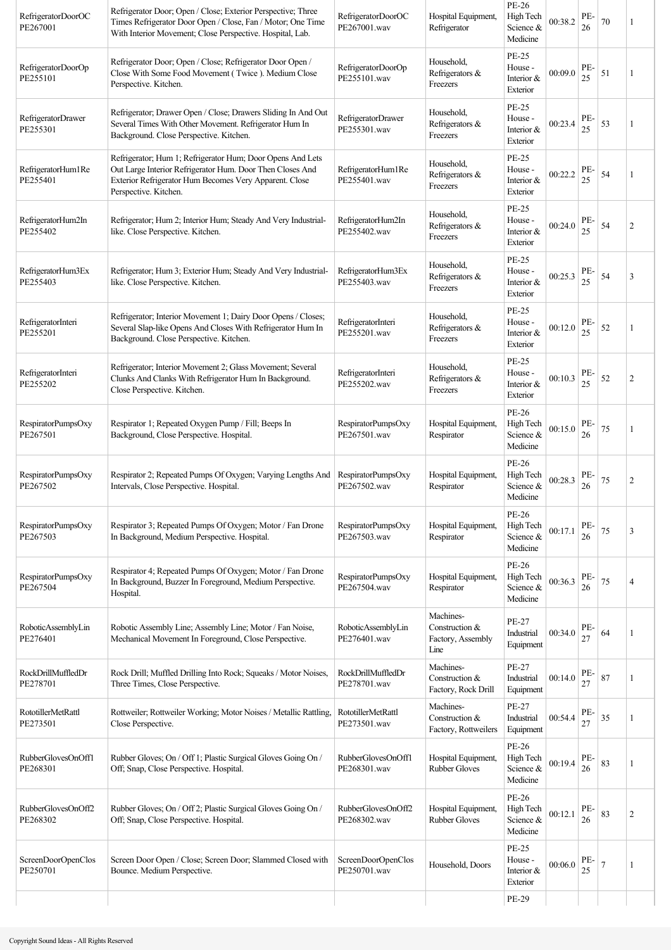| RefrigeratorDoorOC<br>PE267001        | Refrigerator Door; Open / Close; Exterior Perspective; Three<br>Times Refrigerator Door Open / Close, Fan / Motor; One Time<br>With Interior Movement; Close Perspective. Hospital, Lab.                   | RefrigeratorDoorOC<br>PE267001.wav        | Hospital Equipment,<br>Refrigerator                      | PE-26<br>High Tech<br>Science &<br>Medicine         | 00:38.2 | PE-<br>26 | 70 | 1              |
|---------------------------------------|------------------------------------------------------------------------------------------------------------------------------------------------------------------------------------------------------------|-------------------------------------------|----------------------------------------------------------|-----------------------------------------------------|---------|-----------|----|----------------|
| RefrigeratorDoorOp<br>PE255101        | Refrigerator Door; Open / Close; Refrigerator Door Open /<br>Close With Some Food Movement (Twice ). Medium Close<br>Perspective. Kitchen.                                                                 | RefrigeratorDoorOp<br>PE255101.wav        | Household,<br>Refrigerators &<br>Freezers                | <b>PE-25</b><br>House -<br>Interior &<br>Exterior   | 00:09.0 | PE-<br>25 | 51 | 1              |
| RefrigeratorDrawer<br>PE255301        | Refrigerator; Drawer Open / Close; Drawers Sliding In And Out<br>Several Times With Other Movement. Refrigerator Hum In<br>Background. Close Perspective. Kitchen.                                         | RefrigeratorDrawer<br>PE255301.wav        | Household,<br>Refrigerators &<br>Freezers                | <b>PE-25</b><br>House -<br>Interior &<br>Exterior   | 00:23.4 | PE-<br>25 | 53 | 1              |
| RefrigeratorHum1Re<br>PE255401        | Refrigerator; Hum 1; Refrigerator Hum; Door Opens And Lets<br>Out Large Interior Refrigerator Hum. Door Then Closes And<br>Exterior Refrigerator Hum Becomes Very Apparent. Close<br>Perspective. Kitchen. | RefrigeratorHum1Re<br>PE255401.wav        | Household,<br>Refrigerators &<br>Freezers                | <b>PE-25</b><br>House -<br>Interior &<br>Exterior   | 00:22.2 | PE-<br>25 | 54 |                |
| RefrigeratorHum2In<br>PE255402        | Refrigerator; Hum 2; Interior Hum; Steady And Very Industrial-<br>like. Close Perspective. Kitchen.                                                                                                        | RefrigeratorHum2In<br>PE255402.wav        | Household,<br>Refrigerators &<br>Freezers                | <b>PE-25</b><br>House -<br>Interior &<br>Exterior   | 00:24.0 | PE-<br>25 | 54 | $\overline{c}$ |
| RefrigeratorHum3Ex<br>PE255403        | Refrigerator; Hum 3; Exterior Hum; Steady And Very Industrial-<br>like. Close Perspective. Kitchen.                                                                                                        | RefrigeratorHum3Ex<br>PE255403.wav        | Household,<br>Refrigerators &<br>Freezers                | PE-25<br>House -<br>Interior &<br>Exterior          | 00:25.3 | PE-<br>25 | 54 | 3              |
| RefrigeratorInteri<br>PE255201        | Refrigerator; Interior Movement 1; Dairy Door Opens / Closes;<br>Several Slap-like Opens And Closes With Refrigerator Hum In<br>Background. Close Perspective. Kitchen.                                    | RefrigeratorInteri<br>PE255201.wav        | Household,<br>Refrigerators &<br>Freezers                | <b>PE-25</b><br>House -<br>Interior $&$<br>Exterior | 00:12.0 | PE-<br>25 | 52 | 1              |
| RefrigeratorInteri<br>PE255202        | Refrigerator; Interior Movement 2; Glass Movement; Several<br>Clunks And Clanks With Refrigerator Hum In Background.<br>Close Perspective. Kitchen.                                                        | RefrigeratorInteri<br>PE255202.wav        | Household,<br>Refrigerators &<br>Freezers                | <b>PE-25</b><br>House -<br>Interior $&$<br>Exterior | 00:10.3 | PE-<br>25 | 52 | 2              |
| RespiratorPumpsOxy<br>PE267501        | Respirator 1; Repeated Oxygen Pump / Fill; Beeps In<br>Background, Close Perspective. Hospital.                                                                                                            | RespiratorPumpsOxy<br>PE267501.wav        | Hospital Equipment,<br>Respirator                        | PE-26<br>High Tech<br>Science &<br>Medicine         | 00:15.0 | PE-<br>26 | 75 |                |
| RespiratorPumpsOxy<br>PE267502        | Respirator 2; Repeated Pumps Of Oxygen; Varying Lengths And<br>Intervals, Close Perspective. Hospital.                                                                                                     | RespiratorPumpsOxy<br>PE267502.wav        | Hospital Equipment,<br>Respirator                        | PE-26<br>High Tech<br>Science &<br>Medicine         | 00:28.3 | PE-<br>26 | 75 | 2              |
| RespiratorPumpsOxy<br>PE267503        | Respirator 3; Repeated Pumps Of Oxygen; Motor / Fan Drone<br>In Background, Medium Perspective. Hospital.                                                                                                  | RespiratorPumpsOxy<br>PE267503.wav        | Hospital Equipment,<br>Respirator                        | PE-26<br>High Tech<br>Science &<br>Medicine         | 00:17.1 | PE-<br>26 | 75 | 3              |
| RespiratorPumpsOxy<br>PE267504        | Respirator 4; Repeated Pumps Of Oxygen; Motor / Fan Drone<br>In Background, Buzzer In Foreground, Medium Perspective.<br>Hospital.                                                                         | RespiratorPumpsOxy<br>PE267504.wav        | Hospital Equipment,<br>Respirator                        | PE-26<br>High Tech<br>Science &<br>Medicine         | 00:36.3 | PE-<br>26 | 75 | 4              |
| RoboticAssemblyLin<br>PE276401        | Robotic Assembly Line; Assembly Line; Motor / Fan Noise,<br>Mechanical Movement In Foreground, Close Perspective.                                                                                          | RoboticAssemblyLin<br>PE276401.wav        | Machines-<br>Construction &<br>Factory, Assembly<br>Line | PE-27<br>Industrial<br>Equipment                    | 00:34.0 | PE-<br>27 | 64 |                |
| RockDrillMuffledDr<br>PE278701        | Rock Drill; Muffled Drilling Into Rock; Squeaks / Motor Noises,<br>Three Times, Close Perspective.                                                                                                         | RockDrillMuffledDr<br>PE278701.wav        | Machines-<br>Construction &<br>Factory, Rock Drill       | PE-27<br>Industrial<br>Equipment                    | 00:14.0 | PE-<br>27 | 87 | 1              |
| <b>RototillerMetRattl</b><br>PE273501 | Rottweiler; Rottweiler Working; Motor Noises / Metallic Rattling,<br>Close Perspective.                                                                                                                    | <b>RototillerMetRattl</b><br>PE273501.wav | Machines-<br>Construction &<br>Factory, Rottweilers      | PE-27<br>Industrial<br>Equipment                    | 00:54.4 | PE-<br>27 | 35 | 1              |
| RubberGlovesOnOff1<br>PE268301        | Rubber Gloves; On / Off 1; Plastic Surgical Gloves Going On /<br>Off; Snap, Close Perspective. Hospital.                                                                                                   | RubberGlovesOnOff1<br>PE268301.wav        | Hospital Equipment,<br><b>Rubber Gloves</b>              | <b>PE-26</b><br>High Tech<br>Science &<br>Medicine  | 00:19.4 | PE-<br>26 | 83 | 1              |
| RubberGlovesOnOff2<br>PE268302        | Rubber Gloves; On / Off 2; Plastic Surgical Gloves Going On /<br>Off; Snap, Close Perspective. Hospital.                                                                                                   | RubberGlovesOnOff2<br>PE268302.wav        | Hospital Equipment,<br><b>Rubber Gloves</b>              | PE-26<br>High Tech<br>Science &<br>Medicine         | 00:12.1 | PE-<br>26 | 83 | $\overline{c}$ |
| ScreenDoorOpenClos<br>PE250701        | Screen Door Open / Close; Screen Door; Slammed Closed with<br>Bounce. Medium Perspective.                                                                                                                  | ScreenDoorOpenClos<br>PE250701.wav        | Household, Doors                                         | <b>PE-25</b><br>House -<br>Interior &<br>Exterior   | 00:06.0 | PE-<br>25 | 7  |                |
|                                       |                                                                                                                                                                                                            |                                           |                                                          | PE-29                                               |         |           |    |                |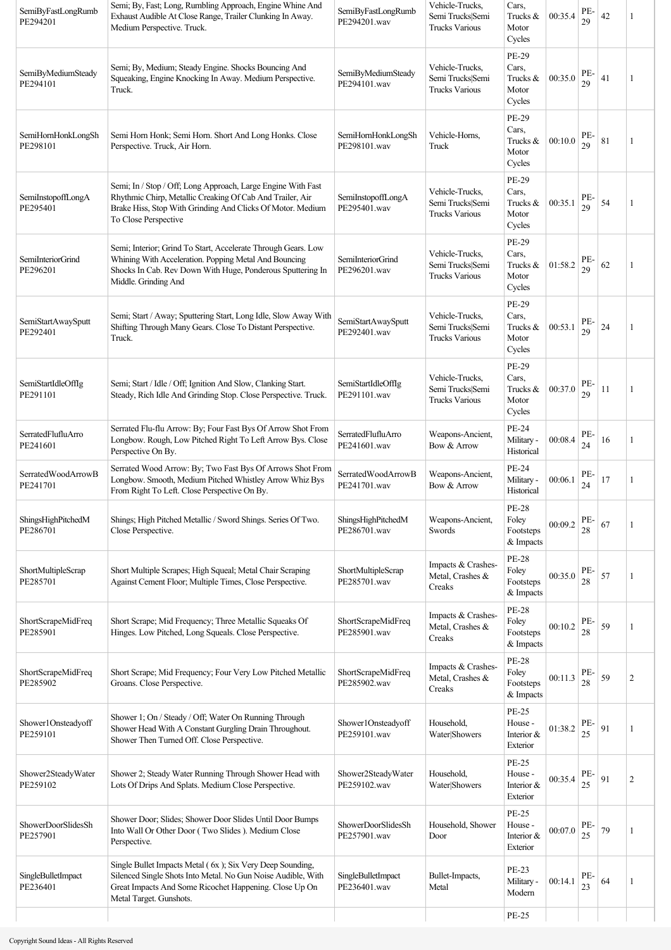| SemiByFastLongRumb<br>PE294201 | Semi; By, Fast; Long, Rumbling Approach, Engine Whine And<br>Exhaust Audible At Close Range, Trailer Clunking In Away.<br>Medium Perspective. Truck.                                                            | SemiByFastLongRumb<br>PE294201.wav | Vehicle-Trucks,<br>Semi Trucks Semi<br><b>Trucks Various</b> | Cars,<br>Trucks &<br>Motor<br>Cycles                 | 00:35.4 | PE-<br>29     | 42 |                |
|--------------------------------|-----------------------------------------------------------------------------------------------------------------------------------------------------------------------------------------------------------------|------------------------------------|--------------------------------------------------------------|------------------------------------------------------|---------|---------------|----|----------------|
| SemiByMediumSteady<br>PE294101 | Semi; By, Medium; Steady Engine. Shocks Bouncing And<br>Squeaking, Engine Knocking In Away. Medium Perspective.<br>Truck.                                                                                       | SemiByMediumSteady<br>PE294101.wav | Vehicle-Trucks,<br>Semi Trucks Semi<br><b>Trucks Various</b> | PE-29<br>Cars,<br>Trucks &<br>Motor<br>Cycles        | 00:35.0 | PE-<br>29     | 41 | 1              |
| SemiHornHonkLongSh<br>PE298101 | Semi Horn Honk; Semi Horn. Short And Long Honks. Close<br>Perspective. Truck, Air Horn.                                                                                                                         | SemiHornHonkLongSh<br>PE298101.wav | Vehicle-Horns,<br>Truck                                      | PE-29<br>Cars,<br>Trucks &<br>Motor<br>Cycles        | 00:10.0 | PE-<br>29     | 81 | 1              |
| SemiInstopoffLongA<br>PE295401 | Semi; In / Stop / Off; Long Approach, Large Engine With Fast<br>Rhythmic Chirp, Metallic Creaking Of Cab And Trailer, Air<br>Brake Hiss, Stop With Grinding And Clicks Of Motor. Medium<br>To Close Perspective | SemiInstopoffLongA<br>PE295401.wav | Vehicle-Trucks,<br>Semi Trucks Semi<br><b>Trucks Various</b> | PE-29<br>Cars,<br>Trucks &<br>Motor<br>Cycles        | 00:35.1 | PE-<br>29     | 54 | 1              |
| SemiInteriorGrind<br>PE296201  | Semi; Interior; Grind To Start, Accelerate Through Gears. Low<br>Whining With Acceleration. Popping Metal And Bouncing<br>Shocks In Cab. Rev Down With Huge, Ponderous Sputtering In<br>Middle. Grinding And    | SemiInteriorGrind<br>PE296201.wav  | Vehicle-Trucks,<br>Semi Trucks Semi<br><b>Trucks Various</b> | <b>PE-29</b><br>Cars,<br>Trucks &<br>Motor<br>Cycles | 01:58.2 | PE-<br>29     | 62 | 1              |
| SemiStartAwaySputt<br>PE292401 | Semi; Start / Away; Sputtering Start, Long Idle, Slow Away With<br>Shifting Through Many Gears. Close To Distant Perspective.<br>Truck.                                                                         | SemiStartAwaySputt<br>PE292401.wav | Vehicle-Trucks,<br>Semi Trucks Semi<br><b>Trucks Various</b> | PE-29<br>Cars,<br>Trucks &<br>Motor<br>Cycles        | 00:53.1 | PE-<br>29     | 24 | 1              |
| SemiStartIdleOffIg<br>PE291101 | Semi; Start / Idle / Off; Ignition And Slow, Clanking Start.<br>Steady, Rich Idle And Grinding Stop. Close Perspective. Truck.                                                                                  | SemiStartIdleOffIg<br>PE291101.wav | Vehicle-Trucks,<br>Semi Trucks Semi<br><b>Trucks Various</b> | PE-29<br>Cars,<br>Trucks &<br>Motor<br>Cycles        | 00:37.0 | PE-<br>29     | 11 | 1              |
| SerratedFlufluArro<br>PE241601 | Serrated Flu-flu Arrow: By; Four Fast Bys Of Arrow Shot From<br>Longbow. Rough, Low Pitched Right To Left Arrow Bys. Close<br>Perspective On By.                                                                | SerratedFlufluArro<br>PE241601.wav | Weapons-Ancient,<br>Bow & Arrow                              | PE-24<br>Military -<br>Historical                    | 00:08.4 | PE-<br>24     | 16 | 1              |
| SerratedWoodArrowB<br>PE241701 | Serrated Wood Arrow: By; Two Fast Bys Of Arrows Shot From<br>Longbow. Smooth, Medium Pitched Whistley Arrow Whiz Bys<br>From Right To Left. Close Perspective On By.                                            | SerratedWoodArrowB<br>PE241701.wav | Weapons-Ancient,<br>Bow & Arrow                              | PE-24<br>Military -<br>Historical                    | 00:06.1 | PE-<br>24     | 17 | 1              |
| ShingsHighPitchedM<br>PE286701 | Shings; High Pitched Metallic / Sword Shings. Series Of Two.<br>Close Perspective.                                                                                                                              | ShingsHighPitchedM<br>PE286701.wav | Weapons-Ancient,<br>Swords                                   | <b>PE-28</b><br>Foley<br>Footsteps<br>& Impacts      | 00:09.2 | PE-<br>$28\,$ | 67 | 1              |
| ShortMultipleScrap<br>PE285701 | Short Multiple Scrapes; High Squeal; Metal Chair Scraping<br>Against Cement Floor; Multiple Times, Close Perspective.                                                                                           | ShortMultipleScrap<br>PE285701.wav | Impacts & Crashes-<br>Metal, Crashes &<br>Creaks             | <b>PE-28</b><br>Foley<br>Footsteps<br>& Impacts      | 00:35.0 | PE-<br>28     | 57 | 1              |
| ShortScrapeMidFreq<br>PE285901 | Short Scrape; Mid Frequency; Three Metallic Squeaks Of<br>Hinges. Low Pitched, Long Squeals. Close Perspective.                                                                                                 | ShortScrapeMidFreq<br>PE285901.wav | Impacts & Crashes-<br>Metal, Crashes &<br>Creaks             | <b>PE-28</b><br>Foley<br>Footsteps<br>& Impacts      | 00:10.2 | PE-<br>28     | 59 | 1              |
| ShortScrapeMidFreq<br>PE285902 | Short Scrape; Mid Frequency; Four Very Low Pitched Metallic<br>Groans. Close Perspective.                                                                                                                       | ShortScrapeMidFreq<br>PE285902.wav | Impacts & Crashes-<br>Metal, Crashes &<br>Creaks             | <b>PE-28</b><br>Foley<br>Footsteps<br>& Impacts      | 00:11.3 | PE-<br>28     | 59 | $\overline{c}$ |
| Shower1Onsteadyoff<br>PE259101 | Shower 1; On / Steady / Off; Water On Running Through<br>Shower Head With A Constant Gurgling Drain Throughout.<br>Shower Then Turned Off. Close Perspective.                                                   | Shower1Onsteadyoff<br>PE259101.wav | Household,<br>Water Showers                                  | <b>PE-25</b><br>House -<br>Interior &<br>Exterior    | 01:38.2 | PE-<br>25     | 91 | 1              |
| Shower2SteadyWater<br>PE259102 | Shower 2; Steady Water Running Through Shower Head with<br>Lots Of Drips And Splats. Medium Close Perspective.                                                                                                  | Shower2SteadyWater<br>PE259102.wav | Household,<br>Water Showers                                  | <b>PE-25</b><br>House -<br>Interior &<br>Exterior    | 00:35.4 | PE-<br>25     | 91 | $\overline{c}$ |
| ShowerDoorSlidesSh<br>PE257901 | Shower Door; Slides; Shower Door Slides Until Door Bumps<br>Into Wall Or Other Door (Two Slides ). Medium Close<br>Perspective.                                                                                 | ShowerDoorSlidesSh<br>PE257901.wav | Household, Shower<br>Door                                    | <b>PE-25</b><br>House -<br>Interior &<br>Exterior    | 00:07.0 | PE-<br>25     | 79 | 1              |
| SingleBulletImpact<br>PE236401 | Single Bullet Impacts Metal (6x); Six Very Deep Sounding,<br>Silenced Single Shots Into Metal. No Gun Noise Audible, With<br>Great Impacts And Some Ricochet Happening. Close Up On<br>Metal Target. Gunshots.  | SingleBulletImpact<br>PE236401.wav | Bullet-Impacts,<br>Metal                                     | PE-23<br>Military -<br>Modern                        | 00:14.1 | PE-<br>23     | 64 | 1              |
|                                |                                                                                                                                                                                                                 |                                    |                                                              | <b>PE-25</b>                                         |         |               |    |                |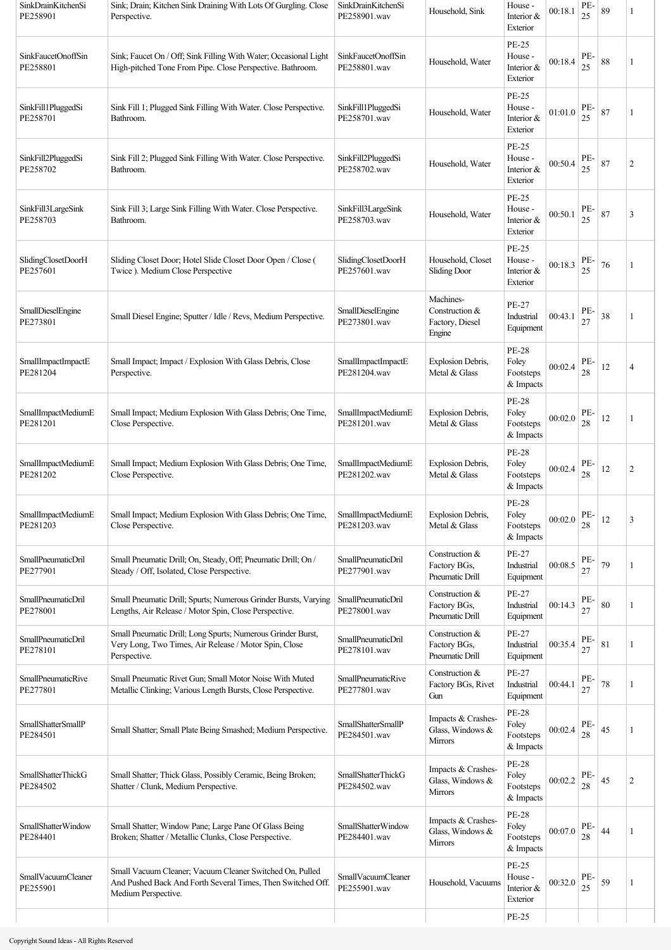| SinkDrainKitchenSi<br>PE258901        | Sink; Drain; Kitchen Sink Draining With Lots Of Gurgling. Close<br>Perspective.                                                                | SinkDrainKitchenSi<br>PE258901.wav        | Household, Sink                                          | House -<br>Interior &<br>Exterior                 | 00:18.1 | PE-<br>25 | 89 | 1              |
|---------------------------------------|------------------------------------------------------------------------------------------------------------------------------------------------|-------------------------------------------|----------------------------------------------------------|---------------------------------------------------|---------|-----------|----|----------------|
| SinkFaucetOnoffSin<br>PE258801        | Sink; Faucet On / Off; Sink Filling With Water; Occasional Light<br>High-pitched Tone From Pipe. Close Perspective. Bathroom.                  | SinkFaucetOnoffSin<br>PE258801.wav        | Household, Water                                         | PE-25<br>House -<br>Interior &<br>Exterior        | 00:18.4 | PE-<br>25 | 88 | 1              |
| SinkFill1PluggedSi<br>PE258701        | Sink Fill 1; Plugged Sink Filling With Water. Close Perspective.<br>Bathroom.                                                                  | SinkFill1PluggedSi<br>PE258701.wav        | Household, Water                                         | <b>PE-25</b><br>House -<br>Interior &<br>Exterior | 01:01.0 | PE-<br>25 | 87 | 1              |
| SinkFill2PluggedSi<br>PE258702        | Sink Fill 2; Plugged Sink Filling With Water. Close Perspective.<br>Bathroom.                                                                  | SinkFill2PluggedSi<br>PE258702.wav        | Household, Water                                         | PE-25<br>House -<br>Interior &<br>Exterior        | 00:50.4 | PE-<br>25 | 87 | $\overline{c}$ |
| SinkFill3LargeSink<br>PE258703        | Sink Fill 3; Large Sink Filling With Water. Close Perspective.<br>Bathroom.                                                                    | SinkFill3LargeSink<br>PE258703.wav        | Household, Water                                         | <b>PE-25</b><br>House -<br>Interior &<br>Exterior | 00:50.1 | PE-<br>25 | 87 | 3              |
| SlidingClosetDoorH<br>PE257601        | Sliding Closet Door; Hotel Slide Closet Door Open / Close (<br>Twice ). Medium Close Perspective                                               | SlidingClosetDoorH<br>PE257601.wav        | Household, Closet<br><b>Sliding Door</b>                 | PE-25<br>House -<br>Interior &<br>Exterior        | 00:18.3 | PE-<br>25 | 76 |                |
| SmallDieselEngine<br>PE273801         | Small Diesel Engine; Sputter / Idle / Revs, Medium Perspective.                                                                                | SmallDieselEngine<br>PE273801.wav         | Machines-<br>Construction &<br>Factory, Diesel<br>Engine | PE-27<br>Industrial<br>Equipment                  | 00:43.1 | PE-<br>27 | 38 | 1              |
| SmallImpactImpactE<br>PE281204        | Small Impact; Impact / Explosion With Glass Debris, Close<br>Perspective.                                                                      | SmallImpactImpactE<br>PE281204.wav        | Explosion Debris,<br>Metal & Glass                       | <b>PE-28</b><br>Foley<br>Footsteps<br>& Impacts   | 00:02.4 | PE-<br>28 | 12 | 4              |
| SmallImpactMediumE<br>PE281201        | Small Impact; Medium Explosion With Glass Debris; One Time,<br>Close Perspective.                                                              | SmallImpactMediumE<br>PE281201.wav        | Explosion Debris,<br>Metal & Glass                       | <b>PE-28</b><br>Foley<br>Footsteps<br>& Impacts   | 00:02.0 | PE-<br>28 | 12 | 1              |
| SmallImpactMediumE<br>PE281202        | Small Impact; Medium Explosion With Glass Debris; One Time,<br>Close Perspective.                                                              | SmallImpactMediumE<br>PE281202.wav        | <b>Explosion Debris.</b><br>Metal & Glass                | <b>PE-28</b><br>Foley<br>Footsteps<br>& Impacts   | 00:02.4 | PE-<br>28 | 12 | $\overline{c}$ |
| SmallImpactMediumE<br>PE281203        | Small Impact; Medium Explosion With Glass Debris; One Time,<br>Close Perspective.                                                              | SmallImpactMediumE<br>PE281203.wav        | Explosion Debris,<br>Metal & Glass                       | <b>PE-28</b><br>Foley<br>Footsteps<br>& Impacts   | 00:02.0 | PE-<br>28 | 12 | 3              |
| SmallPneumaticDril<br>PE277901        | Small Pneumatic Drill; On, Steady, Off; Pneumatic Drill; On /<br>Steady / Off, Isolated, Close Perspective.                                    | SmallPneumaticDril<br>PE277901.wav        | Construction &<br>Factory BGs,<br>Pneumatic Drill        | PE-27<br>Industrial<br>Equipment                  | 00:08.5 | PE-<br>27 | 79 | 1              |
| SmallPneumaticDril<br>PE278001        | Small Pneumatic Drill; Spurts; Numerous Grinder Bursts, Varying<br>Lengths, Air Release / Motor Spin, Close Perspective.                       | SmallPneumaticDril<br>PE278001.wav        | Construction &<br>Factory BGs,<br>Pneumatic Drill        | PE-27<br>Industrial<br>Equipment                  | 00:14.3 | PE-<br>27 | 80 | 1              |
| <b>SmallPneumaticDril</b><br>PE278101 | Small Pneumatic Drill; Long Spurts; Numerous Grinder Burst,<br>Very Long, Two Times, Air Release / Motor Spin, Close<br>Perspective.           | <b>SmallPneumaticDril</b><br>PE278101.wav | Construction &<br>Factory BGs,<br>Pneumatic Drill        | PE-27<br>Industrial<br>Equipment                  | 00:35.4 | PE-<br>27 | 81 | 1              |
| <b>SmallPneumaticRive</b><br>PE277801 | Small Pneumatic Rivet Gun; Small Motor Noise With Muted<br>Metallic Clinking; Various Length Bursts, Close Perspective.                        | <b>SmallPneumaticRive</b><br>PE277801.wav | Construction &<br>Factory BGs, Rivet<br>Gun              | PE-27<br>Industrial<br>Equipment                  | 00:44.1 | PE-<br>27 | 78 | 1              |
| SmallShatterSmallP<br>PE284501        | Small Shatter; Small Plate Being Smashed; Medium Perspective.                                                                                  | <b>SmallShatterSmallP</b><br>PE284501.wav | Impacts & Crashes-<br>Glass, Windows &<br>Mirrors        | <b>PE-28</b><br>Foley<br>Footsteps<br>& Impacts   | 00:02.4 | PE-<br>28 | 45 |                |
| SmallShatterThickG<br>PE284502        | Small Shatter; Thick Glass, Possibly Ceramic, Being Broken;<br>Shatter / Clunk, Medium Perspective.                                            | SmallShatterThickG<br>PE284502.wav        | Impacts & Crashes-<br>Glass, Windows &<br>Mirrors        | <b>PE-28</b><br>Foley<br>Footsteps<br>& Impacts   | 00:02.2 | PE-<br>28 | 45 | $\overline{c}$ |
| <b>SmallShatterWindow</b><br>PE284401 | Small Shatter; Window Pane; Large Pane Of Glass Being<br>Broken; Shatter / Metallic Clunks, Close Perspective.                                 | SmallShatterWindow<br>PE284401.wav        | Impacts & Crashes-<br>Glass, Windows &<br><b>Mirrors</b> | <b>PE-28</b><br>Foley<br>Footsteps<br>& Impacts   | 00:07.0 | PE-<br>28 | 44 | 1              |
| SmallVacuumCleaner<br>PE255901        | Small Vacuum Cleaner; Vacuum Cleaner Switched On, Pulled<br>And Pushed Back And Forth Several Times, Then Switched Off.<br>Medium Perspective. | <b>SmallVacuumCleaner</b><br>PE255901.wav | Household, Vacuums                                       | PE-25<br>House -<br>Interior &<br>Exterior        | 00:32.0 | PE-<br>25 | 59 | 1              |
|                                       |                                                                                                                                                |                                           |                                                          | <b>PE-25</b>                                      |         |           |    |                |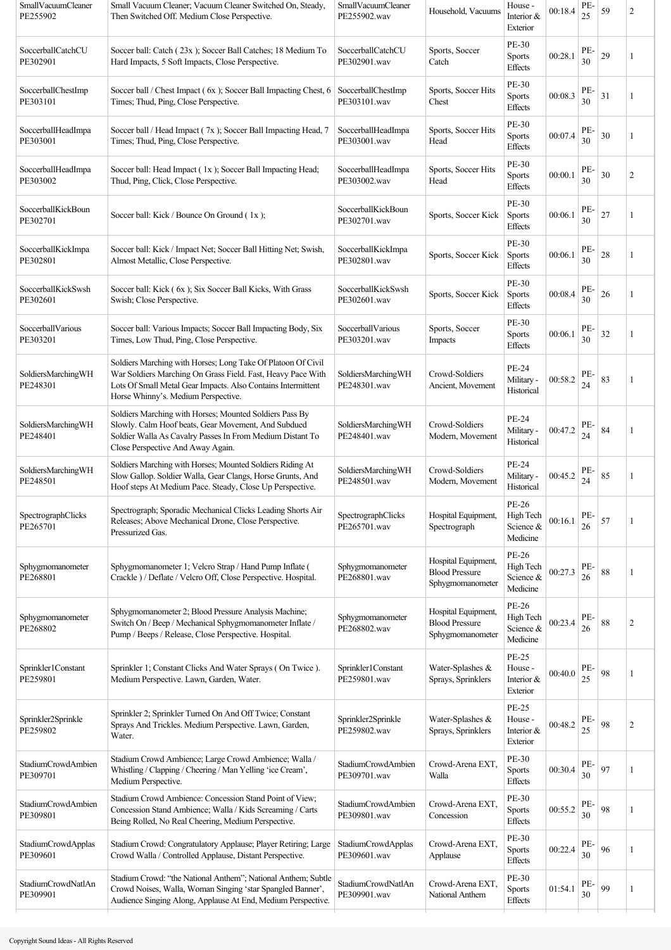| SmallVacuumCleaner<br>PE255902        | Small Vacuum Cleaner; Vacuum Cleaner Switched On, Steady,<br>Then Switched Off. Medium Close Perspective.                                                                                                                          | SmallVacuumCleaner<br>PE255902.wav        | Household, Vacuums                                               | House -<br>Interior &<br>Exterior           | 00:18.4 | PE-<br>25 | 59 | $\overline{2}$ |
|---------------------------------------|------------------------------------------------------------------------------------------------------------------------------------------------------------------------------------------------------------------------------------|-------------------------------------------|------------------------------------------------------------------|---------------------------------------------|---------|-----------|----|----------------|
| SoccerballCatchCU<br>PE302901         | Soccer ball: Catch (23x); Soccer Ball Catches; 18 Medium To<br>Hard Impacts, 5 Soft Impacts, Close Perspective.                                                                                                                    | SoccerballCatchCU<br>PE302901.wav         | Sports, Soccer<br>Catch                                          | PE-30<br>Sports<br><b>Effects</b>           | 00:28.1 | PE-<br>30 | 29 | 1              |
| SoccerballChestImp<br>PE303101        | Soccer ball / Chest Impact (6x); Soccer Ball Impacting Chest, 6<br>Times; Thud, Ping, Close Perspective.                                                                                                                           | SoccerballChestImp<br>PE303101.wav        | Sports, Soccer Hits<br>Chest                                     | PE-30<br><b>Sports</b><br><b>Effects</b>    | 00:08.3 | PE-<br>30 | 31 | 1              |
| SoccerballHeadImpa<br>PE303001        | Soccer ball / Head Impact (7x); Soccer Ball Impacting Head, 7<br>Times; Thud, Ping, Close Perspective.                                                                                                                             | SoccerballHeadImpa<br>PE303001.wav        | Sports, Soccer Hits<br>Head                                      | PE-30<br>Sports<br>Effects                  | 00:07.4 | PE-<br>30 | 30 | 1              |
| SoccerballHeadImpa<br>PE303002        | Soccer ball: Head Impact (1x); Soccer Ball Impacting Head;<br>Thud, Ping, Click, Close Perspective.                                                                                                                                | SoccerballHeadImpa<br>PE303002.wav        | Sports, Soccer Hits<br>Head                                      | PE-30<br><b>Sports</b><br>Effects           | 00:00.1 | PE-<br>30 | 30 | 2              |
| SoccerballKickBoun<br>PE302701        | Soccer ball: Kick / Bounce On Ground (1x);                                                                                                                                                                                         | SoccerballKickBoun<br>PE302701.wav        | Sports, Soccer Kick                                              | PE-30<br><b>Sports</b><br>Effects           | 00:06.1 | PE-<br>30 | 27 | 1              |
| SoccerballKickImpa<br>PE302801        | Soccer ball: Kick / Impact Net; Soccer Ball Hitting Net; Swish,<br>Almost Metallic, Close Perspective.                                                                                                                             | SoccerballKickImpa<br>PE302801.wav        | Sports, Soccer Kick                                              | PE-30<br><b>Sports</b><br>Effects           | 00:06.1 | PE-<br>30 | 28 |                |
| SoccerballKickSwsh<br>PE302601        | Soccer ball: Kick (6x); Six Soccer Ball Kicks, With Grass<br>Swish; Close Perspective.                                                                                                                                             | SoccerballKickSwsh<br>PE302601.wav        | Sports, Soccer Kick                                              | PE-30<br><b>Sports</b><br>Effects           | 00:08.4 | PE-<br>30 | 26 | 1              |
| SoccerballVarious<br>PE303201         | Soccer ball: Various Impacts; Soccer Ball Impacting Body, Six<br>Times, Low Thud, Ping, Close Perspective.                                                                                                                         | SoccerballVarious<br>PE303201.wav         | Sports, Soccer<br>Impacts                                        | PE-30<br><b>Sports</b><br>Effects           | 00:06.1 | PE-<br>30 | 32 | 1              |
| SoldiersMarchingWH<br>PE248301        | Soldiers Marching with Horses; Long Take Of Platoon Of Civil<br>War Soldiers Marching On Grass Field. Fast, Heavy Pace With<br>Lots Of Small Metal Gear Impacts. Also Contains Intermittent<br>Horse Whinny's. Medium Perspective. | SoldiersMarchingWH<br>PE248301.wav        | Crowd-Soldiers<br>Ancient, Movement                              | PE-24<br>Military -<br>Historical           | 00:58.2 | PE-<br>24 | 83 | 1              |
| SoldiersMarchingWH<br>PE248401        | Soldiers Marching with Horses; Mounted Soldiers Pass By<br>Slowly. Calm Hoof beats, Gear Movement, And Subdued<br>Soldier Walla As Cavalry Passes In From Medium Distant To<br>Close Perspective And Away Again.                   | SoldiersMarchingWH<br>PE248401.wav        | Crowd-Soldiers<br>Modern, Movement                               | PE-24<br>Military -<br>Historical           | 00:47.2 | PE-<br>24 | 84 | 1              |
| SoldiersMarchingWH<br>PE248501        | Soldiers Marching with Horses; Mounted Soldiers Riding At<br>Slow Gallop. Soldier Walla, Gear Clangs, Horse Grunts, And<br>Hoof steps At Medium Pace. Steady, Close Up Perspective.                                                | SoldiersMarchingWH<br>PE248501.wav        | Crowd-Soldiers<br>Modern, Movement                               | PE-24<br>Military -<br>Historical           | 00:45.2 | PE-<br>24 | 85 | 1              |
| SpectrographClicks<br>PE265701        | Spectrograph; Sporadic Mechanical Clicks Leading Shorts Air<br>Releases; Above Mechanical Drone, Close Perspective.<br>Pressurized Gas.                                                                                            | SpectrographClicks<br>PE265701.wav        | Hospital Equipment,<br>Spectrograph                              | PE-26<br>High Tech<br>Science &<br>Medicine | 00:16.1 | PE-<br>26 | 57 |                |
| Sphygmomanometer<br>PE268801          | Sphygmomanometer 1; Velcro Strap / Hand Pump Inflate (<br>Crackle ) / Deflate / Velcro Off, Close Perspective. Hospital.                                                                                                           | Sphygmomanometer<br>PE268801.wav          | Hospital Equipment,<br><b>Blood Pressure</b><br>Sphygmomanometer | PE-26<br>High Tech<br>Science &<br>Medicine | 00:27.3 | PE-<br>26 | 88 | 1              |
| Sphygmomanometer<br>PE268802          | Sphygmomanometer 2; Blood Pressure Analysis Machine;<br>Switch On / Beep / Mechanical Sphygmomanometer Inflate /<br>Pump / Beeps / Release, Close Perspective. Hospital.                                                           | Sphygmomanometer<br>PE268802.wav          | Hospital Equipment,<br><b>Blood Pressure</b><br>Sphygmomanometer | PE-26<br>High Tech<br>Science &<br>Medicine | 00:23.4 | PE-<br>26 | 88 | 2              |
| Sprinkler1Constant<br>PE259801        | Sprinkler 1; Constant Clicks And Water Sprays (On Twice).<br>Medium Perspective. Lawn, Garden, Water.                                                                                                                              | Sprinkler1Constant<br>PE259801.wav        | Water-Splashes &<br>Sprays, Sprinklers                           | PE-25<br>House -<br>Interior &<br>Exterior  | 00:40.0 | PE-<br>25 | 98 | 1              |
| Sprinkler2Sprinkle<br>PE259802        | Sprinkler 2; Sprinkler Turned On And Off Twice; Constant<br>Sprays And Trickles. Medium Perspective. Lawn, Garden,<br>Water.                                                                                                       | Sprinkler2Sprinkle<br>PE259802.wav        | Water-Splashes &<br>Sprays, Sprinklers                           | PE-25<br>House -<br>Interior &<br>Exterior  | 00:48.2 | PE-<br>25 | 98 | $\overline{c}$ |
| <b>StadiumCrowdAmbien</b><br>PE309701 | Stadium Crowd Ambience; Large Crowd Ambience; Walla /<br>Whistling / Clapping / Cheering / Man Yelling 'ice Cream',<br>Medium Perspective.                                                                                         | <b>StadiumCrowdAmbien</b><br>PE309701.wav | Crowd-Arena EXT,<br>Walla                                        | PE-30<br>Sports<br><b>Effects</b>           | 00:30.4 | PE-<br>30 | 97 | 1              |
| <b>StadiumCrowdAmbien</b><br>PE309801 | Stadium Crowd Ambience: Concession Stand Point of View;<br>Concession Stand Ambience; Walla / Kids Screaming / Carts<br>Being Rolled, No Real Cheering, Medium Perspective.                                                        | <b>StadiumCrowdAmbien</b><br>PE309801.wav | Crowd-Arena EXT,<br>Concession                                   | PE-30<br><b>Sports</b><br><b>Effects</b>    | 00:55.2 | PE-<br>30 | 98 | 1              |
| StadiumCrowdApplas<br>PE309601        | Stadium Crowd: Congratulatory Applause; Player Retiring; Large<br>Crowd Walla / Controlled Applause, Distant Perspective.                                                                                                          | StadiumCrowdApplas<br>PE309601.wav        | Crowd-Arena EXT,<br>Applause                                     | <b>PE-30</b><br>Sports<br><b>Effects</b>    | 00:22.4 | PE-<br>30 | 96 | 1              |
| StadiumCrowdNatlAn<br>PE309901        | Stadium Crowd: "the National Anthem"; National Anthem; Subtle<br>Crowd Noises, Walla, Woman Singing 'star Spangled Banner',<br>Audience Singing Along, Applause At End, Medium Perspective.                                        | StadiumCrowdNatlAn<br>PE309901.wav        | Crowd-Arena EXT.<br>National Anthem                              | PE-30<br>Sports<br><b>Effects</b>           | 01:54.1 | PE-<br>30 | 99 | 1              |
|                                       |                                                                                                                                                                                                                                    |                                           |                                                                  |                                             |         |           |    |                |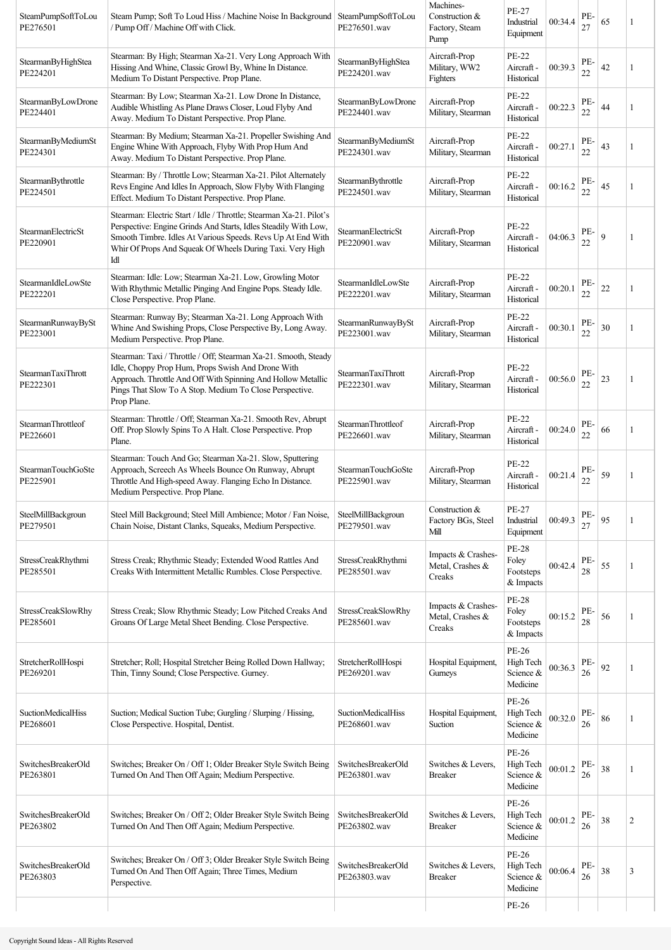| SteamPumpSoftToLou<br>PE276501        | Steam Pump; Soft To Loud Hiss / Machine Noise In Background   SteamPumpSoftToLou<br>/ Pump Off / Machine Off with Click.                                                                                                                                                  | PE276501.wav                              | Machines-<br>Construction &<br>Factory, Steam<br>Pump | PE-27<br>Industrial<br>Equipment                | 00:34.4 | PE-<br>27 | 65 |                |
|---------------------------------------|---------------------------------------------------------------------------------------------------------------------------------------------------------------------------------------------------------------------------------------------------------------------------|-------------------------------------------|-------------------------------------------------------|-------------------------------------------------|---------|-----------|----|----------------|
| StearmanByHighStea<br>PE224201        | Stearman: By High; Stearman Xa-21. Very Long Approach With<br>Hissing And Whine, Classic Growl By, Whine In Distance.<br>Medium To Distant Perspective. Prop Plane.                                                                                                       | StearmanByHighStea<br>PE224201.wav        | Aircraft-Prop<br>Military, WW2<br>Fighters            | <b>PE-22</b><br>Aircraft -<br>Historical        | 00:39.3 | PE-<br>22 | 42 | 1              |
| StearmanByLowDrone<br>PE224401        | Stearman: By Low; Stearman Xa-21. Low Drone In Distance,<br>Audible Whistling As Plane Draws Closer, Loud Flyby And<br>Away. Medium To Distant Perspective. Prop Plane.                                                                                                   | StearmanByLowDrone<br>PE224401.wav        | Aircraft-Prop<br>Military, Stearman                   | PE-22<br>Aircraft -<br>Historical               | 00:22.3 | PE-<br>22 | 44 | 1              |
| StearmanByMediumSt<br>PE224301        | Stearman: By Medium; Stearman Xa-21. Propeller Swishing And<br>Engine Whine With Approach, Flyby With Prop Hum And<br>Away. Medium To Distant Perspective. Prop Plane.                                                                                                    | StearmanByMediumSt<br>PE224301.wav        | Aircraft-Prop<br>Military, Stearman                   | PE-22<br>Aircraft -<br>Historical               | 00:27.1 | PE-<br>22 | 43 | 1              |
| StearmanBythrottle<br>PE224501        | Stearman: By / Throttle Low; Stearman Xa-21. Pilot Alternately<br>Revs Engine And Idles In Approach, Slow Flyby With Flanging<br>Effect. Medium To Distant Perspective. Prop Plane.                                                                                       | StearmanBythrottle<br>PE224501.wav        | Aircraft-Prop<br>Military, Stearman                   | PE-22<br>Aircraft -<br>Historical               | 00:16.2 | PE-<br>22 | 45 | 1              |
| StearmanElectricSt<br>PE220901        | Stearman: Electric Start / Idle / Throttle; Stearman Xa-21. Pilot's<br>Perspective: Engine Grinds And Starts, Idles Steadily With Low,<br>Smooth Timbre. Idles At Various Speeds. Revs Up At End With<br>Whir Of Props And Squeak Of Wheels During Taxi. Very High<br>Idl | StearmanElectricSt<br>PE220901.wav        | Aircraft-Prop<br>Military, Stearman                   | PE-22<br>Aircraft -<br>Historical               | 04:06.3 | PE-<br>22 | 9  | 1              |
| StearmanIdleLowSte<br>PE222201        | Stearman: Idle: Low; Stearman Xa-21. Low, Growling Motor<br>With Rhythmic Metallic Pinging And Engine Pops. Steady Idle.<br>Close Perspective. Prop Plane.                                                                                                                | StearmanIdleLowSte<br>PE222201.wav        | Aircraft-Prop<br>Military, Stearman                   | PE-22<br>Aircraft -<br>Historical               | 00:20.1 | PE-<br>22 | 22 | 1              |
| StearmanRunwayBySt<br>PE223001        | Stearman: Runway By; Stearman Xa-21. Long Approach With<br>Whine And Swishing Props, Close Perspective By, Long Away.<br>Medium Perspective. Prop Plane.                                                                                                                  | StearmanRunwayBySt<br>PE223001.wav        | Aircraft-Prop<br>Military, Stearman                   | PE-22<br>Aircraft -<br>Historical               | 00:30.1 | PE-<br>22 | 30 | 1              |
| StearmanTaxiThrott<br>PE222301        | Stearman: Taxi / Throttle / Off; Stearman Xa-21. Smooth, Steady<br>Idle, Choppy Prop Hum, Props Swish And Drone With<br>Approach. Throttle And Off With Spinning And Hollow Metallic<br>Pings That Slow To A Stop. Medium To Close Perspective.<br>Prop Plane.            | StearmanTaxiThrott<br>PE222301.wav        | Aircraft-Prop<br>Military, Stearman                   | PE-22<br>Aircraft -<br>Historical               | 00:56.0 | PE-<br>22 | 23 | -1             |
| StearmanThrottleof<br>PE226601        | Stearman: Throttle / Off; Stearman Xa-21. Smooth Rev, Abrupt<br>Off. Prop Slowly Spins To A Halt. Close Perspective. Prop<br>Plane.                                                                                                                                       | StearmanThrottleof<br>PE226601.wav        | Aircraft-Prop<br>Military, Stearman                   | PE-22<br>Aircraft -<br>Historical               | 00:24.0 | PE-<br>22 | 66 | 1              |
| StearmanTouchGoSte<br>PE225901        | Stearman: Touch And Go; Stearman Xa-21. Slow, Sputtering<br>Approach, Screech As Wheels Bounce On Runway, Abrupt<br>Throttle And High-speed Away. Flanging Echo In Distance.<br>Medium Perspective. Prop Plane.                                                           | StearmanTouchGoSte<br>PE225901.wav        | Aircraft-Prop<br>Military, Stearman                   | PE-22<br>Aircraft -<br>Historical               | 00:21.4 | PE-<br>22 | 59 | 1              |
| SteelMillBackgroun<br>PE279501        | Steel Mill Background; Steel Mill Ambience; Motor / Fan Noise,<br>Chain Noise, Distant Clanks, Squeaks, Medium Perspective.                                                                                                                                               | SteelMillBackgroun<br>PE279501.wav        | Construction &<br>Factory BGs, Steel<br>Mill          | PE-27<br>Industrial<br>Equipment                | 00:49.3 | PE-<br>27 | 95 | -1             |
| StressCreakRhythmi<br>PE285501        | Stress Creak; Rhythmic Steady; Extended Wood Rattles And<br>Creaks With Intermittent Metallic Rumbles. Close Perspective.                                                                                                                                                 | StressCreakRhythmi<br>PE285501.wav        | Impacts & Crashes-<br>Metal, Crashes &<br>Creaks      | PE-28<br>Foley<br>Footsteps<br>& Impacts        | 00:42.4 | PE-<br>28 | 55 | 1              |
| StressCreakSlowRhy<br>PE285601        | Stress Creak; Slow Rhythmic Steady; Low Pitched Creaks And<br>Groans Of Large Metal Sheet Bending. Close Perspective.                                                                                                                                                     | <b>StressCreakSlowRhy</b><br>PE285601.wav | Impacts & Crashes-<br>Metal, Crashes &<br>Creaks      | <b>PE-28</b><br>Foley<br>Footsteps<br>& Impacts | 00:15.2 | PE-<br>28 | 56 | 1              |
| StretcherRollHospi<br>PE269201        | Stretcher; Roll; Hospital Stretcher Being Rolled Down Hallway;<br>Thin, Tinny Sound; Close Perspective. Gurney.                                                                                                                                                           | StretcherRollHospi<br>PE269201.wav        | Hospital Equipment,<br>Gurneys                        | PE-26<br>High Tech<br>Science &<br>Medicine     | 00:36.3 | PE-<br>26 | 92 | 1              |
| <b>SuctionMedicalHiss</b><br>PE268601 | Suction; Medical Suction Tube; Gurgling / Slurping / Hissing,<br>Close Perspective. Hospital, Dentist.                                                                                                                                                                    | <b>SuctionMedicalHiss</b><br>PE268601.wav | Hospital Equipment,<br>Suction                        | PE-26<br>High Tech<br>Science &<br>Medicine     | 00:32.0 | PE-<br>26 | 86 | 1              |
| SwitchesBreakerOld<br>PE263801        | Switches; Breaker On / Off 1; Older Breaker Style Switch Being<br>Turned On And Then Off Again; Medium Perspective.                                                                                                                                                       | SwitchesBreakerOld<br>PE263801.wav        | Switches & Levers,<br><b>Breaker</b>                  | PE-26<br>High Tech<br>Science &<br>Medicine     | 00:01.2 | PE-<br>26 | 38 | 1              |
| SwitchesBreakerOld<br>PE263802        | Switches; Breaker On / Off 2; Older Breaker Style Switch Being<br>Turned On And Then Off Again; Medium Perspective.                                                                                                                                                       | SwitchesBreakerOld<br>PE263802.wav        | Switches & Levers,<br><b>Breaker</b>                  | PE-26<br>High Tech<br>Science &<br>Medicine     | 00:01.2 | PE-<br>26 | 38 | $\overline{c}$ |
| SwitchesBreakerOld<br>PE263803        | Switches; Breaker On / Off 3; Older Breaker Style Switch Being<br>Turned On And Then Off Again; Three Times, Medium<br>Perspective.                                                                                                                                       | SwitchesBreakerOld<br>PE263803.wav        | Switches & Levers,<br><b>Breaker</b>                  | PE-26<br>High Tech<br>Science &<br>Medicine     | 00:06.4 | PE-<br>26 | 38 | 3              |
|                                       |                                                                                                                                                                                                                                                                           |                                           |                                                       | PE-26                                           |         |           |    |                |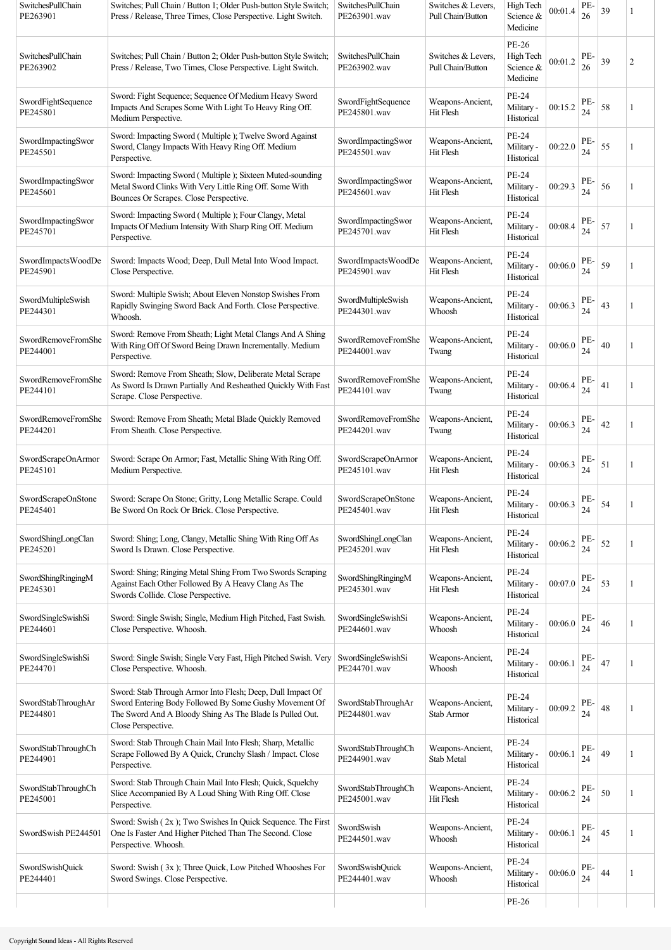| SwitchesPullChain<br>PE263901  | Switches; Pull Chain / Button 1; Older Push-button Style Switch;<br>Press / Release, Three Times, Close Perspective. Light Switch.                                                                     | <b>SwitchesPullChain</b><br>PE263901.wav | Switches & Levers.<br>Pull Chain/Button | High Tech<br>Science &<br>Medicine          | 00:01.4 | PE-<br>26 | 39 |                |
|--------------------------------|--------------------------------------------------------------------------------------------------------------------------------------------------------------------------------------------------------|------------------------------------------|-----------------------------------------|---------------------------------------------|---------|-----------|----|----------------|
| SwitchesPullChain<br>PE263902  | Switches; Pull Chain / Button 2; Older Push-button Style Switch;<br>Press / Release, Two Times, Close Perspective. Light Switch.                                                                       | SwitchesPullChain<br>PE263902.wav        | Switches & Levers.<br>Pull Chain/Button | PE-26<br>High Tech<br>Science &<br>Medicine | 00:01.2 | PE-<br>26 | 39 | $\overline{c}$ |
| SwordFightSequence<br>PE245801 | Sword: Fight Sequence; Sequence Of Medium Heavy Sword<br>Impacts And Scrapes Some With Light To Heavy Ring Off.<br>Medium Perspective.                                                                 | SwordFightSequence<br>PE245801.wav       | Weapons-Ancient,<br>Hit Flesh           | PE-24<br>Military -<br>Historical           | 00:15.2 | PE-<br>24 | 58 | 1              |
| SwordImpactingSwor<br>PE245501 | Sword: Impacting Sword (Multiple); Twelve Sword Against<br>Sword, Clangy Impacts With Heavy Ring Off. Medium<br>Perspective.                                                                           | SwordImpactingSwor<br>PE245501.wav       | Weapons-Ancient,<br>Hit Flesh           | PE-24<br>Military -<br>Historical           | 00:22.0 | PE-<br>24 | 55 | 1              |
| SwordImpactingSwor<br>PE245601 | Sword: Impacting Sword (Multiple); Sixteen Muted-sounding<br>Metal Sword Clinks With Very Little Ring Off. Some With<br>Bounces Or Scrapes. Close Perspective.                                         | SwordImpactingSwor<br>PE245601.wav       | Weapons-Ancient,<br>Hit Flesh           | <b>PE-24</b><br>Military -<br>Historical    | 00:29.3 | PE-<br>24 | 56 | 1              |
| SwordImpactingSwor<br>PE245701 | Sword: Impacting Sword (Multiple); Four Clangy, Metal<br>Impacts Of Medium Intensity With Sharp Ring Off. Medium<br>Perspective.                                                                       | SwordImpactingSwor<br>PE245701.wav       | Weapons-Ancient,<br>Hit Flesh           | PE-24<br>Military -<br>Historical           | 00:08.4 | PE-<br>24 | 57 | 1              |
| SwordImpactsWoodDe<br>PE245901 | Sword: Impacts Wood; Deep, Dull Metal Into Wood Impact.<br>Close Perspective.                                                                                                                          | SwordImpactsWoodDe<br>PE245901.wav       | Weapons-Ancient,<br>Hit Flesh           | PE-24<br>Military -<br>Historical           | 00:06.0 | PE-<br>24 | 59 | 1              |
| SwordMultipleSwish<br>PE244301 | Sword: Multiple Swish; About Eleven Nonstop Swishes From<br>Rapidly Swinging Sword Back And Forth. Close Perspective.<br>Whoosh.                                                                       | SwordMultipleSwish<br>PE244301.wav       | Weapons-Ancient,<br>Whoosh              | PE-24<br>Military -<br>Historical           | 00:06.3 | PE-<br>24 | 43 | 1              |
| SwordRemoveFromShe<br>PE244001 | Sword: Remove From Sheath; Light Metal Clangs And A Shing<br>With Ring Off Of Sword Being Drawn Incrementally. Medium<br>Perspective.                                                                  | SwordRemoveFromShe<br>PE244001.wav       | Weapons-Ancient,<br>Twang               | PE-24<br>Military -<br>Historical           | 00:06.0 | PE-<br>24 | 40 |                |
| SwordRemoveFromShe<br>PE244101 | Sword: Remove From Sheath; Slow, Deliberate Metal Scrape<br>As Sword Is Drawn Partially And Resheathed Quickly With Fast<br>Scrape. Close Perspective.                                                 | SwordRemoveFromShe<br>PE244101.wav       | Weapons-Ancient,<br>Twang               | PE-24<br>Military -<br>Historical           | 00:06.4 | PE<br>24  | 41 |                |
| SwordRemoveFromShe<br>PE244201 | Sword: Remove From Sheath; Metal Blade Quickly Removed<br>From Sheath. Close Perspective.                                                                                                              | SwordRemoveFromShe<br>PE244201.wav       | Weapons-Ancient,<br>Twang               | PE-24<br>Military -<br>Historical           | 00:06.3 | PE-<br>24 | 42 | 1              |
| SwordScrapeOnArmor<br>PE245101 | Sword: Scrape On Armor; Fast, Metallic Shing With Ring Off.<br>Medium Perspective.                                                                                                                     | SwordScrapeOnArmor<br>PE245101.wav       | Weapons-Ancient,<br>Hit Flesh           | PE-24<br>Military -<br>Historical           | 00:06.3 | PE<br>24  | 51 |                |
| SwordScrapeOnStone<br>PE245401 | Sword: Scrape On Stone; Gritty, Long Metallic Scrape. Could<br>Be Sword On Rock Or Brick. Close Perspective.                                                                                           | SwordScrapeOnStone<br>PE245401.wav       | Weapons-Ancient,<br>Hit Flesh           | PE-24<br>Military -<br>Historical           | 00:06.3 | PE-<br>24 | 54 |                |
| SwordShingLongClan<br>PE245201 | Sword: Shing; Long, Clangy, Metallic Shing With Ring Off As<br>Sword Is Drawn. Close Perspective.                                                                                                      | SwordShingLongClan<br>PE245201.wav       | Weapons-Ancient,<br>Hit Flesh           | PE-24<br>Military -<br>Historical           | 00:06.2 | PE-<br>24 | 52 | 1              |
| SwordShingRingingM<br>PE245301 | Sword: Shing; Ringing Metal Shing From Two Swords Scraping<br>Against Each Other Followed By A Heavy Clang As The<br>Swords Collide. Close Perspective.                                                | SwordShingRingingM<br>PE245301.wav       | Weapons-Ancient,<br>Hit Flesh           | PE-24<br>Military -<br>Historical           | 00:07.0 | PE-<br>24 | 53 | 1              |
| SwordSingleSwishSi<br>PE244601 | Sword: Single Swish; Single, Medium High Pitched, Fast Swish.<br>Close Perspective. Whoosh.                                                                                                            | SwordSingleSwishSi<br>PE244601.wav       | Weapons-Ancient,<br>Whoosh              | PE-24<br>Military -<br>Historical           | 00:06.0 | PE-<br>24 | 46 | 1              |
| SwordSingleSwishSi<br>PE244701 | Sword: Single Swish; Single Very Fast, High Pitched Swish. Very<br>Close Perspective. Whoosh.                                                                                                          | SwordSingleSwishSi<br>PE244701.wav       | Weapons-Ancient,<br>Whoosh              | PE-24<br>Military -<br>Historical           | 00:06.1 | PE-<br>24 | 47 | 1              |
| SwordStabThroughAr<br>PE244801 | Sword: Stab Through Armor Into Flesh; Deep, Dull Impact Of<br>Sword Entering Body Followed By Some Gushy Movement Of<br>The Sword And A Bloody Shing As The Blade Is Pulled Out.<br>Close Perspective. | SwordStabThroughAr<br>PE244801.wav       | Weapons-Ancient,<br>Stab Armor          | PE-24<br>Military -<br>Historical           | 00:09.2 | PE-<br>24 | 48 |                |
| SwordStabThroughCh<br>PE244901 | Sword: Stab Through Chain Mail Into Flesh; Sharp, Metallic<br>Scrape Followed By A Quick, Crunchy Slash / Impact. Close<br>Perspective.                                                                | SwordStabThroughCh<br>PE244901.wav       | Weapons-Ancient,<br>Stab Metal          | <b>PE-24</b><br>Military -<br>Historical    | 00:06.1 | PE-<br>24 | 49 | 1              |
| SwordStabThroughCh<br>PE245001 | Sword: Stab Through Chain Mail Into Flesh; Quick, Squelchy<br>Slice Accompanied By A Loud Shing With Ring Off. Close<br>Perspective.                                                                   | SwordStabThroughCh<br>PE245001.wav       | Weapons-Ancient,<br>Hit Flesh           | PE-24<br>Military -<br>Historical           | 00:06.2 | PE-<br>24 | 50 | 1              |
| SwordSwish PE244501            | Sword: Swish (2x); Two Swishes In Quick Sequence. The First<br>One Is Faster And Higher Pitched Than The Second. Close<br>Perspective. Whoosh.                                                         | SwordSwish<br>PE244501.wav               | Weapons-Ancient,<br>Whoosh              | <b>PE-24</b><br>Military -<br>Historical    | 00:06.1 | PE<br>24  | 45 | 1              |
| SwordSwishQuick<br>PE244401    | Sword: Swish (3x); Three Quick, Low Pitched Whooshes For<br>Sword Swings. Close Perspective.                                                                                                           | <b>SwordSwishQuick</b><br>PE244401.wav   | Weapons-Ancient,<br>Whoosh              | PE-24<br>Military -<br>Historical           | 00:06.0 | PE-<br>24 | 44 | 1              |
|                                |                                                                                                                                                                                                        |                                          |                                         | PE-26                                       |         |           |    |                |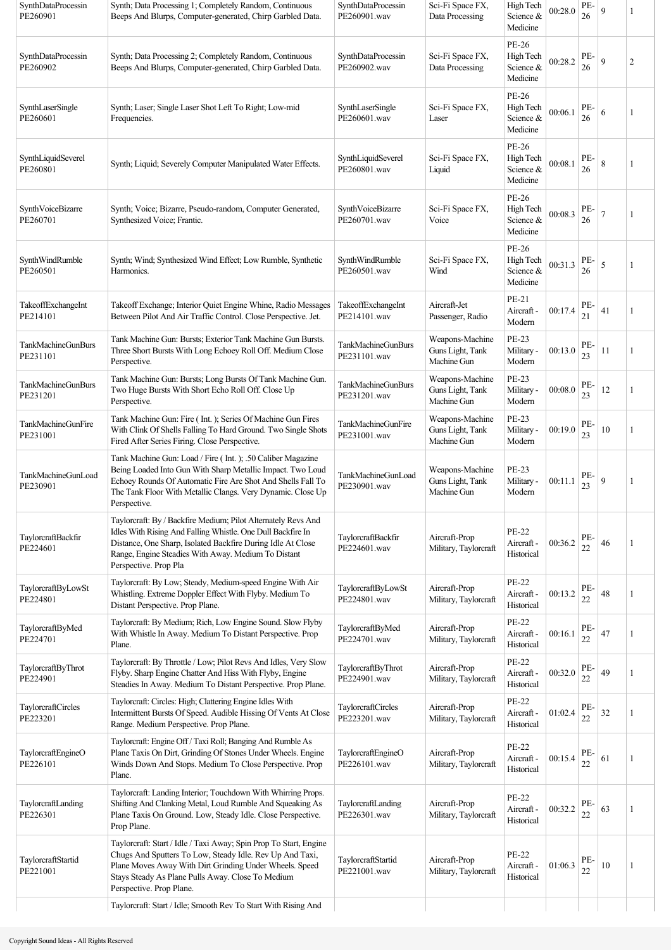| SynthDataProcessin<br>PE260901        | Synth; Data Processing 1; Completely Random, Continuous<br>Beeps And Blurps, Computer-generated, Chirp Garbled Data.                                                                                                                                                        | SynthDataProcessin<br>PE260901.wav        | Sci-Fi Space FX,<br>Data Processing                | High Tech<br>Science &<br>Medicine          | 00:28.0 | PE-<br>26 | 9              | 1              |
|---------------------------------------|-----------------------------------------------------------------------------------------------------------------------------------------------------------------------------------------------------------------------------------------------------------------------------|-------------------------------------------|----------------------------------------------------|---------------------------------------------|---------|-----------|----------------|----------------|
| SynthDataProcessin<br>PE260902        | Synth; Data Processing 2; Completely Random, Continuous<br>Beeps And Blurps, Computer-generated, Chirp Garbled Data.                                                                                                                                                        | SynthDataProcessin<br>PE260902.wav        | Sci-Fi Space FX,<br>Data Processing                | PE-26<br>High Tech<br>Science &<br>Medicine | 00:28.2 | PE-<br>26 | 9              | $\overline{c}$ |
| SynthLaserSingle<br>PE260601          | Synth; Laser; Single Laser Shot Left To Right; Low-mid<br>Frequencies.                                                                                                                                                                                                      | SynthLaserSingle<br>PE260601.wav          | Sci-Fi Space FX,<br>Laser                          | PE-26<br>High Tech<br>Science &<br>Medicine | 00:06.1 | PE-<br>26 | 6              | 1              |
| SynthLiquidSeverel<br>PE260801        | Synth; Liquid; Severely Computer Manipulated Water Effects.                                                                                                                                                                                                                 | SynthLiquidSeverel<br>PE260801.wav        | Sci-Fi Space FX,<br>Liquid                         | PE-26<br>High Tech<br>Science &<br>Medicine | 00:08.1 | PE-<br>26 | 8              | 1              |
| SynthVoiceBizarre<br>PE260701         | Synth; Voice; Bizarre, Pseudo-random, Computer Generated,<br>Synthesized Voice; Frantic.                                                                                                                                                                                    | SynthVoiceBizarre<br>PE260701.wav         | Sci-Fi Space FX,<br>Voice                          | PE-26<br>High Tech<br>Science &<br>Medicine | 00:08.3 | PE-<br>26 | $\overline{7}$ | 1              |
| SynthWindRumble<br>PE260501           | Synth; Wind; Synthesized Wind Effect; Low Rumble, Synthetic<br>Harmonics.                                                                                                                                                                                                   | SynthWindRumble<br>PE260501 way           | Sci-Fi Space FX,<br>Wind                           | PE-26<br>High Tech<br>Science &<br>Medicine | 00:31.3 | PE-<br>26 | 5              | 1              |
| TakeoffExchangeInt<br>PE214101        | Takeoff Exchange; Interior Quiet Engine Whine, Radio Messages<br>Between Pilot And Air Traffic Control. Close Perspective. Jet.                                                                                                                                             | TakeoffExchangeInt<br>PE214101.wav        | Aircraft-Jet<br>Passenger, Radio                   | PE-21<br>Aircraft -<br>Modern               | 00:17.4 | PE-<br>21 | 41             | 1              |
| TankMachineGunBurs<br>PE231101        | Tank Machine Gun: Bursts; Exterior Tank Machine Gun Bursts.<br>Three Short Bursts With Long Echoey Roll Off. Medium Close<br>Perspective.                                                                                                                                   | <b>TankMachineGunBurs</b><br>PE231101.wav | Weapons-Machine<br>Guns Light, Tank<br>Machine Gun | PE-23<br>Military -<br>Modern               | 00:13.0 | PE-<br>23 | 11             | 1              |
| TankMachineGunBurs<br>PE231201        | Tank Machine Gun: Bursts; Long Bursts Of Tank Machine Gun.<br>Two Huge Bursts With Short Echo Roll Off. Close Up<br>Perspective.                                                                                                                                            | <b>TankMachineGunBurs</b><br>PE231201.wav | Weapons-Machine<br>Guns Light, Tank<br>Machine Gun | PE-23<br>Military -<br>Modern               | 00:08.0 | PE-<br>23 | 12             | 1              |
| <b>TankMachineGunFire</b><br>PE231001 | Tank Machine Gun: Fire (Int.); Series Of Machine Gun Fires<br>With Clink Of Shells Falling To Hard Ground. Two Single Shots<br>Fired After Series Firing. Close Perspective.                                                                                                | <b>TankMachineGunFire</b><br>PE231001.wav | Weapons-Machine<br>Guns Light, Tank<br>Machine Gun | <b>PE-23</b><br>Military -<br>Modern        | 00:19.0 | PE-<br>23 | 10             | 1              |
| TankMachineGunLoad<br>PE230901        | Tank Machine Gun: Load / Fire (Int.); .50 Caliber Magazine<br>Being Loaded Into Gun With Sharp Metallic Impact. Two Loud<br>Echoey Rounds Of Automatic Fire Are Shot And Shells Fall To<br>The Tank Floor With Metallic Clangs. Very Dynamic. Close Up<br>Perspective.      | TankMachineGunLoad<br>PE230901.wav        | Weapons-Machine<br>Guns Light, Tank<br>Machine Gun | PE-23<br>Military -<br>Modern               | 00:11.1 | PE-<br>23 | 9              | 1              |
| TaylorcraftBackfir<br>PE224601        | Taylorcraft: By / Backfire Medium; Pilot Alternately Revs And<br>Idles With Rising And Falling Whistle. One Dull Backfire In<br>Distance, One Sharp, Isolated Backfire During Idle At Close<br>Range, Engine Steadies With Away. Medium To Distant<br>Perspective. Prop Pla | TaylorcraftBackfir<br>PE224601.wav        | Aircraft-Prop<br>Military, Taylorcraft             | <b>PE-22</b><br>Aircraft -<br>Historical    | 00:36.2 | PE-<br>22 | 46             |                |
| TaylorcraftByLowSt<br>PE224801        | Taylorcraft: By Low; Steady, Medium-speed Engine With Air<br>Whistling. Extreme Doppler Effect With Flyby. Medium To<br>Distant Perspective. Prop Plane.                                                                                                                    | TaylorcraftByLowSt<br>PE224801.wav        | Aircraft-Prop<br>Military, Taylorcraft             | <b>PE-22</b><br>Aircraft -<br>Historical    | 00:13.2 | PE-<br>22 | 48             | 1              |
| TaylorcraftByMed<br>PE224701          | Taylorcraft: By Medium; Rich, Low Engine Sound. Slow Flyby<br>With Whistle In Away. Medium To Distant Perspective. Prop<br>Plane.                                                                                                                                           | TaylorcraftByMed<br>PE224701.wav          | Aircraft-Prop<br>Military, Taylorcraft             | <b>PE-22</b><br>Aircraft -<br>Historical    | 00:16.1 | PE-<br>22 | 47             | 1              |
| TaylorcraftByThrot<br>PE224901        | Taylorcraft: By Throttle / Low; Pilot Revs And Idles, Very Slow<br>Flyby. Sharp Engine Chatter And Hiss With Flyby, Engine<br>Steadies In Away. Medium To Distant Perspective. Prop Plane.                                                                                  | TaylorcraftByThrot<br>PE224901.wav        | Aircraft-Prop<br>Military, Taylorcraft             | <b>PE-22</b><br>Aircraft -<br>Historical    | 00:32.0 | PE-<br>22 | 49             | 1              |
| TaylorcraftCircles<br>PE223201        | Taylorcraft: Circles: High; Clattering Engine Idles With<br>Intermittent Bursts Of Speed. Audible Hissing Of Vents At Close<br>Range. Medium Perspective. Prop Plane.                                                                                                       | TaylorcraftCircles<br>PE223201.wav        | Aircraft-Prop<br>Military, Taylorcraft             | <b>PE-22</b><br>Aircraft -<br>Historical    | 01:02.4 | PE-<br>22 | 32             | 1              |
| TaylorcraftEngineO<br>PE226101        | Taylorcraft: Engine Off / Taxi Roll; Banging And Rumble As<br>Plane Taxis On Dirt, Grinding Of Stones Under Wheels. Engine<br>Winds Down And Stops. Medium To Close Perspective. Prop<br>Plane.                                                                             | TaylorcraftEngineO<br>PE226101.wav        | Aircraft-Prop<br>Military, Taylorcraft             | <b>PE-22</b><br>Aircraft -<br>Historical    | 00:15.4 | PE-<br>22 | 61             | 1              |
| TaylorcraftLanding<br>PE226301        | Taylorcraft: Landing Interior; Touchdown With Whirring Props.<br>Shifting And Clanking Metal, Loud Rumble And Squeaking As<br>Plane Taxis On Ground. Low, Steady Idle. Close Perspective.<br>Prop Plane.                                                                    | TaylorcraftLanding<br>PE226301.wav        | Aircraft-Prop<br>Military, Taylorcraft             | PE-22<br>Aircraft -<br>Historical           | 00:32.2 | PE-<br>22 | 63             | 1              |
| TaylorcraftStartid<br>PE221001        | Taylorcraft: Start / Idle / Taxi Away; Spin Prop To Start, Engine<br>Chugs And Sputters To Low, Steady Idle. Rev Up And Taxi,<br>Plane Moves Away With Dirt Grinding Under Wheels. Speed<br>Stays Steady As Plane Pulls Away. Close To Medium<br>Perspective. Prop Plane.   | TaylorcraftStartid<br>PE221001.wav        | Aircraft-Prop<br>Military, Taylorcraft             | <b>PE-22</b><br>Aircraft -<br>Historical    | 01:06.3 | PE-<br>22 | 10             | 1              |
|                                       | Taylorcraft: Start / Idle; Smooth Rev To Start With Rising And                                                                                                                                                                                                              |                                           |                                                    |                                             |         |           |                |                |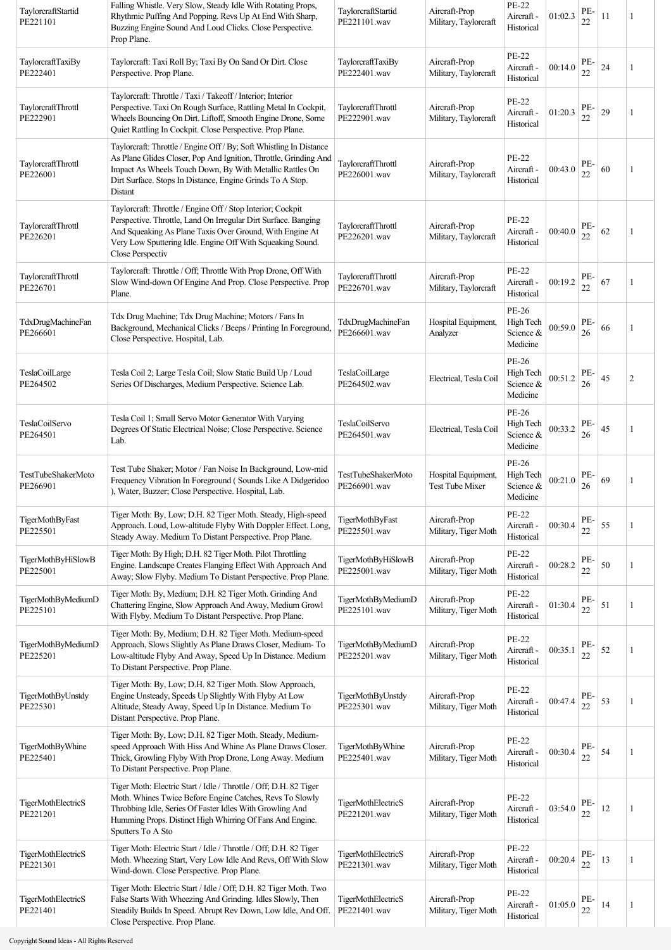| TaylorcraftStartid<br>PE221101 | Falling Whistle. Very Slow, Steady Idle With Rotating Props,<br>Rhythmic Puffing And Popping. Revs Up At End With Sharp,<br>Buzzing Engine Sound And Loud Clicks. Close Perspective.<br>Prop Plane.                                                                         | TaylorcraftStartid<br>PE221101.wav        | Aircraft-Prop<br>Military, Taylorcraft        | PE-22<br>Aircraft -<br>Historical           | 01:02.3 | PE-<br>22 | 11 |   |
|--------------------------------|-----------------------------------------------------------------------------------------------------------------------------------------------------------------------------------------------------------------------------------------------------------------------------|-------------------------------------------|-----------------------------------------------|---------------------------------------------|---------|-----------|----|---|
| TaylorcraftTaxiBy<br>PE222401  | Taylorcraft: Taxi Roll By; Taxi By On Sand Or Dirt. Close<br>Perspective. Prop Plane.                                                                                                                                                                                       | TaylorcraftTaxiBy<br>PE222401.wav         | Aircraft-Prop<br>Military, Taylorcraft        | PE-22<br>Aircraft -<br>Historical           | 00:14.0 | PE-<br>22 | 24 |   |
| TaylorcraftThrottl<br>PE222901 | Taylorcraft: Throttle / Taxi / Takeoff / Interior; Interior<br>Perspective. Taxi On Rough Surface, Rattling Metal In Cockpit,<br>Wheels Bouncing On Dirt. Liftoff, Smooth Engine Drone, Some<br>Quiet Rattling In Cockpit. Close Perspective. Prop Plane.                   | <b>TaylorcraftThrottl</b><br>PE222901.wav | Aircraft-Prop<br>Military, Taylorcraft        | PE-22<br>Aircraft -<br>Historical           | 01:20.3 | PE-<br>22 | 29 |   |
| TaylorcraftThrottl<br>PE226001 | Taylorcraft: Throttle / Engine Off / By; Soft Whistling In Distance<br>As Plane Glides Closer, Pop And Ignition, Throttle, Grinding And<br>Impact As Wheels Touch Down, By With Metallic Rattles On<br>Dirt Surface. Stops In Distance, Engine Grinds To A Stop.<br>Distant | TaylorcraftThrottl<br>PE226001.wav        | Aircraft-Prop<br>Military, Taylorcraft        | PE-22<br>Aircraft -<br>Historical           | 00:43.0 | PE-<br>22 | 60 |   |
| TaylorcraftThrottl<br>PE226201 | Taylorcraft: Throttle / Engine Off / Stop Interior; Cockpit<br>Perspective. Throttle, Land On Irregular Dirt Surface. Banging<br>And Squeaking As Plane Taxis Over Ground, With Engine At<br>Very Low Sputtering Idle. Engine Off With Squeaking Sound.<br>Close Perspectiv | TaylorcraftThrottl<br>PE226201.wav        | Aircraft-Prop<br>Military, Taylorcraft        | PE-22<br>Aircraft -<br>Historical           | 00:40.0 | PE-<br>22 | 62 |   |
| TaylorcraftThrottl<br>PE226701 | Taylorcraft: Throttle / Off; Throttle With Prop Drone, Off With<br>Slow Wind-down Of Engine And Prop. Close Perspective. Prop<br>Plane.                                                                                                                                     | TaylorcraftThrottl<br>PE226701.wav        | Aircraft-Prop<br>Military, Taylorcraft        | PE-22<br>Aircraft -<br>Historical           | 00:19.2 | PE-<br>22 | 67 |   |
| TdxDrugMachineFan<br>PE266601  | Tdx Drug Machine; Tdx Drug Machine; Motors / Fans In<br>Background, Mechanical Clicks / Beeps / Printing In Foreground,<br>Close Perspective. Hospital, Lab.                                                                                                                | TdxDrugMachineFan<br>PE266601.wav         | Hospital Equipment,<br>Analyzer               | PE-26<br>High Tech<br>Science &<br>Medicine | 00:59.0 | PE-<br>26 | 66 |   |
| TeslaCoilLarge<br>PE264502     | Tesla Coil 2; Large Tesla Coil; Slow Static Build Up / Loud<br>Series Of Discharges, Medium Perspective. Science Lab.                                                                                                                                                       | TeslaCoilLarge<br>PE264502.wav            | Electrical, Tesla Coil                        | PE-26<br>High Tech<br>Science &<br>Medicine | 00:51.2 | PE-<br>26 | 45 | 2 |
| TeslaCoilServo<br>PE264501     | Tesla Coil 1; Small Servo Motor Generator With Varying<br>Degrees Of Static Electrical Noise; Close Perspective. Science<br>Lab.                                                                                                                                            | TeslaCoilServo<br>PE264501.wav            | Electrical, Tesla Coil                        | PE-26<br>High Tech<br>Science &<br>Medicine | 00:33.2 | PE-<br>26 | 45 |   |
| TestTubeShakerMoto<br>PE266901 | Test Tube Shaker; Motor / Fan Noise In Background, Low-mid<br>Frequency Vibration In Foreground (Sounds Like A Didgeridoo<br>), Water, Buzzer; Close Perspective. Hospital, Lab.                                                                                            | TestTubeShakerMoto<br>PE266901.wav        | Hospital Equipment,<br><b>Test Tube Mixer</b> | PE-26<br>High Tech<br>Science &<br>Medicine | 00:21.0 | PE-<br>26 | 69 |   |
| TigerMothByFast<br>PE225501    | Tiger Moth: By, Low; D.H. 82 Tiger Moth. Steady, High-speed<br>Approach. Loud, Low-altitude Flyby With Doppler Effect. Long,<br>Steady Away. Medium To Distant Perspective. Prop Plane.                                                                                     | TigerMothByFast<br>PE225501.wav           | Aircraft-Prop<br>Military, Tiger Moth         | <b>PE-22</b><br>Aircraft -<br>Historical    | 00:30.4 | PE-<br>22 | 55 |   |
| TigerMothByHiSlowB<br>PE225001 | Tiger Moth: By High; D.H. 82 Tiger Moth. Pilot Throttling<br>Engine. Landscape Creates Flanging Effect With Approach And<br>Away; Slow Flyby. Medium To Distant Perspective. Prop Plane.                                                                                    | TigerMothByHiSlowB<br>PE225001.wav        | Aircraft-Prop<br>Military, Tiger Moth         | <b>PE-22</b><br>Aircraft -<br>Historical    | 00:28.2 | PE-<br>22 | 50 | 1 |
| TigerMothByMediumD<br>PE225101 | Tiger Moth: By, Medium; D.H. 82 Tiger Moth. Grinding And<br>Chattering Engine, Slow Approach And Away, Medium Growl<br>With Flyby. Medium To Distant Perspective. Prop Plane.                                                                                               | TigerMothByMediumD<br>PE225101.wav        | Aircraft-Prop<br>Military, Tiger Moth         | <b>PE-22</b><br>Aircraft -<br>Historical    | 01:30.4 | PE-<br>22 | 51 |   |
| TigerMothByMediumD<br>PE225201 | Tiger Moth: By, Medium; D.H. 82 Tiger Moth. Medium-speed<br>Approach, Slows Slightly As Plane Draws Closer, Medium-To<br>Low-altitude Flyby And Away, Speed Up In Distance. Medium<br>To Distant Perspective. Prop Plane.                                                   | TigerMothByMediumD<br>PE225201.wav        | Aircraft-Prop<br>Military, Tiger Moth         | <b>PE-22</b><br>Aircraft -<br>Historical    | 00:35.1 | PE-<br>22 | 52 |   |
| TigerMothByUnstdy<br>PE225301  | Tiger Moth: By, Low; D.H. 82 Tiger Moth. Slow Approach,<br>Engine Unsteady, Speeds Up Slightly With Flyby At Low<br>Altitude, Steady Away, Speed Up In Distance. Medium To<br>Distant Perspective. Prop Plane.                                                              | TigerMothByUnstdy<br>PE225301.wav         | Aircraft-Prop<br>Military, Tiger Moth         | PE-22<br>Aircraft -<br>Historical           | 00:47.4 | PE-<br>22 | 53 |   |
| TigerMothByWhine<br>PE225401   | Tiger Moth: By, Low; D.H. 82 Tiger Moth. Steady, Medium-<br>speed Approach With Hiss And Whine As Plane Draws Closer.<br>Thick, Growling Flyby With Prop Drone, Long Away. Medium<br>To Distant Perspective. Prop Plane.                                                    | TigerMothByWhine<br>PE225401.wav          | Aircraft-Prop<br>Military, Tiger Moth         | <b>PE-22</b><br>Aircraft -<br>Historical    | 00:30.4 | PE-<br>22 | 54 |   |
| TigerMothElectricS<br>PE221201 | Tiger Moth: Electric Start / Idle / Throttle / Off; D.H. 82 Tiger<br>Moth. Whines Twice Before Engine Catches, Revs To Slowly<br>Throbbing Idle, Series Of Faster Idles With Growling And<br>Humming Props. Distinct High Whirring Of Fans And Engine.<br>Sputters To A Sto | TigerMothElectricS<br>PE221201.wav        | Aircraft-Prop<br>Military, Tiger Moth         | PE-22<br>Aircraft -<br>Historical           | 03:54.0 | PE-<br>22 | 12 |   |
| TigerMothElectricS<br>PE221301 | Tiger Moth: Electric Start / Idle / Throttle / Off; D.H. 82 Tiger<br>Moth. Wheezing Start, Very Low Idle And Revs, Off With Slow<br>Wind-down. Close Perspective. Prop Plane.                                                                                               | TigerMothElectricS<br>PE221301.wav        | Aircraft-Prop<br>Military, Tiger Moth         | PE-22<br>Aircraft -<br>Historical           | 00:20.4 | PE-<br>22 | 13 |   |
| TigerMothElectricS<br>PE221401 | Tiger Moth: Electric Start / Idle / Off; D.H. 82 Tiger Moth. Two<br>False Starts With Wheezing And Grinding. Idles Slowly, Then<br>Steadily Builds In Speed. Abrupt Rev Down, Low Idle, And Off.<br>Close Perspective. Prop Plane.                                          | TigerMothElectricS<br>PE221401.wav        | Aircraft-Prop<br>Military, Tiger Moth         | PE-22<br>Aircraft -<br>Historical           | 01:05.0 | PE-<br>22 | 14 |   |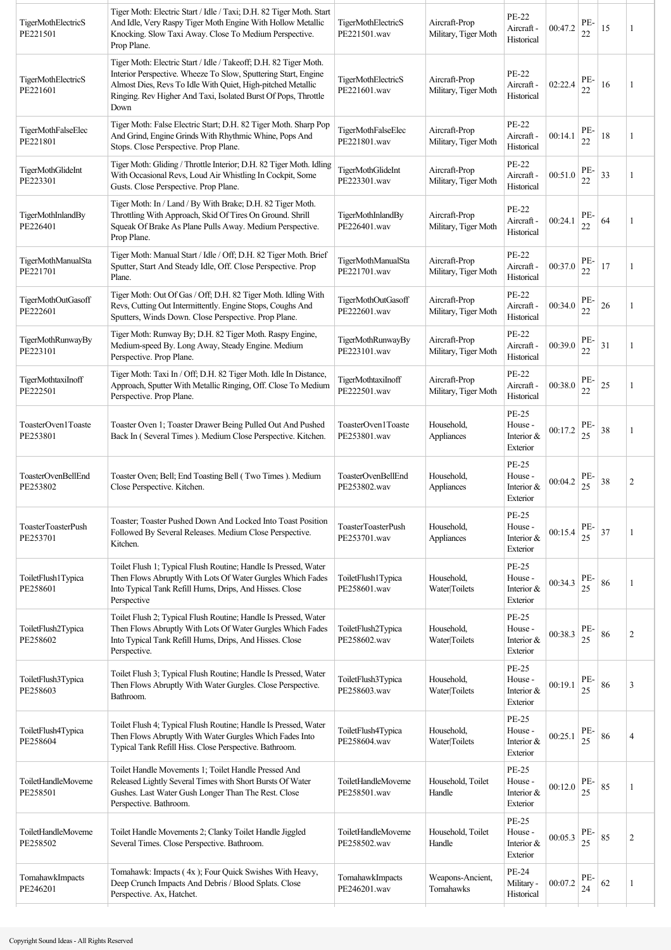| TigerMothElectricS<br>PE221501       | Tiger Moth: Electric Start / Idle / Taxi; D.H. 82 Tiger Moth. Start<br>And Idle, Very Raspy Tiger Moth Engine With Hollow Metallic<br>Knocking. Slow Taxi Away. Close To Medium Perspective.<br>Prop Plane.                                                                 | <b>TigerMothElectricS</b><br>PE221501.wav | Aircraft-Prop<br>Military, Tiger Moth | PE-22<br>Aircraft -<br>Historical                 | 00:47.2 | PE-<br>22 | 15 | 1              |
|--------------------------------------|-----------------------------------------------------------------------------------------------------------------------------------------------------------------------------------------------------------------------------------------------------------------------------|-------------------------------------------|---------------------------------------|---------------------------------------------------|---------|-----------|----|----------------|
| TigerMothElectricS<br>PE221601       | Tiger Moth: Electric Start / Idle / Takeoff; D.H. 82 Tiger Moth.<br>Interior Perspective. Wheeze To Slow, Sputtering Start, Engine<br>Almost Dies, Revs To Idle With Quiet, High-pitched Metallic<br>Ringing. Rev Higher And Taxi, Isolated Burst Of Pops, Throttle<br>Down | TigerMothElectricS<br>PE221601.wav        | Aircraft-Prop<br>Military, Tiger Moth | PE-22<br>Aircraft -<br>Historical                 | 02:22.4 | PE-<br>22 | 16 |                |
| TigerMothFalseElec<br>PE221801       | Tiger Moth: False Electric Start; D.H. 82 Tiger Moth. Sharp Pop<br>And Grind, Engine Grinds With Rhythmic Whine, Pops And<br>Stops. Close Perspective. Prop Plane.                                                                                                          | TigerMothFalseElec<br>PE221801.wav        | Aircraft-Prop<br>Military, Tiger Moth | PE-22<br>Aircraft -<br>Historical                 | 00:14.1 | PE-<br>22 | 18 | 1              |
| <b>TigerMothGlideInt</b><br>PE223301 | Tiger Moth: Gliding / Throttle Interior; D.H. 82 Tiger Moth. Idling<br>With Occasional Revs, Loud Air Whistling In Cockpit, Some<br>Gusts. Close Perspective. Prop Plane.                                                                                                   | TigerMothGlideInt<br>PE223301.wav         | Aircraft-Prop<br>Military, Tiger Moth | PE-22<br>Aircraft -<br>Historical                 | 00:51.0 | PE-<br>22 | 33 | 1              |
| TigerMothInlandBy<br>PE226401        | Tiger Moth: In / Land / By With Brake; D.H. 82 Tiger Moth.<br>Throttling With Approach, Skid Of Tires On Ground. Shrill<br>Squeak Of Brake As Plane Pulls Away. Medium Perspective.<br>Prop Plane.                                                                          | TigerMothInlandBy<br>PE226401.wav         | Aircraft-Prop<br>Military, Tiger Moth | <b>PE-22</b><br>Aircraft -<br>Historical          | 00:24.1 | PE-<br>22 | 64 | 1              |
| TigerMothManualSta<br>PE221701       | Tiger Moth: Manual Start / Idle / Off; D.H. 82 Tiger Moth. Brief<br>Sputter, Start And Steady Idle, Off. Close Perspective. Prop<br>Plane.                                                                                                                                  | TigerMothManualSta<br>PE221701.wav        | Aircraft-Prop<br>Military, Tiger Moth | PE-22<br>Aircraft -<br>Historical                 | 00:37.0 | PE-<br>22 | 17 |                |
| TigerMothOutGasoff<br>PE222601       | Tiger Moth: Out Of Gas / Off; D.H. 82 Tiger Moth. Idling With<br>Revs, Cutting Out Intermittently. Engine Stops, Coughs And<br>Sputters, Winds Down. Close Perspective. Prop Plane.                                                                                         | TigerMothOutGasoff<br>PE222601.wav        | Aircraft-Prop<br>Military, Tiger Moth | PE-22<br>Aircraft -<br>Historical                 | 00:34.0 | PE-<br>22 | 26 |                |
| TigerMothRunwayBy<br>PE223101        | Tiger Moth: Runway By, D.H. 82 Tiger Moth. Raspy Engine,<br>Medium-speed By. Long Away, Steady Engine. Medium<br>Perspective. Prop Plane.                                                                                                                                   | TigerMothRunwayBy<br>PE223101.wav         | Aircraft-Prop<br>Military, Tiger Moth | PE-22<br>Aircraft -<br>Historical                 | 00:39.0 | PE-<br>22 | 31 | -1             |
| TigerMothtaxiInoff<br>PE222501       | Tiger Moth: Taxi In / Off; D.H. 82 Tiger Moth. Idle In Distance,<br>Approach, Sputter With Metallic Ringing, Off. Close To Medium<br>Perspective. Prop Plane.                                                                                                               | TigerMothtaxiInoff<br>PE222501.wav        | Aircraft-Prop<br>Military, Tiger Moth | <b>PE-22</b><br>Aircraft -<br>Historical          | 00:38.0 | PE-<br>22 | 25 |                |
| ToasterOven1Toaste<br>PE253801       | Toaster Oven 1; Toaster Drawer Being Pulled Out And Pushed<br>Back In (Several Times). Medium Close Perspective. Kitchen.                                                                                                                                                   | ToasterOven1Toaste<br>PE253801.wav        | Household,<br>Appliances              | PE-25<br>House -<br>Interior &<br>Exterior        | 00:17.2 | PE-<br>25 | 38 | 1              |
| ToasterOvenBellEnd<br>PE253802       | Toaster Oven; Bell; End Toasting Bell (Two Times ). Medium<br>Close Perspective. Kitchen.                                                                                                                                                                                   | ToasterOvenBellEnd<br>PE253802.wav        | Household,<br>Appliances              | PE-25<br>House -<br>Interior &<br>Exterior        | 00:04.2 | PE-<br>25 | 38 | 2              |
| ToasterToasterPush<br>PE253701       | Toaster; Toaster Pushed Down And Locked Into Toast Position<br>Followed By Several Releases. Medium Close Perspective.<br>Kitchen.                                                                                                                                          | ToasterToasterPush<br>PE253701.wav        | Household,<br>Appliances              | <b>PE-25</b><br>House -<br>Interior &<br>Exterior | 00:15.4 | PE-<br>25 | 37 | 1              |
| ToiletFlush1Typica<br>PE258601       | Toilet Flush 1; Typical Flush Routine; Handle Is Pressed, Water<br>Then Flows Abruptly With Lots Of Water Gurgles Which Fades<br>Into Typical Tank Refill Hums, Drips, And Hisses. Close<br>Perspective                                                                     | ToiletFlush1Typica<br>PE258601.wav        | Household,<br>Water Toilets           | PE-25<br>House -<br>Interior &<br>Exterior        | 00:34.3 | PE-<br>25 | 86 | 1              |
| ToiletFlush2Typica<br>PE258602       | Toilet Flush 2; Typical Flush Routine; Handle Is Pressed, Water<br>Then Flows Abruptly With Lots Of Water Gurgles Which Fades<br>Into Typical Tank Refill Hums, Drips, And Hisses. Close<br>Perspective.                                                                    | ToiletFlush2Typica<br>PE258602.wav        | Household,<br>Water Toilets           | PE-25<br>House -<br>Interior &<br>Exterior        | 00:38.3 | PE-<br>25 | 86 | $\overline{c}$ |
| ToiletFlush3Typica<br>PE258603       | Toilet Flush 3; Typical Flush Routine; Handle Is Pressed, Water<br>Then Flows Abruptly With Water Gurgles. Close Perspective.<br>Bathroom.                                                                                                                                  | ToiletFlush3Typica<br>PE258603.wav        | Household,<br>Water Toilets           | PE-25<br>House -<br>Interior &<br>Exterior        | 00:19.1 | PE-<br>25 | 86 | 3              |
| ToiletFlush4Typica<br>PE258604       | Toilet Flush 4; Typical Flush Routine; Handle Is Pressed, Water<br>Then Flows Abruptly With Water Gurgles Which Fades Into<br>Typical Tank Refill Hiss. Close Perspective. Bathroom.                                                                                        | ToiletFlush4Typica<br>PE258604.wav        | Household,<br>Water Toilets           | PE-25<br>House -<br>Interior &<br>Exterior        | 00:25.1 | PE-<br>25 | 86 | $\overline{4}$ |
| ToiletHandleMoveme<br>PE258501       | Toilet Handle Movements 1; Toilet Handle Pressed And<br>Released Lightly Several Times with Short Bursts Of Water<br>Gushes. Last Water Gush Longer Than The Rest. Close<br>Perspective. Bathroom.                                                                          | ToiletHandleMoveme<br>PE258501.wav        | Household, Toilet<br>Handle           | <b>PE-25</b><br>House -<br>Interior &<br>Exterior | 00:12.0 | PE-<br>25 | 85 |                |
| ToiletHandleMoveme<br>PE258502       | Toilet Handle Movements 2; Clanky Toilet Handle Jiggled<br>Several Times. Close Perspective. Bathroom.                                                                                                                                                                      | ToiletHandleMoveme<br>PE258502.wav        | Household, Toilet<br>Handle           | PE-25<br>House -<br>Interior &<br>Exterior        | 00:05.3 | PE-<br>25 | 85 | $\overline{c}$ |
| TomahawkImpacts<br>PE246201          | Tomahawk: Impacts (4x); Four Quick Swishes With Heavy,<br>Deep Crunch Impacts And Debris / Blood Splats. Close<br>Perspective. Ax, Hatchet.                                                                                                                                 | TomahawkImpacts<br>PE246201.wav           | Weapons-Ancient,<br>Tomahawks         | PE-24<br>Military -<br>Historical                 | 00:07.2 | PE-<br>24 | 62 | 1              |